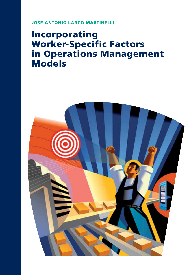**JOSÉ ANTONIO LARCO MARTINELLI**

# **Incorporating Worker-Specific Factors in Operations Management Models**

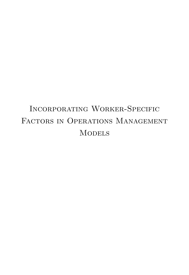# Incorporating Worker-Specific FACTORS IN OPERATIONS MANAGEMENT **MODELS**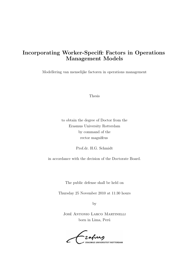#### **Incorporating Worker-Specific Factors in Operations Management Models**

Modellering van menselijke factoren in operations management

Thesis

to obtain the degree of Doctor from the Erasmus University Rotterdam by command of the rector magnificus

Prof.dr. H.G. Schmidt

in accordance with the decision of the Doctorate Board.

The public defense shall be held on

Thursday 25 November 2010 at 11:30 hours

by

JOSÉ ANTONIO LARCO MARTINELLI born in Lima, Perú

zafung **ERASMUS UNIVERSITEIT ROTTERDAM**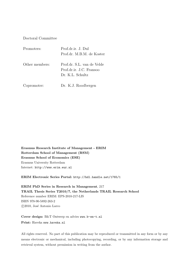Doctoral Committee

| Promoters:     | Prof.dr.ir. J. Dul<br>Prof.dr. M.B.M. de Koster                            |
|----------------|----------------------------------------------------------------------------|
| Other members: | Prof.dr. S.L. van de Velde<br>Prof.dr.ir. J.C. Fransoo<br>Dr. K.L. Schultz |
| Copromoter:    | Dr. K.J. Roodbergen                                                        |

**Erasmus Research Institute of Management - ERIM Rotterdam School of Management (RSM) Erasmus School of Economics (ESE)** Erasmus University Rotterdam Internet: http://www.erim.eur.nl

**ERIM Electronic Series Portal:** http://hdl.handle.net/1765/1

**ERIM PhD Series in Research in Management**, 217 **TRAIL Thesis Series T2010/7, the Netherlands TRAIL Research School** Reference number ERIM: EPS-2010-217-LIS ISBN 978-90-5892-263-2 ©2010, José Antonio Larco

**Cover design:** B&T Ontwerp en advies www.b-en-t.nl **Print:** Haveka www.haveka.nl

All rights reserved. No part of this publication may be reproduced or transmitted in any form or by any means electronic or mechanical, including photocopying, recording, or by any information storage and retrieval system, without permission in writing from the author.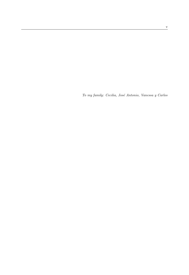*To my family: Cecilia, Jos´e Antonio, Vanessa y Carlos*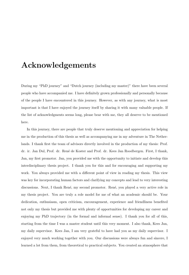## **Acknowledgements**

During my "PhD journey" and "Dutch journey (including my master)" there have been several people who have accompanied me. I have definitely grown professionally and personally because of the people I have encountered in this journey. However, as with any journey, what is most important is that I have enjoyed the journey itself by sharing it with many valuable people. If the list of acknowledgments seems long, please bear with me, they all deserve to be mentioned here.

In this journey, there are people that truly deserve mentioning and appreciation for helping me in the production of this thesis as well as accompanying me in my adventure in The Netherlands. I thank first the team of advisors directly involved in the production of my thesis: Prof. dr. ir. Jan Dul, Prof. dr. Ren´e de Koster and Prof. dr. Kees Jan Roodbergen. First, I thank, Jan, my first promotor. Jan, you provided me with the opportunity to initiate and develop this interdisciplinary thesis project. I thank you for this and for encouraging and supporting my work. You always provided me with a different point of view in reading my thesis. This view was key for incorporating human factors and clarifying my concepts and lead to very interesting discussions. Next, I thank René, my second promotor. René, you played a very active role in my thesis project. You are truly a role model for me of what an academic should be. Your dedication, enthusiasm, open criticism, encouragement, experience and friendliness benefited not only my thesis but provided me with plenty of opportunities for developing my career and enjoying my PhD trajectory (in the formal and informal sense). I thank you for all of this, starting from the time I was a master student until this very moment. I also thank, Kees Jan, my daily supervisor. Kees Jan, I am very grateful to have had you as my daily supervisor. I enjoyed very much working together with you. Our discussions were always fun and sincere, I learned a lot from them, from theoretical to practical subjects. You created an atmosphere that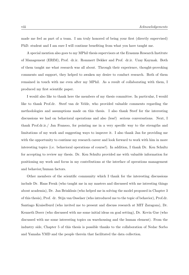made me feel as part of a team. I am truly honored of being your first (directly supervised) PhD. student and I am sure I will continue benefiting from what you have taught me.

A special mention also goes to my MPhil thesis supervisors at the Erasmus Research Institute of Management (ERIM), Prof. dr.ir. Rommert Dekker and Prof. dr.ir. Uzay Kaymak. Both of them taught me what research was all about. Through their experience, thought-provoking comments and support, they helped to awaken my desire to conduct research. Both of them remained in touch with me even after my MPhil. As a result of collaborating with them, I produced my first scientific paper.

I would also like to thank here the members of my thesis committee. In particular, I would like to thank Prof.dr. Steef van de Velde, who provided valuable comments regarding the methodologies and assumptions made on this thesis. I also thank Steef for the interesting discussions we had on behavioral operations and also (less!) serious conversations. Next, I thank Prof.dr.ir./ Jan Fransoo, for pointing me in a very specific way to the strengths and limitations of my work and suggesting ways to improve it. I also thank Jan for providing me with the opportunity to continue my research career and look forward to work with him in more interesting topics (i.e. behavioral operations of course!). In addition, I thank Dr. Ken Schultz for accepting to review my thesis. Dr. Ken Schultz provided me with valuable information for positioning my work and focus in my contributions at the interface of operations management and behavior/human factors.

Other members of the scientific community which I thank for the interesting discussions include Dr. Hans Frenk (who taught me in my masters and discussed with me intresting things about academia), Dr. Jan Brinkhuis (who helped me in solving the model proposed in Chapter 3 of this thesis), Prof. dr. Stijn van Osselaer (who introduced me to the topic of behavior), Prof.dr. Santiago Kraiselburd (who invited me to present and discuss research at MIT Zaragoza), Dr. Kenneth Doerr (who discussed with me some initial ideas on goal setting), Dr. Kevin Gue (who discussed with me some interesting topics on warehousing and the human element). From the industry side, Chapter 5 of this thesis is possible thanks to the collaboration of Nedac Sorbo and Yamaha YMD and the people therein that facilitated the data collection.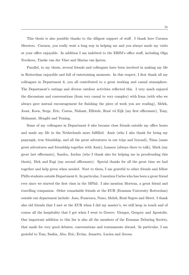This thesis is also possible thanks to the diligent support of staff. I thank here Carmen Meesters. Carmen, you really went a long way in helping me and you always made my visits at your office enjoyable. In addition I am indebted to the ERIM's office staff, including Olga Novikova, Tineke van der Vhee and Marisa van Iperen.

Parallel, to my thesis, several friends and colleagues have been involved in making my life in Rotterdam enjoyable and full of entertaining moments. In this respect, I first thank all my colleagues in Department 6, you all contributed to a great working and casual atmosphere. The Department's outings and diverse outdoor activities reflected this. I very much enjoyed the discussions and conversations (from very casual to very complex) with Irma (with who we always gave mutual encouragement for finishing the piece of work you are reading), Melek, Joost, Koen, Serge, Eric, Costas, Nishant, Elfriede, Ren´e vd Eijk (my first officemate), Tony, Mahamut, Mengfei and Yeming.

Some of my colleagues in Department 6 also became close friends outside my office hours and made my life in the Netherlands more fulfilled: Amir (who I also thank for being my panymph, true friendship, and all the great adventures in our trips and beyond), Nima (same great adventures and friendship together with Amir), Lameez (always there to talk), Mark (my great last officemate), Sandra, Jordan (who I thank also for helping me in proofreading this thesis), Dirk and Ezgi (my second officemate). Special thanks for all the great time we had together and help given when needed. Next to them, I am grateful to other friends and fellow PhDs students outside Department 6. In particular, I mention Carlos who has been a great friend ever since we started the first class in the MPhil. I also mention Morteza, a great friend and travelling companion. Other remarkable friends at the EUR (Erasmus University Rotterdam) outside our department include: Joao, Francesca, Nuno, Mehdi, Ren´e Segers and Merel. I thank also old friends that I met at the EUR when I did my master's, we still keep in touch and of course all the hospitality that I got when I went to Greece: Giorgos, Gregory and Apostolis. One important addition to this list is also all the members of the Erasmus Debating Society, that made for very good debates, conversations and tournaments abroad. In particular, I am grateful to Tom, Saskia, Abo, Eric, Evtim, Jeanette, Lucien and Jeroen.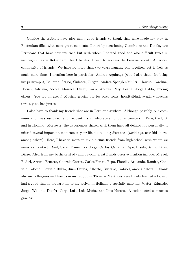Outside the EUR, I have also many good friends to thank that have made my stay in Rotterdam filled with more great moments. I start by mentioning Gianfranco and Danilo, two Peruvians that have now returned but with whom I shared good and also difficult times in my beginnings in Rotterdam. Next to this, I need to address the Peruvian/South American community of friends. We have no more than two years hanging out together, yet it feels as much more time. I mention here in particular, Andrea Aguinaga (who I also thank for being my parnymph), Eduardo, Sergio, Gulnara, Jurgen, Andrea Spengler-Muller, Claudia, Carolina, Dorian, Adriana, Nicole, Maurice, César, Karla, Andrés, Paty, Ileana, Jorge Pablo, amomg others. You are all great! Muchas gracias por los pisco-sours, hospitalidad, ayuda y muchas tardes y noches juntos!

I also have to thank my friends that are in Perú or elsewhere. Although possibly, our communication was less direct and frequent, I still celebrate all of our encounters in Perú, the U.S. and in Holland. Moreover, the experiences shared with them have all defined me personally. I missed several important moments in your life due to long distances (weddings, new kids born, among others). Here, I have to mention my old-time friends from high-school with whom we never lost contact: Raúl, Oscar, Daniel, Iza, Jorge, Carlos, Carolina, Pepe, Úrsula, Sergio, Elías, Diego. Also, from my bachelor study and beyond, great friends deserve mention include: Miguel, Rafael, Arturo, Ernesto, Gonzalo Correa, Carlos Forero, Pepo, Fiorella, Armando, Ramiro, Gonzalo Coloma, Gonzalo Rubio, Juan Carlos, Alberto, Gustavo, Gabriel, among others. I thank also my colleagues and friends in my old job in Técnicas Metálicas were I truly learned a lot and had a good time in preparation to my arrival in Holland. I specially mention: Victor, Eduardo, Jorge, William, Danfer, Jorge Luis, Luis Muñoz and Luis Norero. A todos ustedes, muchas gracias!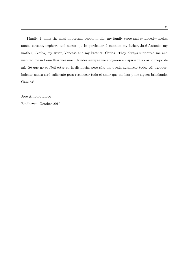Finally, I thank the most important people in life: my family (core and extended—uncles, aunts, cousins, nephews and nieces—). In particular, I mention my father, José Antonio, my mother, Cecilia, my sister, Vanessa and my brother, Carlos. They always supported me and inspired me in boundless measure. Ustedes siempre me apoyaron e inspiraron a dar lo mejor de mi. Sé que no es fácil estar en la distancia, pero sólo me queda agradecer todo. Mi agradecimiento nunca será suficiente para reconocer todo el amor que me han y me siguen brindando. Gracias!

José Antonio Larco Eindhoven, October 2010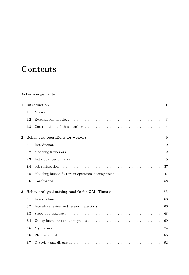## **Contents**

|          |     | Acknowledgements                                                                                  | vii            |
|----------|-----|---------------------------------------------------------------------------------------------------|----------------|
| 1        |     | Introduction                                                                                      | $\mathbf{1}$   |
|          | 1.1 | Motivation                                                                                        | 1              |
|          | 1.2 |                                                                                                   | 3              |
|          | 1.3 | Contribution and thesis outline                                                                   | $\overline{4}$ |
| $\bf{2}$ |     | Behavioral operations for workers                                                                 | 9              |
|          | 2.1 |                                                                                                   | 9              |
|          | 2.2 |                                                                                                   | 12             |
|          | 2.3 |                                                                                                   | 15             |
|          | 2.4 |                                                                                                   | 37             |
|          | 2.5 | Modeling human factors in operations management                                                   | 47             |
|          | 2.6 |                                                                                                   | 58             |
| 3        |     | Behavioral goal setting models for OM: Theory                                                     | 63             |
|          | 3.1 |                                                                                                   | 63             |
|          | 3.2 |                                                                                                   | 66             |
|          | 3.3 | Scope and approach $\ldots \ldots \ldots \ldots \ldots \ldots \ldots \ldots \ldots \ldots \ldots$ | 68             |
|          | 3.4 |                                                                                                   | 69             |
|          | 3.5 |                                                                                                   | 74             |
|          | 3.6 |                                                                                                   | 86             |
|          | 3.7 |                                                                                                   | 92             |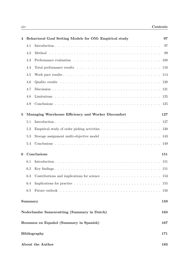| 4 |         | Behavioral Goal Setting Models for OM: Empirical study                                                                                                                                                                         | 97  |
|---|---------|--------------------------------------------------------------------------------------------------------------------------------------------------------------------------------------------------------------------------------|-----|
|   | 4.1     |                                                                                                                                                                                                                                | 97  |
|   | 4.2     |                                                                                                                                                                                                                                | 99  |
|   | 4.3     | Performance evaluation respectively in the contract of the contract of the contract of the contract of the contract of the contract of the contract of the contract of the contract of the contract of the contract of the con |     |
|   | 4.4     |                                                                                                                                                                                                                                |     |
|   | 4.5     |                                                                                                                                                                                                                                |     |
|   | 4.6     |                                                                                                                                                                                                                                |     |
|   | 4.7     |                                                                                                                                                                                                                                |     |
|   | 4.8     |                                                                                                                                                                                                                                |     |
|   | 4.9     |                                                                                                                                                                                                                                |     |
| 5 |         | Managing Warehouse Efficiency and Worker Discomfort                                                                                                                                                                            | 127 |
|   | 5.1     |                                                                                                                                                                                                                                |     |
|   | 5.2     |                                                                                                                                                                                                                                |     |
|   | 5.3     |                                                                                                                                                                                                                                |     |
|   | 5.4     |                                                                                                                                                                                                                                |     |
| 6 |         | Conclusions                                                                                                                                                                                                                    | 151 |
|   | 6.1     |                                                                                                                                                                                                                                |     |
|   | 6.2     |                                                                                                                                                                                                                                |     |
|   | 6.3     |                                                                                                                                                                                                                                |     |
|   | 6.4     |                                                                                                                                                                                                                                |     |
|   | 6.5     |                                                                                                                                                                                                                                |     |
|   | Summary |                                                                                                                                                                                                                                | 159 |
|   |         | Nederlandse Samenvatting (Summary in Dutch)                                                                                                                                                                                    | 163 |
|   |         | Resumen en Español (Summary in Spanish)                                                                                                                                                                                        | 167 |
|   |         | <b>Bibliography</b>                                                                                                                                                                                                            | 171 |
|   |         | About the Author                                                                                                                                                                                                               | 183 |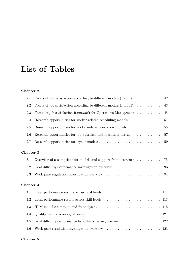## **List of Tables**

#### **Chapter 2**

| 2.1       | Facets of job satisfaction according to different models (Part I) $\dots \dots \dots$                   | 42 |
|-----------|---------------------------------------------------------------------------------------------------------|----|
| 2.2       | Facets of job satisfaction according to different models (Part II) $\dots \dots \dots$                  | 43 |
| 2.3       | Facets of job satisfaction framework for Operations Management                                          | 45 |
| 2.4       | Research opportunities for worker-related scheduling models                                             | 51 |
| 2.5       | Research opportunities for worker-related work-flow models                                              | 55 |
| 2.6       | Research opportunities for job appraisal and incentives design $\dots \dots \dots$                      | 57 |
| 2.7       | Research opportunities for layout models                                                                | 59 |
| Chapter 3 |                                                                                                         |    |
| $3.1\,$   | Overview of assumptions for models and support from literature $\dots \dots$                            | 75 |
| 3.2       |                                                                                                         | 93 |
| 3.3       | Work pace regulation investigation overview $\dots \dots \dots \dots \dots \dots \dots \dots$           | 94 |
| Chapter 4 |                                                                                                         |    |
| 4.1       |                                                                                                         |    |
| 4.2       |                                                                                                         |    |
| 4.3       |                                                                                                         |    |
| 4.4       | Quality results across goal levels $\ldots \ldots \ldots \ldots \ldots \ldots \ldots \ldots \ldots 121$ |    |
| 4.5       | Goal difficulty-performance hypothesis testing overview $\dots \dots \dots \dots \dots \dots$ 122       |    |
| 4.6       | Work pace regulation investigation overview $\ldots \ldots \ldots \ldots \ldots \ldots \ldots 123$      |    |
|           |                                                                                                         |    |

#### **Chapter 5**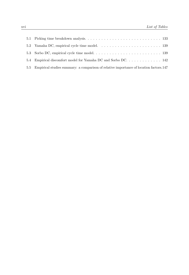| 5.4 Empirical discomfort model for Yamaha DC and Sorbo DC. 142                              |
|---------------------------------------------------------------------------------------------|
| 5.5 Empirical studies summary: a comparison of relative importance of location factors. 147 |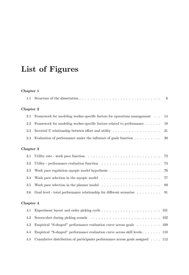# **List of Figures**

#### **Chapter 1**

| 1.1       |                                                                                                | 6  |
|-----------|------------------------------------------------------------------------------------------------|----|
| Chapter 2 |                                                                                                |    |
| 2.1       | Framework for modeling worker-specific factors for operations management                       | 14 |
| 2.2       | Framework for modeling worker-specific factors related to performance                          | 19 |
| 2.3       | Inverted U relationship between effort and utility $\ldots \ldots \ldots \ldots \ldots \ldots$ | 21 |
| 2.4       | Evaluation of performance under the influence of goals function $\dots \dots \dots$            | 30 |
| Chapter 3 |                                                                                                |    |
| 3.1       |                                                                                                | 72 |
| 3.2       |                                                                                                | 74 |
| 3.3       | Work pace regulation myopic model hypothesis $\dots \dots \dots \dots \dots \dots \dots$       | 76 |
| 3.4       | Work pace selection in the myopic model $\ldots \ldots \ldots \ldots \ldots \ldots \ldots$     | 77 |
| 3.5       | Work pace selection in the planner model $\ldots \ldots \ldots \ldots \ldots \ldots \ldots$    | 89 |
| 3.6       | Goal level - total performance relationship for different scenarios                            | 91 |
| Chapter 4 |                                                                                                |    |
| 4.1       |                                                                                                |    |
| 4.2       |                                                                                                |    |
| 4.3       | Empirical "S-shaped" performance evaluation curve across goals $\ldots \ldots \ldots 109$      |    |
| 4.4       | Empirical "S-shaped" performance evaluation curve across skill levels 110                      |    |
| 4.5       | Cumulative distribution of participants performance across goals assigned $\ldots$ . 112       |    |
|           |                                                                                                |    |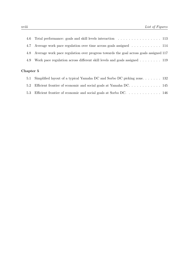| Chapter 5 |                                                                                            |  |
|-----------|--------------------------------------------------------------------------------------------|--|
|           | 4.9 Work pace regulation across different skill levels and goals assigned 119              |  |
|           | 4.8 Average work pace regulation over progress towards the goal across goals assigned 117  |  |
| 4.7       | Average work pace regulation over time across goals assigned $\dots \dots \dots \dots$ 114 |  |
|           |                                                                                            |  |

| 5.1 Simplified layout of a typical Yamaha DC and Sorbo DC picking zone 132 |  |
|----------------------------------------------------------------------------|--|
| 5.2 Efficient frontier of economic and social goals at Yamaha DC 145       |  |
| 5.3 Efficient frontier of economic and social goals at Sorbo DC 146        |  |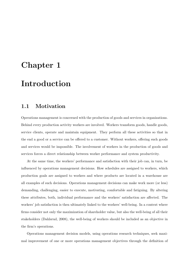# **Chapter 1**

## **Introduction**

#### **1.1 Motivation**

Operations management is concerned with the production of goods and services in organizations. Behind every production activity workers are involved. Workers transform goods, handle goods, service clients, operate and maintain equipment. They perform all these activities so that in the end a good or a service can be offered to a customer. Without workers, offering such goods and services would be impossible. The involvement of workers in the production of goods and services forces a direct relationship between worker performance and system productivity.

At the same time, the workers' performance and satisfaction with their job can, in turn, be influenced by operations management decisions. How schedules are assigned to workers, which production goals are assigned to workers and where products are located in a warehouse are all examples of such decisions. Operations management decisions can make work more (or less) demanding, challenging, easier to execute, motivating, comfortable and fatiguing. By altering these attributes, both, individual performance and the workers' satisfaction are affected. The workers' job satisfaction is then ultimately linked to the workers' well-being. In a context where firms consider not only the maximization of shareholder value, but also the well-being of all their stakeholders (Dahlsrud, 2008), the well-being of workers should be included as an objective in the firm's operations.

Operations management decision models, using operations research techniques, seek maximal improvement of one or more operations management objectives through the definition of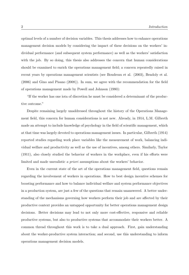optimal levels of a number of decision variables. This thesis addresses how to enhance operations management decision models by considering the impact of these decisions on the workers' individual performance (and subsequent system performance) as well as the workers' satisfaction with the job. By so doing, this thesis also addresses the concern that human considerations should be examined to enrich the operations management field; a concern repeatedly raised in recent years by operations management scientists (see Boudreau et al. (2003), Bendoly et al. (2006) and Gino and Pisano (2008)). In sum, we agree with the recommendation for the field of operations management made by Powell and Johnson (1980):

"If the worker has one iota of discretion he must be considered a determinant of the productive outcome."

Despite remaining largely unaddressed throughout the history of the Operations Management field, this concern for human considerations is not new. Already, in 1914, L.M. Gilbreth made an attempt to include knowledge of psychology in the field of scientific management, which at that time was largely devoted to operations management issues. In particular, Gilbreth (1914) reported studies regarding work place variables like the measurement of work, balancing individual welfare and productivity as well as the use of incentives, among others. Similarly, Taylor (1911), also closely studied the behavior of workers in the workplace, even if his efforts were limited and made unrealistic *a priori* assumptions about the workers' behavior.

Even in the current state of the art of the operations management field, questions remain regarding the involvement of workers in operations. How to best design incentive schemes for boosting performance and how to balance individual welfare and system performance objectives in a production system, are just a few of the questions that remain unanswered. A better understanding of the mechanisms governing how workers perform their job and are affected by their productive context provides an untapped opportunity for better operations management design decisions. Better decisions may lead to not only more cost-effective, responsive and reliable productive systems, but also to productive systems that accommodate their workers better. A common thread throughout this work is to take a dual approach. First, gain understanding about the worker-productive system interaction; and second, use this understanding to inform operations management decision models.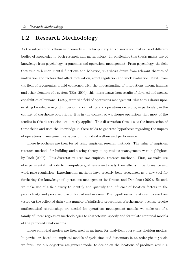#### **1.2 Research Methodology**

As the subject of this thesis is inherently multidisciplinary, this dissertation makes use of different bodies of knowledge in both research and methodology. In particular, this thesis makes use of knowledge from psychology, ergonomics and operations management. From psychology, the field that studies human mental functions and behavior, this thesis draws from relevant theories of motivation and factors that affect motivation, effort regulation and work evaluation. Next, from the field of ergonomics, a field concerned with the understanding of interactions among humans and other elements of a system (IEA, 2000), this thesis draws from results of physical and mental capabilities of humans. Lastly, from the field of operations management, this thesis draws upon existing knowledge regarding performance metrics and operations decisions, in particular, in the context of warehouse operations. It is in the context of warehouse operations that most of the studies in this dissertation are directly applied. This dissertation thus lies at the intersection of three fields and uses the knowledge in these fields to generate hypotheses regarding the impact of operations management variables on individual welfare and performance.

These hypotheses are then tested using empirical research methods. The value of empirical research methods for building and testing theory in operations management were highlighted by Roth (2007). This dissertation uses two empirical research methods. First, we make use of experimental methods to manipulate goal levels and study their effects in performance and work pace regulation. Experimental methods have recently been recognized as a new tool for furthering the knowledge of operations management by Croson and Donohue (2002). Second, we make use of a field study to identify and quantify the influence of location factors in the productivity and perceived discomfort of real workers. The hypothesized relationships are then tested on the collected data via a number of statistical procedures. Furthermore, because precise mathematical relationships are needed for operations management models, we make use of a family of linear regression methodologies to characterize, specify and formulate empirical models of the proposed relationships.

These empirical models are then used as an input for analytical operations decision models. In particular, based on empirical models of cycle time and discomfort in an order picking task, we formulate a bi-objective assignment model to decide on the locations of products within a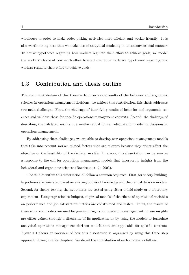warehouse in order to make order picking activities more efficient and worker-friendly. It is also worth noting here that we make use of analytical modeling in an unconventional manner: To derive hypotheses regarding how workers regulate their effort to achieve goals, we model the workers' choice of how much effort to exert over time to derive hypotheses regarding how workers regulate their effort to achieve goals.

#### **1.3 Contribution and thesis outline**

The main contribution of this thesis is to incorporate results of the behavior and ergonomic sciences in operations management decisions. To achieve this contribution, this thesis addresses two main challenges. First, the challenge of identifying results of behavior and ergonomic sciences and validate these for specific operations management contexts. Second, the challenge of describing the validated results in a mathematical format adequate for modeling decisions in operations management.

By addressing these challenges, we are able to develop new operations management models that take into account worker related factors that are relevant because they either affect the objective or the feasibility of the decision models. In a way, this dissertation can be seen as a response to the call for operations management models that incorporate insights from the behavioral and ergonomic sciences (Boudreau et al., 2003).

The studies within this dissertation all follow a common sequence. First, for theory building, hypotheses are generated based on existing bodies of knowledge and theoretical decision models. Second, for theory testing, the hypotheses are tested using either a field study or a laboratory experiment. Using regression techniques, empirical models of the effects of operational variables on performance and job satisfaction metrics are constructed and tested. Third, the results of these empirical models are used for gaining insights for operations management. These insights are either gained through a discussion of its application or by using the models to formulate analytical operations management decision models that are applicable for specific contexts. Figure 1.1 shows an overview of how this dissertation is organized by using this three step approach throughout its chapters. We detail the contribution of each chapter as follows.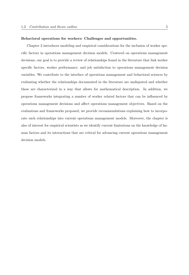#### **Behavioral operations for workers: Challenges and opportunities.**

Chapter 2 introduces modeling and empirical considerations for the inclusion of worker specific factors in operations management decision models. Centered on operations management decisions, our goal is to provide a review of relationships found in the literature that link worker specific factors, worker performance, and job satisfaction to operations management decision variables. We contribute to the interface of operations management and behavioral sciences by evaluating whether the relationships documented in the literature are undisputed and whether these are characterized in a way that allows for mathematical description. In addition, we propose frameworks integrating a number of worker related factors that can be influenced by operations management decisions and affect operations management objectives. Based on the evaluations and frameworks proposed, we provide recommendations explaining how to incorporate such relationships into current operations management models. Moreover, the chapter is also of interest for empirical scientists as we identify current limitations on the knowledge of human factors and its interactions that are critical for advancing current operations management decision models.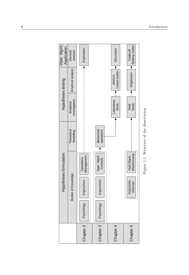

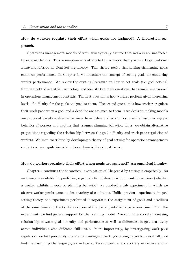#### **How do workers regulate their effort when goals are assigned? A theoretical approach.**

Operations management models of work flow typically assume that workers are unaffected by external factors. This assumption is contradicted by a major theory within Organizational Behavior, referred as Goal Setting Theory. This theory posits that setting challenging goals enhances performance. In Chapter 3, we introduce the concept of setting goals for enhancing worker performance. We review the existing literature on how to set goals (i.e. goal setting) from the field of industrial psychology and identify two main questions that remain unanswered in operations management contexts. The first question is how workers perform given increasing levels of difficulty for the goals assigned to them. The second question is how workers regulate their work pace when a goal and a deadline are assigned to them. Two decision making models are proposed based on alternative views from behavioral economics; one that assumes myopic behavior of workers and another that assumes planning behavior. Thus, we obtain alternative propositions regarding the relationship between the goal difficulty and work pace regulation of workers. We then contribute by developing a theory of goal setting for operations management contexts where regulation of effort over time is the critical factor.

#### **How do workers regulate their effort when goals are assigned? An empirical inquiry.**

Chapter 4 continues the theoretical investigation of Chapter 3 by testing it empirically. As no theory is available for predicting *a priori* which behavior is dominant for workers (whether a worker exhibits myopic or planning behavior), we conduct a lab experiment in which we observe worker performance under a variety of conditions. Unlike previous experiments in goal setting theory, the experiment performed incorporates the assignment of goals and deadlines at the same time and tracks the evolution of the participants' work pace over time. From the experiment, we find general support for the planning model. We confirm a strictly increasing relationship between goal difficulty and performance as well as differences in goal sensitivity across individuals with different skill levels. More importantly, by investigating work pace regulation, we find previously unknown advantages of setting challenging goals. Specifically, we find that assigning challenging goals induce workers to work at a stationary work-pace and in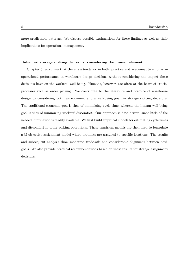more predictable patterns. We discuss possible explanations for these findings as well as their implications for operations management.

#### **Enhanced storage slotting decisions: considering the human element.**

Chapter 5 recognizes that there is a tendency in both, practice and academia, to emphasize operational performance in warehouse design decisions without considering the impact these decisions have on the workers' well-being. Humans, however, are often at the heart of crucial processes such as order picking. We contribute to the literature and practice of warehouse design by considering both, an economic and a well-being goal, in storage slotting decisions. The traditional economic goal is that of minimizing cycle time, whereas the human well-being goal is that of minimizing workers' discomfort. Our approach is data driven, since little of the needed information is readily available. We first build empirical models for estimating cycle times and discomfort in order picking operations. These empirical models are then used to formulate a bi-objective assignment model where products are assigned to specific locations. The results and subsequent analysis show moderate trade-offs and considerable alignment between both goals. We also provide practical recommendations based on these results for storage assignment decisions.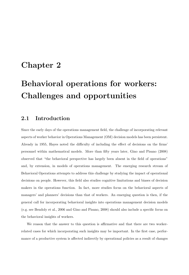### **Chapter 2**

# **Behavioral operations for workers: Challenges and opportunities**

#### **2.1 Introduction**

Since the early days of the operations management field, the challenge of incorporating relevant aspects of worker behavior in Operations Management (OM) decision models has been persistent. Already in 1955, Hayes noted the difficulty of including the effect of decisions on the firms' personnel within mathematical models. More than fifty years later, Gino and Pisano (2008) observed that "the behavioral perspective has largely been absent in the field of operations" and, by extension, in models of operations management. The emerging research stream of Behavioral Operations attempts to address this challenge by studying the impact of operational decisions on people. However, this field also studies cognitive limitations and biases of decision makers in the operations function. In fact, more studies focus on the behavioral aspects of managers' and planners' decisions than that of workers. An emerging question is then, if the general call for incorporating behavioral insights into operations management decision models (e.g. see Bendoly et al., 2006 and Gino and Pisano, 2008) should also include a specific focus on the behavioral insights of workers.

We reason that the answer to this question is affirmative and that there are two workerrelated cases for which incorporating such insights may be important. In the first case, performance of a productive system is affected indirectly by operational policies as a result of changes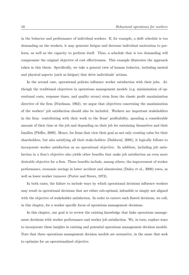in the behavior and performance of individual workers. If, for example, a shift schedule is too demanding on the workers, it may generate fatigue and decrease individual motivation to perform, as well as the capacity to perform itself. Thus, a schedule that is too demanding will compromise the original objective of cost effectiveness. This example illustrates the approach taken in this thesis. Specifically, we take a general view of human behavior, including mental and physical aspects (such as fatigue) that drive individuals' actions.

In the second case, operational policies influence worker satisfaction with their jobs. Although the traditional objectives in operations management models (e.g. minimization of operational costs, response times, and quality errors) stem from the classic profit maximization directive of the firm (Friedman, 1962), we argue that objectives concerning the maximization of the workers' job satisfaction should also be included. Workers are important stakeholders in the firm: contributing with their work to the firms' profitability, spending a considerable amount of their time at the job and depending on their job for sustaining themselves and their families (Pfeffer, 2009). Hence, for firms that view their goal as not only creating value for their shareholders, but also satisfying all their stake-holders (Dahlsrud, 2008), it logically follows to incorporate worker satisfaction as an operational objective. In addition, including job satisfaction in a firm's objective also yields other benefits that make job satisfaction an even more desirable objective for a firm. These benefits include, among others, the improvement of worker performance, economic savings in lower accident and absenteeism (Daley et al., 2009) rates, as well as lower worker turnover (Porter and Steers, 1973).

In both cases, the failure to include ways by which operational decisions influence workers may result in operational decisions that are either sub-optimal, infeasible or simply not aligned with the objective of stakeholder satisfaction. In order to correct such flawed decisions, we call, in this chapter, for a worker specific focus of operations management decisions.

In this chapter, our goal is to review the existing knowledge that links operations management decisions with worker performance and worker job satisfaction. We, in turn, explore ways to incorporate these insights in existing and potential operations management decision models. Note that these operations management decision models are normative, in the sense that seek to optimize for an operationalized objective.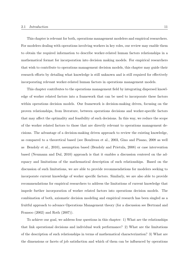This chapter is relevant for both, operations management modelers and empirical researchers. For modelers dealing with operations involving workers in key roles, our review may enable them to obtain the required information to describe worker-related human factors relationships in a mathematical format for incorporation into decision making models. For empirical researchers that wish to contribute to operations management decision models, this chapter may guide their research efforts by detailing what knowledge is still unknown and is still required for effectively incorporating relevant worker-related human factors in operations management models.

This chapter contributes to the operations management field by integrating dispersed knowledge of worker related factors into a framework that can be used to incorporate these factors within operations decision models. Our framework is decision-making driven, focusing on the proven relationships, from literature, between operations decisions and worker-specific factors that may affect the optimality and feasibility of such decisions. In this way, we reduce the scope of the worker related factors to those that are directly relevant to operations management decisions. The advantage of a decision-making driven approach to review the existing knowledge, as compared to a theoretical based (see Boudreau et al., 2003, Gino and Pisano, 2008 as well Bendoly et al., 2010), assumption based (Bendoly and Prietula, 2008) or case intervention based (Neumann and Dul, 2010) approach is that it enables a discussion centered on the adequacy and limitations of the mathematical description of such relationships. Based on the discussion of such limitations, we are able to provide recommendations for modelers seeking to incorporate current knowledge of worker specific factors. Similarly, we are also able to provide recommendations for empirical researchers to address the limitations of current knowledge that impede further incorporation of worker related factors into operations decision models. The combination of both, axiomatic decision modeling and empirical research has been singled as a fruitful approach to advance Operations Management theory (for a discussion see Bertrand and Fransoo (2002) and Roth (2007)).

To achieve our goal, we address four questions in this chapter: 1) What are the relationships that link operational decisions and individual work performance? 2) What are the limitations of the description of such relationships in terms of mathematical characterization? 3) What are the dimensions or facets of job satisfaction and which of them can be influenced by operations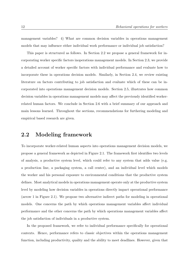management variables? 4) What are common decision variables in operations management models that may influence either individual work performance or individual job satisfaction?

This paper is structured as follows. In Section 2.2 we propose a general framework for incorporating worker specific factors inoperations management models. In Section 2.3, we provide a detailed account of worker specific factors with individual performance and evaluate how to incorporate these in operations decision models. Similarly, in Section 2.4, we review existing literature on factors contributing to job satisfaction and evaluate which of these can be incorporated into operations management decision models. Section 2.5, illustrates how common decision variables in operations management models may affect the previously identified workerrelated human factors. We conclude in Section 2.6 with a brief summary of our approach and main lessons learned. Throughout the sections, recommendations for furthering modeling and empirical based research are given.

#### **2.2 Modeling framework**

To incorporate worker-related human aspects into operations management decision models, we propose a general framework as depicted in Figure 2.1. The framework first identifies two levels of analysis, a productive system level, which could refer to any system that adds value (e.g. a production line, a packaging system, a call center), and an individual level which models the worker and his personal exposure to environmental conditions that the productive system defines. Most analytical models in operations management operate only at the productive system level by modeling how decision variables in operations directly impact operational performance (arrow 1 in Figure 2.1). We propose two alternative indirect paths for modeling in operational models. One concerns the path by which operations management variables affect individual performance and the other concerns the path by which operations management variables affect the job satisfaction of individuals in a productive system.

In the proposed framework, we refer to individual performance specifically for operational contexts. Hence, performance refers to classic objectives within the operations management function, including productivity, quality and the ability to meet deadlines. However, given that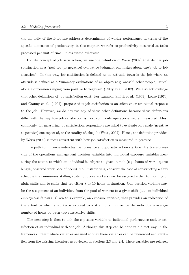the majority of the literature addresses determinants of worker performance in terms of the specific dimension of productivity, in this chapter, we refer to productivity measured as tasks processed per unit of time, unless stated otherwise.

For the concept of job satisfaction, we use the definition of Weiss (2002) that defines job satisfaction as a "positive (or negative) evaluative judgment one makes about one's job or job situation". In this way, job satisfaction is defined as an attitude towards the job where an attitude is defined as a "summary evaluations of an object (e.g. oneself, other people, issues) along a dimension ranging from positive to negative" (Petty et al., 2002). We also acknowledge that other definitions of job satisfaction exist. For example, Smith et al. (1969), Locke (1976) and Cranny et al. (1992), propose that job satisfaction is an affective or emotional response to the job. However, we do not use any of these other definitions because these definitions differ with the way how job satisfaction is most commonly operationalized an measured. Most commonly, for measuring job satisfaction, respondents are asked to evaluate on a scale (negative to positive) one aspect of, or the totality of, the job (Weiss, 2002). Hence, the definition provided by Weiss (2002) is most consistent with how job satisfaction is measured in practice.

The path to influence individual performance and job satisfaction starts with a transformation of the operations management decision variables into individual exposure variables measuring the extent to which an individual is subject to given stimuli (e.g. hours of work, queue length, observed work pace of peers). To illustrate this, consider the case of constructing a shift schedule that minimizes staffing costs. Suppose workers may be assigned either to morning or night shifts and to shifts that are either 8 or 10 hours in duration. One decision variable may be the assignment of an individual from the pool of workers to a given shift (i.e. an individual employee-shift pair). Given this example, an exposure variable, that provides an indication of the extent to which a worker is exposed to a strainful shift may be the individual's average number of hours between two consecutive shifts.

The next step is then to link the exposure variable to individual performance and/or satisfaction of an individual with the job. Although this step can be done in a direct way, in the framework, intermediate variables are used so that these variables can be referenced and identified from the existing literature as reviewed in Sections 2.3 and 2.4. These variables are referred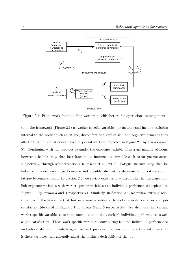

Figure 2.1: Framework for modeling worker-specific factors for operations management

to in the framework (Figure 2.1) as worker specific variables (or factors) and include variables internal to the worker such as fatigue, discomfort, the level of skill and cognitive demands that affect either individual performance or job satisfaction (depicted in Figure 2.1 by arrows 4 and 5). Continuing with the previous example, the exposure variable of average number of hours between schedules may then be related to an intermediate variable such as fatigue measured subjectively, through self-perception (Beurskens et al., 2003). Fatigue, in turn, may then be linked with a decrease in performance and possibly also with a decrease in job satisfaction if fatigue becomes chronic. In Section 2.3, we review existing relationships in the literature that link exposure variables with worker specific variables and individual performance (depicted in Figure 2.1 by arrows 3 and 4 respectively). Similarly, in Section 2.4, we review existing relationships in the literature that link exposure variables with worker specific variables and job satisfaction (depicted in Figure 2.1 by arrows 3 and 5 respectively). We also note that certain worker specific variables exist that contribute to both, a worker's individual performance as well as job satisfaction. These work specific variables contributing to both individual performance and job satisfaction, include fatigue, feedback provided, frequency of interaction with peers. It is these variables that generally affect the intrinsic desirability of the job.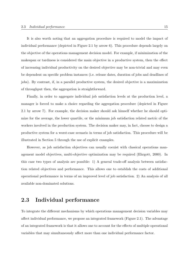It is also worth noting that an aggregation procedure is required to model the impact of individual performance (depicted in Figure 2.1 by arrow 6). This procedure depends largely on the objective of the operations management decision model. For example, if minimization of the makespan or tardiness is considered the main objective in a productive system, then the effect of increasing individual productivity on the desired objective may be non-trivial and may even be dependent on specific problem instances (i.e. release dates, duration of jobs and deadlines of jobs). By contrast, if, in a parallel productive system, the desired objective is a maximization of throughput then, the aggregation is straightforward.

Finally, in order to aggregate individual job satisfaction levels at the production level, a manager is forced to make a choice regarding the aggregation procedure (depicted in Figure 2.1 by arrow 7). For example, the decision maker should ask himself whether he should optimize for the average, the lower quartile, or the minimum job satisfaction related metric of the workers involved in the production system. The decision maker may, in fact, choose to design a productive system for a worst-case scenario in terms of job satisfaction. This procedure will be illustrated in Section 5 through the use of explicit examples.

However, as job satisfaction objectives can usually coexist with classical operations management model objectives, multi-objective optimization may be required (Ehrgott, 2000). In this case two types of analysis are possible: 1) A general trade-off analysis between satisfaction related objectives and performance. This allows one to establish the costs of additional operational performance in terms of an improved level of job satisfaction. 2) An analysis of all available non-dominated solutions.

#### **2.3 Individual performance**

To integrate the different mechanisms by which operations management decision variables may affect individual performance, we propose an integrated framework (Figure 2.1). The advantage of an integrated framework is that it allows one to account for the effects of multiple operational variables that may simultaneously affect more than one individual performance factor.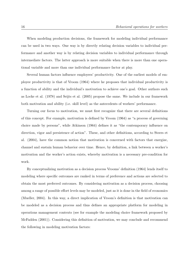When modeling production decisions, the framework for modeling individual performance can be used in two ways. One way is by directly relating decision variables to individual performance and another way is by relating decision variables to individual performance through intermediate factors. The latter approach is more suitable when there is more than one operational variable and more than one individual performance factor at play.

Several human factors influence employees' productivity. One of the earliest models of employee productivity is that of Vroom (1964) where he proposes that individual productivity is a function of ability and the individual's motivation to achieve one's goal. Other authors such as Locke et al. (1978) and Seijts et al. (2005) propose the same. We include in our framework both motivation and ability (i.e. skill level) as the antecedents of workers' performance.

Turning our focus to motivation, we must first recognize that there are several definitions of this concept. For example, motivation is defined by Vroom (1964) as "a process of governing choice made by persons", while Atkinson (1964) defines it as "the contemporary influence on direction, vigor and persistence of action". These, and other definitions, according to Steers et al. (2004), have the common notion that motivation is concerned with factors that energize, channel and sustain human behavior over time. Hence, by definition, a link between a worker's motivation and the worker's action exists, whereby motivation is a necessary pre-condition for work.

By conceptualizing motivation as a decision process Vrooms' definition (1964) lends itself to modeling where specific outcomes are ranked in terms of preference and actions are selected to obtain the most preferred outcomes. By considering motivation as a decision process, choosing among a range of possible effort levels may be modeled, just as it is done in the field of economics (Mueller, 2004). In this way, a direct implication of Vroom's definition is that motivation can be modeled as a decision process and thus defines an appropriate platform for modeling in operations management contexts (see for example the modeling choice framework proposed by McFadden (2001)). Considering this definition of motivation, we may conclude and recommend the following in modeling motivation factors: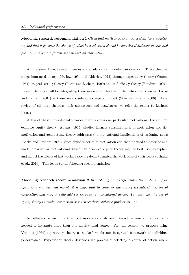**Modeling research recommendation 1** *Given that motivation is an antecedent for productivity and that it governs the choice of effort by workers, it should be modeled if different operational policies produce a differentiated impact on motivation.*

At the same time, several theories are available for modeling motivation. These theories range from need theory (Maslow, 1954 and Alderfer, 1972), through expectancy theory (Vroom, 1964), to goal setting theory (Locke and Latham, 1990) and self-efficacy theory (Bandura, 1997). Indeed, there is a call for integrating these motivation theories in the behavioral sciences (Locke and Latham,  $2004$ ) as these are considered as superabundant (Steel and König,  $2006$ ). For a review of all these theories, their advantages and drawbacks, we refer the reader to Latham (2007).

A few of these motivational theories often address one particular motivational theory. For example equity theory (Adams, 1965) studies fairness considerations in motivation and demotivation and goal setting theory addresses the motivational implications of assigning goals (Locke and Latham, 1990). Specialized theories of motivation can then be used to describe and model a particular motivational driver. For example, equity theory may be best used to explain and model the effects of fast workers slowing down to match the work pace of their peers (Schultz et al., 2010). This leads to the following recommendation:

**Modeling research recommendation 2** *In modeling an specific motivational driver of an operations management model, it is important to consider the use of specialized theories of motivation that may directly address an specific motivational driver. For example, the use of equity theory to model interaction between workers within a production line.*

Nonetheless, when more than one motivational drivers interact, a general framework is needed to integrate more than one motivational source. For this reason, we propose using Vroom's (1964) expectancy theory as a platform for our integrated framework of individual performance. Expectancy theory describes the process of selecting a course of action where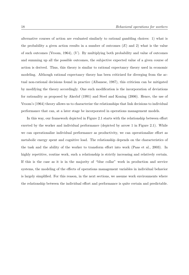alternative courses of action are evaluated similarly to rational gambling choices: 1) what is the probability a given action results in a number of outcomes  $(E)$  and 2) what is the value of such outcomes (Vroom, 1964),  $(V)$ . By multiplying both probability and value of outcomes and summing up all the possible outcomes, the subjective expected value of a given course of action is derived. Thus, this theory is similar to rational expectancy theory used in economic modeling. Although rational expectancy theory has been criticized for diverging from the actual non-rational decisions found in practice (Albanese, 1987), this criticism can be mitigated by modifying the theory accordingly. One such modification is the incorporation of deviations for rationality as proposed by Akerlof (1991) and Steel and Koning (2006). Hence, the use of Vroom's (1964) theory allows us to characterize the relationships that link decisions to individual performance that can, at a later stage be incorporated in operations management models.

In this way, our framework depicted in Figure 2.1 starts with the relationship between effort exerted by the worker and individual performance (depicted by arrow 1 in Figure 2.1). While we can operationalize individual performance as productivity, we can operationalize effort as metabolic energy spent and cognitive load. The relationship depends on the characteristics of the task and the ability of the worker to transform effort into work (Paas et al., 2003). In highly repetitive, routine work, such a relationship is strictly increasing and relatively certain. If this is the case as it is in the majority of "blue collar" work in production and service systems, the modeling of the effects of operations management variables in individual behavior is largely simplified. For this reason, in the next sections, we assume work environments where the relationship between the individual effort and performance is quite certain and predictable.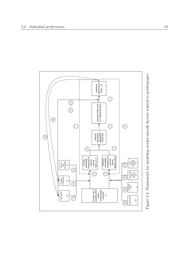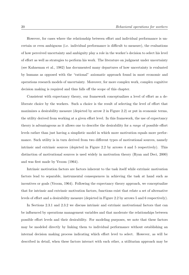However, for cases where the relationship between effort and individual performance is uncertain or even ambiguous (i.e. individual performance is difficult to measure), the evaluations of how perceived uncertainty and ambiguity play a role in the worker's decision to select his level of effort as well as strategies to perform his work. The literature on judgment under uncertainty (see Kahneman et al., 1982) has documented many departures of how uncertainty is evaluated by humans as opposed with the "rational" axiomatic approach found in most economic and operations research models of uncertainty. Moreover, for more complex work, complex cognitive decision making is required and thus falls off the scope of this chapter.

Consistent with expectancy theory, our framework conceptualizes a level of effort as a deliberate choice by the workers. Such a choice is the result of selecting the level of effort that maximizes a desirability measure (depicted by arrow 2 in Figure 2.2) or put in economic terms, the utility derived from working at a given effort level. In this framework, the use of expectancy theory is advantageous as it allows one to describe the desirability for a *range* of possible effort levels rather than just having a simplistic model in which more motivation equals more performance. Such utility is in turn derived from two different types of motivational sources, namely intrinsic and extrinsic sources (depicted in Figure 2.2 by arrows 4 and 5 respectively). This distinction of motivational sources is used widely in motivation theory (Ryan and Deci, 2000) and was first made by Vroom (1964).

Intrinsic motivation factors are factors inherent to the task itself while extrinsic motivation factors lead to separable, instrumental consequences in achieving the task at hand such as incentives or goals (Vroom, 1964). Following the expectancy theory approach, we conceptualize that for intrinsic and extrinsic motivation factors, functions exist that relate a set of alternative levels of effort and a desirability measure (depicted in Figure 2.2 by arrows 5 and 6 respectively).

In Sections 2.3.1 and 2.3.2 we discuss intrinsic and extrinsic motivational factors that can be influenced by operations management variables and that moderate the relationships between possible effort levels and their desirability. For modeling purposes, we note that these factors may be modeled directly by linking them to individual performance without establishing an internal decision making process indicating which effort level to select. However, as will be described in detail, when these factors interact with each other, a utilitarian approach may be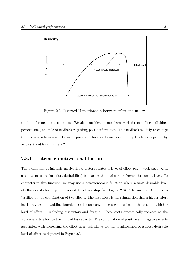

Figure 2.3: Inverted U relationship between effort and utility

the best for making predictions. We also consider, in our framework for modeling individual performance, the role of feedback regarding past performance. This feedback is likely to change the existing relationships between possible effort levels and desirability levels as depicted by arrows 7 and 8 in Figure 2.2.

## **2.3.1 Intrinsic motivational factors**

The evaluation of intrinsic motivational factors relates a level of effort (e.g. work pace) with a utility measure (or effort desirability) indicating the intrinsic preference for such a level. To characterize this function, we may use a non-monotonic function where a most desirable level of effort exists forming an inverted U relationship (see Figure 2.3). The inverted U shape is justified by the combination of two effects. The first effect is the stimulation that a higher effort level provides — avoiding boredom and monotony. The second effect is the cost of a higher level of effort — including discomfort and fatigue. These costs dramatically increase as the worker exerts effort to the limit of his capacity. The combination of positive and negative effects associated with increasing the effort in a task allows for the identification of a most desirable level of effort as depicted in Figure 2.3.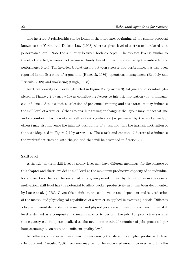The inverted U relationship can be found in the literature, beginning with a similar proposal known as the Yerkes and Dodson Law (1908) where a given level of a stressor is related to a performance level. Note the similarity between both concepts. The stressor level is similar to the effort exerted, whereas motivation is closely linked to performance, being the antecedent of performance itself. The inverted U relationship between stressor and performance has also been reported in the literature of ergonomics (Hancock, 1986), operations management (Bendoly and Prietula, 2008) and marketing (Singh, 1998).

Next, we identify skill levels (depicted in Figure 2.2 by arrow 9), fatigue and discomfort (depicted in Figure 2.2 by arrow 10) as contributing factors to intrinsic motivation that a manager can influence. Actions such as selection of personnel, training and task rotation may influence the skill level of a worker. Other actions, like resting or changing the layout may impact fatigue and discomfort. Task variety as well as task significance (as perceived by the worker and/or others) may also influence the inherent desirability of a task and thus the intrinsic motivation of the task (depicted in Figure 2.2 by arrow 11). These task and contextual factors also influence the workers' satisfaction with the job and thus will be described in Section 2.4.

## **Skill level**

Although the term skill level or ability level may have different meanings, for the purpose of this chapter and thesis, we define skill level as the maximum productive capacity of an individual for a given task that can be sustained for a given period. Thus, by definition as in the case of motivation, skill level has the potential to affect worker productivity as it has been documented by Locke at al. (1978). Given this definition, the skill level is task dependent and is a reflection of the mental and physiological capabilities of a worker as applied in executing a task. Different jobs put different demands on the mental and physiological capabilities of the worker. Thus, skill level is defined as a composite maximum capacity to perform the job. For productive systems this capacity can be operationalized as the maximum attainable number of jobs processed per hour assuming a constant and sufficient quality level.

Nonetheless, a higher skill level may not necessarily translate into a higher productivity level (Bendoly and Prietula, 2008). Workers may be not be motivated enough to exert effort to the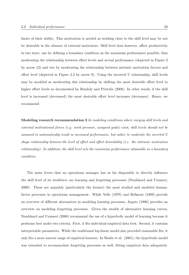limits of their ability. This motivation is needed as working close to the skill level may be not be desirable in the absence of external motivators. Skill level does however, affect productivity in two ways: one by defining a boundary condition on the maximum performance possible, thus moderating the relationship between effort levels and actual performance (depicted in Figure 2 by arrow 12) and two by moderating the relationship between intrinsic motivation factors and effort level (depicted in Figure 2.2 by arrow 9). Using the inverted U relationship, skill levels may be modeled as moderating this relationship by shifting the most desirable effort level to higher effort levels as documented by Bendoly and Prietula (2008). In other words, if the skill level is increased (decreased) the most desirable effort level increases (decreases). Hence, we recommend:

**Modeling research recommendation 3** *In modeling conditions where varying skill levels and external motivational forces (e.g. work pressure, assigned goals) exist, skill levels should not be assumed to automatically result in increased performance, but rather to moderate the inverted U shape relationship between the level of effort and effort desirability (i.e. the intrinsic motivation relationship). In addition, the skill level sets the maximum performance attainable as a boundary condition.*

The main levers that an operations manager has at his disposable to directly influence the skill level of its workforce are learning and forgetting processes (Nembhard and Uzumeri, 2000). These are arguably (particularly the former) the most studied and modeled humanfactor processes in operations management. While Yelle (1979) and Belkaoui (1989) provide an overview of different alternatives in modeling learning processes, Argote (1996) provides an overview on modeling forgetting processes. Given the wealth of alternative learning curves, Nembhard and Uzumeri (2000) recommend the use of a hyperbolic model of learning because it performs best under two criteria. First, it fits individual empirical data best. Second, it contains interpretable parameters. While the traditional log-linear model also provided reasonable fits, it only fits a more narrow range of empirical learners. In Shafer et al. (2001), the hyperbolic model was extended to accommodate forgetting processes as well, fitting empirical data adequately.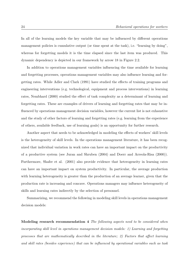In all of the learning models the key variable that may be influenced by different operations management policies is cumulative output (or time spent at the task), i.e. "learning by doing", whereas for forgetting models it is the time elapsed since the last item was produced. This dynamic dependency is depicted in our framework by arrow 18 in Figure 2.2.

In addition to operations management variables influencing the time available for learning and forgetting processes, operations management variables may also influence learning and forgetting rates. While Adler and Clark (1991) have studied the effects of training programs and engineering interventions (e.g. technological, equipment and process interventions) in learning rates, Nembhard (2000) studied the effect of task complexity as a determinant of learning and forgetting rates. These are examples of drivers of learning and forgetting rates that may be influenced by operations management decision variables, however the current list is not exhaustive and the study of other factors of learning and forgetting rates (e.g. learning from the experience of others, available feedback, use of learning goals) is an opportunity for further research.

Another aspect that needs to be acknowledged in modeling the effects of workers' skill levels is the heterogeneity of skill levels. In the operations management literature, it has been recognized that individual variation in work rates can have an important impact on the productivity of a productive system (see Juran and Shruben (2004) and Doerr and Arreola-Risa (2000)). Furthermore, Shafer et al. (2001) also provide evidence that heterogeneity in learning rates can have an important impact on system productivity. In particular, the average production with learning heterogeneity is greater than the production of an average learner, given that the production rate is increasing and concave. Operations managers may influence heterogeneity of skills and learning rates indirectly by the selection of personnel.

Summarizing, we recommend the following in modeling skill levels in operations management decision models:

**Modeling research recommendation 4** *The following aspects need to be considered when incorporating skill level in operations management decision models: 1) Learning and forgetting processes that are mathematically described in the literature; 2) Factors that affect learning and skill rates (besides experience) that can be influenced by operational variables such as task*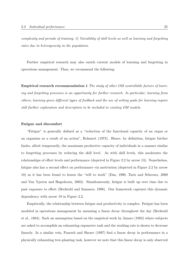*complexity and periods of training; 3) Variability of skill levels as well as learning and forgetting rates due to heterogeneity in the population.*

Further empirical research may also enrich current models of learning and forgetting in operations management. Thus, we recommend the following:

**Empirical research recommendation 1** *The study of other OM controllable factors of learning and forgetting processes is an opportunity for further research. In particular, learning from others, learning given different types of feedback and the use of setting goals for learning require still further exploration and description to be included in existing OM models.*

## **Fatigue and discomfort**

"Fatigue" is generally defined as a "reduction of the functional capacity of an organ or an organism as a result of an action", Rohmert (1973). Hence, by definition, fatigue further limits, albeit temporarily, the maximum productive capacity of individuals in a manner similar to forgetting processes by reducing the skill level. As with skill levels, this moderates the relationships of effort levels and performance (depicted in Figure 2.2 by arrow 13). Nonetheless, fatigue also has a second effect on performance via motivation (depicted in Figure 2.2 by arrow 10) as it has been found to lessen the "will to work" (Das, 1990, Taris and Schreurs, 2009 and Van Yperen and Hagedoorn, 2003). Simultaneously, fatigue is built up over time due to past exposure to effort (Bechtold and Sumners, 1998). Our framework captures this dynamic dependency with arrow 19 in Figure 2.2.

Empirically, the relationship between fatigue and productivity is complex. Fatigue has been modeled in operations management by assuming a linear decay throughout the day (Bechtold et al., 1984). Such an assumption based on the empirical work by Janaro (1982) where subjects are asked to accomplish an exhausting ergometer task and the working rate is shown to decrease linearly. In a similar vein, Paarsch and Sheaer (1997) find a linear decay in performance in a physically exhausting tree-planting task, however we note that this linear decay is only observed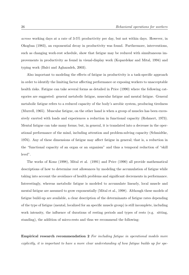*across* working days at a rate of 3-5% productivity per day, but not within days. However, in Okogbaa (1983), an exponential decay in productivity was found. Furthermore, interventions, such as changing work-rest schedule, show that fatigue may be reduced with simultaneous improvements in productivity as found in visual-display work (Kopardekar and Mital, 1994) and typing work (Balci and Aghazadeh, 2003).

Also important to modeling the effects of fatigue in productivity is a task-specific approach in order to identify the limiting factor affecting performance or exposing workers to unacceptable health risks. Fatigue can take several forms as detailed in Price (1990) where the following categories are suggested: general metabolic fatigue, muscular fatigue and mental fatigue. General metabolic fatigue refers to a reduced capacity of the body's aerobic system, producing tiredness (Murrell, 1965). Muscular fatigue, on the other hand is when a group of muscles has been excessively exerted with loads and experiences a reduction in functional capacity (Rohmert, 1973). Mental fatigue can take many forms; but, in general, it is translated into a decrease in the operational performance of the mind, including attention and problem-solving capacity (Schmidtke, 1976). Any of these dimensions of fatigue may affect fatigue in general; that is, a reduction in the "functional capacity of an organ or an organism" and thus a temporal reduction of "skill level".

The works of Konz (1998), Mital et al. (1991) and Price (1990) all provide mathematical descriptions of how to determine rest allowances by modeling the accumulation of fatigue while taking into account the avoidance of health problems and significant decrements in performance. Interestingly, whereas metabolic fatigue is modeled to accumulate linearly, local muscle and mental fatigue are assumed to grow exponentially (Mital et al., 1998). Although these models of fatigue build-up are available, a clear description of the determinants of fatigue rates depending of the type of fatigue (mental, localized for an specific muscle group) is still incomplete, including work intensity, the influence of durations of resting periods and types of rests (e.g. sitting, standing), the addition of micro-rests and thus we recommend the following:

**Empirical research recommendation 2** *For including fatigue in operational models more explicitly, it is important to have a more clear understanding of how fatigue builds up for spe-*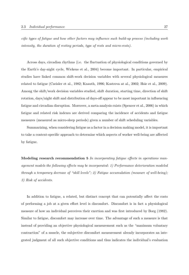*cific types of fatigue and how other factors may influence such build-up process (including work intensity, the duration of resting periods, type of rests and micro-rests).*

Across days, circadian rhythms (i.e. the fluctuation of physiological conditions governed by the Earth's day-night cycle, Wickens et al., 2004) become important. In particular, empirical studies have linked common shift-work decision variables with several physiological measures related to fatigue (Czeisler et al., 1982; Knauth, 1996; Kostreva at al., 2002; Hsie et al., 2009). Among the shift/work decision variables studied, shift duration, starting time, direction of shift rotation, days/night shift and distribution of days-off appear to be most important in influencing fatigue and circadian disruption. Moreover, a meta-analysis exists (Spencer et al., 2006) in which fatigue and related risk indexes are derived comparing the incidence of accidents and fatigue measures (measured as micro-sleep periods) given a number of shift scheduling variables.

Summarizing, when considering fatigue as a factor in a decision making model, it is important to take a context-specific approach to determine which aspects of worker well-being are affected by fatigue.

**Modeling research recommendation 5** *In incorporating fatigue effects in operations management models the following effects may be incorporated*: *1) Performance deterioration modeled through a temporary decrease of "skill levels"; 2) Fatigue accumulation (measure of well-being); 3) Risk of accidents.*

In addition to fatigue, a related, but distinct concept that can potentially affect the costs of performing a job at a given effort level is discomfort. Discomfort is in fact a physiological measure of how an individual perceives their exertion and was first introduced by Borg (1982). Similar to fatigue, discomfort may increase over time. The advantage of such a measure is that instead of providing an objective physiological measurement such as the "maximum voluntary contraction" of a muscle, the subjective discomfort measurement already incorporates an integrated judgment of all such objective conditions and thus indicates the individual's evaluation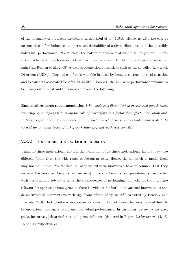of the adequacy of a current physical situation (Dul et al., 1994). Hence, as with the case of fatigue, discomfort influences the perceived desirability of a given effort level and thus possibly individual performance. Nonetheless, the nature of such a relationship is not yet well understood. What is known however, is that discomfort is a predictor for future long-term muscular pain (van Reenen et al., 2008) as well as occupational disorders, such as the so-called Low Back Disorders (LBDs). Thus, discomfort is valuable in itself by being a current physical situation and because its associated benefits for health. However, the link with performance remains to be clearly established and thus we recommend the following:

**Empirical research recommendation 3** *For including discomfort in operational models more explicitly, it is important to study the role of discomfort as a factor that affects motivation and, in turn, performance. A clear description of such a mechanism is not available and needs to be revised for different types of tasks, work intensity and work-rest periods.*

## **2.3.2 Extrinsic motivational factors**

Unlike intrinsic motivational factors, the evaluation of extrinsic motivational factors may take different forms given the wide range of factors at play. Hence, the approach to model them may not be unique. Nonetheless, all of these extrinsic motivators have in common that they increase the perceived benefits (i.e. rewards) or lack of benefits (i.e. punishments) associated with performing a job by altering the consequences of performing that job. In the literature relevant for operations management, there is evidence for both, motivational interventions and de-motivational interventions with significant effects of up to 50% as noted by Bendoly and Prietula (2008). In this sub-section, we review a few of the motivators that may be used directly by operational managers to enhance individual performance. In particular, we review assigned goals, incentives, job arrival rate and peers' influence (depicted in Figure 2.2 by arrows 14, 15, 16 and 17 respectively).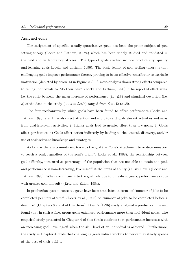#### **Assigned goals**

The assignment of specific, usually quantitative goals has been the prime subject of goal setting theory (Locke and Latham, 2002a) which has been widely studied and validated in the field and in laboratory studies. The type of goals studied include productivity, quality and learning goals (Locke and Latham, 1990). The basic tenant of goal-setting theory is that challenging goals improve performance thereby proving to be an effective contributor to extrinsic motivation (depicted by arrow 14 in Figure 2.2). A meta-analysis shows strong effects compared to telling individuals to "do their best" (Locke and Latham, 1990). The reported effect sizes, i.e. the ratio between the mean increase of performance (i.e.  $\Delta \bar{x}$ ) and standard deviation (i.e. s) of the data in the study (i.e.  $d = \Delta \bar{x}/s$ ) ranged from  $d = .42$  to .80.

The four mechanisms by which goals have been found to affect performance (Locke and Latham, 1990) are: 1) Goals direct attention and effort toward goal-relevant activities and away from goal-irrelevant activities; 2) Higher goals lead to greater effort than low goals; 3) Goals affect persistence; 4) Goals affect action indirectly by leading to the arousal, discovery, and/or use of task-relevant knowledge and strategies.

As long as there is commitment towards the goal (i.e. "one's attachment to or determination to reach a goal, regardless of the goal's origin", Locke et al., 1988), the relationship between goal difficulty, measured as percentage of the population that are not able to attain the goal, and performance is non-decreasing, leveling-off at the limits of ability (i.e. skill level) (Locke and Latham, 1990). When commitment to the goal fails due to unrealistic goals, performance drops with greater goal difficulty (Erez and Zidon, 1984).

In production system contexts, goals have been translated in terms of "number of jobs to be completed per unit of time" (Doerr et al., 1996) or "number of jobs to be completed before a deadline" (Chapters 3 and 4 of this thesis). Doerr's (1996) study analyzed a production line and found that in such a line, group goals enhanced performance more than individual goals. The empirical study presented in Chapter 4 of this thesis confirms that performance increases with an increasing goal, leveling-off when the skill level of an individual is achieved. Furthermore, the study in Chapter 4, finds that challenging goals induce workers to perform at steady speeds at the best of their ability.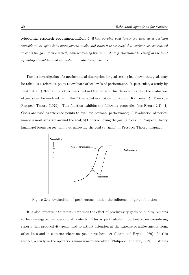**Modeling research recommendation 6** *When varying goal levels are used as a decision variable in an operations management model and when it is assumed that workers are committed towards the goal, then a strictly non-decreasing function, where performance levels-off at the limit of ability should be used to model individual performance.*

Further investigation of a mathematical description for goal setting has shown that goals may be taken as a reference point to evaluate other levels of performance. In particular, a study by Heath et al. (1999) and another described in Chapter 4 of this thesis shows that the evaluation of goals can be modeled using the "S"–shaped evaluation function of Kahneman & Tversky's Prospect Theory (1979). This function exhibits the following properties (see Figure 2.4): 1) Goals are used as reference points to evaluate personal performance; 2) Evaluation of performance is most sensitive around the goal; 3) Underachieving the goal (a "loss" in Prospect Theory language) looms larger than over-achieving the goal (a "gain" in Prospect Theory language).



Figure 2.4: Evaluation of performance under the influence of goals function

It is also important to remark here that the effect of productivity goals on quality remains to be investigated in operational contexts. This is particularly important when considering reports that productivity goals tend to attract attention at the expense of achievements along other lines and in contexts where no goals have been set (Locke and Bryan, 1969). In this respect, a study in the operations management literature (Philipoom and Fry, 1999) illustrates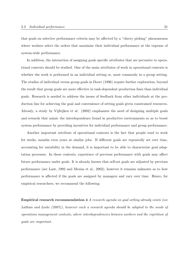that goals on selective performance criteria may be affected by a "cherry picking" phenomenon where workers select the orders that maximize their individual performance at the expense of system-wide performance.

In addition, the interaction of assigning goals specific attributes that are pervasive to operational contexts should be studied. One of the main attributes of work in operational contexts is whether the work is performed in an individual setting or, most commonly in a group setting. The studies of individual versus group goals in Doerr (1996) require further exploration, beyond the result that group goals are more effective in task-dependent production lines than individual goals. Research is needed to address the issues of feedback from other individuals at the production line for achieving the goal and convenience of setting goals given constrained resources. Already, a study by Vijfeijken et al. (2002) emphasizes the need of designing multiple goals and rewards that mimic the interdependence found in productive environments so as to boost system performance by providing incentives for individual performance and group performance.

Another important attribute of operational contexts is the fact that people tend to work for weeks, months even years at similar jobs. If different goals are repeatedly set over time, accounting for variability in the demand, it is important to be able to characterize goal adaptation processes. In these contexts, experience of previous performance with goals may affect future performance under goals. It is already known that self-set goals are adjusted by previous performance (see Lant, 1992 and Mezias et al., 2002), however it remains unknown as to how performance is affected if the goals are assigned by managers and vary over time. Hence, for empirical researchers, we recommend the following:

**Empirical research recommendation 4** *A research agenda on goal setting already exists (see Latham and Locke (2007)), however such a research agenda should be adapted to the needs of operations management contexts, where interdependencies between workers and the repetition of goals are important.*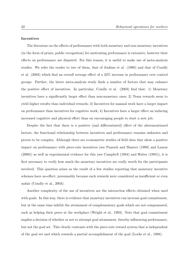## **Incentives**

The literature on the effects of performance with both monetary and non-monetary incentives (in the form of prizes, public recognition) for motivating performance is extensive, however their effects on performance are disputed. For this reason, it is useful to make use of meta-analysis studies. We refer the reader to two of them, that of Jenkins et al. (1998) and that of Condly et al. (2003) which find an overall average effect of a 22% increase in performance over control groups. Further, the latter meta-analysis study finds a number of factors that may enhance the positive effect of incentives. In particular, Condly et al. (2003) find that: 1) Monetary incentives have a significantly larger effect than non-monetary ones; 2) Team rewards seem to yield higher results than individual rewards; 3) Incentives for manual work have a larger impact on performance than incentives for cognitive work; 4) Incentives have a larger effect on inducing increased cognitive and physical effort than on encouraging people to start a new job.

Despite the fact that there is a positive (and differentiated) effect of the aforementioned factors, the functional relationship between incentives and performance remains unknown and proves to be complex. Although there are econometric studies of field data that show a positive impact on performance with piece-rate incentives (see Paarsch and Shaerer (1999) and Lazear (2000)) as well as experimental evidence for this (see Campbell (1984) and Huber (1985)), it is first necessary to verify how much the monetary incentives are really worth for the participants involved. This question arises as the result of a few studies reporting that monetary incentive schemes have no-effect, presumably because such rewards were considered as insufficient or even unfair (Condly et al., 2003).

Another complexity of the use of incentives are the interaction effects obtained when used with goals. In this way, there is evidence that monetary incentives can increase goal commitment, but at the same time inhibit the attainment of complementary goals which are not compensated, such as helping their peers at the workplace (Wright et al., 1993). Note that goal commitment implies a decision of whether or not to attempt goal attainment, thereby influencing performance, but not the goal set. This clearly contrasts with the piece-rate reward system that is independent of the goal set and which rewards a partial accomplishment of the goal (Locke et al., 1988).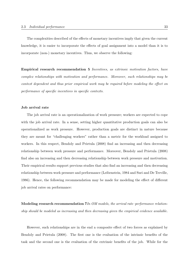The complexities described of the effects of monetary incentives imply that given the current knowledge, it is easier to incorporate the effects of goal assignment into a model than it is to incorporate (non-) monetary incentives. Thus, we observe the following:

**Empirical research recommendation 5** *Incentives, as extrinsic motivation factors, have complex relationships with motivation and performance. Moreover, such relationships may be context dependent and thus prior empirical work may be required before modeling the effect on performance of specific incentives in specific contexts.*

#### **Job arrival rate**

The job arrival rate is an operationalization of work pressure; workers are expected to cope with the job arrival rate. In a sense, setting higher quantitative production goals can also be operationalized as work pressure. However, production goals are distinct in nature because they are meant for "challenging workers" rather than a metric for the workload assigned to workers. In this respect, Bendoly and Prietula (2008) find an increasing and then decreasing relationship between work pressure and performance. Moreover, Bendoly and Prietula (2008) find also an increasing and then decreasing relationship between work pressure and motivation. Their empirical results support previous studies that also find an increasing and then decreasing relationship between work pressure and performance (Leibenstein, 1984 and Suri and De Treville, 1986). Hence, the following recommendation may be made for modeling the effect of different job arrival rates on performance:

**Modeling research recommendation 7***In OM models, the arrival rate–performance relationship should be modeled as increasing and then decreasing given the empirical evidence available.*

However, such relationships are in the end a composite effect of two forces as explained by Bendoly and Prietula (2008). The first one is the evaluation of the intrinsic benefits of the task and the second one is the evaluation of the extrinsic benefits of the job. While for the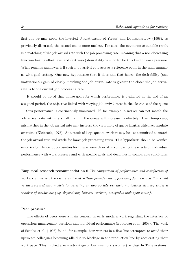first one we may apply the inverted U relationship of Yerkes' and Dobnson's Law (1908), as previously discussed, the second one is more unclear. For sure, the maximum attainable result is a matching of the job arrival rate with the job processing rate, meaning that a non-decreasing function linking effort level and (extrinsic) desirability is in order for this kind of work pressure. What remains unknown, is if such a job arrival rate acts as a reference point in the same manner as with goal setting. One may hypothesize that it does and that hence, the desirability (and motivational) gain of closely matching the job arrival rate is greater the closer the job arrival rate is to the current job processing rate.

It should be noted that unlike goals for which performance is evaluated at the end of an assigned period, the objective linked with varying job arrival rates is the clearance of the queue — thus performance is continuously monitored. If, for example, a worker can not match the job arrival rate within a small margin, the queue will increase indefinitely. Even temporary, mismatches in the job arrival rate may increase the variability of queue lengths which accumulate over time (Kleinrock, 1975). As a result of large queues, workers may be less committed to match the job arrival rate and settle for lower job processing rates. This hypothesis should be verified empirically. Hence, opportunities for future research exist in comparing the effects on individual performance with work pressure and with specific goals and deadlines in comparable conditions.

**Empirical research recommendation 6** *The comparison of performance and satisfaction of workers under work pressure and goal setting provides an opportunity for research that could be incorporated into models for selecting an appropriate extrinsic motivation strategy under a number of conditions (e.g. dependency between workers, acceptable makespan times).*

#### **Peer pressure**

The effects of peers were a main concern in early modern work regarding the interface of operations management decisions and individual performance (Boudreau et al., 2003). The work of Schultz et al. (1998) found, for example, how workers in a flow line attempted to avoid their upstream colleagues becoming idle due to blockage in the production line by accelerating their work pace. This implied a new advantage of low inventory systems (i.e. Just In Time systems)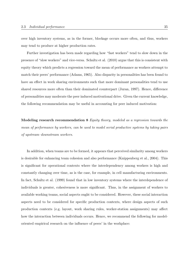over high inventory systems, as in the former, blockage occurs more often, and thus, workers may tend to produce at higher production rates.

Further investigation has been made regarding how "fast workers" tend to slow down in the presence of "slow workers" and vice-versa. Schultz et al. (2010) argue that this is consistent with equity theory which predicts a regression toward the mean of performance as workers attempt to match their peers' performance (Adams, 1965). Also disparity in personalities has been found to have an effect in work sharing environments such that more dominant personalities tend to use shared resources more often than their dominated counterpart (Juran, 1997). Hence, difference of personalities may moderate the peer induced motivational drive. Given the current knowledge, the following recommendation may be useful in accounting for peer induced motivation:

**Modeling research recommendation 8** *Equity theory, modeled as a regression towards the mean of performance by workers, can be used to model serial productive systems by taking pairs of upstream–downstream workers.*

In addition, when teams are to be formed, it appears that perceived similarity among workers is desirable for enhancing team cohesion and also performance (Knippenberg et al., 2004). This is significant for operational contexts where the interdependency among workers is high and constantly changing over time, as is the case, for example, in cell manufacturing environments. In fact, Schultz et al. (1999) found that in low inventory systems where the interdependence of individuals is greater, cohesiveness is more significant. Thus, in the assignment of workers to available working teams, social aspects ought to be considered. However, these social interaction aspects need to be considered for specific production contexts, where design aspects of such production contexts (e.g. layout, work sharing rules, worker-station assignments) may affect how the interaction between individuals occurs. Hence, we recommend the following for modeloriented empirical research on the influence of peers' in the workplace: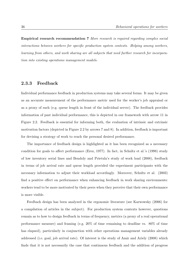**Empirical research recommendation 7** *More research is required regarding complex social interactions between workers for specific production system contexts. Helping among workers, learning from others, and work sharing are all subjects that need further research for incorporation into existing operations management models.*

## **2.3.3 Feedback**

Individual performance feedback in production systems may take several forms. It may be given as an accurate measurement of the performance metric used for the worker's job appraisal or as a proxy of such (e.g. queue length in front of the individual server). The feedback provides information of past individual performance, this is depicted in our framework with arrow 11 in Figure 2.2. Feedback is essential for informing both, the evaluation of intrinsic and extrinsic motivation factors (depicted in Figure 2.2 by arrows 7 and 8). In addition, feedback is important for devising a strategy of work to reach the personal desired performance.

The importance of feedback design is highlighted as it has been recognized as a necessary condition for goals to affect performance (Erez, 1977). In fact, in Schultz et al.'s (1998) study of low inventory serial lines and Bendoly and Prietula's study of work load (2008), feedback in terms of job arrival rate and queue length provided the experiment participants with the necessary information to adjust their workload accordingly. Moreover, Schultz et al. (2003) find a positive effect on performance when enhancing feedback in work sharing environments: workers tend to be more motivated by their peers when they perceive that their own performance is more visible.

Feedback design has been analyzed in the ergonomic literature (see Karwowsky (2006) for a compilation of articles in the subject). For production system contexts however, questions remain as to how to design feedback in terms of frequency, metrics (a proxy of a real operational performance measure) and framing (e.g.  $20\%$  of time remaining to deadline vs.  $80\%$  of time has elapsed), particularly in conjunction with other operations management variables already addressed (i.e. goal, job arrival rate). Of interest is the study of Amir and Ariely (2008) which finds that it is not necessarily the case that continuous feedback and the addition of progress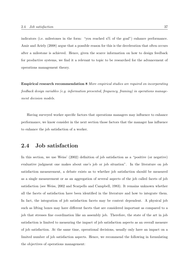indicators (i.e. milestones in the form: "you reached x% of the goal") enhance performance. Amir and Ariely (2008) argue that a possible reason for this is the deceleration that often occurs after a milestone is achieved. Hence, given the scarce information on how to design feedback for productive systems, we find it a relevant to topic to be researched for the advancement of operations management theory.

**Empirical research recommendation 8** *More empirical studies are required on incorporating feedback design variables (e.g. information presented, frequency, framing) in operations management decision models.*

Having surveyed worker specific factors that operations managers may influence to enhance performance, we know consider in the next section those factors that the manager has influence to enhance the job satisfaction of a worker.

## **2.4 Job satisfaction**

In this section, we use Weiss' (2002) definition of job satisfaction as a "positive (or negative) evaluative judgment one makes about one's job or job situation". In the literature on job satisfaction measurement, a debate exists as to whether job satisfaction should be measured as a single measurement or as an aggregation of several aspects of the job called facets of job satisfaction (see Weiss, 2002 and Scarpello and Campbell, 1983). It remains unknown whether all the facets of satisfaction have been identified in the literature and how to integrate them. In fact, the integration of job satisfaction facets may be context dependent. A physical job such as lifting boxes may have different facets that are considered important as compared to a job that stresses fine coordination like an assembly job. Therefore, the state of the art in job satisfaction is limited to measuring the impact of job satisfaction aspects as an overall measure of job satisfaction. At the same time, operational decisions, usually only have an impact on a limited number of job satisfaction aspects. Hence, we recommend the following in formulating the objectives of operations management: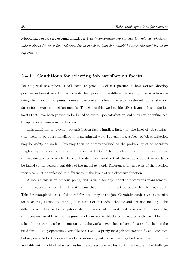**Modeling research recommendation 9** *In incorporating job satisfaction related objectives, only a single (or very few) relevant facets of job satisfaction should be explicitly modeled as an objective(s).*

## **2.4.1 Conditions for selecting job satisfaction facets**

For empirical researchers, a call exists to provide a clearer picture on how workers develop positive and negative attitudes towards their job and how different facets of job satisfaction are integrated. For our purposes, however, the concern is how to select the relevant job satisfaction facets for operations decision models. To achieve this, we first identify relevant job satisfaction facets that have been proven to be linked to overall job satisfaction and that can be influenced by operations management decisions.

This definition of relevant job satisfaction facets implies, first, that the facet of job satisfaction needs to be operationalized in a meaningful way. For example, a facet of job satisfaction may be safety at work. This may then be operationalized as the probability of an accident weighed by its probable severity (i.e. accidentability). The objective may be then to minimize the accidentability of a job. Second, the definition implies that the model's objective needs to be linked to the decision variables of the model at hand. Differences in the levels of the decision variables must be reflected in differences in the levels of the objective function.

Although this is an obvious point, and is valid for any model in operations management, the implications are not trivial as it means that a relation must be established between both. Take for example the case of the need for autonomy at the job. Certainly, subjective scales exist for measuring autonomy at the job in terms of methods, schedule and decision making. The difficulty is to link particular job satisfaction facets with operational variables. If, for example, the decision variable is the assignment of workers to blocks of schedules with each block of schedules containing schedule options that the workers can choose from. As a result, there is the need for a linking operational variable to serve as a proxy for a job satisfaction facet. One such linking variable for the case of worker's autonomy with schedules may be the number of options available within a block of schedules for the worker to select his working schedule. The challenge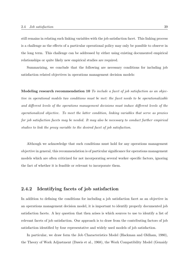still remains in relating such linking variables with the job satisfaction facet. This linking process is a challenge as the effects of a particular operational policy may only be possible to observe in the long term. This challenge can be addressed by either using existing documented empirical relationships or quite likely new empirical studies are required.

Summarizing, we conclude that the following are necessary conditions for including job satisfaction related objectives in operations management decision models:

**Modeling research recommendation 10** *To include a facet of job satisfaction as an objective in operational models two conditions must be met: the facet needs to be operationalizable and different levels of the operations management decisions must induce different levels of the operationalized objective. To meet the latter condition, linking variables that serve as proxies for job satisfaction facets may be needed. It may also be necessary to conduct further empirical studies to link the proxy variable to the desired facet of job satisfaction.*

Although we acknowledge that such conditions must hold for any operations management objective in general, this recommendation is of particular significance for operations management models which are often criticized for not incorporating several worker–specific factors, ignoring the fact of whether it is feasible or relevant to incorporate them.

## **2.4.2 Identifying facets of job satisfaction**

In addition to defining the conditions for including a job satisfaction facet as an objective in an operations management decision model, it is important to identify properly documented job satisfaction facets. A key question that then arises is which sources to use to identify a list of relevant facets of job satisfaction. Our approach is to draw from the contributing factors of job satisfaction identified by four representative and widely used models of job satisfaction.

In particular, we draw form the Job Characteristics Model (Hackman and Oldham, 1980), the Theory of Work Adjustment (Dawis et al., 1968), the Work Compatibility Model (Genaidy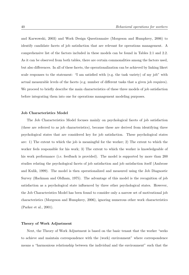and Karwowski, 2003) and Work Design Questionnaire (Morgeson and Humphrey, 2006) to identify candidate facets of job satisfaction that are relevant for operations management. A comprehensive list of the factors included in these models can be found in Tables 2.1 and 2.2. As it can be observed from both tables, there are certain commonalities among the factors used, but also differences. In all of these facets, the operationalization can be achieved by linking likert scale responses to the statement: "I am satisfied with (e.g. the task variety) of my job" with actual measurable levels of the facets (e.g. number of different tasks that a given job requires). We proceed to briefly describe the main characteristics of these three models of job satisfaction before integrating them into one for operations management modeling purposes.

## **Job Characteristics Model**

The Job Characteristics Model focuses mainly on psychological facets of job satisfaction (these are referred to as job characteristics), because these are derived from identifying three psychological states that are considered key for job satisfaction. These psychological states are: 1) The extent to which the job is meaningful for the worker; 2) The extent to which the worker feels responsible for his work; 3) The extent to which the worker is knowledgeable of his work performance (i.e. feedback is provided). The model is supported by more than 200 studies relating the psychological facets of job satisfaction and job satisfaction itself (Ambrose and Kulik, 1999). The model is then operationalized and measured using the Job Diagnostic Survey (Hackman and Oldham, 1975). The advantage of this model is the recognition of job satisfaction as a psychological state influenced by three other psychological states. However, the Job Characteristics Model has been found to consider only a narrow set of motivational job characteristics (Morgeson and Humphrey, 2006), ignoring numerous other work characteristics (Parker et al., 2001).

## **Theory of Work Adjustment**

Next, the Theory of Work Adjustment is based on the basic tenant that the worker "seeks to achieve and maintain correspondence with the (work) environment" where correspondence means a "harmonious relationship between the individual and the environment" such that the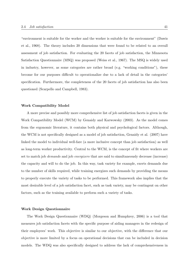"environment is suitable for the worker and the worker is suitable for the environment" (Dawis et al., 1968). The theory includes 20 dimensions that were found to be related to an overall assessment of job satisfaction. For evaluating the 20 facets of job satisfaction, the Minnesota Satisfaction Questionnaire (MSQ) was proposed (Weiss et al., 1967). The MSQ is widely used in industry, however, as some categories are rather broad (e.g. "working conditions"), these become for our purposes difficult to operationalize due to a lack of detail in the categories' specification. Furthermore, the completeness of the 20 facets of job satisfaction has also been questioned (Scarpello and Campbell, 1983).

#### **Work Compatibility Model**

A more precise and possibly more comprehensive list of job satisfaction facets is given in the Work Compatibility Model (WCM) by Genaidy and Karwowsky (2003). As the model comes from the ergonomic literature, it contains both physical and psychological factors. Although, the WCM is not specifically designed as a model of job satisfaction, Genaidy et al. (2007) have linked the model to individual well-fare (a more inclusive concept than job satisfaction) as well as long-term worker productivity. Central to the WCM, is the concept of fit where workers are set to match job *demands* and job *energizers* that are said to simultaneously decrease (increase) the capacity and will to do the job. In this way, task variety for example, exerts demands due to the number of skills required, while training energizes such demands by providing the means to properly execute the variety of tasks to be performed. This framework also implies that the most desirable level of a job satisfaction facet, such as task variety, may be contingent on other factors, such as the training available to perform such a variety of tasks.

#### **Work Design Questionnaire**

The Work Design Questionnaire (WDQ) (Morgeson and Humphrey, 2006) is a tool that measures job satisfaction facets with the specific purpose of aiding managers in the redesign of their employees' work. This objective is similar to our objective, with the difference that our objective is more limited by a focus on operational decisions that can be included in decision models. The WDQ was also specifically designed to address the lack of comprehensiveness in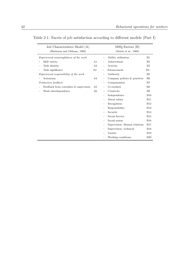| Job Characteristics Model (A)<br>(Hackman and Oldman, 1980) |                |                          | MSQ Factors (B)<br>(Dawis et al., 1968) |                |
|-------------------------------------------------------------|----------------|--------------------------|-----------------------------------------|----------------|
| Experienced meaningfulness of the work                      |                |                          | Ability utilization                     | B1             |
| Skill variety                                               | A1             |                          | Achievement                             | B <sub>2</sub> |
| Task identity                                               | A <sub>2</sub> |                          | Activity                                | B <sub>3</sub> |
| Task significance                                           | A3             |                          | Advancement                             | B4             |
| Experienced responsibility of the work                      |                | $\overline{\phantom{0}}$ | Authority                               | B <sub>5</sub> |
| Autonomy                                                    | A4             |                          | Company policies & practices            | B <sub>6</sub> |
| Production feedback                                         |                |                          | Compensation                            | B7             |
| Feedback from coworkers & supervisors                       | A5             |                          | Co-workers                              | <b>B8</b>      |
| Work interdependence                                        | A <sub>6</sub> |                          | Creativity                              | <b>B</b> 9     |
|                                                             |                |                          | Independence                            | <b>B10</b>     |
|                                                             |                |                          | Moral values                            | <b>B11</b>     |
|                                                             |                |                          | Recognition                             | <b>B12</b>     |
|                                                             |                |                          | Responsibility                          | <b>B13</b>     |
|                                                             |                |                          | Security                                | <b>B14</b>     |
|                                                             |                |                          | Social Service                          | <b>B15</b>     |
|                                                             |                |                          | Social status                           | <b>B16</b>     |
|                                                             |                |                          | Supervision: Human relations            | <b>B17</b>     |
|                                                             |                | ۰                        | Supervision: technical                  | <b>B18</b>     |
|                                                             |                |                          | Variety                                 | <b>B</b> 19    |
|                                                             |                |                          | Working conditions                      | <b>B20</b>     |

Table 2.1: Facets of job satisfaction according to different models (Part I)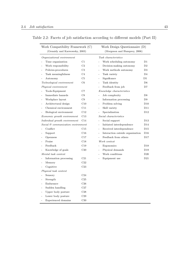| Work Compatibility Framework (C)<br>(Genaidy and Karwowsky, 2003) |                 | Work Design Questionnaire (D)<br>(Morgeson and Humprey, 2006) |                 |  |  |  |
|-------------------------------------------------------------------|-----------------|---------------------------------------------------------------|-----------------|--|--|--|
| Organizational environment                                        |                 | Task characteristics                                          |                 |  |  |  |
| Time organization                                                 | $_{\rm C1}$     | Work scheduling autonomy<br>D1                                |                 |  |  |  |
| Work responsibility                                               | C <sub>2</sub>  | Decision-making autonomy<br>$\overline{a}$                    | D2              |  |  |  |
| Policies-procedures                                               | C3              | Work methods autonomy                                         | D <sub>3</sub>  |  |  |  |
| Task meaningfulness                                               | C <sub>4</sub>  | Task variety<br>$\overline{a}$                                | D <sub>4</sub>  |  |  |  |
| Autonomy                                                          | C5              | Significance                                                  | D5              |  |  |  |
| Technological environment                                         | C6              | Task identity<br>$\overline{a}$                               | D <sub>6</sub>  |  |  |  |
| Physical environment                                              |                 | Feedback from job<br>$\overline{a}$                           | D7              |  |  |  |
| Tools-Equipment                                                   | $_{\rm C7}$     | Knowledge characteristics                                     |                 |  |  |  |
| Immediate hazards                                                 | C8              | Job complexity<br>$\overline{a}$                              | D8              |  |  |  |
| Workplace layout                                                  | C9              | Information processing<br>$\overline{a}$                      | D9              |  |  |  |
| Architectural design                                              | C10             | Problem solving<br>÷.                                         | D10             |  |  |  |
| Chemical environment.                                             | C11             | Skill variety<br>$\overline{a}$                               | D11             |  |  |  |
| Biological environment                                            | C12             | Specialization<br>÷.                                          | D12             |  |  |  |
| Economic growth environment                                       | C13             | Social characteristics                                        |                 |  |  |  |
| Individual growth environment                                     | C14             | Social support<br>$\overline{a}$                              | D13             |  |  |  |
| Social & communication environment                                |                 | Initiated interdependence<br>$\overline{\phantom{0}}$         | D14             |  |  |  |
| Conflict                                                          | C15             | Received interdependence<br>÷.                                | D15             |  |  |  |
| Support                                                           | C16             | Interaction outside organization<br>÷,                        | D <sub>16</sub> |  |  |  |
| Openness                                                          | C17             | Feedback from others<br>$\overline{a}$                        | D17             |  |  |  |
| Praise                                                            | C18             | Work context                                                  |                 |  |  |  |
| Feedback                                                          | C19             | Ergonomics<br>L,                                              | D18             |  |  |  |
| Knowledge of goals                                                | $C_{20}$        | Physical demands<br>$\overline{\phantom{0}}$                  | D19             |  |  |  |
| Mental task content                                               |                 | Work conditions<br>÷,                                         | D20             |  |  |  |
| Information processing                                            | C21             | Equipment use                                                 | D21             |  |  |  |
| Memory                                                            | C22             |                                                               |                 |  |  |  |
| Cognitive                                                         | C23             |                                                               |                 |  |  |  |
| Physical task content                                             |                 |                                                               |                 |  |  |  |
| Sensory                                                           | C <sub>24</sub> |                                                               |                 |  |  |  |
| Strength                                                          | C <sub>25</sub> |                                                               |                 |  |  |  |
| Endurance                                                         | C <sub>26</sub> |                                                               |                 |  |  |  |
| Sudden handling                                                   | C27             |                                                               |                 |  |  |  |
| Upper body posture                                                | C28             |                                                               |                 |  |  |  |
| Lower body posture                                                | C29             |                                                               |                 |  |  |  |
| Experienced domains                                               | C30             |                                                               |                 |  |  |  |

|  |  |  | Table 2.2: Facets of job satisfaction according to different models (Part II) |  |  |  |  |  |  |  |
|--|--|--|-------------------------------------------------------------------------------|--|--|--|--|--|--|--|
|--|--|--|-------------------------------------------------------------------------------|--|--|--|--|--|--|--|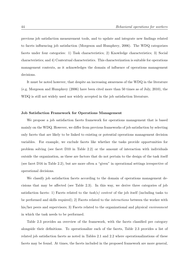previous job satisfaction measurement tools, and to update and integrate new findings related to facets influencing job satisfaction (Morgeson and Humphrey, 2006). The WDQ categorizes facets under four categories: 1) Task characteristics; 2) Knowledge characteristics; 3) Social characteristics; and 4) Contextual characteristics. This characterization is suitable for operations management contexts, as it acknowledges the domain of influence of operations management decisions.

It must be noted however, that despite an increasing awareness of the WDQ in the literature (e.g. Morgeson and Humphrey (2006) have been cited more than 50 times as of July, 2010), the WDQ is still not widely used nor widely accepted in the job satisfaction literature.

## **Job Satisfaction Framework for Operations Management**

We propose a job satisfaction facets framework for operations management that is based mainly on the WDQ. However, we differ from previous frameworks of job satisfaction by selecting only facets that are likely to be linked to existing or potential operations management decision variables. For example, we exclude facets like whether the tasks provide opportunities for problem solving (see facet D10 in Table 2.2) or the amount of interaction with individuals outside the organization, as these are factors that do not pertain to the design of the task itself (see facet D16 in Table 2.2), but are more often a "given" in operational settings irrespective of operational decisions.

We classify job satisfaction facets according to the domain of operations management decisions that may be affected (see Table 2.3). In this way, we derive three categories of job satisfaction facets: 1) Facets related to the *task(s) content* of the job itself (including tasks to be performed and skills required); 2) Facets related to the *interactions* between the worker with his/her peers and supervisors; 3) Facets related to the organizational and physical *environment* in which the task needs to be performed.

Table 2.3 provides an overview of the framework, with the facets classified per category alongside their definitions. To operationalize each of the facets, Table 2.3 provides a list of related job satisfaction facets as noted in Tables 2.1 and 2.2 where operationalizations of these facets may be found. At times, the facets included in the proposed framework are more general,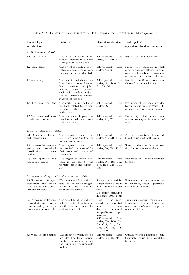| Facet of job<br>satisfaction                                                                             | Definition                                                                                                                                                                                                 | Operationalization Linking OM<br>sources                                                                                                                                                                                                                                                 | operationalization variable                                                                                                                    |
|----------------------------------------------------------------------------------------------------------|------------------------------------------------------------------------------------------------------------------------------------------------------------------------------------------------------------|------------------------------------------------------------------------------------------------------------------------------------------------------------------------------------------------------------------------------------------------------------------------------------------|------------------------------------------------------------------------------------------------------------------------------------------------|
| 1. Task content related                                                                                  |                                                                                                                                                                                                            |                                                                                                                                                                                                                                                                                          |                                                                                                                                                |
| 1.1 Task variety                                                                                         | The extent to which the job<br>requires workers to perform<br>a range of tasks on a job                                                                                                                    | Self-reported<br>likert<br>scales, A2, B19, D4                                                                                                                                                                                                                                           | Number of dissimilar tasks                                                                                                                     |
| 1.2 Task identity                                                                                        | The extent to which a job in-<br>volves a whole piece of work<br>that can be easily identified                                                                                                             | Self-reported<br>likert<br>scales, A2, D6                                                                                                                                                                                                                                                | Proportion of occasions in which<br>order pickers are allowed to com-<br>plete a pick in a bucket brigade or<br>any other work sharing schemes |
| 1.3 Autonomy                                                                                             | The extent to which a job al-<br>lows freedom to workers on<br>how to execute their job -<br>method-, when to perform<br>each task -schedule- and re-<br>act to unexpected circum-<br>stances -decisions-) | Self-reported<br>likert<br>scales, A4, B10, C5,<br>D <sub>1</sub> , D <sub>2</sub> , D <sub>3</sub>                                                                                                                                                                                      | Number of options a worker can<br>choose from in a schedule                                                                                    |
| 1.4 Feedback from the<br>job                                                                             | The worker is provided with<br>feedback related to his per-<br>formance at the job by auto-<br>matic means                                                                                                 | Self-reported<br>likert<br>scales, D7                                                                                                                                                                                                                                                    | Frequency of feedback provided<br>by automatic systems Variability<br>of upstream/downstream queues                                            |
| 1.5 Task meaningfulness<br>in relation to others                                                         | The perceived impact the<br>task has on their peer's work<br>and customers                                                                                                                                 | Self-reported<br>likert.<br>scales, A3, C4                                                                                                                                                                                                                                               | Probability<br>that<br>downstream<br>worker colleague is starved of<br>work                                                                    |
| 2. Social interactions related                                                                           |                                                                                                                                                                                                            |                                                                                                                                                                                                                                                                                          |                                                                                                                                                |
| 2.1 Opportunity for so-<br>cial interactions                                                             | The degree to which the<br>job offers opportunities for<br>workers to interact                                                                                                                             | Self-reported<br>likert<br>scales, A6, C19, D17                                                                                                                                                                                                                                          | Average percentage of time al-<br>lowed to interact with peers                                                                                 |
| 2.2 Fairness in compen-<br>sation and<br>work-load<br>distribution<br>among<br>workers                   | The degree to which the<br>workers feel compensated for<br>their work and have equal<br>treatment                                                                                                          | Self-reported<br>likert<br>scales, B7, C13, D20                                                                                                                                                                                                                                          | Standard deviation in work load<br>distribution among workers                                                                                  |
| 2.3 Job appraisal and<br>feedback provided                                                               | The degree to which feed-<br>back is provided by the<br>workers' peers and supervi-<br>sor                                                                                                                 | Self-reported<br>likert<br>scales, A5, B8, B12,<br>B17, B18, C18, C19,<br>$C_{20}$                                                                                                                                                                                                       | Frequency of feedback provided<br>by super                                                                                                     |
|                                                                                                          | 3. Physical and organizational environment related                                                                                                                                                         |                                                                                                                                                                                                                                                                                          |                                                                                                                                                |
| 3.1 Exposure to fatigue,<br>discomfort and health<br>risks caused by the phys-<br>ical environment       | The extent to which individ-<br>uals are subject to fatigue,<br>health risks due to plant and<br>work station layout                                                                                       | Fatigue measured by<br>oxygen volume intake<br>or maximum holding<br>time<br>Discomfort measured<br>in Borg's (1981) scale                                                                                                                                                               | Percentage of time workers are<br>in awkward/stressful positions,<br>weighed by severity                                                       |
| 3.2 Exposure to fatigue,<br>discomfort and health<br>risks caused by the orga-<br>nizational environment | The extent to which individ-<br>uals are subject to fatigue,<br>health risks due to schedules<br>and work intensity                                                                                        | Health<br>risks<br>mea-<br>sured as<br>expected<br>number<br>οf<br>$_{\rm days}$<br>$_{\rm due}$<br>temporal<br>to<br>incapacitation<br>per<br>man-year<br>Self-reported likert<br>scales, B6, B20, C1,<br>C9, C24, C25, C26,<br>C28, C29, D8, D18,<br>D <sub>19</sub> , D <sub>20</sub> | Time spent working continuously<br>Percentage of time allowed for<br>rest Number of cycles completed<br>per unit of time                       |
| 3.3 Work/leisure balance                                                                                 | The extent to which the job<br>provides free time, oppor-<br>tunities for leisure, beyond<br>the minimum requirements<br>by law                                                                            | Self-reported<br>likert<br>scales, B6, C1, C14                                                                                                                                                                                                                                           | Quality weighed number of con-<br>tinuously hours/days available<br>for leisure                                                                |

Table 2.3: Facets of job satisfaction framework for Operations Management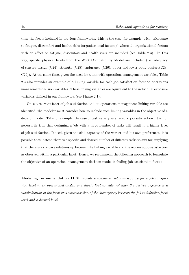than the facets included in previous frameworks. This is the case, for example, with "Exposure to fatigue, discomfort and health risks (organizational factors)" where all organizational factors with an effect on fatigue, discomfort and health risks are included (see Table 2.3). In this way, specific physical facets from the Work Compatibility Model are included (i.e. adequacy of sensory design (C24), strength (C25), endurance (C26), upper and lower body posture(C28- C29)). At the same time, given the need for a link with operations management variables, Table 2.3 also provides an example of a linking variable for each job satisfaction facet to operations management decision variables. These linking variables are equivalent to the individual exposure variables defined in our framework (see Figure 2.1).

Once a relevant facet of job satisfaction and an operations management linking variable are identified, the modeler must consider how to include such linking variables in the objective of a decision model. Take for example, the case of task variety as a facet of job satisfaction. It is not necessarily true that designing a job with a large number of tasks will result in a higher level of job satisfaction. Indeed, given the skill capacity of the worker and his own preferences, it is possible that instead there is a specific and desired number of different tasks to aim for; implying that there is a concave relationship between the linking variable and the worker's job satisfaction as observed within a particular facet. Hence, we recommend the following approach to formulate the objective of an operations management decision model including job satisfaction facets:

**Modeling recommendation 11** *To include a linking variable as a proxy for a job satisfaction facet in an operational model, one should first consider whether the desired objective is a maximization of the facet or a minimization of the discrepancy between the job satisfaction facet level and a desired level.*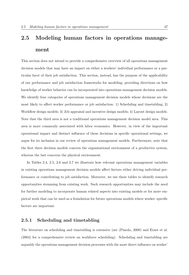# **2.5 Modeling human factors in operations management**

This section does not intend to provide a comprehensive overview of all operations management decision models that may have an impact on either a workers' individual performance or a particular facet of their job satisfaction. This section, instead, has the purpose of the applicability of our performance and job satisfaction frameworks for modeling; providing directions on how knowledge of worker behavior can be incorporated into operations management decision models. We identify four categories of operations management decision models whose decisions are the most likely to affect worker performance or job satisfaction: 1) Scheduling and timetabling; 2) Workflow design models; 3) Job appraisal and incentive design models; 4) Layout design models. Note that the third area is not a traditional operations management decision model area. This area is more commonly associated with labor economics. However, in view of the important operational impact and distinct influence of these decisions in specific operational settings, we argue for its inclusion in our review of operations management models. Furthermore, note that the first three decision models concern the organizational environment of a productive system, whereas the last concerns the physical environment.

In Tables 2.4, 2.5, 2.6 and 2.7 we illustrate how relevant operations management variables in existing operations management decision models affect factors either driving individual performance or contributing to job satisfaction. Moreover, we use these tables to identify research opportunities stemming from existing work. Such research opportunities may include the need for further modeling to incorporate human related aspects into existing models or for more empirical work that can be used as a foundation for future operations models where worker–specific factors are important.

## **2.5.1 Scheduling and timetabling**

The literature on scheduling and timetabling is extensive (see (Pinedo, 2008) and Ernst et al. (2004) for a comprehensive review on workforce scheduling). Scheduling and timetabling are arguably the operations management decision processes with the most direct influence on worker'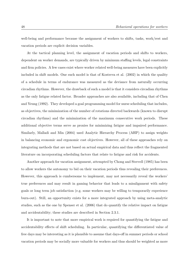well-being and performance because the assignment of workers to shifts, tasks, work/rest and vacation periods are explicit decision variables.

At the tactical planning level, the assignment of vacation periods and shifts to workers, dependent on worker demands, are typically driven by minimum staffing levels, legal constraints and firm policies. A few cases exist where worker related well-being measures have been explicitly included in shift models. One such model is that of Kostreva et al. (2002) in which the quality of a schedule in terms of endurance was measured as the deviance from naturally occurring circadian rhythms. However, the drawback of such a model is that it considers circadian rhythms as the only fatigue related factor. Broader approaches are also available, including that of Chen and Yeung (1992). They developed a goal programming model for nurse scheduling that includes, as objectives, the minimization of the number of rotations directed backwards (known to disrupt circadian rhythms) and the minimization of the maximum consecutive work periods. These additional objective terms serve as proxies for minimizing fatigue and impaired performance. Similarly, Malladi and Min (2004) used Analytic Hierarchy Process (AHP) to assign weights in balancing economic and ergonomic cost objectives. However, all of these approaches rely on integrating methods that are not based on actual empirical data and thus reflect the fragmented literature on incorporating scheduling factors that relate to fatigue and risk for accidents.

Another approach for vacation assignment, attempted by Chong and Stervell (1985) has been to allow workers the autonomy to bid on their vacation periods thus revealing their preferences. However, this approach is cumbersome to implement, may not necessarily reveal the workers' true preferences and may result in gaming behavior that leads to a misalignment with safety goals or long term job satisfaction (e.g. some workers may be willing to temporarily experience burn-out). Still, an opportunity exists for a more integrated approach by using meta-analytic studies, such as the one by Spenser et al. (2006) that do quantify the relative impact on fatigue and accidentability; these studies are described in Section 2.3.1.

It is important to note that more empirical work is required for quantifying the fatigue and accidentability effects of shift scheduling. In particular, quantifying the differentiated value of free days may be interesting as it is plausible to assume that days-off in summer periods or school vacation periods may be socially more valuable for workers and thus should be weighted as more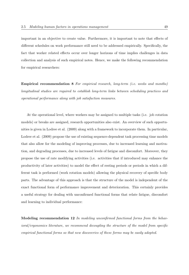important in an objective to create value. Furthermore, it is important to note that effects of different schedules on work performance still need to be addressed empirically. Specifically, the fact that worker related effects occur over longer horizons of time implies challenges in data collection and analysis of such empirical notes. Hence, we make the following recommendation for empirical researchers:

**Empirical recommendation 8** *For empirical research, long-term (i.e. weeks and months) longitudinal studies are required to establish long-term links between scheduling practices and operational performance along with job satisfaction measures.*

At the operational level, where workers may be assigned to multiple tasks (i.e. job rotation models) or breaks are assigned, research opportunities also exist. An overview of such opportunities is given in Lodree et al. (2009) along with a framework to incorporate them. In particular, Lodree et al. (2009) propose the use of existing sequence-dependent task processing time models that also allow for the modeling of improving processes, due to increased learning and motivation, and degrading processes, due to increased levels of fatigue and discomfort. Moreover, they propose the use of rate modifying activities (i.e. activities that if introduced may enhance the productivity of later activities) to model the effect of resting periods or periods in which a different task is performed (work rotation models) allowing the physical recovery of specific body parts. The advantage of this approach is that the structure of the model is independent of the exact functional form of performance improvement and deterioration. This certainly provides a useful strategy for dealing with unconfirmed functional forms that relate fatigue, discomfort and learning to individual performance:

**Modeling recommendation 12** *In modeling unconfirmed functional forms from the behavioral/ergonomics literature, we recommend decoupling the structure of the model from specific empirical functional forms so that new discoveries of these forms may be easily adopted.*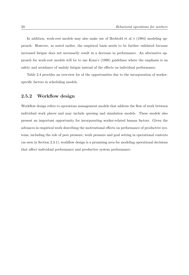In addition, work-rest models may also make use of Bechtold et al.'s (1984) modeling approach. However, as noted earlier, the empirical basis needs to be further validated because increased fatigue does not necessarily result in a decrease in performance. An alternative approach for work-rest models will be to use Konz's (1998) guidelines where the emphasis is on safety and avoidance of unduly fatigue instead of the effects on individual performance.

Table 2.4 provides an overview for of the opportunities due to the incorporation of workerspecific factors in scheduling models.

## **2.5.2 Workflow design**

Workflow design refers to operations management models that address the flow of work between individual work places and may include queuing and simulation models. These models also present an important opportunity for incorporating worker-related human factors. Given the advances in empirical work describing the motivational effects on performance of productive systems, including the role of peer pressure, work pressure and goal setting in operational contexts (as seen in Section 2.3.1), workflow design is a promising area for modeling operational decisions that affect individual performance and productive system performance.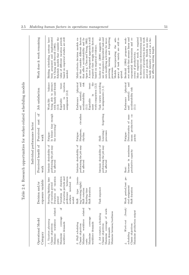|                                                                        |                               | Work done & work remaining           | Bidding scheduling systems have<br>Schedule models that consider the<br>value of different vacation periods<br>been proposed and implemented<br>based on empirical studies are still<br>by Chong and Strevell (1985)<br>needed. | ist that consider different factors<br>required that weighs these factors<br>that affect accidentability and fa-<br>A more integrated approach is still<br>Multi-criteria decision models ex-<br>igue (e.g. Chen and Yeung, 1992)<br>based on empirical evidence. | Lodree et al. (2009) suggests the<br>use of sequence dependent task and<br>porating learning and forgetting<br>rate modifying activities for incor-<br>Models incorporating the ade-<br>quacy of task variety are still re-<br>processes<br>quired. | and rest periods. Models may also<br>rest models that assume linear and<br>to determine real deterioration and<br>recovery of production due to work<br>Bechtold (1994) proposes work-<br>More empirical work is required<br>include intensity of work as a fac-<br>exponential deterioration and re-<br>tor affecting resting length.<br>covery of productivity. |
|------------------------------------------------------------------------|-------------------------------|--------------------------------------|---------------------------------------------------------------------------------------------------------------------------------------------------------------------------------------------------------------------------------|-------------------------------------------------------------------------------------------------------------------------------------------------------------------------------------------------------------------------------------------------------------------|-----------------------------------------------------------------------------------------------------------------------------------------------------------------------------------------------------------------------------------------------------|-------------------------------------------------------------------------------------------------------------------------------------------------------------------------------------------------------------------------------------------------------------------------------------------------------------------------------------------------------------------|
|                                                                        |                               | Job satisfaction                     | with family and friends<br>balance<br>being able to interact<br>vacation<br>treat-<br>assignment (2.2)<br>$\Xi$<br>Equitable<br>Work/life<br>$\mathop{\rm ment}\nolimits$<br>(3.3)                                              | and<br>risk<br>the<br>Endurance (physical<br>treat-<br>work-comparison (2.2)<br>and mental)<br>accidentability<br>요.<br>Equitable<br>ment<br>(3.1)                                                                                                                | Task variety according<br>to assignments (1.1)                                                                                                                                                                                                      | and<br>(physical<br>accidentability risk<br>and mental)<br>Endurance<br>(3.1)                                                                                                                                                                                                                                                                                     |
|                                                                        |                               | Perceived cost of<br>work            | Is leisure time enough<br>for recovering?<br>Fatigue:                                                                                                                                                                           | circadian<br>Sleepiness,<br>Fatigue:<br>rhythm                                                                                                                                                                                                                    | forgetting<br>$\mathrm{Learning}/$<br>processes<br>Skill:                                                                                                                                                                                           | Deterioration of max-<br>imum productive ca-<br>Fatigue:<br>pacity                                                                                                                                                                                                                                                                                                |
| Table 2.4: Research opportunities for worker-related scheduling models | Individual performance factor | Perceived benefit of<br>work         | performing the job may<br>Intrinsic desirability of<br>be affected                                                                                                                                                              | Intrinsic desirability of<br>performing the job may<br>be affected                                                                                                                                                                                                | Intrinsic desirability of<br>performing the job may<br>be affected                                                                                                                                                                                  | Increase in maximum<br>productive capacity<br>Rest:                                                                                                                                                                                                                                                                                                               |
|                                                                        |                               | exposure variable<br>Decision and/or | Duration of vacation<br>between<br>Variation of duration<br>of vacation periods and<br>workers involved in<br>Starting/finishing date<br>of vacation period<br>preference<br>poriod<br>model                                    | (morn-<br>ing/evening/night)<br>type<br>Shift duration<br>Shift rotation<br>Starting time<br>Shift                                                                                                                                                                | Task sequence                                                                                                                                                                                                                                       | Work period/rest pe-<br>riod assignment<br>Shift duration                                                                                                                                                                                                                                                                                                         |
|                                                                        |                               | Operational Model<br>Category        | ð<br>related<br>coverage<br>Minimize workforce<br>1. Vacation planning<br>workforce demands<br>Classic objectives:<br>Maximize<br>costs                                                                                         | ð<br>related<br>coverage<br>Minimize workforce<br>workforce demands<br>2. Shift scheduling<br>Classic objectives:<br>Maximize<br>costs                                                                                                                            | work-<br>Minimize lateness/tardiness<br>3. Job rotation scheduling<br>ð<br>Maximize coverage<br>Classic objectives:<br>force demands                                                                                                                | (break)<br>Maximize production output<br>$Work-rest$<br>Classic objectives:<br>scheduling                                                                                                                                                                                                                                                                         |

Table 2.4: Research opportunities for worker-related scheduling models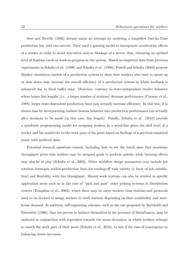Suri and Treville (1986) already made an attempt by modeling a simplified Just-In-Time production line with two servers. They used a queuing model to incorporate acceleration effects of a worker in order to avoid starvation and/or blockage of a server; thus, obtaining an optimal level of Kanban cards or work-in-progress in the system. Based on empirical data from previous experiments in Schultz et al. (1998) and Schultz et al. (1999), Powell and Schultz (2004) propose Markov simulation models of a production system to show that workers who tend to speed up or slow down may increase the overall efficiency of a production system in which feedback is enhanced due to fixed buffer sizes. Moreover, contrary to state-independent worker behavior where larger line lengths (i.e. a larger number of stations) decrease performance (Conway et al., 1988), larger state-dependent production lines may actually increase efficiency. In this way, it is shown that by incorporating realistic human behavior into production performance can actually alter decisions to be made (in this case, line length). Finally, Schultz et al. (2010) provide a quadratic programming model for assigning workers in a serial-line given the skill level of a worker and his sensitivity to the work pace of his peers based on findings of a previous empirical study with archived data.

Potential research questions remain, including how to set the batch sizes that maximize throughput given that workers may be assigned goals to perform quickly while learning effects may also be at play (Schultz et al., 2003). Other workflow design parameters may include job rotation strategies within production lines for trading-off task variety (a facet of job satisfaction) and flexibility with line throughput. Shared work stations can also be studied in specific application areas such as in the case of "pick and pass" order picking systems in distribution centers (Tompkins et al., 2003), where there may be more workers than stations and protocols need to be devised to assign workers to work stations depending on their availability and warehouse demand. In addition, self-organizing schemes, such as the one proposed by Bartholdi and Eisenstein (1996), that are proven to balance themselves in the presence of disturbances, may be analyzed in conjunction with regression towards the mean dynamics, in which workers attempt to match the work pace of their peers (Schultz et al., 2010), to test if the rate of convergence to balancing states increases.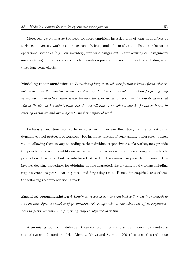Moreover, we emphasize the need for more empirical investigations of long term effects of social cohesiveness, work pressure (chronic fatigue) and job satisfaction effects in relation to operational variables (e.g., low inventory, work-line assignment, manufacturing cell assignment among others). This also prompts us to remark on possible research approaches in dealing with these long term effects:

**Modeling recommendation 13** *In modeling long-term job satisfaction related effects, observable proxies in the short-term such as discomfort ratings or social interaction frequency may be included as objectives while a link between the short-term proxies, and the long-term desired effects (facets) of job satisfaction and the overall impact on job satisfaction) may be found in existing literature and are subject to further empirical work.*

Perhaps a new dimension to be explored in human workflow design is the derivation of dynamic control protocols of workflow. For instance, instead of constraining buffer sizes to fixed values, allowing them to vary according to the individual responsiveness of a worker, may provide the possibility of reaping additional motivation form the worker when it necessary to accelerate production. It is important to note here that part of the research required to implement this involves devising procedures for obtaining on-line characteristics for individual workers including responsiveness to peers, learning rates and forgetting rates. Hence, for empirical researchers, the following recommendation is made:

**Empirical recommendation 9** *Empirical research can be combined with modeling research to test on-line, dynamic models of performance where operational variables that affect responsiveness to peers, learning and forgetting may be adjusted over time.*

A promising tool for modeling all these complex interrelationships in work flow models is that of systems dynamic models. Already, (Oliva and Sterman, 2001) has used this technique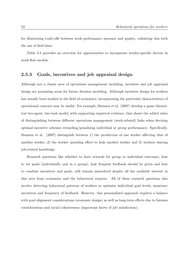for illustrating trade-offs between work performance pressure and quality, validating this with the use of field-data.

Table 2.5 provides an overview for opportunities to incorporate worker-specific factors in work-flow models.

## **2.5.3 Goals, incentives and job appraisal design**

Although not a classic area of operations management modeling, incentive and job appraisal design are promising areas for future decision modeling. Although incentive design for workers has usually been studied in the field of economics, incorporating the particular characteristics of operational contexts may be useful. For example, Siemsen et al. (2007) develop a game theoretical two-agent, two-task model, with supporting empirical evidence, that shows the added value of distinguishing between different operations management (work-related) links when devising optimal incentive schemes rewarding/penalizing individual or group performance. Specifically, Siemsen et al. (2007) distinguish between 1) the production of one worker affecting that of another worker, 2) the worker spending effort to help another worker and 3) workers sharing job-related knowledge.

Research questions like whether to have rewards for group or individual outcomes, how to set goals (individually and in a group), how frequent feedback should be given and how to combine incentives and goals, still remain unresolved despite all the available interest in this area from economics and the behavioral sciences. All of these research questions also involve detecting behavioral patterns of workers to optimize individual goal levels, monetary incentives and frequency of feedback. However, this personalized approach requires a balance with goal alignment considerations (economic design) as well as long-term effects due to fairness considerations and social cohesiveness (important facets of job satisfaction).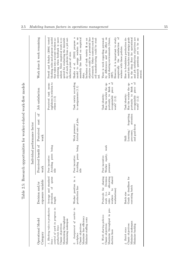|                                                                       |                               | Work done & work remaining                                      | celerating when feedback is more<br>Powell and Schultz (2004) tested<br>blocking rules and propose a model<br>ity of such policies from a job sat-<br>that takes into account workers ac-<br>salient. More empirical work is re-<br>quired for evaluating the desirabil-<br>isfaction point of view. | Shultz et al. (2010) propose a<br>objective could be a potential line<br>of research. Other contexts such as<br>model to assign workers in an<br>assembly line based on empirical<br>cell manufacturing could be stud-<br>Inclusion of task variety fit as an<br>data. | There is work regarding personal-<br>ity differences and the effect on<br>work sharing environments (Juran,<br>empirically the satisfaction of<br>However, it is important to study<br>workers with these policies.<br>1997). | and job satisfaction objectives are<br>mand into batches and assign goals<br>in the shop floor for operational<br>How to breakdown production de-<br>research questions yet to be an-<br>swered. |
|-----------------------------------------------------------------------|-------------------------------|-----------------------------------------------------------------|------------------------------------------------------------------------------------------------------------------------------------------------------------------------------------------------------------------------------------------------------------------------------------------------------|------------------------------------------------------------------------------------------------------------------------------------------------------------------------------------------------------------------------------------------------------------------------|-------------------------------------------------------------------------------------------------------------------------------------------------------------------------------------------------------------------------------|--------------------------------------------------------------------------------------------------------------------------------------------------------------------------------------------------|
|                                                                       |                               |                                                                 | ingfulness in relation to<br>Perceived task mean-<br>others $(1.5)$                                                                                                                                                                                                                                  | Task variety according<br>to assignments (1.1)                                                                                                                                                                                                                         | $\sigma$<br>Has the worker the op-<br>portunity to finish<br>recognizable piece<br>Task identity:<br>work? (1.2)                                                                                                              | recognizable piece of<br>Has the worker the op-<br>portunity to finish<br>Task identity:<br>work? (1.2)                                                                                          |
|                                                                       |                               |                                                                 |                                                                                                                                                                                                                                                                                                      |                                                                                                                                                                                                                                                                        |                                                                                                                                                                                                                               | forgetting<br>attention                                                                                                                                                                          |
|                                                                       |                               | work                                                            |                                                                                                                                                                                                                                                                                                      | Arrival rate of jobs.<br>Work pressure:                                                                                                                                                                                                                                |                                                                                                                                                                                                                               | and goal-focus<br>Learning/<br>processes,<br>Skill:                                                                                                                                              |
| Table 2.5: Research opportunities for worker-related work-flow models | Individual performance factor | Perceived benefit of Perceived cost of Job satisfaction<br>work | Avoiding peers being<br>Peer incentive:<br>idle                                                                                                                                                                                                                                                      | Avoiding peers being<br>Peer incentive:<br>idle                                                                                                                                                                                                                        | work<br>equity,<br>Peer incentive:<br>Worker<br>pressure                                                                                                                                                                      |                                                                                                                                                                                                  |
|                                                                       |                               | exposure variable<br>Decision and/or                            | deviation of queue<br>Average and standard<br>length                                                                                                                                                                                                                                                 | Worker position in a<br>production line                                                                                                                                                                                                                                | Protocols for sharing<br>Decision<br>$\rm{allocation}$<br>shared<br>$\overline{c}$<br>workstations)<br>rules for<br>work (i.e.<br>workers                                                                                     | Goals & deadlines for<br>executing batch<br>Batch size                                                                                                                                           |
|                                                                       |                               | Operational Model<br>Category                                   | 1. Blocking rules in production<br>control of work in progress in<br>Maximizing throughput<br>Minimizing makespan<br>Classic objectives:<br>production lines<br>lines -                                                                                                                              | 2. Assignment of worker to<br>Maximize line efficiency<br>Minimize staffing costs<br>Classic objectives:<br>$\\where$                                                                                                                                                  | in pro-<br>3. Work sharing policies<br>Maximize throughput<br>Classic objectives:<br>duction lines                                                                                                                            | Minimize makespan<br>Classic objectives:<br>Minimize backlog<br>4. Batch sizes                                                                                                                   |

Table 2.5: Research opportunities for worker-related work-flow models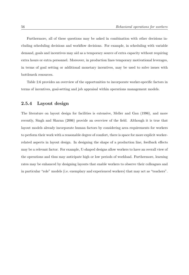Furthermore, all of these questions may be asked in combination with other decisions including scheduling decisions and workflow decisions. For example, in scheduling with variable demand, goals and incentives may aid as a temporary source of extra capacity without requiring extra hours or extra personnel. Moreover, in production lines temporary motivational leverages, in terms of goal setting or additional monetary incentives, may be used to solve issues with bottleneck resources.

Table 2.6 provides an overview of the opportunities to incorporate worker-specific factors in terms of incentives, goal-setting and job appraisal within operations management models.

## **2.5.4 Layout design**

The literature on layout design for facilities is extensive, Meller and Gau (1996), and more recently, Singh and Sharna (2006) provide an overview of the field. Although it is true that layout models already incorporate human factors by considering area requirements for workers to perform their work with a reasonable degree of comfort, there is space for more explicit workerrelated aspects in layout design. In designing the shape of a production line, feedback effects may be a relevant factor. For example, U-shaped designs allow workers to have an overall view of the operations and thus may anticipate high or low periods of workload. Furthermore, learning rates may be enhanced by designing layouts that enable workers to observe their colleagues and in particular "role" models (i.e. exemplary and experienced workers) that may act as "teachers".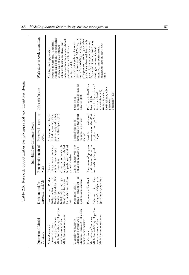|                                                                           |                               | Work done & work remaining                                      | results exists about the properties<br>(see Siemsen et al., 2007) may be<br>of supervisor - worker goals when<br>made for modeling the alignment<br>more research on the operational<br>goals, incentives and feedback is<br>required in this area. Empirical<br>(Olvia and Sterman, 2001) may<br>Further principal-agent models<br>given. System-dynamic models<br>enhances (goals, incentives) but<br>dimensions may interact over<br>context is needed to develop<br>of each type of motivational<br>shed light on how feedback,<br>incentives and performance<br>An integrated approach is<br>further models.<br>time. |                                                                                                         |                                                                                                                                                                                        |
|---------------------------------------------------------------------------|-------------------------------|-----------------------------------------------------------------|----------------------------------------------------------------------------------------------------------------------------------------------------------------------------------------------------------------------------------------------------------------------------------------------------------------------------------------------------------------------------------------------------------------------------------------------------------------------------------------------------------------------------------------------------------------------------------------------------------------------------|---------------------------------------------------------------------------------------------------------|----------------------------------------------------------------------------------------------------------------------------------------------------------------------------------------|
| Table 2.6: Research opportunities for job appraisal and incentives design |                               |                                                                 |                                                                                                                                                                                                                                                                                                                                                                                                                                                                                                                                                                                                                            | compensation may be<br>affected (2.2)<br>Fairness in                                                    | Feedback in itself is a<br>satisfaction, a lack of<br>feedback may affect<br>undesirable (2.3)<br>Highly frequent<br>autonomy $(1.3)$<br>it is considered<br>facet of job<br>perceived |
|                                                                           |                               | Perceived benefit of Perceived cost of Job satisfaction<br>work | fected depending if the<br>Autonomy may be af-<br>goal is assigned rather<br>than self-assigned (1.3)                                                                                                                                                                                                                                                                                                                                                                                                                                                                                                                      | awareness on the effort<br>required to perform<br>Possible enhanced<br>the job                          | enhanced<br>to perform<br>awareness on the effort<br>required<br>Possible<br>the job                                                                                                   |
|                                                                           | Individual performance factor | work                                                            | Higher work intensity<br>in goals are perceived<br>mensions not included<br>Other performance di-<br>may increase fatigue<br>as less valuable<br>Distraction:<br>Fatigue:                                                                                                                                                                                                                                                                                                                                                                                                                                                  | Direct incentives for<br>enhancing motivation                                                           | and thus and incentive<br>Awareness of progress<br>for reaching the goal                                                                                                               |
|                                                                           |                               | exposure variable<br>Decision and/or                            | Type of goal: Produc-<br>Goal level and deadline<br>for motivation and fo-<br>Individual/group goal<br>tivity, quality or both<br>Goal based incentive<br>Goal scope:                                                                                                                                                                                                                                                                                                                                                                                                                                                      | Bonus contingent on<br>goal accomplishment<br>Piece-rate (level)                                        | hier-<br>Frequency of feedback<br>archy of multiple goals<br>(productivity, quality)<br>Salience $\&$                                                                                  |
|                                                                           |                               | Operational Model<br>Category                                   | Minimize variability of perfor-<br>Minimize response times<br>Maximize performance<br>mance across workers<br>Classic objectives:<br>1. Goal assigned                                                                                                                                                                                                                                                                                                                                                                                                                                                                      | Minimize variability of perfor-<br>Maximize performance<br>2. Incentive schemes<br>mance across workers | Minimize variability of perfor-<br>Minimize response times<br>Maximize performance<br>mance across workers<br>3. Feedback                                                              |

Table 2.6: Research opportunities for job appraisal and incentives design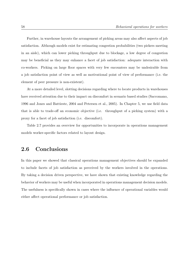Further, in warehouse layouts the arrangement of picking areas may also affect aspects of job satisfaction. Although models exist for estimating congestion probabilities (two pickers meeting in an aisle), which can lower picking throughput due to blockage, a low degree of congestion may be beneficial as they may enhance a facet of job satisfaction: adequate interaction with co-workers. Picking on large floor spaces with very few encounters may be undesirable from a job satisfaction point of view as well as motivational point of view of performance (i.e. the element of peer pressure is non-existent).

At a more detailed level, slotting decisions regarding where to locate products in warehouses have received attention due to their impact on discomfort in scenario based studies (Saccomano, 1996 and Jones and Battieste, 2004 and Petersen et al., 2005). In Chapter 5, we use field data that is able to trade-off an economic objective (i.e. throughput of a picking system) with a proxy for a facet of job satisfaction (i.e. discomfort).

Table 2.7 provides an overview for opportunities to incorporate in operations management models worker-specific factors related to layout design.

# **2.6 Conclusions**

In this paper we showed that classical operations management objectives should be expanded to include facets of job satisfaction as perceived by the workers involved in the operations. By taking a decision driven perspective, we have shown that existing knowledge regarding the behavior of workers may be useful when incorporated in operations management decision models. The usefulness is specifically shown in cases where the influence of operational variables would either affect operational performance or job satisfaction.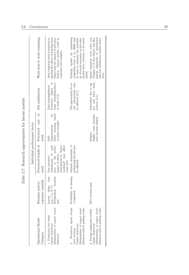|                                                     |                               | Work done & work remaining                                      | garding the effects of learning form<br>faction. Layout models could in-<br>More empirical work is required re-<br>others and the impact of job satis-<br>corporate such insights. | Existing models for estimating<br>be used to estimate the probabil-<br>faction facet criterion to be maxi-<br>congestion (Gue et al., 2006) may<br>ity of social encounter as job satis-<br>mized. | Initial empirical work exist (see<br>partial alignment of operational<br>and job satisfaction related objec-<br>Chapter 5 of this thesis) and find<br>tives. |
|-----------------------------------------------------|-------------------------------|-----------------------------------------------------------------|------------------------------------------------------------------------------------------------------------------------------------------------------------------------------------|----------------------------------------------------------------------------------------------------------------------------------------------------------------------------------------------------|--------------------------------------------------------------------------------------------------------------------------------------------------------------|
| Table 2.7: Research opportunities for layout models |                               |                                                                 | Perceived degree of<br>team interdependency<br>Task meaningfulness:<br>at work (1.5)                                                                                               | The opportunity for so-<br>cial interactions may<br>be affected (2.1)                                                                                                                              | per and lower body<br>Discomfort due to up-<br>posture $(3.1)$                                                                                               |
|                                                     |                               | Perceived benefit of Perceived cost of Job satisfaction<br>work | faster learning based<br>Ĵä<br>on peers example<br>Opportunities<br>Skill:                                                                                                         |                                                                                                                                                                                                    | Higher work intensity<br>may increase fatigue<br>Fatigue:                                                                                                    |
|                                                     | Individual performance factor | work                                                            | Adjustment of work<br>pace to the perfor-<br>Anticipation to "heavy<br>workload" may affect<br>mance of others<br>Peer incentive:<br>work rates                                    | Intrinsic desirability of<br>performing the job may<br>be affected                                                                                                                                 |                                                                                                                                                              |
|                                                     |                               | exposure variable<br>Decision and/or                            | Layout shape type<br>$(\mathbf{e}, \mathbf{g}, \ \mathbf{I}, \ \mathbf{L}, \ \mathbf{S}, \ \mathbf{U})$<br>Workstation $\ \ \text{location}$<br>pair                               | design Probability of meeting<br>/congestion                                                                                                                                                       | SKU-location pair                                                                                                                                            |
|                                                     |                               | Operational Model<br>Category                                   | travel<br>1. Production line shape<br>Minimization of expect<br>Classic objectives:<br>distances                                                                                   | cycles<br>travel<br>distances and/or picking<br>Minimization of expect<br>2. Warehouse layout<br>Classic objectives:<br>$(and$ $routing)$                                                          | 3. Storage assignment models<br>cycles<br>travel<br>distances and/or picking<br>Minimization of expect<br>Classic objectives:                                |

Table 2.7: Research opportunities for layout models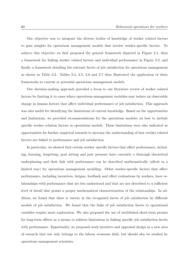Our objective was to integrate the diverse bodies of knowledge of worker related factors to gain insights for operations management models that involve worker-specific factors. To achieve this objective we first proposed the general framework depicted in Figure 2.1, then a framework for linking worker related factors and individual performance in Figure 2.2, and finally a framework detailing the relevant facets of job satisfaction for operations management as shown in Table 2.3. Tables 2.4, 2.5, 2.6 and 2.7 then illustrated the application of these frameworks to current or potential operations management models.

Our decision-making approach provided a focus to our literature review of worker related factors by limiting it to cases where operations management variables may induce an observable change in human factors that affect individual performance or job satisfaction. This approach was also useful for identifying the limitations of current knowledge. Based on the opportunities and limitations, we provided recommendations for the operations modeler on how to include specific worker relation factors in operations models. These limitations were also indicated as opportunities for further empirical research to increase the understanding of how worker related factors are linked to performance and job satisfaction.

In particular, we showed that certain worker–specific factors that affect performance, including, learning, forgetting, goal setting and peer pressure have currently a thorough theoretical underpinning and their link with performance can be described mathematically (albeit in a limited way) for operations management modeling. Other worker-specific factors that affect performance, including incentives, fatigue, feedback and effort evaluations by workers, have relationships with performance that are less understood and that are not described to a sufficient level of detail that grants a proper mathematical characterization of the relationships. In addition, we found that there is variety in the recognized facets of job satisfaction by different models of job satisfaction. We found that the links of job satisfaction facets to operational variables require more exploration. We also proposed the use of established short-term proxies for long-term effects as a means to address limitations in linking specific job satisfaction facets with performance. Importantly, we proposed work incentive and appraisal design as a new area of research that not only belongs to the labour economic field, but should also be studied by operations management scientists.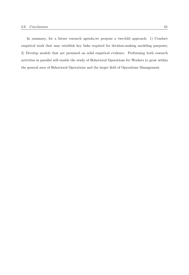In summary, for a future research agenda,we propose a two-fold approach: 1) Conduct empirical work that may establish key links required for decision-making modeling purposes; 2) Develop models that are premised on solid empirical evidence. Performing both research activities in parallel will enable the study of Behavioral Operations for Workers to grow within the general area of Behavioral Operations and the larger field of Operations Management.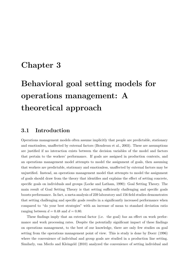# **Chapter 3**

# **Behavioral goal setting models for operations management: A theoretical approach**

# **3.1 Introduction**

Operations management models often assume implicitly that people are predictable, stationary and emotionless, unaffected by external factors (Boudreau et al., 2003). These are assumptions are justified if no interaction exists between the decision variables of the model and factors that pertain to the workers' performance. If goals are assigned in production contexts, and an operations management model attempts to model the assignment of goals, then assuming that workers are predictable, stationary and emotionless, unaffected by external factors may be unjustified. Instead, an operations management model that attempts to model the assignment of goals should draw from the theory that identifies and explains the effect of setting concrete, specific goals on individuals and groups (Locke and Latham, 1990): Goal Setting Theory. The main result of Goal Setting Theory is that setting sufficiently challenging and specific goals boosts performance. In fact, a meta-analysis of 239 laboratory and 156 field studies demonstrates that setting challenging and specific goals results in a significantly increased performance when compared to "do your best strategies" with an increase of mean to standard deviation ratio ranging between  $d = 0.48$  and  $d = 0.80$ .

These findings imply that an external factor (i.e. the goal) *has* an effect on work performance and work processing rates. Despite the potentially significant impact of these findings on operations management, to the best of our knowledge, there are only few studies on goal setting from the operations management point of view. This is study is done by Doerr (1996) where the convenience of individual and group goals are studied in a production line setting. Similarly, van Mierlo and Kleingeld (2010) analyzed the convenience of setting individual and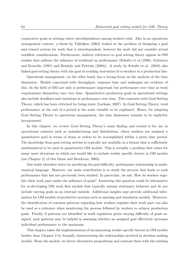cooperative goals in settings where interdependence among workers exist. Also in an operations management context, a thesis by Vijfeijken (2004) looked at the problem of designing a goal and reward system for work that is interdependent, however his work did not consider actual workflow considerations. Furthermore, indirect references to goal setting theory appear in OM studies that address the influence of workload on performance (Schultz et al.(1998), Gutierrez and Kouvelis (1991) and Bendoly and Prietula (2008)). A study by Schultz et al. (2010) also linked goal setting theory with the goal of avoiding starvation of co-workers in a production line.

Operations management, on the other hand, has a strong focus on the analysis of the time dimension. Models concerned with throughput, response time and makespan are evidence of this. In the field of OM not only is performance important but performance over time as work requirements themselves vary over time. Quantitative production goals in operational settings also include deadlines and variations in performance over time. This contrasts with Goal Setting Theory, which has been criticized for being static (Latham, 2007). In Goal Setting Theory, total performance at the end of a period is the main variable to be explained. Hence, for adapting Goal Setting Theory to operations management, the time dimension remains to be explicitly incorporated.

In this chapter, we review Goal Setting Theory's main finding and extend it for use in operational contexts such as manufacturing and distribution, where workers are assigned a quantitative goal in terms of items or orders to be accomplished within a given time period. The knowledge from goal setting articles is typically not available in a format that is sufficiently mathematical to be used in quantitative OM models. This is actually a problem that arises for many more situations in which one would like to include worker specific factors in OM models (see Chapter 2) of this thesis and Boudreau, 2003).

Our study therefore starts by specifying the goal difficulty–performance relationship in mathematical language. However, our main contribution is to study the process that leads to such performance that has not previously been studied. In particular, we ask: How do workers regulate their work pace under the influence of goals? Answering this question could be informative for re-developing OM work flow models that typically assume stationary behavior and do not include varying goals as an external variable. Additional insights may provide additional information for OM models of productive systems such as queuing and simulation models. Moreover, the identification of common patterns regarding how workers regulate their work pace can also be used as a reference when monitoring the process followed by workers to achieve production goals. Finally, if patterns are identified in work regulation given varying difficulty of goals assigned, such patterns may be helpful in assessing whether an assigned goal effectively increases individual performance to the maximum.

This chapter takes the implementation of incorporating worker specific factors in OM models further than Chapter 2 by formally characterizing the relationships involved in decision making models. From the models, we derive alternative propositions and contrast these with the existing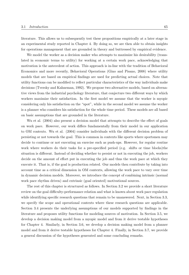literature. This allows us to subsequently test these propositions empirically at a later stage in an experimental study reported in Chapter 4. By doing so, we are then able to obtain insights for operations management that are grounded in theory and buttressed by empirical evidence.

We model the worker as a decision maker who attempts to maximize his desirability (translated in economic terms to utility) for working at a certain work pace, acknowledging that motivation is the antecedent of action. This approach is in-line with the tradition of Behavioral Economics and more recently, Behavioral Operations (Gino and Pisano, 2008) where utility models that are based on empirical findings are used for predicting actual choices. Note that utility functions can be modified to reflect particular characteristics of the way individuals make decisions (Tversky and Kahneman, 1992). We propose two alternative models, based on alternative views from the industrial psychology literature, that conjecture two different ways by which workers maximize their satisfaction. In the first model we assume that the worker is myopic considering only his satisfaction on the "spot", while in the second model we assume the worker is a planner who considers his satisfaction for the whole time period. These models are all based on basic assumptions that are grounded in the literature.

Wu et al. (2004) also present a decision model that attempts to describe the effect of goals on work pace. However, our work differs fundamentally from their model in our application to OM contexts. Wu et al. (2004) consider individuals with the different decision problem of persisting or not towards the goal. This is common in contexts like sports where sportsmen may decide to continue or not executing an exercise such as push-ups. However, for regular routine work where workers do their tasks for a pre-specified period (e.g. shifts or time blocks)the situation is different. Instead of deciding whether to persist or not in executing the job, workers decide on the amount of effort put in executing the job and thus the work pace at which they execute it. That is, if the goal is production related. Our models then contribute by taking into account time as a critical dimension in OM contexts, allowing the work pace to vary over time in dynamic decision models. Moreover, we introduce the concept of combining intrinsic (normal work pace rhythm driven) and extrinsic (goal oriented) motivational sources.

The rest of this chapter is structured as follows. In Section 3.2 we provide a short literature review on the goal difficulty-performance relation and what is known about work pace regulation while identifying specific research questions that remain to be unanswered. Next, in Section 3.3, we specify the scope and operational contexts where these research questions are applicable. Section 3.4 presents the underlying assumptions of our models supported by findings in the literature and proposes utility functions for modeling sources of motivation. In Section 3.5, we develop a decision making model from a myopic model and from it derive testable hypotheses for Chapter 4. Similarly, in Section 3.6, we develop a decision making model from a planner model and from it derive testable hypotheses for Chapter 4. Finally, in Section 3.7, we provide a general discussion of the hypotheses generated and some concluding remarks.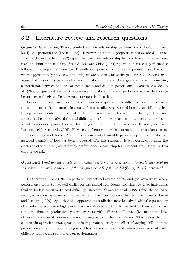# **3.2 Literature review and research questions**

Originally, Goal Setting Theory posited a linear relationship between goal difficulty (or goal level) and performance (Locke, 1968). However, this initial proposition has eveolved in time. First, Locke and Latham (1982) report that the linear relationship tends to level off when workers reach the limit of their ability. Second, Erez and Zidon (1984) report an increase in performance followed by a drop in performance. The inflection point shown in their experiment is at the point where approximately only 10% of the subjects are able to achieve the goal. Erez and Zidon (1984) argue that this occurs because of a lack of goal commitment. An argument made by observing a correlation between the lack of commitment and drop in performance. Nonetheless, See et al. (2006), argue that even in the presence of goal commitment, performance may deteriorate because exceedingly challenging goals are perceived as distant.

Besides differences in reports in the precise description of the difficulty–performance relationship, it must also be noted that most of these studies were applied in contexts different than the operational contexts under analysis here (for a review see Locke and Latham (1990)). Goal setting studies that analyzed the goal difficulty–performance relationship typically required subjects to stop working once they reached the goal, not allowing for exceeding the goal (Locke and Latham, 1990; See et al., 2006). However, in factories, service centers and distribution centers, workers usually work for *fixed* time periods instead of variable periods depending on when an assigned quantity of jobs has been processed. For this reason, it is still worth confirming the existence of the linear goal difficulty-performance relationship for OM contexts. Hence, in this chapter we ask:

**Question 1** *What are the effects on individual performance (i.e. cumulative performance of an individual measured at the end of the assigned period) if the goal difficulty (level) increases?*

Furthermore, Locke (1965) reports an interaction between ability and goal sensitivity, where performance tends to level–off earlier for less skilled individuals and thus low-level individuals tend to be less sensitive to goal difficulty. However, Crawford et al. (1983) find the opposite result, where low performers improved more in their performance than high performers. Locke and Latham (1990) argue that this apparent contradiction may be solved with the possibility of a ceiling effect where high performers are already working to the best of their ability. At the same time, in productive systems, workers with different skill levels (i.e. maximum level of performance) exist, workers are not homogeneous in their skill levels. This means that for contexts in operations management, it is important to study the effect of varying skills on total performance, in conjunction with goals. Thus, we ask for main and interaction effects with goal difficulty and varying skill levels on performance: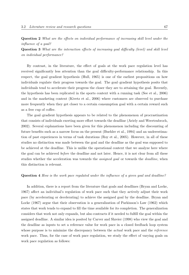**Question 2** *What are the effects on individual performance of increasing skill level under the influence of a goal?*

**Question 3** *What are the interaction effects of increasing goal difficulty (level) and skill level on individual performance?*

By contrast, in the literature, the effect of goals at the work pace regulation level has received significantly less attention than the goal difficulty-performance relationship. In this respect, the goal–gradient hypothesis (Hull, 1965) is one of the earliest propositions on how individuals regulate their progress towards the goal. The goal–gradient hypothesis posits that individuals tend to accelerate their progress the closer they are to attaining the goal. Recently, the hypothesis has been replicated in the sports context with a running task (See et al., 2006) and in the marketing context (Kivetz et al., 2006) where customers are observed to purchase more frequently when they get closer to a certain consumption goal with a certain reward such as a free cup of coffee.

The goal–gradient hypothesis appears to be related to the phenomenon of procrastination that consists of individuals exerting more effort towards the deadline (Ariely and Weertenbroch, 2002). Several explanations have been given for this phenomenon including the discounting of future benefits such as a narrow focus on the present (Buehler et al., 1994) and an underestimation of past experiences in terms of task durations (Roy et al., 2005). However, in all of these studies no distinction was made between the goal and the deadline as the goal was supposed to be achieved at the deadline. This is unlike the operational context that we analyze here where the goal can be achieved *before* the deadline and not later. Hence, it is not clear from all these studies whether the acceleration was towards the *assigned goal* or towards the *deadline*, when this distinction is relevant.

#### **Question 4** *How is the work pace regulated under the influence of a given goal and deadline?*

In addition, there is a report from the literature that goals and deadlines (Bryan and Locke, 1967) affect an individual's regulation of work pace such that they actively adjust their work pace (by accelerating or decelerating) to achieve the assigned goal by the deadline. Bryan and Locke (1967) argue that their observation is a generalization of Parkinson's Law (1962) which states that work tends to expand to fill the time available for its completion. The generalization considers that work not only expands, but also contracts if it needed to fulfill the goal within the assigned deadline. A similar idea is posited by Carver and Shreier (1998) who view the goal and the deadline as inputs to set a reference value for work pace in a closed feedback loop system whose purpose is to minimize the discrepancy between the *actual* work pace and the *reference* work pace. Thus, for the case of work pace regulation, we study the effect of varying goals on work pace regulation as follows: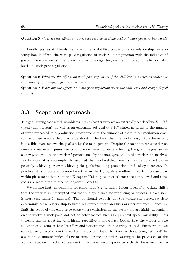**Question 5** *What are the effects on work pace regulation if the goal difficulty (level) is increased?*

Finally, just as skill levels may affect the goal difficulty–performance relationship, we also study how it affects the work pace regulation of workers in conjunction with the influence of goals. Therefore, we ask the following questions regarding main and interaction effects of skill levels on work pace regulation:

**Question 6** *What are the effects on work pace regulation if the skill level is increased under the influence of an assigned goal and deadline?*

**Question 7** *What are the effects on work pace regulation when the skill level and assigned goal interact?*

# **3.3 Scope and approach**

The goal-setting case which we address in this chapter involves an externally set deadline  $D \in \mathbb{R}^+$ (fixed time horizon), as well as an externally set goal  $G \in \mathbb{R}^+$  stated in terms of the number of units processed in a production environment or the number of picks in a distribution environment. We assume that it is understood in the firm, that the worker ought to achieve and, if possible, over-achieve the goal set by the management. Despite the fact that we consider no monetary rewards or punishments for over-achieving or underachieving the goal, the goal serves as a way to evaluate the workers' performance by the managers and by the workers themselves. Furthermore, it is also implicitly assumed that work-related benefits may be obtained by repeatedly achieving or over-achieving the goals including promotions and salary increases. In practice, it is important to note here that in the US, goals are often linked to increased pay within piece-rate schemes; in the European Union, piece-rate schemes are not allowed and thus, goals are more often related to long-term benefits.

We assume that the deadlines are short-term (e.g. within a 4 hour block of a working shift), that the work is uninterrupted and that the cycle time for producing or processing each item is short (say under 10 minutes). The job should be such that the worker can perceive a clear deterministic-like relationship between his exerted effort and his work performance. Hence, we limit the scope of this chapter to cases where variations in the cycle time are highly dependent on the worker's work pace and not on other factors such as equipment speed variability. This typically implies a setting with highly repetitive, standardized jobs so that the worker is able to accurately estimate how his effort and performance are positively related. Furthermore, we consider only cases where the worker can perform his or her tasks without being "starved" by assuming an infinite buffer of raw materials or picking orders waiting to be processed at the worker's station. Lastly, we assume that workers have experience with the tasks and receive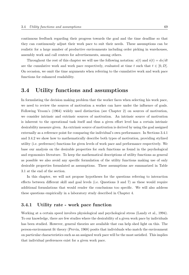continuous feedback regarding their progress towards the goal and the time deadline so that they can continuously adjust their work pace to suit their needs. These assumptions can be realistic for a large number of productive environments including order picking in warehouses, assembly work and call centers for advertisements, among others.

Throughout the rest of this chapter we will use the following notation:  $s(t)$  and  $\dot{s}(t) = ds/dt$ are the cumulative work and work pace respectively, evaluated at time t such that  $t \in [0, D]$ . On occasion, we omit the time arguments when referring to the cumulative work and work pace functions for enhanced readability.

# **3.4 Utility functions and assumptions**

In formulating the decision making problem that the worker faces when selecting his work pace, we need to review the sources of motivation a worker can have under the influence of goals. Following Vroom's (1964) widely used distinction (see Chapter 2) on sources of motivation, we consider intrinsic and extrinsic sources of motivation. An intrinsic source of motivation is inherent to the operational task itself and thus a given effort level has a certain intrinsic desirability measure given. An extrinsic source of motivation is derived by using the goal assigned externally as a reference point for comparing the individual's own performance. In Sections 3.4.1 and 3.4.2 we show how to mathematically describe both types of motivation, providing stylized utility (i.e. preference) functions for given levels of work pace and performance respectively. We base our analysis on the desirable properties for such functions as found in the psychological and ergonomics literature. To keep the mathematical descriptions of utility functions as general as possible we also avoid any specific formulation of the utility functions making use of only desirable properties formulated as assumptions. These assumptions are summarized in Table 3.1 at the end of the section.

In this chapter, we will not propose hypotheses for the questions referring to interaction effects between different skill and goal levels (i.e. Questions 3 and 7) as these would require additional formulations that would render the conclusions too specific. We will also address these questions empirically in a laboratory study described in Chapter 4.

#### **3.4.1 Utility rate - work pace function**

Working at a certain speed involves physiological and psychological stress (Landy et al., 1994). To our knowledge, there are few studies where the desirability of a given work pace by individuals has been studied. However, general theories are available that can help shed light on this. The person-environment fit theory (Pervin, 1968) posits that individuals who match the environment on particular characteristics such as an assigned work pace will be the most satisfied. This implies that individual preferences exist for a given work pace.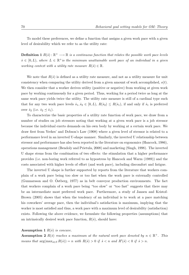To model these preferences, we define a function that assigns a given work pace with a given level of desirability which we refer to as the utility rate:

**Definition 1**  $R(\dot{s}): \mathbb{R}^+ \longrightarrow \mathbb{R}$  *is a continuous function that relates the possible work pace levels*  $s \in [0, L)$ , where  $L \in \mathbb{R}^+$  is the minimum unattainable work pace of an individual in a given *working context with a utility rate measure*  $R(s) \in \mathbb{R}$ .

We note that  $R(s)$  is defined as a utility rate measure, and not as a utility measure for unit consistency when comparing the utility derived from a given amount of work accomplished,  $s(t)$ . We then consider that a worker derives utility (positive or negative) from working at given work pace by working continuously for a given period. Thus, working for a period twice as long at the same work pace yields twice the utility. The utility rate measure is still of a cardinal type such that for any two work pace levels  $\dot{s}_1, \dot{s}_2 \in [0, L), R(\dot{s}_2) \leq R(\dot{s}_1)$ , if and only if  $\dot{s}_1$  is preferred over  $\dot{s}_2$  (i.e.  $\dot{s}_2 \preceq \dot{s}_1$ ).

To characterize the basic properties of a utility rate function of work pace, we draw from a number of studies on job stressors noting that working at a given work pace is a job stressor because the individual exerts demands on his own body by working at a certain work pace. We draw first from Yerkes' and Dobson's Law (1908) where a given level of stressor is related to a performance level in an inverted U-shape manner. Similarly, the inverted U relationship between stressor and performance has also been reported in the literature on ergonomics (Hancock, 1986), operations management (Bendoly and Prietula, 2008) and marketing (Singh, 1998). The inverted U shape stems from the combination of two effects: the stimulation that a higher performance provides (i.e. non-boring work referred to as hypostress by Hancock and Warm (1989)) and the costs associated with higher levels of effort (and work pace), including discomfort and fatigue.

The inverted U shape is further supported by reports from the literature that workers complain of a work pace being too slow or too fast when the work pace is externally controlled (Gunnarsson and O. Ostberg, 1977) as in belt conveyor production environments. The fact ¨ that workers complain of a work pace being "too slow" or "too fast" suggests that there may be an intermediate most preferred work pace. Furthermore, a study of Jansen and Kristof-Brown (2005) shows that when the tendency of an individual is to work at a pace matching his coworkers' average pace, then the individual's satisfaction is maximum, implying that the worker is most satisfied and thus, a work pace with a maximum level of desirability (satisfaction) exists. Following the above evidence, we formulate the following properties (assumptions) that an intrinsically desired work pace function,  $R(s)$ , should have:

**Assumption 1**  $R(s)$  *is concave.* 

**Assumption 2**  $R(s)$  *reaches a maximum at the natural work pace denoted by*  $n \in \mathbb{R}^+$ *. This means that*  $\arg(\max_{\dot{s} \in S} R(\dot{s})) = n$  *with*  $R(\dot{s}) > 0$  *if*  $\dot{s} < n$  *and*  $R'(\dot{s}) < 0$  *if*  $\dot{s} > n$ *.*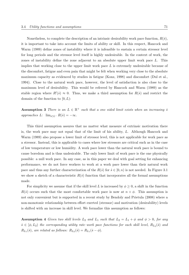Nonetheless, to complete the description of an intrinsic desirability work pace function,  $R(\dot{s})$ , it is important to take into account the limits of ability or skill. In this respect, Hancock and Warm (1989) define zones of instability where it is infeasible to sustain a certain stressor level for long periods and the stressor level itself is highly undesirable. In the context of work, the zones of instability define the zone adjacent to an absolute upper limit work pace L. This implies that working close to the upper limit work pace  $L$  is extremely undesirable because of the discomfort, fatigue and even pain that might be felt when working very close to the absolute maximum capacity as evidenced by studies in fatigue (Konz, 1998) and discomfort (Dul et al., 1994). Close to the natural work pace, however, the level of satisfaction is also close to the maximum level of desirability. This would be referred by Hancock and Warm (1989) as the stable region where  $R'(s) \approx 0$ . Thus, we make a third assumption for  $R(s)$  and restrict the domain of the function to  $[0, L)$ :

**Assumption 3** *There is an*  $L \in \mathbb{R}^+$  *such that a one sided limit exists when an increasing s*  $approaches L: \lim_{\dot{s} \uparrow L^-} R(\dot{s}) = -\infty.$ 

This third assumption assures that no matter what measure of extrinsic motivation there is, the work pace may not equal that of the limit of his ability, L. Although Hancock and Warm (1989) also propose a lower limit of stressor level, this is not applicable for work pace as a stressor. Instead, this is applicable to cases where low stressors are critical such as in the case of low temperature or low humidity. A work pace lower than the natural work pace is bound to cause boredom and is thus undesirable. The only lower limit of work pace is the one physically possible: a null work pace. In any case, as in this paper we deal with goal setting for enhancing performance, we do not force workers to work at a work pace lower than their natural work pace and thus any further characterization of the  $R(s)$  for  $\dot{s} \in [0, n)$  is not needed. In Figure 3.1 we show a sketch of a characteristic  $R(s)$  function that incorporates all the formal assumptions made.

For simplicity we assume that if the skill level L is increased by  $\phi \geq 0$ , a shift in the function  $R(s)$  occurs such that the most comfortable work pace is now at  $n + \phi$ . This assumption is not only convenient but is supported in a recent study by Bendoly and Prietula (2008) where a non-monotonic relationship between effort exerted (stressor) and motivation (desirability) levels is shifted with an increase in skill level. We formalize this assumption as follows:

**Assumption 4** *Given two skill levels*  $L_2$  *and*  $L_1$  *such that*  $L_2 = L_1 + \phi$  *and*  $\phi > 0$ *, for any*  $s \in [\phi, L_2]$  the corresponding utility rate–work pace functions for each skill level,  $R_{L_2}(s)$  and  $R_{L_1}(\dot{s})$ , are related as follows:  $R_{L_2}(\dot{s}) = R_{L_1}(\dot{s} - \phi)$ .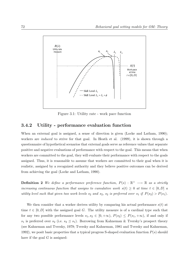

Figure 3.1: Utility rate - work pace function

## **3.4.2 Utility - performance evaluation function**

When an external goal is assigned, a sense of direction is given (Locke and Latham, 1990); workers are *induced* to strive for that goal. In Heath et al. (1999), it is shown through a questionnaire of hypothetical scenarios that external goals serve as reference values that separate positive and negative evaluations of performance with respect to the goal. This means that when workers are committed to the goal, they will evaluate their performance with respect to the goals assigned. Thus, it is reasonable to assume that workers are committed to their goal when it is realistic, assigned by a recognized authority and they believe positive outcomes can be derived from achieving the goal (Locke and Latham, 1990).

**Definition 2** We define a performance preference function,  $P(s) : \mathbb{R}^+ \longrightarrow \mathbb{R}$  as a strictly *increasing continuous function that assigns to cumulative work*  $s(t) \geq 0$  *at time*  $t \in [0, D]$  *a utility level such that given two work levels*  $s_2$  *and*  $s_2$ ,  $s_2$  *is preferred over*  $s_1$  *if*  $P(s_2) > P(s_1)$ *.* 

We then consider that a worker derives utility by comparing his actual performance  $s(t)$  at time  $t \in [0, D]$  with the assigned goal G. The utility measure is of a cardinal type such that for any two possible performance levels  $s_1, s_2 \in [0, +\infty)$ ,  $P(s_2) \leq P(s_1, +\infty)$ , if and only if  $s_1$  is preferred over  $s_2$  (i.e.  $s_2 \leq s_1$ ). Borrowing from Kahneman & Tversky's prospect theory (see Kahneman and Tversky, 1979; Tversky and Kahneman, 1981 and Tversky and Kahneman, 1992), we posit basic properties that a typical progress S-shaped evaluation function  $P(s)$  should have if the goal  $G$  is assigned: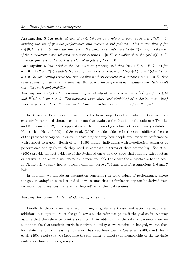**Assumption 5** *The assigned goal*  $G > 0$ *, behaves as a reference point such that*  $P(G) = 0$ *, dividing the set of possible performance into successes and failures. This means that if for*  $t \in [0, D]$ ,  $s(t) > G$ , then the progress of the work is evaluated positively  $P(s) > 0$ . Likewise, *if the cumulative work achieved at a certain time*  $t \in [0, D]$  *is smaller than the goal*  $s(t) < G$ , *then the progress of the work is evaluated negatively*  $P(s) < 0$ *.* 

**Assumption 6**  $P(s)$  *exhibits the loss aversion property such that*  $P(G + \delta) \leq -P(G - \delta)$  *for*  $\delta \geq 0$ . Further,  $P(s)$  exhibits the strong loss aversion property:  $P'(G+h) < -P'(G-h)$  for  $h > 0$ . In goal setting terms this implies that workers evaluate at a certain time  $t \in [0, D]$  that *underachieving a goal is so undesirable, that over-achieving a goal by a similar magnitude* δ *will not offset such undesirability.*

**Assumption 7**  $P(s)$  *exhibits diminishing sensitivity of returns such that*  $P''(s) \geq 0$  *for*  $s \leq G$ and  $P''(s) < 0$  for  $s > G$ . The increased desirability (undesirability) of producing more (less) *than the goal is reduced the more distant the cumulative performance is from the goal.*

In Behavioral Economics, the validity of the basic properties of the value function has been extensively examined through experiments that evaluate the decisions of people (see Tversky and Kahneman, 1992). The application to the domain of goals has not been entirely validated. Nonetheless, Heath (1999) and See et al. (2006) provide evidence for the applicability of the use of the prospect theory value curve in describing the way how people evaluate their performance with respect to a goal. Heath et al. (1999) present individuals with hypothetical scenarios of performance and goals which they need to compare in terms of their desirability. See et al. (2006) provide indirect evidence of the S–shaped curve as they show that running extra meters or persisting longer in a wall-sit study is more valuable the closer the subjects are to the goal. In Figure 3.2, we show how a typical evaluation curve  $P(s)$  may look if Assumptions 5, 6 and 7 hold.

In addition, we include an assumption concerning extreme values of performance, where the goal meaningfulness is lost and thus we assume that no further utility can be derived from increasing performances that are "far beyond" what the goal requires:

# **Assumption 8** *For a finite goal G*,  $\lim_{s\to\infty} P'(s) = 0$

Finally, to characterize the effect of changing goals in extrinsic motivation we require an additional assumption. Since the goal serves as the reference point, if the goal shifts, we may assume that the reference point also shifts. If in addition, for the sake of parsimony we assume that the characteristic extrinsic motivation utility curve remains unchanged, we can then formulate the following assumption which has also been used in See et al. (2006) and Heath et al. (1999); note that we introduce the sub-index to denote the membership of the extrinsic motivation function at a given goal level: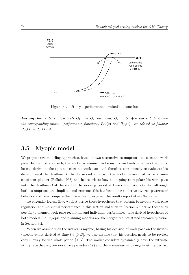

Figure 3.2: Utility - performance evaluation function

**Assumption 9** *Given two goals*  $G_1$  *and*  $G_2$  *such that,*  $G_2 = G_1 + \delta$  *where*  $\delta \geq 0$ *, then the corresponding utility - performance functions,*  $P_{G_1}(s)$  *and*  $P_{G_2}(s)$ *, are related as follows:*  $P_{G_2}(s) = P_{G_1}(s - \delta).$ 

# **3.5 Myopic model**

We propose two modeling approaches, based on two alternative assumptions, to select the work pace. In the first approach, the worker is assumed to be myopic and only considers the utility he can derive on the spot to select his work pace and therefore continuously re-evaluates his decision until the deadline  $D$ . In the second approach, the worker is assumed to be a timeconsistent planner (Pollak, 1968) and hence selects how he is going to regulate his work pace until the deadline D at the start of the working period at time  $t = 0$ . We note that although both assumptions are simplistic and extreme, this has been done to derive stylized patterns of behavior and later compare them to actual ones given the results reported in Chapter 4.

To engender logical flow, we first derive those hypotheses that pertain to myopic work pace regulation and individual performance in this section and then in Section 3.6 derive those that pertain to planned work pace regulation and individual performance. The derived hypotheses of both models (i.e. myopic and planning models) are then organized per stated research question in Section 3.2.

When we assume that the worker is myopic, basing his decision of work pace on the instantaneous utility derived at time  $t \in [0, D]$ , we also assume that his decision needs to be revised continuously for the whole period  $[0, D]$ . The worker considers dynamically both the intrinsic utility rate that a given work pace provides  $R(s)$  and the *instantaneous* change in utility derived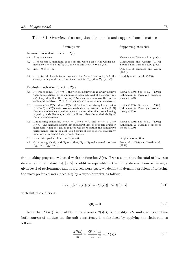|    | Assumptions                                                                                                                                                                                                                                                                                                                                            | Supporting literature                                                                         |
|----|--------------------------------------------------------------------------------------------------------------------------------------------------------------------------------------------------------------------------------------------------------------------------------------------------------------------------------------------------------|-----------------------------------------------------------------------------------------------|
|    | Intrinsic motivation function $R(s)$                                                                                                                                                                                                                                                                                                                   |                                                                                               |
| A1 | $R(s)$ is concave.                                                                                                                                                                                                                                                                                                                                     | Yerkes's and Dobson's Law (1908)                                                              |
| A2 | $R(s)$ reaches a maximum at the natural work pace of the worker de-<br>noted by $\dot{s} = n$ ; i.e. $R'(s) > 0$ if $s < n$ and $R'(s) < 0$ if $\dot{s} > n$ .                                                                                                                                                                                         | Gunnarsson and Osberg (1977);<br>Yerkes's and Dobson's Law (1908)                             |
| A3 | $\lim_{s_L} R(\dot{s}) = -\infty.$                                                                                                                                                                                                                                                                                                                     | Dul, (1994); Hancock and Warm<br>(1989).                                                      |
| A4 | Given two skill levels $L_2$ and $L_1$ such that $L_2 = L_1 + \phi$ and $\phi > 0$ , the<br>corresponding work pace functions result in $R_{L_2}(s) = R_{L_2}(s + \phi)$ .                                                                                                                                                                             | Bendoly and Prietula (2008)                                                                   |
|    | Extrinsic motivation function $P(s)$                                                                                                                                                                                                                                                                                                                   |                                                                                               |
| A5 | Reference point $P(G) = 0$ : If the workers achieve the goal they achieve<br>their expectations. If the cumulative work achieved at a certain time<br>$t\in[0,D]$ is less than the goal $s(t) < G$ , then the progress of the work is<br>evaluated negatively $P(s) < 0$ otherwise is evaluated non-negatively.                                        | Heath (1999); See et al. (2006);<br>Kahneman & Tversky's prospect<br>theory $(1979)$          |
| A6 | Loss aversion $P(G+\delta) = -P(G-\delta)$ for $\delta = 0$ and strong loss aversion<br>$P'(G+\delta) = P'(G-\delta)$ : Workers evaluate at a certain time $t \in [0, D]$<br>that underachieving a goal as being so undesirable, that overachieving<br>a goal by a similar magnitude d will not offset the undesirability of<br>the underachievement.  | Heath (1999); See et al. (2006);<br>Kahneman & Tversky's prospect<br>theory $(1979)$          |
| A7 | Diminishing sensitivity $P''(s) = 0$ for $s = G$ and $P''(s) < 0$ for<br>$s > G$ : The increased desirability (undesirability) of producing further<br>more (less) than the goal is reduced the more distant the cumulative<br>performance is from the goal. It is because of this property that utility<br>functions of prospect theory are S-shaped. | Heath $(1999)$ ; See et al.<br>$(2006)$ ;<br>Kahneman & Tversky's prospect<br>theory $(1979)$ |
| A8 | For a finite goal G, $\lim_{s\to\infty} P'(s) = 0$ .                                                                                                                                                                                                                                                                                                   | Original assumption                                                                           |
| A9 | Given two goals $G_1$ and $G_2$ such that, $G_2 = G_1 + \delta$ where $\delta = 0$ , then<br>$P_{G_2}(s) = P_{G_1}(s - \delta).$                                                                                                                                                                                                                       | See et al. (2008) and Heath et al.<br>(1999)                                                  |

Table 3.1: Overview of assumptions for models and support from literature

from making progress evaluated with the function  $P(s)$ . If we assume that the total utility rate derived at time instant  $t \in [0, D]$  is additive separable in the utility derived from achieving a given level of performance and at a given work pace, we define the dynamic problem of selecting the most preferred work pace  $\dot{s}(t)$  by a myopic worker as follows:

$$
\max_{\dot{s}(t)} [P'(s(t))\dot{s}(t) + R(\dot{s}(t))] \quad \forall t \in [0, D] \tag{3.1}
$$

with initial conditions:

$$
s(0) = 0 \tag{3.2}
$$

Note that  $P(s(t))$  is in utility units whereas  $R(s(t))$  is in utility *rate* units, so to combine both sources of motivation, the unit consistency is maintained by applying the chain rule as follows:

$$
\frac{dP(s)}{dt} = \frac{dP(s)}{ds}\frac{ds}{dt} = P'(s)\dot{s}
$$
\n(3.3)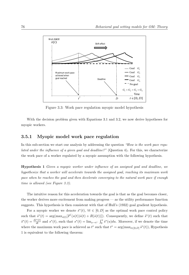

Figure 3.3: Work pace regulation myopic model hypothesis

With the decision problem given with Equations 3.1 and 3.2, we now derive hypotheses for myopic workers.

## **3.5.1 Myopic model work pace regulation**

In this sub-section we start our analysis by addressing the question *"How is the work pace regulated under the influence of a given goal and deadline?"* (Question 4)**.** For this, we characterize the work pace of a worker regulated by a myopic assumption with the following hypothesis.

**Hypothesis 1** *Given a myopic worker under influence of an assigned goal and deadline, we hypothesize that a worker will accelerate towards the assigned goal, reaching its maximum work pace when he reaches the goal and then decelerate converging to the natural work pace if enough time is allowed (see Figure 3.3)*.

The intuitive reason for this acceleration towards the goal is that as the goal becomes closer, the worker derives more excitement from making progress — as the utility performance function suggests. This hypothesis is then consistent with that of Hull's (1932) goal gradient hypothesis.

For a myopic worker we denote  $\dot{s}^*(t)$ ,  $\forall t \in [0, D]$  as the optimal work pace control policy such that  $\dot{s}^*(t) = \arg(\max_{\dot{s}(t)} [P'(s(t))\dot{s}(t) + R(\dot{s}(t))])$ . Consequently, we define  $\ddot{s}^*(t)$  such that  $\ddot{s}^*(t) = \frac{ds^*(t)}{dt}$  and  $s^*(t)$ , such that  $s^*(t) = \lim_{x \to t^-} \int_0^x \dot{s}^*(u) du$ . Moreover, if we denote the time where the maximum work pace is achieved as  $t^*$  such that  $t^* = \arg(\max_{t \in [0, D]} \dot{s}^*(t))$ , Hypothesis 1 is equivalent to the following theorem: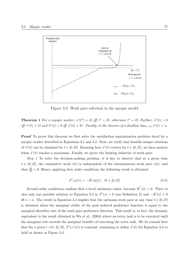

Figure 3.4: Work pace selection in the myopic model

**Theorem 1** For a myopic worker,  $s^*(t^*) = G$  iff  $t^* < D$ , otherwise  $t^* = D$ . Further,  $\ddot{s}^*(t) > 0$ *iff*  $s^*(t) < G$  and  $\ddot{s}^*(t) < 0$  *iff*  $s^*(t) > G$ . Finally, in the absence of a deadline  $\lim_{t\to\infty} s^*(t) = n$ .

**Proof** To prove this theorem we first solve the satisfaction maximization problem faced by a myopic worker described in Equations 3.1 and 3.2. Next, we verify that feasible unique solutions of  $\dot{s}^*(t)$  can be obtained for  $t \in [0, D]$ . Knowing how  $\dot{s}^*(t)$  evolves for  $t \in [0, D]$ , we then analyze when  $\dot{s}^*(t)$  reaches a maximum. Finally, we prove the limiting behavior of work pace.

*Step 1* To solve the decision-making problem, it is key to observe that at a given time  $t \in [0, D]$ , the cumulative work  $s(t)$  is independent of the instantaneous work pace  $\dot{s}(t)$ , and thus  $\frac{ds}{ds} = 0$ . Hence, applying first order conditions the following result is obtained:

$$
P'(s(t)) = -R'(s(t)) \quad \forall t \in [0, D]
$$
\n(3.4)

Second order conditions confirm that a local minimum exists, because  $R^{''}(s) < 0$ . There is also only one possible solution to Equation 3.4 as  $P'(s) > 0$  (see Definition 2) and  $-R'(s) < 0$ iff  $\dot{s} > n$ . The result in Equation 3.4 implies that the optimum work pace at any time  $t \in [0, D]$ is obtained when the marginal utility of the goal induced preference function is equal to the marginal disutility rate of the work pace preference function. This result is, in fact, the dynamic equivalent to the result obtained in Wu et al. (2004) where an extra task is to be executed until the marginal cost exceeds the marginal benefits of executing the extra task. We do remark here that for a given  $t = \tilde{t} \in [0, D]$ ,  $P'(s^*(t))$  is constant, remaining to define  $\dot{s}^*(t)$  for Equation 3.4 to hold as shown in Figure 3.4.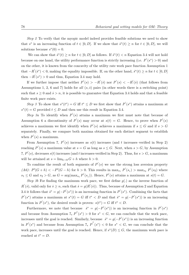*Step 2* To verify that the myopic model indeed provides feasible solutions we need to show that s<sup>\*</sup> is an increasing function of  $t \in [0, D]$ . If we show that  $\dot{s}^*(t) \geq n$  for  $t \in [0, D]$ , we will solutions because  $s^*(0) = 0$ .

We can show that  $\dot{s}^*(t) \geq n$  for  $t \in [0, D]$  as follows. If  $\dot{s}^*(t) < n$  Equation 3.4 will not hold because on one hand, the utility performance function is strictly increasing (i.e.  $P'(s^*) > 0$ ) and on the other, it is known from the concavity of the utility rate work pace function Assumption 1 that  $-R'(s^*) < 0$ , making the equality impossible. If, on the other hand,  $\dot{s}^*(t) \ge n$  for  $t \in [0, D]$ then  $-R'(s^*) > 0$  and thus, Equation 3.4 may hold.

If we further impose that neither  $P'(s) > -R'(s)$  nor  $P'(s) < -R'(s)$  (that follows from Assumptions 1, 2, 6 and 7) holds for *all*  $(s, \dot{s})$  pairs (in other words there is a switching point) such that  $s \geq 0$  and  $\dot{s} > n$ , it is possible to guarantee that Equation 3.4 holds and that a feasible finite work pace exists.

*Step 3* To show that  $s^*(t^*) = G$  iff  $t^* \le D$  we first show that  $P'(s^*)$  attains a maximum at  $s^*(t) = G$  provided  $t \leq D$  and then use this result in Equation 3.4.

*Step 3a* To identify when  $P(s)$  attains a maximum we first must note that because of Assumption 6 a discontinuity of  $P'(s)$  may occur at  $s(t) = G$ . Hence, to prove when  $P'(s)$ achieves a maximum we first identify when  $P'(s)$  achieves a maximum if  $s \leq G$  and if  $s > G$ separately. Finally, we compare both maxima obtained for each distinct segment to establish when  $P'(s)$  a maximum.

From Assumption 7,  $P'(s)$  increases as  $s(t)$  increases (and t increases–verified in Step 2) reaching  $P'(s)$  a maximum value at  $s = G$  as long as  $s \leq G$ . Next, when  $s > G$ , by Assumption 7,  $P'(s)$ , decreases  $s(t)$  increases (and t increases-verified in Step 2). Thus, for  $s > G$ , a maximum will be attained at  $s = \lim_{h \to 0} G + h$  where  $h > 0$ .

To combine the result of both segments of  $P'(s)$  we use the strong loss aversion property (*A6*):  $P'(G+h) < -P'(G-h)$  for  $h > 0$ . This results in  $\max_{s_1} P'(s_1) > \max_{s_2} P'(s_2)$  where  $s_1 \leq G$  and  $s_2 > G$ , as  $G = \arg(\max_{s_1} P'(s_1))$ . Hence,  $P'(s)$  attains a maximum at  $s(t) = G$ .

*Step 3b* For finding the maximum work pace, we first define  $g(.)$  as the inverse function of  $R'(s)$ , valid only for  $s \geq n$ , such that  $s = g(R'(s))$ . Thus, because of Assumption 2 and Equation 3.4 it follows that  $\dot{s}^* = g(-P'(s^*))$  is an increasing function in  $P'(s^*)$ . Combining the facts that  $P(s^*)$  attains a maximum at  $s^*(t) = G$  iff  $t^* < D$  and that  $\dot{s}^* = g(-P'(s^*))$  is an increasing function in  $P'(s^*)$ , the desired result is proven:  $s(t^*) = G$  iff  $t^* < D$ .

Furthermore, we note that because  $\dot{s}^* = g(-P'(s^*))$  is an increasing function in  $P'(s^*)$ and because from Assumption 7,  $P''(s^*) > 0$  for  $s^* < G$ , we can conclude that the work pace, increases until the goal is reached. Similarly, because  $\dot{s}^* = g(-P'(s^*))$  is an increasing function in  $P'(s^*)$  and because from Assumption 7,  $P^{''}(s^*) < 0$  for  $s^* < G$ , we can conclude that the work pace, increases until the goal is reached. Hence, if  $s<sup>*</sup>(D) \leq G$ , the maximum work pace is reached at  $t^* = D$ .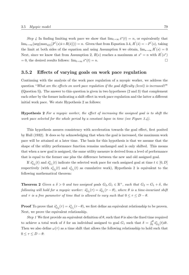*Step 4* In finding limiting work pace we show that  $\lim_{t\to\infty} s^*(t) = n$ , or equivalently that  $\lim_{t\to\infty}(\arg(\max_{s(t)}[P'(s)\dot{s}+R(s)]))=n.$  Given that from Equation 3.4,  $R'(s)=-P'(s)$ , taking the limit at both sides of the equation and using Assumption 8 we obtain,  $\lim_{s\to\infty} R'(s) = 0$ Next, since we know that from Assumption 2,  $R(s)$  reaches a maximum at  $s^* = n$  with  $R(s^*)$  $= 0$ , the desired results follows:  $\lim_{t\to\infty} s^*(t) = n$ .  $\Box$ 

#### **3.5.2 Effects of varying goals on work pace regulation**

Continuing with the analysis of the work pace regulation of a myopic worker, we address the question "*What are the effects on work pace regulation if the goal difficulty (level) is increased?***" (**Question 5**).** The answer to this question is given in two hypotheses (2 and 3) that complement each other by the former indicating a shift effect in work pace regulation and the latter a different initial work pace. We state Hypothesis 2 as follows:

**Hypothesis 2** *For a myopic worker, the effect of increasing the assigned goal is to shift the work pace selected for the whole period by a constant lapse in time (see Figure 3.4).*

This hypothesis assures consistency with acceleration towards the goal effect, first posited by Hull (1932). It does so by acknowledging that when the goal is increased, the maximum work pace will be attained at a later time. The basis for this hypothesis is that we assume that the shape of the utility performance function remains unchanged and is only shifted. This means that when a new goal is assigned, the same utility measure is derived from a level of performance that is equal to the former one plus the difference between the new and old assigned goal.

If  $s_{G_2}^*(t)$  and  $\dot{s}_{G_1}^*(t)$  indicate the selected work pace for each assigned goal at time  $t \in [0, D]$ respectively (with  $s_{G_2}^*(t)$  and  $s_{G_1}^*(t)$  as cumulative work), Hypothesis 2 is equivalent to the following mathematical theorem:

**Theorem 2** *Given a*  $\delta > 0$  *and two assigned goals*  $G_2, G_1 \in \mathbb{R}^+$ *, such that*  $G_2 = G_1 + \delta$ *, the*  $f$ *ollowing will hold for a myopic worker:*  $\dot{s}_{G_2}^*(\tau) = \dot{s}_{G_1}^*(\tau - \theta)$ *, where*  $\theta$  *is a time-invariant shift and*  $\tau$  *is a free parameter of time that is allowed to vary such that*  $0 \leq \tau \leq D - \theta$ *.* 

**Proof** To prove that  $\dot{s}_{G_2}^*(\tau) = \dot{s}_{G_1}^*(\tau - \theta)$ , we first define an equivalent relationship to be proven. Next, we prove the equivalent relationship.

*Step 1* We first provide an equivalent definition of  $\theta$ , such that  $\theta$  is also the fixed time required to achieve a total work of  $\delta$  for an individual assigned to goal  $G_1$  such that  $\delta = \int_0^{\theta} s_{G_2}^*(t) dt$ . Then we also define  $\omega(\tau)$  as a time shift that allows the following relationship to hold such that  $0 \leq \tau \leq D - \theta$ :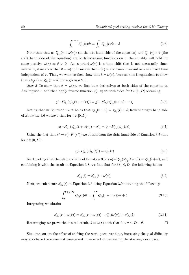$$
\int_0^{\tau+\omega} \dot{s}_{G_2}^*(t)dt = \int_0^{\tau} \dot{s}_{G_2}^*(t)dt + \delta
$$
\n(3.5)

Note then that as  $\dot{s}_{G_2}^*(\tau + \omega(\tau))$  (in the left hand side of the equation) and  $\dot{s}_{G_1}^*(\tau) + \delta$  (the right hand side of the equation) are both increasing functions on  $\tau$ , the equality will hold for some positive  $\omega(\tau)$  as  $\delta > 0$ . As, a priori  $\omega(\tau)$  is a time shift that is not necessarily timeinvariant, if we show that  $\theta = \omega(\tau)$ , it means that  $\omega(\tau)$  is also time-invariant as  $\theta$  is a fixed time independent of  $\tau$ . Thus, we want to then show that  $\theta = \omega(\tau)$ , because this is equivalent to show that  $\dot{s}_{G_2}^*(\tau) = \dot{s}_{G_1}^*(\tau - \theta)$  for a given  $\delta > 0$ .

*Step 2* To show that  $\theta = \omega(\tau)$ , we first take derivatives at both sides of the equation in Assumption 9 and then apply inverse function  $q(-x)$  to both sides for  $t \in [0, D]$  obtaining:

$$
g(-P'_{G_2}(s^*_{G_2}(t+\omega(\tau))) = g(-P'_{G_1}(s^*_{G_2}(t+\omega) - \delta))
$$
\n(3.6)

Noting that in Equation 3.5 it holds that  $s_{G_2}^*(t + \omega) = s_{G_1}^*(t) + \delta$ , from the right hand side of Equation 3.6 we have that for  $t \in [0, D]$ :

$$
g(-P'_{G_1}(s^*_{G_2}(t+\omega(\tau))-\delta)) = g(-P'_{G_1}(s^*_{G_1}(t)))
$$
\n(3.7)

Using the fact that  $\dot{s}^* = g(-P'(s^*))$  we obtain from the right hand side of Equation 3.7 that for  $t \in [0, D]$ :

$$
g(-P'_{G_1}(s^*_{G_1}(t))) = s^*_{G_1}(t)
$$
\n(3.8)

Next, noting that the left hand side of Equation 3.5 is  $g(-P'_{G_2}(s^*_{G_2}(t+\omega)) = \dot{s}^*_{G_2}(t+\omega)$ , and combining it with the result in Equation 3.8, we find that for  $t \in [0, D]$  the following holds:

$$
\dot{s}_{G_1}^*(t) = \dot{s}_{G_2}^*(t + \omega(\tau))\tag{3.9}
$$

Next, we substitute  $\dot{s}_{G_1}^*(t)$  in Equation 3.5 using Equation 3.9 obtaining the following:

$$
\int_0^{\tau + \omega(\tau)} \dot{s}_{G_2}^*(t)dt = \int_0^{\tau} \dot{s}_{G_2}^*(t + \omega(\tau))dt + \delta
$$
\n(3.10)

Integrating we obtain:

$$
s_{G_2}^*(\tau + \omega(\tau)) = s_{G_2}^*(\tau + \omega(\tau)) - s_{G_2}^*(\omega(\tau)) + s_{G_2}^*(\theta)
$$
\n(3.11)

Rearranging we prove the desired result,  $\theta = \omega(\tau)$  such that  $0 \le \tau \le D - \theta$ .  $\Box$ 

Simultaneous to the effect of shifting the work pace over time, increasing the goal difficulty may also have the somewhat counter-intuitive effect of decreasing the starting work pace.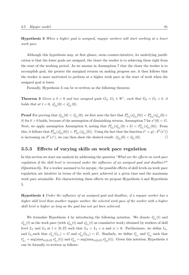**Hypothesis 3** *When a higher goal is assigned, myopic workers will start working at a lower work pace.*

Although this hypothesis may, at first glance, seem counter-intuitive, its underlying justification is that the lower goals are assigned, the closer the worker is to achieving these right from the start of the working period. As we assume in Assumption 7 that the closer the worker is to accomplish goal, the greater the marginal returns on making progress are, it then follows that the worker is more motivated to perform at a higher work pace at the start of work when the assigned goal is lower.

Formally, Hypothesis 3 can be re-written as the following theorem:

**Theorem 3** *Given a*  $\delta > 0$  *and two assigned goals*  $G_2$ ,  $G_1 \in \mathbb{R}^+$ , such that  $G_2 = G_1 + \delta$ , it *holds that at*  $t = 0$ ,  $\dot{s}_{G_2}^*(0) < \dot{s}_{G_1}^*(0)$ .

**Proof** For proving that  $\dot{s}_{G_2}^*(0) < \dot{s}_{G_1}^*(0)$ , we first note the fact that  $P'_{G_2}(s_{G_2}^*(0)) < P'_{G_2}(s_{G_2}^*(0)) +$ δ) for  $\delta > 0$  holds, because of the assumption of diminishing returns, Assumption 7 for  $s*(0) < G$ . Next, we apply assumption Assumption 9, noting that  $P'_{G_2}(s^*_{G_2}(0) + \delta) = P'_{G_1}(s^*_{G_1}(0))$ . From this, it follows that  $P'_{G_2}(s^*_{G_2}(0)) < P'_{G_1}(s^*_{G_1}(0))$ . Using the fact that the function  $\dot{s}^* = g(-P'(s^*))$ is increasing on  $P'(s^*)$ , we can then show the desired result:  $\dot{s}_{G_2}^*(0) < \dot{s}_{G_1}^*(0)$ .

#### **3.5.3 Effects of varying skills on work pace regulation**

In this section we start our analysis by addressing the question "*What are the effects on work pace regulation if the skill level is increased under the influence of an assigned goal and deadline?***" (**Question 6**).** For a worker assumed to be myopic, the possible effects of skill levels on work pace regulation are intuitive in terms of the work pace achieved at a given time and the maximum work pace attainable. For characterizing these effects we propose Hypothesis 4 and Hypothesis 5.

**Hypothesis 4** *Under the influence of an assigned goal and deadline, if a myopic worker has a higher skill level than another myopic worker, the selected work pace of the worker with a higher skill level is higher as long as the goal has not yet been achieved.*

We formalize Hypothesis 4 by introducing the following notation. We denote  $\dot{s}_{L_1}^*(t)$  and  $s_{L_2}^*(t)$  as the work pace (with  $s_{G_2}^*(t)$  and  $s_{G_1}^*(t)$  as cumulative work) obtained by workers of skill level  $L_1$  and  $L_2$  at  $t \in [0, D]$  such that  $L_2 = L_1 + \phi$  and  $\phi > 0$ . Furthermore, we define  $\hat{t}_{L_1}$ and  $\hat{t}_{L_1}$  such that  $s_{L_1}^*(\hat{t}_{L_1}) = G$  and  $s_{L_2}^*(\hat{t}_{L_2}) = G$ . Similarly, we define  $t_{L_1}^*$  and  $t_{L_2}^*$  such that  $t_{L_1}^* = \arg(\max_{t \in [0,D]} s_{L_1}^*(t))$  and  $t_{L_2}^* = \arg(\max_{t \in [0,D]} s_{L_2}^*(t))$ . Given this notation, Hypothesis 4 can be formally re-written as follows.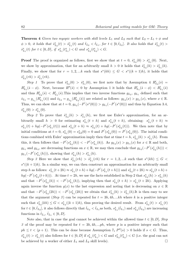**Theorem 4** *Given two myopic workers with skill levels*  $L_1$  *and*  $L_2$  *such that*  $L_2 = L_1 + \phi$  *and*  $\phi > 0$ , it holds that  $\dot{s}_{L_2}^*(t) > \dot{s}_{L_1}^*(t)$  and  $\hat{t}_{L_2} < \hat{t}_{L_1}$ , for  $t \in [0, \hat{t}_{L_2}]$ . It also holds that  $\dot{s}_{L_2}^*(t) >$  $s_{L_1}^*(t)$  for  $t \in [0, D]$ , if  $s_{L_1}^*(t_{L_1}^*) < G$  and  $s_{L_2}^*(t_{L_2}^*) < G$ .

**Proof** The proof is organized as follows, first we show that at  $t = 0$ ,  $\dot{s}_{L_2}^*(0) > \dot{s}_{L_1}^*(0)$ . Next, we show by approximation, that for an arbitrarily small  $h > 0$  it holds that  $\dot{s}_{L_2}^*(h) > \dot{s}_{L_1}^*(h)$ . Finally, we show that for  $r = 1, 2, ...k$  such that  $s^*(kh) \leq G < s^*((k+1)h)$ , it holds that  $\dot{s}_{L_2}^*(rh) > \dot{s}_{L_1}^*(rh).$ 

*Step 1* To prove that  $\dot{s}_{L_2}^*(0) > \dot{s}_{L_1}^*(0)$ , we first note that by Assumption 4  $R'_{L_2}(s)$  =  $R'_{L_1}(s - \phi)$ . Next, because  $R''(s) < 0$  by Assumption 1 it holds that  $R'_{L_1}(s - \phi) < R'_{L_1}(s)$ and thus  $R'_{L_2}(s) < R'_{L_1}(s)$ . This implies that two inverse functions  $g_{L_2}, g_{L_1}$  defined such that  $\dot{s}_{L_1} = g_{L_1}(R'_{L_1}(s))$  and  $\dot{s}_{L_2} = g_{L_2}(R'_{L_2}(s))$  are related as follows:  $g_{L_2}(x) > g_{L_1}(x)$ , where  $x \in \mathbb{R}$ . Thus, we can show that at  $t = 0$ ,  $g_{L_2}(-P'(s^*(0))) > g_{L_1}(-P'(s^*(0)))$  and thus by Equation 3.4,  $\dot{s}_{L_2}^*(0) > \dot{s}_{L_1}^*(0).$ 

*Step 2* To prove that  $\dot{s}_{L_2}^*(h) > \dot{s}_{L_1}^*(h)$ , we first use Euler's approximation, for an arbitrarily small  $h > 0$  for estimating  $s_{L_1}^*(t+h)$  and  $s_{L_2}^*(t+h)$ , obtaining:  $s_{L_1}^*(t+h) \approx$  $s_{L_1}^*(t) + hg(-P'(s_{L_1}^*(t)))$  and  $s_{L_2}^*(t+h) \approx s_{L_2}^*(t) + hg(-P'(s_{L_2}^*(t)))$ . We then note that by initial conditions at  $t = 0$ ,  $s_{L_1}^*(0) = s_{L_2}^*(0) = 0$  and  $P'(s_{L_2}^*(0)) = P'(s_{L_2}^*(0))$ . The initial conditions combined with Euler' approximation imply then that at time  $t = h$ ,  $s_{L_2}^*(h) > s_{L_1}^*(h)$ . From this, it then follows that  $-P'(s_{L_2}^*(h)) < -P'(s_{L_1}^*(h))$ . As  $g_{L_2}(x) > g_{L_1}(x)$  for  $x \in \mathbb{R}$  and both,  $g_{L_1}$  and  $g_{L_2}$ , are decreasing functions on  $x \in \mathbb{R}$ , we may then conclude that  $g_{L_2}(-P'(s_{L_2}^*(h))) <$  $g_{L_1}(-P'(s_{L_1}^*(h)))$ , showing that  $\dot{s}_{L_2}^*(h) > \dot{s}_{L_1}^*(h)$ .

*Step 3* Here we show that  $\dot{s}_{L_2}^*(rh) > \dot{s}_{L_1}^*(rh)$  for  $r = 1, 2, ...k$  such that  $s^*(kh) \leq G$  $s*(k+1)h$ . In a similar way, we can then construct an approximation for an arbitrarily small step h as follows:  $s_{L_1}^*(t+2h) \approx s_{L_1}^*(t+h) + hg(-P'(s_{L_1}^*(t+h)))$  and  $s_{L_2}^*(t+2h) \approx s_{L_2}^*(t+h) +$  $hg(-P'(s_{L_2}^*(t+h)))$ . At time  $t=2h$ , we use the facts established in Step 2 that  $s_{L_2}^*(h) > s_{L_1}^*(h)$ and that  $-P'(s_{L_2}^*(h)) < -P'(s_{L_1}^*(h))$ , implying then that  $s_{L_2}^*(t+h) > s_{L_1}^*(t+2h)$ . Applying again inverse the function  $g(x)$  to the last expression and noting that is decreasing on  $x \in \mathbb{R}$ and that  $-P'(s_{L_2}^*(2h)) < -P'(s_{L_1}^*(2h))$  we obtain that  $\dot{s}_{L_2}^*(h) > \dot{s}_{L_1}^*(h)$ . It is then easy to see that the argument (*Step 3*) can be repeated for  $t = 3h, 4h, ...kh$  where k is a positive integer such that  $s_{L_2}^*(kh) \leq G < s_{L_2}^*((k+1)h)$ , thus proving the desired result. From  $s_{L_2}^*(t) > s_{L_1}^*(t)$ for  $t \in [0, \hat{t}_{L_2}]$ , it also follows directly that  $\hat{t}_{L_2} < \hat{t}_{L_1}$  as both,  $s_{L_1}^*(\hat{t}_{L_1})$  and  $s_{L_2}^*(\hat{t}_{L_2})$  are increasing functions in  $\hat{t}_{L_1}, \hat{t}_{L_1} \in [0, D].$ 

Note also, that in case the goal cannot be achieved within the allowed time  $t \in [0, D]$ , *Step* 3 of the proof may be repeated for  $t = 3h, 4h, \ldots ph$ , where p is a positive integer such that  $ph \leq t < (p+1)$ . This can be done because Assumption 7,  $P''(s) > 0$  holds if  $s < G$ . Thus,  $s_{L_2}^*(t) > s_{L_1}^*(t)$  also follows for  $t \in [0, D]$  if  $s_{L_1}^*(t_{L_1}^*) < G$  and  $s_{L_2}^*(t_{L_2}^*) < G$  (i.e. the goal can not be achieved by a worker of either  $L_1$  and  $L_2$  skill levels).  $\Box$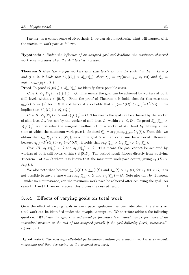Further, as a consequence of Hypothesis 4, we can also hypothesize what will happen with the maximum work pace as follows.

**Hypothesis 5** *Under the influence of an assigned goal and deadline, the maximum observed work pace increases when the skill level is increased.*

**Theorem 5** *Give two myopic workers with skill levels*  $L_1$  *and*  $L_2$  *such that*  $L_2 = L_1 + \phi$ and  $\phi > 0$ , it holds that  $\dot{s}_{L_2}^*(t_{L_2}^*) > \dot{s}_{L_1}^*(t_{L_1}^*)$  where  $t_{L_1}^* = \arg(\max_{t \in [0,D]} \dot{s}_{L_1}(t))$  and  $t_{L_2}^* =$  $\arg(\max_{t \in [0, D]} s_{L_2}(t))$ .

**Proof** To proof  $\dot{s}_{L_2}^*(t_{L_2}^*) > \dot{s}_{L_1}^*(t_{L_1}^*)$  we identify three possible cases.

*Case I:*  $s_{L_2}^*(t_{L_2}^*) = s_{L_1}^*(t_{L_1}^*) = G$ . This means the goal can be achieved by workers at both skill levels within  $t \in [0, D]$ . From the proof of Theorem 4 it holds then for this case that  $g_{L_2}(x) > g_{L_1}(x)$  for  $x \in \mathbb{R}$  and hence it also holds that  $g_{L_2}(-P'(G)) > g_{L_1}(-P'(G))$ . This implies that  $\dot{s}_{L_2}^*(t_{L_2}^*) > \dot{s}_{L_1}^*(t_{L_1}^*)$ .

*Case II*:  $s_{L_1}^*(t_{L_1}^*)$  < G and  $s_{L_2}^*(t_{L_2}^*)$  = G. This means the goal can be achieved by the worker of skill level  $L_2$ , but not by the worker of skill level  $L_1$  within  $t \in [0, D]$ . To proof  $\dot{s}_{L_2}^*(t_{L_2}^*)$  $\dot{s}_{L_1}^*(t_{L_1}^*)$ , we first relax the assigned deadline, D for a worker of skill level  $L_1$  defining a new time at which the maximum work pace is obtained  $t_{L_1}^r = \arg(\max_{t \in [0,\infty)} \dot{s}_{L_1}(t)$ . From this, we obtain that  $\dot{s}_{L_1}(t_{L_1}^*) > \dot{s}_{L_1}(t_{L_1}^*)$ , as a finite goal G will at some time be achieved. However, because  $g_{L_2}(-P'(G)) > g_{L_1}(-P'(G))$ , it holds that  $\dot{s}_{L_2}(t_{L_2}^*) > \dot{s}_{L_1}(t_{L_1}^*) > \dot{s}_{L_1}(t_{L_1}^*)$ .

*Case III:*  $s_{L_1}(t_{L_1}^*) < G$  and  $s_{L_2}(t_{L_2}^*) < G$ . This means the goal cannot be achieved by workers at both skill levels within  $t \in [0, D]$ . The desired result follows directly from applying Theorem 1 at  $t = D$  where it is known that the maximum work pace occurs, giving  $\dot{s}_{L_2}(D)$  $\dot{s}_{L_1}(D)$ .

We also note that because  $g_{L_2}(s(t)) > g_{L_1}(s(t))$  and  $\dot{s}_{L_2}(t) > \dot{s}_{L_1}(t)$ , for  $s_{L_1}(t) < G$ , it is not possible to have a case where  $s_{L_1}(t_{L_1}^*)$   $\lt G$  and  $s_{L_2}(t_{L_2}^*) = G$ . Note also that by Theorem 1 under no circumstance, can the maximum work pace be achieved after achieving the goal. As cases I, II and III, are exhaustive, this proves the desired result.  $\Box$ 

#### **3.5.4 Effects of varying goals on total work**

Once the effect of varying goals in work pace regulation has been identified, the effects on total work can be identified under the myopic assumption. We therefore address the following question, "*What are the effects on individual performance (i.e. cumulative performance of an individual measure at the end of the assigned period) if the goal difficulty (level) increases?*" (Question 1):

**Hypothesis 6** *The goal difficulty-total performance relation for a myopic worker is unimodal, increasing and then decreasing on the assigned goal level.*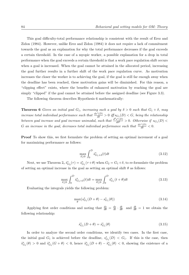This goal difficulty-total performance relationship is consistent with the result of Erez and Zidon (1984). However, unlike Erez and Zidon (1984) it does not require a lack of commitment towards the goal as an explanation for why the total performance decreases if the goal exceeds a certain threshold. In the case of a myopic worker, a possible explanation for a drop in total performance when the goal exceeds a certain threshold is that a work pace regulation shift occurs when a goal is increased. When the goal cannot be attained in the allocated period, increasing the goal further results in a further shift of the work pace regulation curve. As motivation increases the closer the worker is to achieving the goal, if the goal is still far enough away when the deadline has been reached, these motivation gains will be diminished. For this reason, a "clipping effect" exists, where the benefits of enhanced motivation by reaching the goal are simply "clipped" if the goal cannot be attained before the assigned deadline (see Figure 3.3).

The following theorem describes Hypothesis 6 mathematically:

**Theorem 6** *Given an initial goal*  $G_1$ *, increasing such a goal by*  $\delta > 0$  *such that*  $G_1 + \delta$ *, may increase total individual performance such that*  $\frac{ds^*(D)}{d\delta} > 0$  *iff*  $s_{G_1}(D) < G$ *, being the relationship between goal increase and goal increase unimodal, such that*  $\frac{d^2 s^*(D)}{d\delta^2} > 0$ . Otherwise if  $s_{G_1}(D) <$ G an increase in the goal, decreases total individual performance such that  $\frac{ds^*(D)}{d\delta} < 0$ .

**Proof** To show this, we first formulate the problem of setting an optimal increment of a goal for maximizing performance as follows:

$$
\max_{\delta \ge 0} \int_0^D \dot{s}_{G_1 + \delta}(t) dt \tag{3.12}
$$

Next, we use Theorem 2,  $\dot{s}_{G_2}^*(\tau) = \dot{s}_{G_1}^*(\tau + \theta)$  when  $G_2 = G_1 + \delta$ , to re-formulate the problem of setting an optimal increase in the goal as setting an optimal shift  $\theta$  as follows:

$$
\max_{\delta \ge 0} \int_0^D \dot{s}_{G_1 + \delta}^*(t) dt = \max_{\theta \ge 0} \int_0^D \dot{s}_{G_1}^*(t + \theta) dt \tag{3.13}
$$

Evaluating the integrals yields the following problem:

$$
\max_{\theta} (s_{G_1}^*(D + \theta) - s_{G_1}^*(\theta))
$$
\n(3.14)

Applying first order conditions and noting that  $\frac{ds}{d\theta} = \frac{ds}{dt} \cdot \frac{dt}{d\theta}$  and  $\frac{dt}{d\theta} = 1$  we obtain the following relationship:

$$
\dot{s}_{G_1}^*(D+\theta) = \dot{s}_{G_1}^*(\theta) \tag{3.15}
$$

In order to analyze the second order conditions, we identify two cases. In the first case, the initial goal  $G_1$  is achieved before the deadline,  $s_{G_1}^*(D) < G_1$ . If this is the case, then  $\ddot{s}_{G_1}^*(\theta) > 0$  and  $\ddot{s}_{G_1}^*(G + \theta) < 0$ , hence  $\ddot{s}_{G_1}^*(D + \theta) - \ddot{s}_{G_1}^*(\theta) < 0$ , showing the existence of a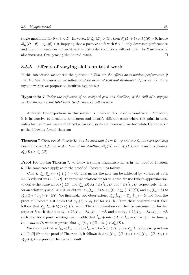single maximum for  $0 < \theta < D$ . However, if  $s_{G_1}^*(D) > G_1$ , then  $\ddot{s}_G^*(D + \theta) > \ddot{s}_G^*(\theta) > 0$ , hence  $\ddot{s}_{G_1}^*(D+\theta) - \ddot{s}_{G_1}^*(\theta) > 0$ , implying that a positive shift with  $\theta > 0$  only decreases performance and the minimum does not exist as the first order conditions will not hold. As  $\theta$  increases,  $\delta$ also increases, thus proving the desired result.  $\Box$ 

#### **3.5.5 Effects of varying skills on total work**

In this sub-section we address the question: "*What are the effects on individual performance if the skill level increases under influence of an assigned goal and deadline*?" (Question 2). For a myopic worker we propose an intuitive hypothesis:

**Hypothesis 7** *Under the influence of an assigned goal and deadline, if the skill of a myopic worker increases, the total work (performance) will increase.*

Although this hypothesis in this respect is intuitive, it's proof is non-trivial. Moreover, it is instructive to formulate a theorem and identify different cases where the gains in total individual performance are obtained when skill levels are increased. We formulate Hypothesis 7 as the following formal theorem:

**Theorem 7** *Given two skill levels*  $L_1$  *and*  $L_2$  *such that*  $L_2 = L_1 + \phi$  *and*  $\phi > 0$ *, the corresponding cumulative work for each skill level at the deadline,*  $s_{L_2}^*(D)$  *and*  $s_{L_1}^*(D)$ *, are related as follows:*  $s_{L_2}^*(D) > s_{L_1}^*(D)$ .

**Proof** For proving Theorem 7, we follow a similar argumentation as in the proof of Theorem 5. The same cases apply as in the proof of Theorem 5 as follows:

Case I:  $s_{L_2}^*(t_{L_2}^*) = s_{L_1}^*(t_{L_1}^*) = G$ . This means the goal can be achieved by workers at both skill levels within  $t \in [0, D]$ . To prove the relationship for this case, we use Euler's approximation to derive the behavior of  $s_{L_2}^*(D)$  and  $s_{L_1}^*(D)$  for  $t \in (\hat{t}_{L_1}, D]$  and  $t \in (\hat{t}_{L_1}, D]$  respectively. Thus, for an arbitrarily small  $h > 0$ , we obtain:  $s_{L_1}^*(t_{L_1} + h) \approx s_{L_1}^*(t) + hg_{L_1}(-P'(G))$  and  $s_{L_2}^*(t_{L_2} + h) \approx$  $s_{L_2}^*(t) + hg_{L_2}(-P'(G))$ . We first make two observations,  $s_{L_1}^*(t_{L_1}) = s_{L_2}^*(t_{L_2}) = G$  and from the proof of Theorem 4 it holds that  $g_{L_2}(x) > g_{L_1}(x)$  for  $x \in \mathbb{R}$ . From these observations it then follows that  $s_{L_2}^*(t_{L_2} + h) > s_{L_1}^*(t_{L_1} + h)$ . The approximation can then be continued for further steps of h such that  $t = \hat{t}_{L_1} + 2h, \hat{t}_{L_1} + 3h...\hat{t}_{L_1} + mh$  and  $t = \hat{t}_{L_2} + 2h, \hat{t}_{L_2} + 3h...\hat{t}_{L_2} + mh$ such that for a positive integer m it holds that  $\hat{t}_{L_1} + mh < D < \hat{t}_{L_1} + (m+1)h$ . As  $\lim_{h\to 0}$  $\hat{t}_{L_1} + mh = D$ , we then proved that  $s_{L_2}^*(\hat{t}_{L_2} + (D - \hat{t}_{L_1}) > s_{L_1}^*(D)$ .

We also note that as  $\hat{t}_{L_2} < \hat{t}_{L_1}$ , it holds  $\hat{t}_{L_2} + (D - \hat{t}_{L_1}) < D$ . Since  $s_{L_2}^*(t)$  is increasing in time  $t \in [0, D]$  (from the proof of Theorem 1), it follows that  $s_{L_2}^*(\hat{t}_{L_2}+(D-\hat{t}_{L_1})>s_{L_2}^*(\hat{t}_{L_2}+(D-\hat{t}_{L_1})>$  $s_{L_1}^*(D)$ , thus proving the desired result.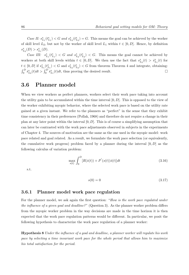*Case II:*  $s_{L_1}^*(t_{L_1}^*) < G$  *and*  $s_{L_2}^*(t_{L_2}^*) = G$ . This means the goal can be achieved by the worker of skill level  $L_2$ , but not by the worker of skill level  $L_1$  within  $t \in [0, D]$ . Hence, by definition  $s_{L_2}^*(D) > s_{L_1}^*(D).$ 

*Case III:*  $s_{L_1}^*(t_{L_1}^*) < G$  *and*  $s_{L_2}^*(t_{L_2}^*) < G$ . This means the goal cannot be achieved by workers at both skill levels within  $t \in [0, D]$ . We then use the fact that  $s_{L_2}^*(t) > s_{L_1}^*(t)$  for  $t \in [0, D]$  if  $s_{L_1}^*(t_{L_1}^*) < G$  and  $s_{L_2}^*(t_{L_2}^*) < G$  from theorem Theorem 4 and integrate, obtaining:  $\int_0^D \dot{s}_{L_2}^*(t)dt > \int_0^D \dot{s}_{L_1}^*(t)dt$ , thus proving the desired result.

# **3.6 Planner model**

When we view workers as perfect planners, workers select their work pace taking into account the utility gain to be accumulated within the time interval  $[0, D]$ . This is opposed to the view of the worker exhibiting myopic behavior, where the selected work pace is based on the utility rate gained at a given instant. We refer to the planners as "perfect" in the sense that they exhibit time consistency in their preferences (Pollak, 1968) and therefore do not require a change in their plan at any later point within the interval  $[0, D]$ . This is of course a simplifying assumption that can later be contrasted with the work pace adjustments observed in subjects in the experiments of Chapter 4. The sources of motivation are the same as the one used in the myopic model: work pace related and goal related. As a result, we formulate the work pace selection (or equivalently, the cumulative work progress) problem faced by a planner during the interval  $[0, D]$  as the following calculus of variation problem:

$$
\max_{s(t)} \int_{0}^{D} [R(\dot{s}(t)) + P'(s(t))\dot{s}(t)]dt
$$
\n(3.16)

s.t.

$$
s(0) = 0 \tag{3.17}
$$

#### **3.6.1 Planner model work pace regulation**

For the planner model, we ask again the first question: "*How is the work pace regulated under the influence of a given goal and deadline?*" (Question 3). As the planner worker problem differs from the myopic worker problem in the way decisions are made in the time horizon it is then expected that the work pace regulation patterns would be different. In particular, we posit the following hypothesis to characterize the work pace regulation of a planner worker:

**Hypothesis 8** *Under the influence of a goal and deadline, a planner worker will regulate his work pace by selecting a time invariant work pace for the whole period that allows him to maximize his total satisfaction for the period.*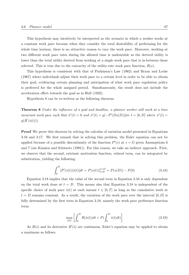This hypothesis may intuitively be interpreted as the scenario in which a worker works at a constant work pace because when they consider the total desirability of performing for the whole time horizon, there is no attractive reason to vary the work pace. Moreover, working at two different work pace rates during the allowed time is undesirable as the derived utility is lower than the total utility derived from working at a single work pace that is in-between those selected. This is true due to the concavity of the utility-rate work pace function,  $R(s)$ .

This hypothesis is consistent with that of Parkinson's Law (1962) and Bryan and Locke (1967) where individuals adjust their work pace to a certain level in order to be able to obtain their goal, evidencing certain planning and anticipation of what work pace regulation policy is preferred for the whole assigned period. Simultaneously, the result does not include the acceleration effect towards the goal as in Hull (1932).

Hypothesis 8 can be re-written as the following theorem:

**Theorem 8** *Under the influence of a goal and deadline, a planner worker will work at a time invariant work pace such that*  $\ddot{s}^*(t) = 0$  *and*  $\dot{s}^*(t) = g(-P'(Ds(D))$  *for*  $t = [0, D]$  *where*  $\dot{s}^*(t) =$  $g(R'(\dot{s}(t)))$ .

**Proof** We prove this theorem by solving the calculus of variation model presented in Equations 3.16 and 3.17. We first remark that in solving this problem, the Euler equation can not be applied because of a possible discontinuity of the function  $P'(s)$  at  $s = G$  given Assumptions 6 and 7 (see Kamien and Schwartz (1991)). For this reason, we take an indirect approach. First, we observe that the second, extrinsic motivation function, related term, can be integrated by substitution, yielding the following:

$$
\int_0^D [P'(s(t))\dot{s}(t)]dt = P(s(t))|_{t=0}^{t=D} = P(s(D)) - P(0)
$$
\n(3.18)

Equation 3.18 implies that the value of the second term in Equation 3.16 is only dependent on the total work done at  $t = D$ . This means also that Equation 3.18 is independent of the specific choice of work pace  $\dot{s}(t)$  at each instant  $t \in [0,T]$  as long as the cumulative work at  $t = D$  remains constant. As a result, the variation of the work pace over the interval  $[0, D]$  is fully determined by the first term in Equation 3.18, namely the work pace preference function term:

$$
\max_{s(t)} \left[ \int_0^D R(\dot{s}(t))dt + P(\int_0^D \dot{s}(t)dt) \right]
$$
\n(3.19)

As  $R(s)$  and its derivative  $R'(s)$  are continuous, Euler's equation may be applied to obtain a maximum as follows.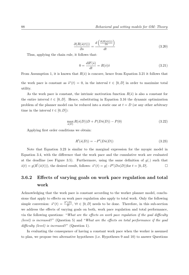$$
\frac{\partial (R(\dot{s}(t)))}{\partial s} = \frac{d \left( \frac{\partial (R(\dot{s}(t)))}{\partial \dot{s}} \right)}{dt} \tag{3.20}
$$

Thus, applying the chain rule, it follows that:

$$
0 = \frac{dR'(\dot{s})}{dt} = R(\dot{s})\ddot{s} \tag{3.21}
$$

From Assumption 1, it is known that  $R(s)$  is concave, hence from Equation 3.21 it follows that

the work pace is constant as  $\ddot{s}^*(t) = 0$ , in the interval  $t \in [0, D]$  in order to maximize total utility.

As the work pace is constant, the intrinsic motivation function  $R(\dot{s})$  is also a constant for the entire interval  $t \in [0, D]$ . Hence, substituting in Equation 3.16 the dynamic optimization problem of the planner model can be reduced into a static one at  $t = D$  (or any other arbitrary time in the interval  $t \in [0, D]$ :

$$
\max_{\dot{s}(D)} R(\dot{s}(D))D + P(D\dot{s}(D)) - P(0)
$$
\n(3.22)

Applying first order conditions we obtain:

$$
R'(s(D)) = -P'(D\dot{s}(D))
$$
\n(3.23)

Note that Equation 3.23 is similar to the marginal expression for the myopic model in Equation 3.4, with the difference that the work pace and the cumulative work are evaluated at the deadline (see Figure 3.5). Furthermore, using the same definition of  $g(.)$  such that  $\dot{s}(t) = g(R'(\dot{s}(t))),$  the desired result, follows:  $\dot{s}^*(t) = g(-P'(Ds(D))$  for  $t = [0, D]$ .

# **3.6.2 Effects of varying goals on work pace regulation and total work**

Acknowledging that the work pace is constant according to the worker planner model, conclusions that apply to effects on work pace regulation also apply to total work. Only the following simple conversion:  $\dot{s}^*(t) = \frac{S^*(D)}{D}$ ,  $\forall t \in [0, D]$  needs to be done. Therefore, in this sub-section we address the effects of varying goals on both, work pace regulation and total performance, via the following questions: "*What are the effects on work pace regulation if the goal difficulty (level) is increased?*" (Question 5) and "*What are the effects on total performance if the goal difficulty (level) is increased?*" (Question 1).

In evaluating the consequence of having a constant work pace when the worker is assumed to plan, we propose two alternative hypotheses (i.e. Hypotheses 9 and 10) to answer Questions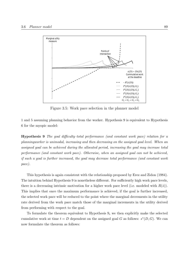

Figure 3.5: Work pace selection in the planner model

1 and 5 assuming planning behavior from the worker. Hypothesis 9 is equivalent to Hypothesis 6 for the myopic model:

**Hypothesis 9** *The goal difficulty–total performance (and constant work pace) relation for a planningworker is unimodal, increasing and then decreasing on the assigned goal level. When an assigned goal can be achieved during the allocated period, increasing the goal may increase total performance (and constant work pace). Otherwise, when an assigned goal can not be achieved, if such a goal is further increased, the goal may decrease total performance (and constant work pace).*

This hypothesis is again consistent with the relationship proposed by Erez and Zidon (1984). The intuition behind Hypothesis 9 is nonetheless different. For sufficiently high work pace levels, there is a decreasing intrinsic motivation for a higher work pace level (i.e. modeled with  $R(s)$ ). This implies that once the maximum performance is achieved, if the goal is further increased, the selected work pace will be reduced to the point where the marginal decrements in the utility rate derived from the work pace match those of the marginal increments in the utility derived from performing with respect to the goal.

To formulate the theorem equivalent to Hypothesis 9**,** we then explicitly make the selected cumulative work at time  $t = D$  dependent on the assigned goal G as follows:  $s*(D, G)$ . We can now formulate the theorem as follows: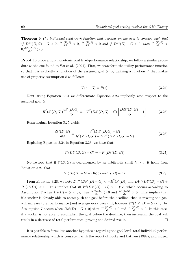**Theorem 9** *The individual total work function that depends on the goal is concave such that if*  $Ds^*(D, G) - G < 0$ ,  $\frac{ds^*(D, G)}{dG} > 0$ ,  $\frac{ds^*(D, G)}{dG} > 0$  and if  $Ds^*(D) - G > 0$ , then  $\frac{ds^*(D, G)}{dG} > 0$  $0, \frac{ds^*(D, G)}{dG} > 0.$ 

**Proof** To prove a non-monotonic goal level-performance relationship, we follow a similar procedure as the one found at Wu et al. (2004). First, we transform the utility performance function so that it is explicitly a function of the assigned goal  $G$ , by defining a function V that makes use of property Assumption 8 as follows:

$$
V(s - G) = P(s) \tag{3.24}
$$

Next, using Equation 3.24 we differentiate Equation 3.23 implicitly with respect to the assigned goal G:

$$
R''(\dot{s}^*(D, G))\frac{d\dot{s}^*(D, G)}{dG} = -V''(D\dot{s}^*(D, G) - G)\left[\frac{Dd\dot{s}^*(D, G)}{dG} - 1\right]
$$
(3.25)

Rearranging, Equation 3.25 yields:

$$
\frac{d\dot{s}^*(D,G)}{dG} = \frac{V''(D\dot{s}^*(D,G) - G)}{R''(\dot{s}^*(D,G)) + DV''(D\dot{s}^*(D,G) - G)}
$$
(3.26)

Replacing Equation 3.24 in Equation 3.23, we have that:

$$
V'(D\dot{s}^*(D, G) - G) = -P'(D\dot{s}^*(D, G))
$$
\n(3.27)

Notice now that if  $\dot{s}^*(D, G)$  is decremented by an arbitrarily small  $h > 0$ , it holds from Equation 3.27 that:

$$
V'(D\dot{s}(D) - G - Dh) > -R'(\dot{s}(D) - h) \tag{3.28}
$$

From Equation 3.28, we note  $DV''(D\dot{s}^*(D) - G) < -R''(\dot{s}^*(D))$  and  $DV''(D\dot{s}^*(D) - G) +$  $R''(s^*(D)) < 0$ . This implies that iff  $V''(Ds^*(D) - G) > 0$  (i.e. which occurs according to Assumption 7 when  $D\dot{s}(D) - G < 0$ , then  $\frac{d\dot{s}^*(D,G)}{dG} > 0$  and  $\frac{d\dot{s}^*(D,G)}{dG} > 0$ . This implies that if a worker is already able to accomplish the goal before the deadline, then increasing the goal will increase total performance (and average work pace). If, however  $V''(Ds^*(D) - G) < 0$  (by Assumption 7 occurs when  $D\dot{s}^*(D) - G > 0$  then  $\frac{d\dot{s}^*(D,G)}{dG} < 0$  and  $\frac{ds^*(D,G)}{dG} > 0$ . In this case, if a worker is not able to accomplish the goal before the deadline, then increasing the goal will result in a decrease of total performance, proving the desired result.  $\Box$ 

It is possible to formulate another hypothesis regarding the goal level–total individual performance relationship which is consistent with the report of Locke and Latham (1982), and indeed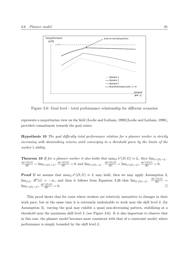

Figure 3.6: Goal level - total performance relationship for different scenarios

represents a majoritarian view on the field (Locke and Latham, 1990)(Locke and Latham, 1990), provided commitment towards the goal exists:

**Hypothesis 10** *The goal difficulty–total performance relation for a planner worker is strictly increasing with diminishing returns until converging to a threshold given by the limits of the worker's ability.*

**Theorem 10** If for a planner worker it also holds that  $\max_G \dot{s}^*(D, G) \approx L$ , then  $\lim_{\delta^*(D, G)} \det_{dG} \dot{s}^*(D, G) = \lim_{\delta^*(D) \to L^+} \frac{ds^*(D, G)}{dG} = 0$  and  $\lim_{\delta^*(D) \to L^-} \frac{ds^*(D, G)}{dG} = \lim_{\delta^*(D) \to L^+} \frac{ds^*(D, G)}{dG} = 0$ .

**Proof** If we assume that  $\max_G s^*(D, G) \approx L$  may hold, then we may apply Assumption 3,  $\lim_{\delta \uparrow} L-R''(\delta) = -\infty$ , and then it follows from Equation 3.26 that  $\lim_{\delta^*(D) \to L^-} \frac{d\delta^*(D, G)}{dG}$  $\lim_{\delta^*(D)\to L^+} \frac{ds^*(D,G)}{dG} = 0.$ 

This proof shows that for cases where workers are relatively insensitive to changes in their work pace, but at the same time it is extremely undesirable to work near the skill level  $L$  (by Assumption 3), varying the goal may exhibit a quasi non-decreasing pattern, stabilizing at a threshold near the maximum skill level  $L$  (see Figure 3.6). It is also important to observe that in this case, the planner model becomes more consistent with that of a constraint model, where performance is simply bounded by the skill level L.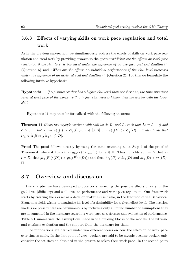### **3.6.3 Effects of varying skills on work pace regulation and total work**

As in the previous sub-section, we simultaneously address the effects of skills on work pace regulation and total work by providing answers to the questions:"*What are the effects on work pace regulation if the skill level is increased under the influence of an assigned goal and deadline?***" (**Question 6**)** and "*What are the effects on individual performance if the skill level increases under the influence of an assigned goal and deadline?***"** (Question 2). For this we formulate the following intuitive hypothesis:

**Hypothesis 11** *If a planner worker has a higher skill level than another one, the time-invariant selected work pace of the worker with a higher skill level is higher than the worker with the lower skill.*

Hypothesis 11 may then be formalized with the following theorem:

**Theorem 11** *Given two myopic workers with skill levels*  $L_1$  *and*  $L_2$  *such that*  $L_2 = L_1 + \phi$  *and*  $\phi > 0$ , it holds that  $\dot{s}_{L_2}^*(t) > \dot{s}_{L_1}^*(t)$  for  $t \in [0, D]$  and  $s_{L_2}^*(D) > s_{L_1}^*(D)$  *. It also holds that*  $\hat{t}_{L_2} < \hat{t}_{L_1}$  if  $\hat{t}_{L_1}, \hat{t}_{L_2} \in [0, D].$ 

**Proof** The proof follows directly by using the same reasoning as in Step 1 of the proof of Theorem 4, where it holds that  $g_{L_2}(x) > g_{L_1}(x)$  for  $x \in \mathbb{R}$ . Thus, it holds at  $t = D$  that at  $t = D$ , that  $g_{L_1}(P'(s(D))) > g_{L_1}(P'(s(D)))$  and thus,  $\dot{s}_{L_2}(D) > \dot{s}_{L_1}(D)$  and  $s_{L_2}(D) > s_{L_1}(D)$ .  $\Box$ 

### **3.7 Overview and discussion**

In this cha pter we have developed propositions regarding the possible effects of varying the goal level (difficulty) and skill level on performance and work pace regulation. Our framework starts by treating the worker as a decision maker himself who, in the tradition of the Behavioral Economics field, wishes to maximize his level of a desirability for a given effort level. The decision models we present here are parsimonious by including only a limited number of assumptions that are documented in the literature regarding work pace as a stressor and evaluation of performance. Table 3.1 summarizes the assumptions made in the building blocks of the models: the intrinsic and extrinsic evaluation and the support from the literature for them.

The propositions are derived under two different views on how the selection of work pace over time is made. In the first point of view, workers are said to be myopic because workers only consider the satisfaction obtained in the present to select their work pace. In the second point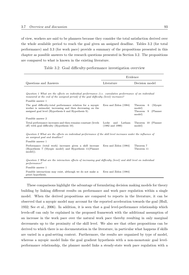of view, workers are said to be planners because they consider the total satisfaction derived over the whole available period to reach the goal given an assigned deadline. Tables 3.2 (for total performance) and 3.3 (for work pace) provide a summary of the propositions presented in this chapter as possible answers to the research questions presented in Section 3.2. The propositions are compared to what is known in the existing literature.

|                                                                                                                                                                                                  | Evidence                                             |                                                                       |  |
|--------------------------------------------------------------------------------------------------------------------------------------------------------------------------------------------------|------------------------------------------------------|-----------------------------------------------------------------------|--|
| Questions and Answers                                                                                                                                                                            | Literature                                           | Decision model                                                        |  |
|                                                                                                                                                                                                  |                                                      |                                                                       |  |
| Question 1 What are the effects on individual performance (i.e. cumulative performance of an individual<br>measured at the end of the assigned period) if the goal difficulty (level) increases? |                                                      |                                                                       |  |
| Possible answer 1                                                                                                                                                                                |                                                      |                                                                       |  |
| The goal difficulty-total performance relation for a myopic<br>worker is unimodal, increasing and then decreasing on the<br>assigned goal level (Hypothesis 6 and Hypothesis 9).                 | Erez and Zidon (1984)                                | Theorem<br>(Myopic<br>6<br>model)<br>Theorem 9<br>(Planner)<br>model) |  |
| Possible answer 2                                                                                                                                                                                |                                                      |                                                                       |  |
| Total performance increases and then remains constant (levels<br>off) with goal difficulty (Hypothesis 10).                                                                                      | Latham<br>Locke<br>and<br>$(1982 \text{ and } 1990)$ | Theorem 10 (Planner<br>model)                                         |  |
| Question 2 What are the effects on individual performance if the skill level increases under the influence of<br>an assigned goal and deadline?                                                  |                                                      |                                                                       |  |
| Possible answer 1                                                                                                                                                                                |                                                      |                                                                       |  |
| Performance (total work) increases given a skill increase<br>(Hypothesis 7 (Myopic model) and Hypothesis 11 (Planner<br>model).                                                                  | Erez and Zidon (1984)                                | Theorem 7<br>Theorem 11                                               |  |
|                                                                                                                                                                                                  |                                                      |                                                                       |  |
| Question 3 What are the interaction effects of increasing goal difficulty (level) and skill level on individual<br>performance?                                                                  |                                                      |                                                                       |  |
| Possible answer 1                                                                                                                                                                                |                                                      |                                                                       |  |
| Possible interactions may exist, although we do not make a-<br>priori hypothesis.                                                                                                                | Erez and Zidon (1984)                                |                                                                       |  |

|  |  | Table 3.2: Goal difficulty-performance investigation overview |  |  |
|--|--|---------------------------------------------------------------|--|--|
|--|--|---------------------------------------------------------------|--|--|

These comparisons highlight the advantage of formulating decision making models for theory building by linking different results on performance and work pace regulation within a single model. When the derived propositions are compared to reports in the literature, it can be observed that a myopic model may account for the reported acceleration towards the goal (Hull, 1932; See et al., 2006). In addition, it is seen that a goal level-performance relationship which levels-off can only be explained in the proposed framework with the additional assumption of an increase in the work pace over the natural work pace thereby resulting in only marginal decrements up to the proximity of the skill level. We also see that other propositions can be derived to which there is no documentation in the literature, in particular what happens if skills are varied in a goal-setting context. Furthermore, the results are organized by type of model, whereas a myopic model links the goal gradient hypothesis with a non-monotonic goal levelperformance relationship, the planner model links a steady-state work pace regulation with a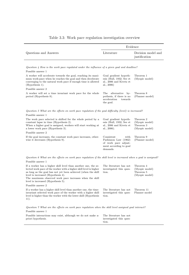|                                                                                                          | Evidence                                                                                                         |  |  |
|----------------------------------------------------------------------------------------------------------|------------------------------------------------------------------------------------------------------------------|--|--|
| Literature                                                                                               | Decision model and<br>justification                                                                              |  |  |
| Question 4 How is the work pace regulated under the influence of a given goal and deadline?              |                                                                                                                  |  |  |
|                                                                                                          |                                                                                                                  |  |  |
| Goal gradient hypoth-<br>esis (Hull, 1932; See et<br>al., 2006 and Kivetz et<br>al., $2006$ )            | Theorem 1<br>(Myopic model)                                                                                      |  |  |
|                                                                                                          |                                                                                                                  |  |  |
| alternative hy-<br>pothesis, if there is no<br>acceleration<br>towards<br>the goal.                      | Theorem 8<br>(Planner model)                                                                                     |  |  |
| Question 5 What are the effects on work pace regulation if the goal difficulty (level) is increased?     |                                                                                                                  |  |  |
|                                                                                                          |                                                                                                                  |  |  |
| Goal gradient hypoth-<br>esis (Hull, 1932; See et<br>al., 2006 and Kivetz et<br>al., 2006).              | Theorem 2<br>(Myopic model)<br>Theorem 3<br>(Myopic model)                                                       |  |  |
|                                                                                                          |                                                                                                                  |  |  |
| Consistent<br>with<br>Parkinson Law (1962)<br>of work pace adjust-<br>ment according to goal<br>demands. | Theorem 9<br>(Planner model)                                                                                     |  |  |
|                                                                                                          | Question 6 What are the effects on work pace regulation if the skill level is increased when a goal is assigned? |  |  |
|                                                                                                          |                                                                                                                  |  |  |
| The literature has not<br>investigated this ques-                                                        | Theorem 4<br>(Myopic model)<br>Theorem 5<br>(Myopic model)                                                       |  |  |
|                                                                                                          |                                                                                                                  |  |  |
| The literature has not<br>investigated this ques-                                                        | Theorem 11<br>Planner model                                                                                      |  |  |
| Question 7 What are the effects on work pace regulation when the skill level assigned goal interact?     |                                                                                                                  |  |  |
|                                                                                                          |                                                                                                                  |  |  |

The literature has not investigated this ques-

tion.

Possible interactions may exist, although we do not make a-priori hypothesis.

#### Table 3.3: Work pace regulation investigation overview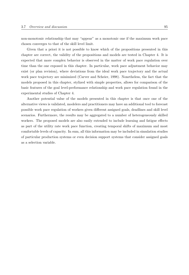non-monotonic relationship that may "appear" as a monotonic one if the maximum work pace chosen converges to that of the skill level limit.

Given that a priori it is not possible to know which of the propositions presented in this chapter are correct, the validity of the propositions and models are tested in Chapter 4. It is expected that more complex behavior is observed in the matter of work pace regulation over time than the one exposed in this chapter. In particular, work pace adjustment behavior may exist (or plan revision), where deviations from the ideal work pace trajectory and the actual work pace trajectory are minimized (Carver and Scheier, 1998). Nonetheless, the fact that the models proposed in this chapter, stylized with simple properties, allows for comparison of the basic features of the goal level-performance relationship and work pace regulation found in the experimental studies of Chapter 4.

Another potential value of the models presented in this chapter is that once one of the alternative views is validated, modelers and practitioners may have an additional tool to forecast possible work pace regulation of workers given different assigned goals, deadlines and skill level scenarios. Furthermore, the results may be aggregated to a number of heterogeneously skilled workers. The proposed models are also easily extended to include learning and fatigue effects as part of the utility rate work pace function, creating temporal shifts of maximum and most comfortable levels of capacity. In sum, all this information may be included in simulation studies of particular production systems or even decision support systems that consider assigned goals as a selection variable.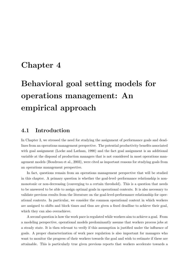## **Chapter 4**

# **Behavioral goal setting models for operations management: An empirical approach**

### **4.1 Introduction**

In Chapter 3, we stressed the need for studying the assignment of performance goals and deadlines from an operations management perspective. The potential productivity benefits associated with goal assignment (Locke and Latham, 1990) and the fact goal assignment is an additional variable at the disposal of production managers that is not considered in most operations management models (Boudreau et al., 2003), were cited as important reasons for studying goals from an operations management perspective.

In fact, questions remain from an operations management perspective that will be studied in this chapter. A primary question is whether the goal-level–performance relationship is nonmonotonic or non-decreasing (converging to a certain threshold). This is a question that needs to be answered to be able to assign optimal goals in operational contexts. It is also necessary to validate previous results from the literature on the goal-level-performance relationship for operational contexts. In particular, we consider the common operational context in which workers are assigned to shifts and block times and thus are given a fixed deadline to achieve their goal, which they can also overachieve.

A second question is how the work pace is regulated while workers aim to achieve a goal. From a modeling perspective, operational models predominantly assume that workers process jobs at a steady state. It is then relevant to verify if this assumption is justified under the influence of goals. A proper characterization of work pace regulation is also important for managers who want to monitor the progress of their workers towards the goal and wish to estimate if these are attainable. This is particularly true given previous reports that workers accelerate towards a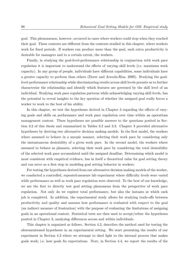goal. This phenomenon, however, occurred in cases where workers could stop when they reached their goal. These contexts are different from the contexts studied in this chapter, where workers work for fixed periods. If workers can produce more than the goal, such extra productivity is desirable for managers and to a certain extent, the workers.

Finally, in studying the goal-level-performance relationship in conjunction with work pace regulation it is important to understand the effects of varying skill levels (i.e. maximum work capacity). In any group of people, individuals have different capabilities, some individuals have a greater capacity to perform than others (Doerr and Arreola-Risa, 2000). Studying the goallevel-performance relationship while discriminating results across skill levels permits us to further characterize the relationship and identify which features are governed by the skill level of an individual. Studying work pace regulation patterns while acknowledging varying skill levels, has the potential to reveal insights to the key question of whether the assigned goal really forces a worker to work to the best of his ability.

In this chapter, we test the hypotheses derived in Chapter 3 regarding the effects of varying goals and skills on performance and work pace regulation over time within an operations management context. These hypotheses are possible answers to the questions posited in Section 3.2 of this thesis and summarized in Tables 3.2 and 3.3. Chapter 3 provided alternative hypotheses by deriving two alternative decision making models. In the first model, the workers where assumed to behave in a myopic manner, selecting their work pace by considering only the instantaneous desirability of a given work pace. In the second model, the workers where assumed to behave as planners, selecting their work pace by considering the total desirability of the selected work pace accumulated until the assigned deadline. Determining which model is most consistent with empirical evidence, has in itself a theoretical value for goal setting theory and can serve as a first step in modeling goal setting behavior in workers.

For testing the hypotheses derived from our alternative decision making models of the worker, we conducted a controlled, repeated-measure lab experiment where difficulty levels were varied while performance as well as work pace regulation were observed. To the best of our knowledge, we are the first to directly test goal setting phenomena from the perspective of work pace regulation. Not only do we register total performance, but also the instants at which each job is completed. In addition, the experimental study allows for studying trade-offs between productivity and quality and assesses how performance is evaluated with respect to the goal (an indirect measure of frustration) with the purpose of evaluating the limitations of assigning goals in an operational context. Statistical tests are then used to accept/refute the hypotheses posited in Chapter 3, analyzing differences across and within individuals.

This chapter is organized as follows. Section 4.2, describes the method used for testing the aforementioned hypotheses in an experimental setting. We start presenting the results of our experiment in Section 4.3 where we attempt to shed light to the internal process that makes goals work; i.e. how goals fix expectations. Next, in Section 4.4, we report the results of the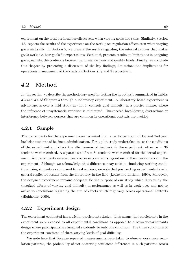experiment on the total performance effects seen when varying goals and skills. Similarly, Section 4.5, reports the results of the experiment on the work pace regulation effects seen when varying goals and skills. In Section 5, we present the results regarding the internal process that makes goals work; i.e. how goals fix expectations. Section 6, presents results on limitations in assigning goals, namely, the trade-offs between performance gains and quality levels. Finally, we conclude this chapter by presenting a discussion of the key findings, limitations and implications for operations management of the study in Sections 7, 8 and 9 respectively.

### **4.2 Method**

In this section we describe the methodology used for testing the hypothesis summarized in Tables 3.3 and 3.4 of Chapter 3 through a laboratory experiment. A laboratory based experiment is advantageous over a field study in that it controls goal difficulty in a precise manner where the influence of unsystematic variation is minimized. Unexpected breakdowns, distractions or interference between workers that are common in operational contexts are avoided.

### **4.2.1 Sample**

The participants for the experiment were recruited from a participantpool of 1st and 2nd year bachelor students of business administration. For a pilot study undertaken to set the conditions of the experiment and check the effectiveness of feedback in the experiment, other,  $n = 36$ students were recruited. A separate set of  $n = 81$  students were recruited for the actual experiment. All participants received two course extra–credits regardless of their performance in the experiment. Although we acknowledge that differences may exist in simulating working conditions using students as compared to real workers, we note that goal setting experiments have in general replicated results from the laboratory in the field (Locke and Latham, 1990). Moreover, the designed experiment remains adequate for the purpose of our study which is to study the theorized effects of varying goal difficulty in performance as well as in work pace and not to arrive to conclusions regarding the size of effects which may vary across operational contexts (Highhouse, 2009).

### **4.2.2 Experiment design**

The experiment conducted has a within-participants design. This means that participants in the experiment were exposed to all experimental conditions as opposed to a between-participants design where participants are assigned randomly to only one condition. The three conditions of the experiment consisted of three varying levels of goal difficulty.

We note here that because repeated measurements were taken to observe work pace regulation patterns, the probability of not observing consistent differences in such patterns across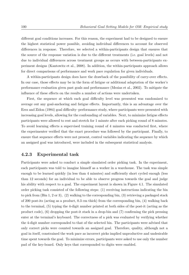different goal conditions increases. For this reason, the experiment had to be designed to ensure the highest statistical power possible, avoiding individual differences to account for observed differences in response. Therefore, we selected a within-participants design that ensures that the source of the response variation is due to the different treatments (i.e. goal levels) and not due to individual differences across treatment groups as occurs with between-participants experiment designs (Kantowitz et al., 2008). In addition, the within-participants approach allows for direct comparisons of performance and work pace regulation for given individuals.

A within-participants design does have the drawback of the possibility of carry-over effects. In our case, those effects may be in the form of fatigue or additional adaptation of the worker's performance evaluation given past goals and performance (Mezias et al., 2002). To mitigate the influence of these effects on the results a number of actions were undertaken.

First, the sequence at which each goal difficulty level was presented was randomized to average out any goal-anchoring and fatigue effects. Importantly, this is an advantage over the Erez and Zidon (1984) goal difficulty–performance study, where participants were presented with increasing goal levels, allowing for the confounding of variables. Next, to minimize fatigue effects participants were allowed to rest and stretch for 1 minute after each picking round of 8 minutes. To avoid learning effects a supervised training round of 4 minutes was conducted first, where the experimenter verified that the exact procedure was followed by the participant. Finally, to ensure that sequence effects were not present, control variables indicating the sequence by which an assigned goal was introduced, were included in the subsequent statistical analysis.

#### **4.2.3 Experimental task**

Participants were asked to conduct a simple simulated order picking task. In the experiment, each participants was told to imagine himself as a worker in a warehouse. The task was simple enough to be learned quickly (in less than 4 minutes) and sufficiently short cycled enough (less than 12 seconds) for an individual to be able to observe progress towards the goal and judge his ability with respect to a goal. The experiment layout is shown in Figure 4.1. The simulated order picking task consisted of the following steps: (1) receiving instructions indicating the bin to pick from (Bin 1, 2 or 3), (2) walking to the corresponding bin, (3) retrieving a packaged stack of 200 post-its (acting as a product, 0.3 cm thick) from the corresponding bin, (4) walking back to the terminal, (5) typing the 4-digit number printed at both sides of the post-it (acting as the product code), (6) dropping the post-it stack in a drop-bin and (7) confirming the pick pressing enter at the terminal's keyboard. The correctness of a pick was evaluated by verifying whether the 4-digit number corresponded to that of the selected bin. The participants were advised that only correct picks were counted towards an assigned goal. Therefore, quality, although not a goal in itself, constrained the work pace as incorrect picks implied unproductive and undesirable time spent towards the goal. To minimize errors, participants were asked to use only the number pad of the key-board. Only keys that corresponded to digits were enabled.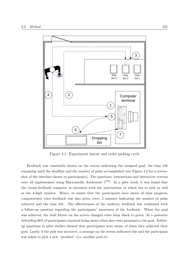

Figure 4.1: Experiment layout and order picking cycle

Feedback was constantly shown on the screen indicating the assigned goal, the time left remaining until the deadline and the number of picks accomplished (see Figure 4.2 for a screenshot of the interface shown to participants). The questions, instructions and interactive screens were all implemented using Macromedia Authoware  $7<sup>TM</sup>$ . In a pilot study it was found that the visual feedback competes in attention with the instructions of which bin to pick as well as the 4-digit number. Hence, to assure that the participants were aware of their progress, computerized voice feedback was also given every 2 minutes indicating the number of picks achieved and the time left. The effectiveness of the auditory feedback was confirmed with a follow-up question regarding the participants' awareness of the feedback. When the goal was achieved, the bold letters on the screen changed color form black to green. In a posterior debriefing 86% of participants reported being aware when they were proximal to the goal. Followup questions in pilot studies showed that participants were aware of when they achieved their goal. Lastly, if the pick was incorrect, a message on the screen indicated this and the participant was asked to pick a new "product" (i.e. another post-it).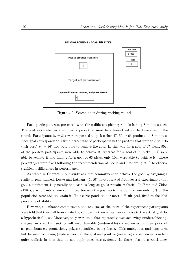

Figure 4.2: Screen-shot during picking rounds

Each participant was presented with three different picking rounds lasting 8 minutes each. The goal was stated as a number of picks that must be achieved within the time span of the round. Participants  $(n = 81)$  were requested to pick either 47, 59 or 66 products in 8 minutes. Each goal corresponds to a fixed percentage of participants in the pre-test that were told to "Do their best"  $(n = 36)$  and were able to achieve the goal. In this way for a goal of 47 picks, 90% of the pre-test participants were able to achieve it, whereas for a goal of 59 picks, 50% were able to achieve it and finally, for a goal of 66 picks, only 10% were able to achieve it. These percentages were fixed following the recommendation of Locke and Latham (1990) to observe significant differences in performance.

As stated in Chapter 3, our study assumes commitment to achieve the goal by assigning a realistic goal. Indeed, Locke and Latham (1990) have observed from several experiments that goal commitment is generally the case as long as goals remain realistic. In Erez and Zidon (1984), participants where committed towards the goal up to the point where only 10% of the population were able to attain it. This corresponds to our most difficult goal, fixed at the 90th percentile of ability.

However, to enhance commitment and realism, at the start of the experiment participants were told that they will be evaluated by comparing their actual performance to the actual goal, by a hypothetical boss. Moreover, they were told that repeatedly over-achieving (underachieving) the goal in a working setting will yield desirable (undesirable) consequences for their job such as paid bonuses, promotions, prizes (penalties, being fired). This ambiguous and long term link between achieving (underachieving) the goal and positive (negative) consequences is in fact quite realistic in jobs that do not apply piece-rate systems. In those jobs, it is consistency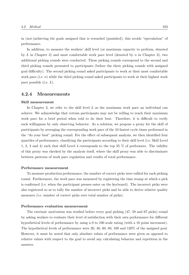in (not-)achieving the goals assigned that is rewarded (punished), this avoids "speculation" of performance.

In addition, to measure the workers' skill level (or maximum capacity to perform, denoted by L in Chapter 3) and most comfortable work pace level (denoted by n in Chapter 3), two additional picking rounds were conducted. These picking rounds correspond to the second and third picking rounds presented to participants (before the three picking rounds with assigned goal difficulty). The second picking round asked participants to work at their most comfortable work pace (i.e.  $n$ ) while the third picking round asked participants to work at their highest work pace possible (i.e.  $L$ ).

#### **4.2.4 Measurements**

#### **Skill measurement**

In Chapter 3, we refer to the skill level  $L$  as the maximum work pace an individual can achieve. We acknowledge that certain participants may not be willing to reach their maximum work pace for a brief period when told to do their best. Therefore, it is difficult to verify such willingness by only observing behavior. As a solution, we propose a proxy for the skill of participants by averaging the corresponding work pace of the 10 fastest cycle times performed in the "do your best" picking round. For the effect of subsequent analysis, we then identified four quartiles of performance, classifying the participants according to their skill level (i.e. Skill Level 1, 2, 3 and 4) such that skill Level 4 corresponds to the top 25 % of performers. The validity of this proxy was checked by the analysis itself, where the skill proxy was able to discriminate between patterns of work pace regulation and results of total performance.

#### **Performance measurement**

To measure production performance, the number of correct picks were tallied for each picking round. Furthermore, the work pace was measured by registering the time stamp at which a pick is confirmed (i.e. when the participant presses enter on the keyboard). The incorrect picks were also registered so as to tally the number of incorrect picks and be able to derive relative quality measures (i.e. number of correct picks over total number of picks).

#### **Performance evaluation measurement**

The extrinsic motivation was studied before every goal picking (47, 59 and 67 picks) round by asking workers to evaluate their level of satisfaction with their own performance for different hypothetical levels of performance by using a 0 to 100 scale rating (with a 10 point increment). The hypothetical levels of performance were 20, 40, 60, 80, 100 and 120% of the assigned goal. However, it must be noted that only absolute values of performance were given as opposed to relative values with respect to the goal to avoid any calculating behavior and repetition in the answers.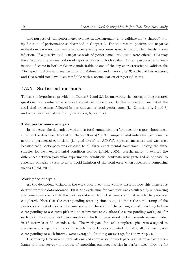The purpose of this performance evaluation measurement is to validate an "S-shaped" utility function of performance as described in Chapter 3. For this reason, positive and negative evaluations were not discriminated when participants were asked to report their levels of satisfaction. If a positive and a negative scale of performance evaluation were offered, this may have resulted in a normalization of reported scores in both scales. For our purposes, a normalization of scores in both scales was undesirable as one of the key characteristics to validate the "S-shaped" utility–performance function (Kahneman and Tversky, 1979) is that of loss aversion, and this would not have been verifiable with a normalization of reported scores.

#### **4.2.5 Statistical methods**

To test the hypotheses provided in Tables 3.2 and 3.3 for answering the corresponding research questions, we conducted a series of statistical procedures. In this sub-section we detail the statistical procedures followed in our analysis of total performance (i.e. Questions 1, 2 and 3) and work pace regulation (i.e. Questions 4, 5, 6 and 7).

#### **Total performance analysis**

In this case, the dependent variable is total cumulative performance for a participant measured at the deadline, denoted in Chapter 3 as  $s(D)$ . To compare total individual performance across experimental conditions (i.e. goal levels) an ANOVA repeated measures test was used because each participant was exposed to all three experimental conditions, making the three samples for each experimental condition related (Field, 2005). Furthermore, to explore the differences between particular experimental conditions, contrasts were preferred as opposed to repeated pairwise t-tests so as to avoid inflation of the total error when repeatedly comparing means (Field, 2005).

#### **Work pace analysis**

As the dependent variable is the work pace over time, we first describe how this measure is derived from the data obtained. First, the cycle-time for each pick was calculated by subtracting the time stamp at which the pick was started from the time stamp at which the pick was completed. Note that the corresponding starting time stamp is either the time stamp of the previous completed pick or the time stamp of the start of the picking round. Each cycle time corresponding to a correct pick was then inverted to calculate the corresponding work pace for each pick. Next, the work pace results of the 8 minute-period picking rounds where divided in 16 intervals of 30 seconds each. The work pace for each completed pick was assigned to the corresponding time interval in which the pick was completed. Finally, all the work paces corresponding to each interval were averaged, obtaining an average for the work pace.

Discretizing time into 16 intervals enabled comparison of work pace regulation across participants and also serves the purpose of smoothing out irregularities in performance, allowing for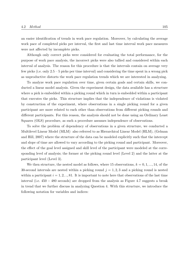an easier identification of trends in work pace regulation. Moreover, by calculating the average work pace of completed picks per interval, the first and last time interval work pace measures were not affected by incomplete picks.

Although only correct picks were considered for evaluating the total performance, for the purpose of work pace analysis, the incorrect picks were also tallied and considered within each interval of analysis. The reason for this procedure is that the intervals contain on average very few picks (i.e. only 2.5 – 5 picks per time interval) and considering the time spent in a wrong pick as unproductive distorts the work pace regulation trends which we are interested in analyzing.

To analyze work pace regulation over time, given certain goals and certain skills, we conducted a linear model analysis. Given the experiment design, the data available has a structure where a pick is embedded within a picking round which in turn is embedded within a participant that executes the picks. This structure implies that the independence of violations is violated by construction of the experiment, where observations in a single picking round for a given participant are more related to each other than observations from different picking rounds and different participants. For this reason, the analysis should not be done using an Ordinary Least Squares (OLS) procedure, as such a procedure assumes independence of observations.

To solve the problem of dependency of observations in a given structure, we conducted a Multilevel Linear Model (MLM) also referred to as Hierarchical Linear Model (HLM), (Gelman and Hill, 2007) where the structure of the data can be modeled explicitly such that the intercept and slope of time are allowed to vary according to the picking round and participant. Moreover, the effect of the goal level assigned and skill level of the participant were modeled at the corresponding level of analysis; the former at the picking round level (Level 2) and the latter at the participant level (Level 3).

We then structure, the nested model as follows, where 15 observations,  $k = 0, 1, ..., 14$ , of the 30-second intervals are nested within a picking round  $j = 1, 2, 3$  and a picking round is nested within a participant  $i = 1, 2, \ldots, 81$ . It is important to note here that observations of the last time interval (i.e. 450 − 480 seconds) are dropped from the analysis as Figure 4.7 suggests a break in trend that we further discuss in analyzing Question 4*.* With this structure, we introduce the following notation for variables and indices: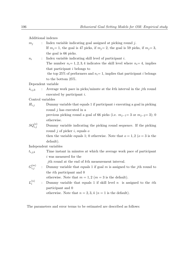Additional indexes

| $m_i$              | $\ddot{\cdot}$ | Index variable indicating goal assigned at picking round $j$ .                               |
|--------------------|----------------|----------------------------------------------------------------------------------------------|
|                    |                | If $m_j = 1$ , the goal is 47 picks, if $m_j = 2$ , the goal is 59 picks, if $m_j = 3$ ,     |
|                    |                | the goal is 66 picks.                                                                        |
| $n_i$              | $\ddot{\cdot}$ | Index variable indicating skill level of participant $i$ .                                   |
|                    |                | The number $n_i = 1, 2, 3, 4$ indicates the skill level where $n_i = 4$ , implies            |
|                    |                | that participant <i>i</i> belongs to                                                         |
|                    |                | the top 25% of performers and $n_i = 1$ , implies that participant <i>i</i> belongs          |
|                    |                | to the bottom 25%.                                                                           |
|                    |                | Dependent variable                                                                           |
| $s_{i,j,k}$        | $\ddot{\cdot}$ | Average work pace in picks/minute at the $k$ <sup>th</sup> interval in the <i>j</i> th round |
|                    |                | executed by participant $i$ .                                                                |
| Control variables  |                |                                                                                              |
| $H_{i,j}$          |                | Dummy variable that equals $1$ if participant $i$ executing a goal in picking                |
|                    |                | round $j$ has executed in a                                                                  |
|                    |                | previous picking round a goal of 66 picks (i.e. $m_{j-1} = 3$ or $m_{j-2} = 3$ ); 0          |
|                    |                | otherwise.                                                                                   |
| $SQ_{i,j}^{(o)}$   |                | Dummy variable indicating the picking round sequence. If the picking                         |
|                    |                | round $j$ of picker $i$ , equals $o$                                                         |
|                    |                | then the variable equals 1; 0 otherwise. Note that $o = 1, 2$ ( $o = 3$ is the               |
|                    |                | default).                                                                                    |
|                    |                | Independent variables                                                                        |
| $t_{i,j,k}$        |                | Time instant in minutes at which the average work pace of participant                        |
|                    |                | <i>i</i> was measured for the                                                                |
|                    |                | <i>j</i> th round at the end of kth measurement interval.                                    |
| $G_{i,j}^{(m)}$    | $\ddot{\cdot}$ | Dummy variable that equals 1 if goal $m$ is assigned to the jth round to                     |
|                    |                | the <i>i</i> th participant and 0                                                            |
|                    |                | otherwise. Note that $m = 1, 2$ ( $m = 3$ is the default).                                   |
| ${\cal L}_i^{(n)}$ | $\ddot{\cdot}$ | Dummy variable that equals 1 if skill level $n$ is assigned to the <i>i</i> th               |
|                    |                | participant and 0                                                                            |
|                    |                | otherwise. Note that $n = 2, 3, 4$ $(n = 1$ is the default).                                 |

The parameters and error terms to be estimated are described as follows: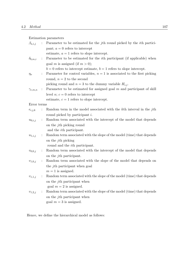Estimation parameters

| $\beta_{a,i,j}$  |                | Parameter to be estimated for the j <sup>th</sup> round picked by the <i>i</i> <sup>th</sup> partici- |
|------------------|----------------|-------------------------------------------------------------------------------------------------------|
|                  |                | pant; $a = 0$ refers to intercept                                                                     |
|                  |                | estimate, $a = 1$ refers to slope intercept.                                                          |
| $\delta_{b,m,i}$ |                | Parameter to be estimated for the <i>i</i> th participant (if applicable) when                        |
|                  |                | goal m is assigned (if $m > 0$ );                                                                     |
|                  |                | $b = 0$ refers to intercept estimate, $b = 1$ refers to slope intercept.                              |
| $\eta_{o}$       | $\ddot{\cdot}$ | Parameter for control variables, $n = 1$ is associated to the first picking                           |
|                  |                | round, $n = 2$ to the second                                                                          |
|                  |                | picking round and $n = 3$ to the dummy variable $H_{i,j}$ .                                           |
| $\gamma_{c,m,n}$ |                | Parameter to be estimated for assigned goal $m$ and participant of skill                              |
|                  |                | level <i>n</i> ; $c = 0$ refers to intercept                                                          |
|                  |                | estimate, $c = 1$ refers to slope intercept.                                                          |
| Error terms      |                |                                                                                                       |
| $e_{i,j,k}$      | $\ddot{\cdot}$ | Random term in the model associated with the $k$ th interval in the $j$ th                            |
|                  |                | round picked by participant $i$ .                                                                     |
| $u_{0,i,j}$      |                | Random term associated with the intercept of the model that depends                                   |
|                  |                | on the j <sup>th</sup> picking round                                                                  |
|                  |                | and the <i>i</i> th participant.                                                                      |
| $u_{1,i,j}$      |                | Random term associated with the slope of the model (time) that depends                                |
|                  |                | on the <i>j</i> th picking                                                                            |
|                  |                | round and the <i>i</i> th participant.                                                                |
| $v_{0,0,j}$      |                | Random term associated with the intercept of the model that depends                                   |
|                  |                | on the <i>j</i> th participant.                                                                       |
| $v_{1,0,j}$      | $\ddot{\cdot}$ | Random term associated with the slope of the model that depends on                                    |
|                  |                | the <i>j</i> th participant when goal                                                                 |
|                  |                | $m = 1$ is assigned.                                                                                  |
| $v_{1,1,j}$      |                | Random term associated with the slope of the model (time) that depends                                |
|                  |                | on the <i>j</i> th participant when                                                                   |
|                  |                | goal $m = 2$ is assigned.                                                                             |
| $v_{1,2,j}$      |                | Random term associated with the slope of the model (time) that depends                                |
|                  |                | on the <i>j</i> th participant when                                                                   |
|                  |                | goal $m = 3$ is assigned.                                                                             |

Hence, we define the hierarchical model as follows: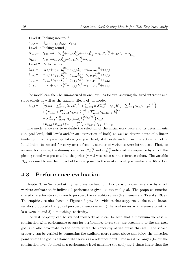Level 0: Picking interval  $k$ 

 $\dot{s}_{i,j,k} = \beta_{0,i,j} + \beta_{1,i,j} t_{i,j,k} + e_{i,j,k}$ Level 1: Picking round  $j$  $\beta_{0,i,j} = \quad \delta_{0,0,i} + \delta_{0,1} G^{(1)}_{i,,j} + \delta_{0,2} G^{(2)}_{i,,j} + \eta_1 S Q^{(1)}_{i,j} + \eta_2 S Q^{(2)}_{i,j} + \eta_3 H_{i,j} + u_{0,i,j}$  $\beta_{1,i,j} = \quad \delta_{1,0,i} + \delta_{1,1,i} G^{(1)}_{i,,j} + \delta_{1,2,i} G^{(2)}_{i,,j} + u_{1,i,j}$ Level 2: Participant i  $\delta_{0,0,i} = \quad \gamma_{0,0,0} + \gamma_{0,0,1} L^{(2)}_i + \gamma_{0,0,2} L^{(3)}_i + \gamma_{0,0,3} L^{(4)}_i + v_{0,0,i}$  $\delta_{1,0,i} = \quad \gamma_{1,0,0} + \gamma_{1,0,1} L^{(2)}_{i} + \gamma_{1,0,2} L^{(3)}_{i} + \gamma_{1,0,3} L^{(4)}_{i} + v_{1,0,i}$  $\delta_{1,1,i} = \gamma_{1,1,0} + \gamma_{1,1,1} L^{(2)}_i + \gamma_{1,1,2} L^{(3)}_i + \gamma_{1,1,3} L^{(4)}_i + v_{1,1,i}$  $\delta_{1,2,i} = \gamma_{1,2,0} + \gamma_{1,2,1} L_i^{(2)} + \gamma_{1,2,2} L_i^{(3)} + \gamma_{1,2,2} L_i^{(4)} + v_{1,2,i}$ 

The model can then be summarized in one level, as follows, showing the fixed intercept and slope effects as well as the random effects of the model:

$$
\begin{array}{ll} \dot{s}_{i,j,k} = & \left( \gamma_{0,0,0} + \sum_{m=1}^{2} \delta_{0,m} G_{i,j}^{(m)} + \sum_{o=1}^{2} \eta_{o} S Q_{i,j}^{(o)} + \eta_{3,j} H_{i,j} + \sum_{n=2}^{4} \gamma_{0,0,(n-1)} L_i^{(n)} \right) \\ & & + \left( \gamma_{1,0,0} + \sum_{m=1}^{2} \gamma_{1,m,0} G_{i,j}^{(m)} + \sum_{n=2}^{4} \gamma_{1,0,(n-1)} L_i^{(n)} \right. \\ & & \left. + \sum_{n=2}^{4} \sum_{m=1}^{2} \gamma_{1,m,(n-1)} L_i^{(n)} G_{i,j}^{(m)} \right) t_{i,j,k} \\ & & + u_{0,i,j} + v_{0,0,i} + (u_{1,i,j} + \sum_{m=1}^{2} v_{1,m,i}) t_{i,j,k} + e_{i,j,k} \end{array}
$$

The model allows us to evaluate the selection of the initial work pace and its determinants (i.e. goal level, skill levels and/or an interaction of both) as well as determinants of a linear tendency in work pace regulation (i.e. goal level, skill levels and/or an interaction of both). In addition, to control for carry-over effects, a number of variables were introduced. First, to account for fatigue, the dummy variables  $SQ_{i,j}^{(1)}$  and  $SQ_{i,j}^{(2)}$  indicated the sequence by which the picking round was presented to the picker ( $o = 3$  was taken as the reference value). The variable  $H_{i,j}$  was used to see the impact of being exposed to the most difficult goal earlier (i.e. 66 picks).

### **4.3 Performance evaluation**

In Chapter 3, an S-shaped utility performance function,  $P(s)$ , was proposed as a way by which workers evaluate their individual performance given an external goal. The proposed function shared characteristics common to prospect theory utility curves (Kahneman and Tversky, 1979). The empirical results shown in Figure 4.3 provides evidence that supports all the main characteristics proposed of a typical prospect theory curve: 1) the goal serves as a reference point, 2) loss aversion and 3) diminishing sensitivity.

The first property can be verified indirectly as it can be seen that a maximum increase in satisfaction with performance occurs for performance levels that are proximate to the assigned goal and also proximate to the point where the concavity of the curve changes. The second property can be verified by comparing the available score ranges above and below the inflection point where the goal is attained that serves as a reference point. The negative ranges (below the satisfaction level obtained at a performance level matching the goal) are 4-times larger than the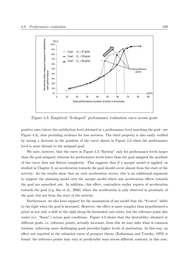

Figure 4.3: Empirical "S-shaped" performance evaluation curve across goals

positive ones (above the satisfaction level obtained at a performance level matching the goal - see Figure 4.3), thus providing evidence for loss aversion. The third property is also easily verified by noting a decrease in the gradient of the curve shown in Figure 4.3 when the performance level is more distant to the assigned goal.

We note, however, that the curve in Figure 4.3 "flattens" only for performance levels larger than the goal assigned, whereas for performance levels lower than the goal assigned the gradient of the curve does not flatten completely. This suggests that if a myopic model is applied, as studied in Chapter 3, an acceleration towards the goal should occur almost from the start of the activity. As the results show that no such acceleration occurs, this is an additional argument to support the planning model over the myopic model where any acceleration effects towards the goal are smoothed out. In addition, this effect, contradicts earlier reports of acceleration towards the goal (e.g. See et al., 2006) where the acceleration is only observed in proximity of the goal, but not from the start of the activity.

Furthermore, we also have support for the assumption of our model that the "S-curve" shifts to the right when the goal is increased. However, the effect is more complex than hypothesized a priori as not only a shift to the right along the horizontal axis exists, but the reference point also varies (i.e. "floats") across goal conditions. Figure 4.3 shows that the desirability obtained at different goals, i.e. reference points, actually increases, from this we may infer what is common wisdom: achieving more challenging goals provides higher levels of motivation. In this way, an effect not reported in the valuation curve of prospect theory (Kahneman and Tversky, 1979) is found: the reference points may vary in predictable ways across different contexts, in this case,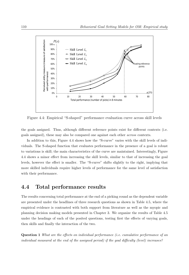

Figure 4.4: Empirical "S-shaped" performance evaluation curve across skill levels

the goals assigned. Thus, although different reference points exist for different contexts (i.e. goals assigned), these may also be compared one against each other *across* contexts.

In addition to this, Figure 4.4 shows how the "S-curve" varies with the skill levels of individuals. The S-shaped function that evaluates performance in the presence of a goal is robust to variations is skill; the main characteristics of the curve are maintained. Interestingly, Figure 4.4 shows a minor effect from increasing the skill levels, similar to that of increasing the goal levels, however the effect is smaller. The "S-curve" shifts slightly to the right, implying that more skilled individuals require higher levels of performance for the same level of satisfaction with their performance.

### **4.4 Total performance results**

The results concerning total performance at the end of a picking round as the dependent variable are presented under the headlines of three research questions as shown in Table 4.5, where the empirical evidence is contrasted with both support from literature as well as the myopic and planning decision making models presented in Chapter 3. We organize the results of Table 4.5 under the headings of each of the posited questions, testing first the effects of varying goals, then skills and finally the interaction of the two.

**Question 1** *What are the effects on individual performance (i.e. cumulative performance of an individual measured at the end of the assigned period) if the goal difficulty (level) increases?*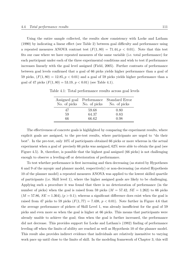Using the entire sample collected, the results show consistency with Locke and Latham (1990) by indicating a linear effect (see Table 2) between goal difficulty and performance using a repeated measures ANOVA contrast test  $(F(1, 80) = 71.44, p < 0.01)$ . Note that this test fits our case where we have repeated measures of the same variable (i.e. total performance) for each participant under each of the three experimental conditions and wish to test if performance increases linearly with the goal level assigned (Field, 2005). Further contrasts of performance between goal levels confirmed that a goal of 66 picks yields higher performance than a goal of 59 picks,  $(F(1, 80) = 12.85, p < 0.01)$  and a goal of 59 picks yields higher performance than a goal of 47 picks  $(F(1, 80) = 53.19, p < 0.01)$  (see Table 4.1).

| Assigned goal<br>No. of picks No. of picks | Performance | Standard Error<br>No. of picks |
|--------------------------------------------|-------------|--------------------------------|
| 47                                         | 59.68       | 0.80                           |
| 59                                         | 64.37       | 0.83                           |
| 66                                         | 66.62       | 0.98                           |

Table 4.1: Total performance results across goal levels

The effectiveness of concrete goals is highlighted by comparing the experiment results, where explicit goals are assigned, to the pre-test results, where participants are urged to "do their best". In the pre-test, only 10% of participants obtained 66 picks or more whereas in the actual experiment when a goal of precisely 66 picks was assigned, 62% were able to obtain the goal (see Figure 4.5). It, therefore, is possible that the highest goal assigned (66 picks) is not challenging enough to observe a leveling-off or deterioration of performance.

To test whether performance is first increasing and then decreasing (as stated by Hypotheses 6 and 9 of the myopic and planner model, respectively) or non-decreasing (as stated Hypothesis 10 of the planner model) a repeated measures ANOVA was applied to the lowest skilled quartile of participants (i.e. Skill level 1), where the higher assigned goals are likely to be challenging. Applying such a procedure it was found that there is no deterioration of performance (in the number of picks) when the goal is raised from 59 picks  $(M = 57.42, SE = 1.262)$  to 66 picks  $(M = 57.86, SE = 1.364), (p > 0.1)$ ; whereas a significant difference does exist when the goal is raised from 47 picks to 59 picks  $(F(1, 77) = 7.438, p < 0.01)$ . Note further in Figure 4.6 that the average performance of pickers of Skill Level 1, was already insufficient for the goal of 59 picks and even more so when the goal is higher at 66 picks. This means that participants were already unable to achieve the goal; thus when the goal is further increased, the performance did not decrease. This provides support for Locke and Latham's (1982) finding of performance leveling off when the limits of ability are reached as well as Hypothesis 10 of the planner model. This result also provides indirect evidence that individuals are relatively insensitive to varying work pace up until close to the limits of skill. In the modeling framework of Chapter 3, this will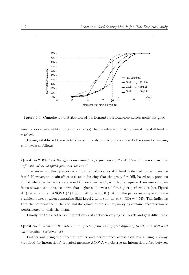

Figure 4.5: Cumulative distribution of participants performance across goals assigned

mean a work pace utility function (i.e.  $R(s)$ ) that is relatively "flat" up until the skill level is reached.

Having established the effects of varying goals on performance, we do the same for varying skill levels as follows:

**Question 2** *What are the effects on individual performance if the skill level increases under the influence of an assigned goal and deadline?*

The answer to this question is almost tautological as skill level is defined by performance itself. However, the main effect is clear, indicating that the proxy for skill, based on a previous round where participants were asked to "do their best", is in fact adequate: Pair-wise comparisons between skill levels confirm that higher skill levels exhibit higher performance (see Figure 4.4) tested with an ANOVA  $(F(1, 80) = 90.43, p < 0.01)$ . All of the pair-wise comparisons are significant except when comparing Skill Level 2 with Skill Level 3,  $t(80) = 0.545$ . This indicates that the performance in the 2nd and 3rd quartiles are similar, implying certain concentration of performance towards the mean.

Finally, we test whether an interaction exists between varying skill levels and goal difficulties:

**Question 3** *What are the interaction effects of increasing goal difficulty (level) and skill level on individual performance?*

Further analyzing the effect of worker and performance across skill levels using a 2-way (required for interactions) repeated measure ANOVA we observe an interaction effect between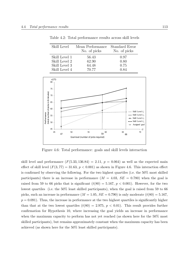| Skill Level   | Mean Performance<br>No. of picks | Standard Error<br>No. of picks |
|---------------|----------------------------------|--------------------------------|
| Skill Level 1 | 56.43                            | 0.97                           |
| Skill Level 2 | 62.90                            | 0.80                           |
| Skill Level 3 | 64.48                            | 0.75                           |
| Skill Level 4 | 70.77                            | 0.84                           |

Table 4.2: Total performance results across skill levels



Figure 4.6: Total performance: goals and skill levels interaction

skill level and performance  $(F(5.33, 136.84) = 2.11, p = 0.064)$  as well as the expected main effect of skill level  $(F(3, 77) = 31.63, p < 0.001)$  as shown in Figure 4.6. This interaction effect is confirmed by observing the following. For the two highest quartiles (i.e. the 50% most skilled participants) there is an increase in performance  $(M = 4.03, SE = 0.780)$  when the goal is raised from 59 to 66 picks that is significant  $(t(80) = 5.167, p < 0.001)$ . However, for the two lowest quartiles (i.e. the 50% least skilled participants), when the goal is raised from 59 to 66 picks, such an increase in performance  $(M = 1.05, SE = 0.790)$  is only moderate  $(t(80) = 5.167,$  $p = 0.091$ . Thus, the increase in performance at the two highest quartiles is significantly higher than that at the two lowest quartiles  $(t(80) = 2.975, p < 0.01)$ . This result provides further confirmation for Hypothesis 10, where increasing the goal yields an increase in performance when the maximum capacity to perform has not yet reached (as shown here for the 50% most skilled participants), but remains approximately constant when the maximum capacity has been achieved (as shown here for the 50% least skilled participants).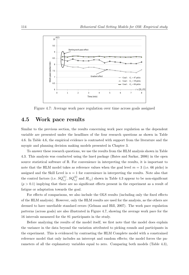

Figure 4.7: Average work pace regulation over time across goals assigned

### **4.5 Work pace results**

Similar to the previous section, the results concerning work pace regulation as the dependent variable are presented under the headlines of the four research questions as shown in Table 4.6. In Table 4.6, the empirical evidence is contrasted with support from the literature and the myopic and planning decision making models presented in Chapter 3.

To answer these research questions, we use the results from the HLM analysis shown in Table 4.3. This analysis was conducted using the lme4 package (Bates and Sarkar, 2006) in the open source statistical software of R. For convenience in interpreting the results, it is important to note that the HLM model takes as reference values when the goal level  $m = 3$  (i.e. 66 picks) is assigned and the Skill Level is  $n = 1$  for convenience in interpreting the results. Note also that the control factors (i.e.  $SQ_{i,j}^{(1)}$ ,  $SQ_{i,j}^{(2)}$  and  $H_{i,j}$ ) shown in Table 4.3 appear to be non-significant  $(p > 0.1)$  implying that there are no significant effects present in the experiment as a result of fatigue or adaptation towards the goal.

For effects of comparisons, we also include the OLS results (including only the fixed effects of the HLM analysis). However, only the HLM results are used for the analysis, as the others are deemed to have unreliable standard errors (Gelman and Hill, 2007). The work pace regulation patterns (across goals) are also illustrated in Figure 4.7, showing the average work pace for the 16 intervals measured for the 81 participants in the study.

Before analyzing the results of the model itself, we first note that the model does explain the variance in the data beyond the variation attributed to picking rounds and participants in the experiment. This is evidenced by contrasting the HLM Complete model with a constrained reference model that only includes an intercept and random effects; the model forces the parameters of all the explanatory variables equal to zero. Comparing both models (Table 4.3),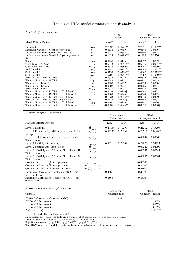### Table 4.3: HLM model estimation and fit analysis

#### *1. Fixed effects estimation*

| $\ldots$ we expect to communicate                                                                                                                                                                                                                                                                                                     |                                                                                                                                                                                                                                | <b>OLS</b><br>Model                                                                                                                                 |                                                                                                                                                          | <b>HLM</b><br>Complete model                                                                                                                           |                                                                                                                                                          |
|---------------------------------------------------------------------------------------------------------------------------------------------------------------------------------------------------------------------------------------------------------------------------------------------------------------------------------------|--------------------------------------------------------------------------------------------------------------------------------------------------------------------------------------------------------------------------------|-----------------------------------------------------------------------------------------------------------------------------------------------------|----------------------------------------------------------------------------------------------------------------------------------------------------------|--------------------------------------------------------------------------------------------------------------------------------------------------------|----------------------------------------------------------------------------------------------------------------------------------------------------------|
| <b>Fixed Effects Factors</b>                                                                                                                                                                                                                                                                                                          |                                                                                                                                                                                                                                | Coeff                                                                                                                                               | S.E.                                                                                                                                                     | Coeff                                                                                                                                                  | S.E.                                                                                                                                                     |
| Intercept<br>Indicator variable - Goal presented 1st<br>Indicator variable - Goal presented 2nd<br>Indicator variable - Goal of 66 picks presented<br>frst.                                                                                                                                                                           | $\gamma_{0,0,0}$<br>$\eta_1$<br>$\eta_2$<br>$\eta_3$                                                                                                                                                                           | 7.7827<br>0.0135<br>$-0.0487$<br>0.1818                                                                                                             | $0.0724***$<br>0.0369<br>0.0362<br>$0.0295***$                                                                                                           | 7.7371<br>0.0145<br>$-0.0440$<br>0.1499                                                                                                                | $0.1647***$<br>0.0836<br>0.0823<br>0.1356                                                                                                                |
| Time<br>Goal Level 47 Picks<br>Goal Level 59 Picks<br>Skill Level 2<br>Skill Level 3<br>Skill Level 4<br>Time x Goal Level 47 Picks<br>Time x Goal Level 59 Picks<br>Time x Skill Level 2<br>Time x Skill Level 3<br>Time x Skill Level 4<br>Time x Goal Level 47 Picks x Skill Level 2<br>Time x Goal Level 47 Picks x Skill Level 3 | $\gamma_{1,0,0}$<br>$\gamma_{1,1,0}$<br>$\gamma_{1,2,0}$<br>70,0,1<br>70,0,2<br>70,0,3<br>$\delta_{1,1}$<br>$\delta_{1,2}$<br>$\gamma_{1,0,1}$<br>$\gamma_{1,0,2}$<br>$\gamma_{1,0,3}$<br>$\gamma_{1,1,1}$<br>$\gamma_{1,1,2}$ | 0.0146<br>$-0.6913$<br>$-0.2346$<br>0.6147<br>0.9799<br>1.6701<br>$-0.0342$<br>$-0.0243$<br>0.0030<br>$-0.0007$<br>0.0377<br>$-0.0438$<br>$-0.0359$ | 0.0185<br>$0.0684***$<br>$0.0680***$<br>$0.0782***$<br>$0.0784***$<br>$0.0781***$<br>0.0222<br>0.0221<br>0.0237<br>0.0237<br>0.0237<br>0.0246†<br>0.0245 | 0.0092<br>$-0.6675$<br>$-0.2257$<br>0.6589<br>1.0068<br>1.7067<br>$-0.0832$<br>$-0.0231$<br>$-0.0083$<br>$-0.0205$<br>$-0.0133$<br>$-0.0080$<br>0.0044 | 0.0202<br>$0.0917***$<br>$0.0899*$<br>$0.1982**$<br>$0.1972***$<br>$0.1969***$<br>$0.0287**$<br>0.0243<br>0.0285<br>0.0284<br>0.0284<br>0.0402<br>0.0402 |
| Time x Goal Level 47 Picks x Skill Level 4<br>Time x Goal Level 59 Picks x Skill Level 2<br>Time x Goal Level 59 Picks x Skill Level 3<br>Time x Goal Level 59 Picks x Skill Level 4                                                                                                                                                  | $\gamma_{1,1,3}$<br>$\gamma_{1,2,1}$<br>$\gamma_{1,2,2}$<br>$\gamma_{1,2,3}$                                                                                                                                                   | $-0.1033$<br>0.0446<br>$-0.0161$<br>$-0.0885$                                                                                                       | $0.0245***$<br>0.0246†<br>0.0246<br>$0.0244***$                                                                                                          | 0.0049<br>0.0156<br>$-0.0202$<br>$-0.0670$                                                                                                             | 0.0402<br>0.0337<br>0.0336<br>$0.0336\dagger$                                                                                                            |

*2. Random effects estimation*

|                                                                   |                                                                                                     | Constrained<br>reference model |         | <b>HLM</b><br>Complete model |          |
|-------------------------------------------------------------------|-----------------------------------------------------------------------------------------------------|--------------------------------|---------|------------------------------|----------|
| Random Effects Factors                                            |                                                                                                     | Est.                           | S.D.    | Est.                         | S.D.     |
| Level 0 Residual                                                  |                                                                                                     | 0.29484                        | 0.54299 | 0.24212                      | 0.49206  |
| Level 1 Pick round $i$ within participant $i$ : In-<br>tercept    | $\sigma^2_{e_{i,j,k}} \\ \sigma^2_{u_{0,i,j}}$                                                      | 0.50130                        | 0.70802 | 0.26711                      | 0.514866 |
| Level 1 Pick round $j$ within participant $i$ :<br>Time (slope)   | $\sigma^2_{u_{1,i,j}}$                                                                              |                                |         | 0.00342                      | 0.05869  |
| Level 2 Participant: Intercept                                    |                                                                                                     | 0.50214                        | 0.70862 | 0.28820                      | 0.53127  |
| Level 2 Participant: Time (slope)                                 |                                                                                                     |                                |         | 0.00227                      | 0.04794  |
| Level 2 Participant: Time x Goal Level 47<br>Picks (slope)        | $\begin{array}{l} \sigma^2_{v_{0,0,i}} \\ \sigma^2_{v_{1,0,i}} \\ \sigma^2_{v_{1,1,i}} \end{array}$ |                                |         | 0.00547                      | 0.00741  |
| Level 2 Participant: Time x Goal Level 59<br>Picks (slope)        | $\sigma^2_{v_{1,2,i}}$                                                                              |                                |         | 0.00055                      | 0.02081  |
| Covariance Level 1 (Intercept-slope)                              | $\sigma_{(u_{0,i,j},u_{1,i,j})}$                                                                    |                                |         | $-0.30100$                   |          |
| Covariance Level 2 (Intercept-slope)                              | $\sigma_{(v_{0,0,i},v_{1,0,i})}$                                                                    |                                |         | $-0.25200$                   |          |
| Covariance Level 2 (Interaction terms)                            | $\sigma_{(v_{1,1,i},v_{1,2,i})}$                                                                    |                                |         | 0.57600                      |          |
| Interclass Correlation Coefficient (ICC) Pick-<br>ing round level |                                                                                                     | 0.3861                         |         | 0.3312                       |          |
| Interclass Correlation Coefficient (ICC) Indi-<br>vidual level    |                                                                                                     | 0.3868                         |         | 0.3510                       |          |

| 3. HLM Complete model fit evaluation                                                                                                                    | Constrained     | HLM                                               |
|---------------------------------------------------------------------------------------------------------------------------------------------------------|-----------------|---------------------------------------------------|
| Criteria.                                                                                                                                               | reference model | Complete model                                    |
| Akaike Information Criterion (AIC)<br>$R^2$ Level 0 Increment<br>$R^2$ Level 1 Increment<br>$R^2$ Level 2 Increment<br>$\Delta\chi^2$ ( $\Delta$ df=27) | 6782            | 6351<br>17.88%<br>49.67%<br>43.13%<br>$579.17***$ |

For HLM and OLS analysis,  $n = 3631$ .<br>In addition, for HLM, the following number of observations were observed per level:<br>time intervals per round=15, rounds=3, participants=81<br>Signifrance levels:  $p \le 0.1(\dagger)$ ,  $p \le 0.01(\$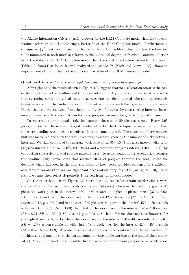the Akaike Information Criteria (AIC) is lower for the HLM Complete model than for the constrained reference model, indicating a better fit of the HLM Complete model. Furthermore, a chi-squared  $(\chi^2)$  test to compare the change in the -2 log likelihood function (i.e. the function to be minimized in both models) relative to the additional degrees of freedom, confirms a better fit of the data by the HLM Complete model than the constrained reference model. Moreover, Table 4.3 shows that for each level analyzed the pseudo- $R^2$  (Kreft and Leuw, 1998), shows an improvement of the fit due to the additional variables of the HLM Complete model.

#### **Question 4** *How is the work pace regulated under the influence of a given goal and deadline?*

A first glance at the results shown in Figure 4.7, suggest that no acceleration towards the goal exists, only towards the deadline and thus does not support Hypothesis 1. However, it is possible that averaging across individuals may mask acceleration effects towards the goal, particularly taking into account that individuals with different skill levels reach their goals at different times. Hence, the data was analyzed from the point of view of progress by constructing intervals based on a constant length of about 5% in terms of progress towards the goal as opposed to time.

To construct these intervals, take for example the case of 59 picks as a goal. Every 2.95 picks, rounded to the nearest integral number of picks, the time lapsed is measured and then the corresponding work pace is calculated for that same interval. The exact time between each unit was measured and then the work pace was calculated knowing the number of picks between intervals. We then compared the average work pace of the 95−100% progress interval with prior progress intervals (i.e.  $75 - 80\%$ ,  $80 - 85\%$ ) and a posterior progress interval  $(100 - 105\%)$  by conducting successive related sample paired t-tests. To avoid confounding acceleration towards the deadline, only participants that reached 105% of progress towards the goal, before the deadline where included in the analysis. None of the t-tests provided evidence for significant acceleration towards the goal or significant deceleration away from the goal  $(p > 0.10)$ . As a result, we may then reject Hypothesis 1 derived from the myopic model.

On the other hand, from Figure 4.7, there does appear to be certain acceleration toward the deadline for the two lowest goals (i.e. 47 and 59 picks) where in the case of a goal of 47 picks, the work pace in the interval  $450 - 480$  seconds is higher in picks/minute ( $M = 7.62$ ,  $SE = 1.17$ ) than that of the work pace in the interval 420-450 seconds  $(M = 7.41, SE = 1.15)$ ,  $(t(80) = 3.17, p < 0.01)$  and in the case of 59 picks, work pace in the interval 450 – 480 seconds is higher  $(M = 8.09, SE = 1.00)$  than that of the work pace in the interval  $420 - 450$  seconds  $(M = 8.21, SE = 1.02), (t(80) = 3.167, p = 0.051).$  Such a difference does not exist however, for the highest goal of 66 picks where the work pace for the interval  $450 - 480$  seconds ( $M = 8.64$ ,  $SE = 1.13$ ) is non-significant with that of the work pace for the interval  $420 - 450$  seconds  $(M = 8.62, SE = 1.09)$ . A probable explanation for such acceleration towards the deadline for the highest goal may be that the participants may already be working at the limit of their ability (skill). More importantly, it is possible that the acceleration previously reported as acceleration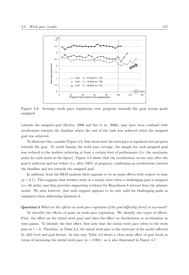

Figure 4.8: Average work pace regulation over progress towards the goal across goals assigned

towards the assigned goal (Kivetz, 2006 and See et al., 2006), may have been confused with acceleration towards the deadline where the end of the task was achieved when the assigned goal was achieved.

To illustrate this, consider Figure 4.8, that shows how the work pace is regulated over progress towards the goal. To avoid biasing the work pace average, the sample for each assigned goal was reduced to the workers achieving at least a certain level of performance (i.e. the maximum point for each series in the figure). Figure 4.8 shows that the acceleration occurs only after the goal is achieved and not before (i.e. after 100% of progress), confirming an acceleration towards the deadline and not towards the assigned goal.

In addition, from the HLM analysis there appears to be no main effects with respect to time  $(p > 0.1)$ . This suggests that workers work at a steady state when a challenging goal is assigned (i.e. 66 picks) and thus provides supporting evidence for Hypothesis 8 derived from the planner model. We note however, that such support appears to be only valid for challenging goals as explained when addressing Question 6.

#### **Question 5** *What are the effects on work pace regulation if the goal difficulty (level) is increased?*

To describe the effects of goals on work pace regulation. We identify two types of effects. First, the effect on the initial work pace and then the effect on deceleration or acceleration as time passes. To identify the first effect, first note that the initial work pace refers to the work pace at  $t = 0$ . Therefore, in Table 4.3, the initial work pace is the intercept of the model affected by skill level and goal factors. In this way, Table 4.3 shows a clear main effect of goal levels in terms of increasing the initial work pace  $(p < 0.001)$  as is also illustrated in Figure 4.7.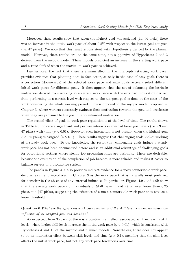Moreover, these results show that when the highest goal was assigned (i.e. 66 picks) there was an increase in the initial work pace of about 9.5% with respect to the lowest goal assigned (i.e. 47 picks). We note that this result is consistent with Hypothesis 9 derived by the planner model. However, these results are, at the same time, not supportive of Hypotheses 2 and 3 derived from the myopic model. These models predicted an increase in the starting work pace and a time shift of when the maximum work pace is achieved.

Furthermore, the fact that there is a main effect in the intercepts (starting work pace) provides evidence that planning does in fact occur, as only in the case of easy goals there is a correction (downwards) of the selected work pace and individuals actively select different initial work paces for different goals. It then appears that the act of balancing the intrinsic motivation derived from working at a certain work pace with the extrinsic motivation derived from performing at a certain level with respect to the assigned goal is done at the start of the work considering the whole working period. This is opposed to the myopic model proposed in Chapter 3, where workers constantly evaluate their motivation towards the goal and accelerate when they are proximal to the goal due to enhanced motivation.

The second effect of goals in work pace regulation is at the level of time. The results shown in Table 4.3 indicate a significant and positive interaction effect of lower goal levels (i.e. 59 and 47 picks) with time  $(p < 0.01)$ . However, such interaction is not present when the highest goal (i.e. 66 picks) is assigned  $(p > 0.1)$ . These results suggest that challenging goals *induce* working at a steady work pace. To our knowledge, the result that challenging goals induce a steady work pace has not been documented before and is an additional advantage of challenging goals for operational settings where steady job processing rates are desirable. These are desirable, because the estimation of the completion of job batches is more reliable and makes it easier to balance servers in a productive system.

The panels in Figure 4.9, also provides indirect evidence for a most comfortable work pace, denoted as n, and introduced in Chapter 3 as the work pace that is naturally most preferred for a worker in the absence of any external influence. In particular, Figures 4.9a and 4.9b show that the average work pace (for individuals of Skill Level 1 and 2) is never lower than 6.25 picks/min (47 picks), suggesting the existence of a most comfortable work pace that acts as a lower threshold.

### **Question 6** *What are the effects on work pace regulation if the skill level is increased under the influence of an assigned goal and deadline?*

As expected, from Table 4.3, there is a positive main effect associated with increasing skill levels, where higher skill levels increase the initial work pace  $(p < 0.01)$ , which is consistent with Hypotheses 4 and 11 of the myopic and planner models. Nonetheless, there does not appear to be an interaction effect between skill levels and time  $(p > 0.1)$ , meaning that the skill level affects the initial work pace, but not any work pace tendencies over time.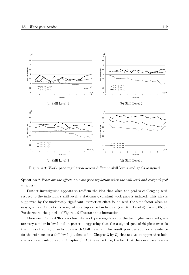

Figure 4.9: Work pace regulation across different skill levels and goals assigned

#### **Question 7** *What are the effects on work pace regulation when the skill level and assigned goal interact?*

Further investigation appears to reaffirm the idea that when the goal is challenging with respect to the individual's skill level, a stationary, constant work pace is induced. This idea is supported by the moderately significant interaction effect found with the time factor when an easy goal (i.e. 47 picks) is assigned to a top skilled individual (i.e. Skill Level 4),  $(p = 0.0558)$ . Furthermore, the panels of Figure 4.9 illustrate this interaction.

Moreover, Figure 4.9b shows how the work pace regulation of the two higher assigned goals are very similar in level and in pattern, suggesting that the assigned goal of 66 picks exceeds the limits of ability of individuals with Skill Level 2. This result provides additional evidence for the existence of a skill level (i.e. denoted in Chapter 3 by  $L$ ) that acts as an upper threshold (i.e. a concept introduced in Chapter 3). At the same time, the fact that the work pace is non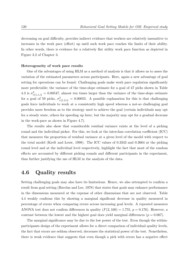decreasing on goal difficulty, provides indirect evidence that workers are relatively insensitive to increases in the work pace (effort) up until such work pace reaches the limits of their ability. In other words, there is evidence for a relatively flat utility work pace function as depicted in Figure 3.2 of Chapter 3.

#### **Heterogeneity of work pace results**

One of the advantages of using HLM as a method of analysis is that it allows us to asses the variation of the estimated parameters across participants. Here, again a new advantage of goal setting for operations can be found: Challenging goals make work pace regulation significantly more predictable; the variance of the time-slope estimate for a goal of 47 picks shown in Table 4.3 is  $\sigma_{v\{1,1,i\}}^2 = 0.00547$ , almost ten times larger than the variance of the time-slope estimate for a goal of 59 picks,  $\sigma_{v\{1,2,i\}}^2 = 0.00055$ . A possible explanation for this is that challenging goals force individuals to work at a consistently high speed whereas a not-so challenging goal provides more freedom as to the strategy used to achieve the goal (certain individuals may opt for a steady state, others for speeding up later, but the majority may opt for a gradual decrease in the work-pace as shown in Figure 4.7).

The results also show that considerable residual variance exists at the level of a picking round and the individual picker. For this, we look at the interclass correlation coefficient (ICC) that measures the proportion of residual variance at a given level of the model with respect to the total model (Kreft and Leuw, 1998). The ICC values of 0.3343 and 0.3664 at the picking round level and at the individual level respectively, highlight the fact that most of the random effects are accounted by different picking rounds and different participants in the experiment, thus further justifying the use of HLM in the analysis of the data.

### **4.6 Quality results**

Setting challenging goals may also have its limitations. Hence, we also attempted to confirm a result from goal setting (Bavelas and Lee, 1978) that states that goals may enhance performance in the dimensions measured at the expense of other dimensions that are not observed. Table 4.4 weakly confirms this by showing a marginal significant decrease in quality measured in percentage of errors when comparing errors across increasing goal levels. A repeated measures ANOVA test does not confirm differences in quality  $(F(2, 160) = 1.755, p = 0.176)$ . However, a contrast between the lowest and the highest goal does yield marginal differences ( $p = 0.067$ ).

The marginal significance may be due to the low power of the test. Even though the withinparticipants design of the experiment allows for a direct comparison of individual quality levels, the fact that errors are seldom observed, decreases the statistical power of the test. Nonetheless, there is weak evidence that suggests that even though a pick with errors has a negative effect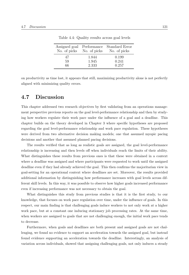| Assigned goal<br>No. of picks | Performance<br>No. of picks | Standard Error<br>No. of picks |
|-------------------------------|-----------------------------|--------------------------------|
| 47                            | 1.844                       | 0.199                          |
| 59                            | 1.945                       | 0.241                          |
| 66                            | 2.333                       | 0.257                          |

Table 4.4: Quality results across goal levels

on productivity as time lost, it appears that still, maximizing productivity alone is not perfectly aligned with minimizing quality errors.

### **4.7 Discussion**

This chapter addressed two research objectives by first validating from an operations management perspective previous reports on the goal level-performance relationship and then by studying how workers regulate their work pace under the influence of a goal and a deadline. This chapter builds on the theory developed in Chapter 3 where specific hypotheses are proposed regarding the goal level-performance relationship and work pace regulation. These hypotheses were derived from two alternative decision making models; one that assumed myopic pacing decisions and another that assumed planned pacing decisions.

The results verified that as long as realistic goals are assigned, the goal level-performance relationship is increasing and then levels off when individuals reach the limits of their ability. What distinguishes these results from previous ones is that these were obtained in a context where a deadline was assigned and where participants were requested to work until the assigned deadline even if they had already achieved the goal. This then confirms the majoritarian view in goal-setting for an operational context where deadlines are set. Moreover, the results provided additional information by distinguishing how performance increases with goal levels across different skill levels. In this way, it was possible to observe how higher goals increased performance even if increasing performance was not necessary to obtain the goal.

What distinguishes this study from previous studies is that it is the first study, to our knowledge, that focuses on work pace regulation over time, under the influence of goals. In this respect, our main finding is that challenging goals induce workers to not only work at a higher work pace, but at a constant one inducing stationary job processing rates. At the same time, when workers are assigned to goals that are not challenging enough, the initial work pace tends to decrease.

Furthermore, when goals and deadlines are both present and assigned goals are not challenging, we found no evidence to support an acceleration towards the assigned goal, but instead found evidence supporting an acceleration towards the deadline. Interestingly, an analysis of variation across individuals, showed that assigning challenging goals, not only induces a steady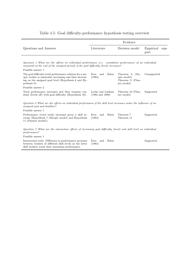|                                                                                                                                                                                                          | Evidence                                       |                                                                      |                           |  |
|----------------------------------------------------------------------------------------------------------------------------------------------------------------------------------------------------------|------------------------------------------------|----------------------------------------------------------------------|---------------------------|--|
| Questions and Answers                                                                                                                                                                                    | Literature                                     | Decision model                                                       | Empirical<br>sup-<br>port |  |
| Question 1 What are the effects on individual performance ( <i>i.e.</i> cumulative performance of an individual<br>measured at the end of the assigned period) if the goal difficulty (level) increases? |                                                |                                                                      |                           |  |
| Possible answer 1                                                                                                                                                                                        |                                                |                                                                      |                           |  |
| The goal difficulty-total performance relation for a my-<br>opic worker is unimodal, increasing and then decreas-<br>ing on the assigned goal level (Hypothesis 6 and Hy-<br>pothesis 9).                | Zidon<br>Erez<br>and<br>(1984)                 | Theorem 6<br>$(Mv-$<br>opic model)<br>Theorem 9 (Plan-<br>ner model) | Unsupported               |  |
| Possible answer 2                                                                                                                                                                                        |                                                |                                                                      |                           |  |
| Total performance increases and then remains con-<br>stant (levels off) with goal difficulty (Hypothesis 10).                                                                                            | Locke and Latham<br>$(1982 \text{ and } 1990)$ | Theorem 10 (Plan-<br>ner model)                                      | Supported                 |  |
| Question 2 What are the effects on individual performance if the skill level increases under the influence of an<br>assigned goal and deadline?                                                          |                                                |                                                                      |                           |  |
| Possible answer 1                                                                                                                                                                                        |                                                |                                                                      |                           |  |
| Performance (total work) increases given a skill in-<br>crease (Hypothesis 7 (Myopic model) and Hypothesis<br>11 (Planner model)).                                                                       | Zidon<br>Erez<br>and<br>(1984)                 | Theorem 7<br>Theorem 11                                              | Supported                 |  |
| Question 3 What are the interaction effects of increasing goal difficulty (level) and skill level on individual<br>performance?                                                                          |                                                |                                                                      |                           |  |
| Possible answer 1                                                                                                                                                                                        |                                                |                                                                      |                           |  |
| Interactions exist. Difference in performance increases<br>between workers of different skill levels as the lower<br>skill workers reach their maximum performance.                                      | Zidon<br>Erez<br>and<br>(1984)                 |                                                                      | Supported                 |  |

### Table 4.5: Goal difficulty-performance hypothesis testing overview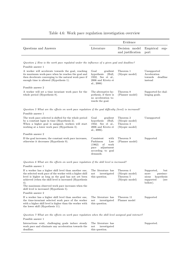|                                                                                                                                                                                                                                                                                                                                               | Evidence                                                                                                              |                                                            |                                                                                               |
|-----------------------------------------------------------------------------------------------------------------------------------------------------------------------------------------------------------------------------------------------------------------------------------------------------------------------------------------------|-----------------------------------------------------------------------------------------------------------------------|------------------------------------------------------------|-----------------------------------------------------------------------------------------------|
| Questions and Answers                                                                                                                                                                                                                                                                                                                         | Literature                                                                                                            | Decision model<br>and justification                        | Empirical<br>sup-<br>port                                                                     |
|                                                                                                                                                                                                                                                                                                                                               |                                                                                                                       |                                                            |                                                                                               |
| Question 4 How is the work pace regulated under the influence of a given goal and deadline?<br>Possible answer 1                                                                                                                                                                                                                              |                                                                                                                       |                                                            |                                                                                               |
| A worker will accelerate towards the goal, reaching<br>its maximum work-pace when he reaches the goal and<br>then decelerate converging to the natural work pace if<br>enough time is allowed (Hypothesis 1).                                                                                                                                 | Goal<br>gradient<br>hypothesis<br>(Hull,<br>1932; See et al.,<br>2006 and Kivetz et<br>al., 2006)                     | Theorem 1<br>(Myopic model)                                | Unsupported<br>Acceleration<br>towards<br>deadline<br>instead                                 |
| Possible answer 2                                                                                                                                                                                                                                                                                                                             |                                                                                                                       |                                                            |                                                                                               |
| A worker will set a time invariant work pace for the<br>whole period (Hypothesis 8).                                                                                                                                                                                                                                                          | The alternative hy-<br>pothesis, if there is<br>no acceleration to-<br>wards the goal.                                | Theorem 8<br>(Planner model)                               | Supported for chal-<br>lenging goals.                                                         |
| Question 5 What are the effects on work pace regulation if the goal difficulty (level) is increased?                                                                                                                                                                                                                                          |                                                                                                                       |                                                            |                                                                                               |
| Possible answer 1                                                                                                                                                                                                                                                                                                                             |                                                                                                                       |                                                            |                                                                                               |
| The work pace selected is shifted for the whole period<br>by a constant lapse in time (Hypothesis 2).<br>When a higher goal is assigned, workers will start<br>working at a lower work pace (Hypothesis 3).                                                                                                                                   | Goal<br>gradient<br>hypothesis<br>(Hull,<br>1932; See et al.,<br>2006 and Kivetz et<br>al., 2006).                    | Theorem 2<br>(Myopic model)<br>Theorem 3<br>(Myopic model) | Unsupported                                                                                   |
| Possible answer 2                                                                                                                                                                                                                                                                                                                             |                                                                                                                       |                                                            |                                                                                               |
| If the goal increases, the constant work pace increases,<br>otherwise it decreases (Hypothesis 9).                                                                                                                                                                                                                                            | Consistent<br>with<br>Parkinson<br>Law<br>(1962)<br>of<br>work<br>pace<br>adjustment<br>according to goal<br>demands. | Theorem 9<br>(Planner model)                               | Supported                                                                                     |
| Question 6 What are the effects on work pace regulation if the skill level is increased?                                                                                                                                                                                                                                                      |                                                                                                                       |                                                            |                                                                                               |
| Possible answer 1                                                                                                                                                                                                                                                                                                                             |                                                                                                                       |                                                            |                                                                                               |
| If a worker has a higher skill level than another one,<br>the selected work pace of the worker with a higher skill<br>level is higher as long as the goal has not yet been<br>achieved (when the skill level is increased (Hypothesis<br>4).<br>The maximum observed work pace increases when the<br>skill level is increased (Hypothesis 5). | The literature has<br>not<br>investigated<br>this question.                                                           | Theorem 4<br>(Myopic model)<br>Theorem 5<br>(Myopic model) | Supported,<br>but<br>more<br>parsimo-<br>nious<br>hypothesis<br>supported<br>(see<br>bellow). |
| Possible answer 2                                                                                                                                                                                                                                                                                                                             |                                                                                                                       |                                                            |                                                                                               |
| If a worker has a higher skill level than another one,<br>the time-invariant selected work pace of the worker<br>with a higher skill level is higher than the worker with<br>the lower skill (Hypothesis 11).                                                                                                                                 | The literature has<br>investigated<br>not<br>this question.                                                           | Theorem 11<br>Planner model                                | Supported                                                                                     |
| Question 7 What are the effects on work pace regulation when the skill level assigned goal interact?                                                                                                                                                                                                                                          |                                                                                                                       |                                                            |                                                                                               |
| Possible answer 1                                                                                                                                                                                                                                                                                                                             |                                                                                                                       |                                                            |                                                                                               |
| Interactions exist, challenging goals induce steady<br>work pace and eliminate any acceleration towards the<br>deadline.                                                                                                                                                                                                                      | The literature has<br>investigated<br>not<br>this question.                                                           |                                                            | Supported.                                                                                    |

### Table 4.6: Work pace regulation investigation overview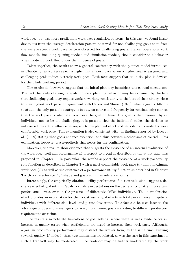work pace, but also more predictable work pace regulation patterns. In this way, we found larger deviations from the average deceleration pattern observed for non-challenging goals than from the average steady work pace pattern observed for challenging goals. Hence, operations work flow models, including queuing models and simulation models, should consider this behavior when modeling work flow under the influence of goals.

Taken together, the results show a general consistency with the planner model introduced in Chapter 3, as workers select a higher initial work pace when a higher goal is assigned and challenging goals induce a steady work pace. Both facts suggest that an initial plan is devised for the whole working period.

The results do, however, suggest that the initial plan may be subject to a control mechanism. The fact that only challenging goals induce a planning behavior may be explained by the fact that challenging goals may require workers working consistently to the best of their ability, close to their highest work pace. In agreement with Carver and Shreier (1998), when a goal is difficult to attain, the only possible strategy is to stay on course and frequently (or continuously) control that the work pace is adequate to achieve the goal on time. If a goal is then deemed, by an individual, not to be too challenging, it is possible that the individual makes the decision to not control his actual effort with respect to his planned effort and thus drifts towards his most comfortable work pace. This explanation is also consistent with the findings reported by Deci et al. (1999) stating that goals enhance attention, and thus activate mechanisms of control. This explanation, however, is a hypothesis that needs further confirmation.

Moreover, the results show evidence that suggests the existence of an internal evaluation of the work pace itself and performance with respect to a goal as described by the utility functions proposed in Chapter 3. In particular, the results support the existence of a work pace-utility rate function as described in Chapter 3 with a most comfortable work pace  $(n)$  and a maximum work pace  $(L)$  as well as the existence of a performance utility function as described in Chapter 3 with a characteristic "S" shape and goals acting as reference points.

Interestingly, the empirically obtained utility performance function valuation, suggest a desirable effect of goal setting: Goals normalize expectations on the desirability of attaining certain performance levels, even in the presence of differently skilled individuals. This normalization effect provides an explanation for the robustness of goal effects in total performance, in spite of individuals with different skill levels and personality traits. This fact can be used later to the advantage of operations managers by assigning different goals according to different production requirements over time.

The results also note the limitations of goal setting, where there is weak evidence for an increase in quality errors when participants are urged to increase their work pace. Although, a goal in productivity performance may distract the worker from, at the same time, striving towards quality. If, indeed, these two dimensions are related, as was the case in this experiment, such a trade-off may be moderated. The trade-off may be further moderated by the work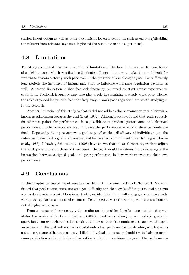station layout design as well as other mechanisms for error reduction such as enabling/disabling the relevant/non-relevant keys on a keyboard (as was done in this experiment).

### **4.8 Limitations**

The study conducted here has a number of limitations. The first limitation is the time frame of a picking round which was fixed to 8 minutes. Longer times may make it more difficult for workers to sustain a steady work pace even in the presence of a challenging goal. For sufficiently long periods the incidence of fatigue may start to influence work pace regulation patterns as well. A second limitation is that feedback frequency remained constant across experimental conditions. Feedback frequency may also play a role in sustaining a steady work pace. Hence, the roles of period length and feedback frequency in work pace regulation are worth studying in future research.

Another limitation of this study is that it did not address the phenomenon in the literature known as adaptation towards the goal (Lant, 1992). Although we have found that goals robustly fix reference points for performance, it is possible that previous performance and observed performance of other co-workers may influence the performance at which reference points are fixed. Repeatedly failing to achieve a goal may affect the self-efficacy of individuals (i.e. the individual belief that a goal is attainable) and hence affect commitment towards the goal (Locke et al., 1988). Likewise, Schultz et al. (1998) have shown that in social contexts, workers adjust the work pace to match those of their peers. Hence, it would be interesting to investigate the interaction between assigned goals and peer performance in how workers evaluate their own performance.

### **4.9 Conclusions**

In this chapter we tested hypotheses derived from the decision models of Chapter 3. We confirmed that performance increases with goal difficulty and then levels-off for operational contexts were a deadline is present. More importantly, we identified that challenging goals induce steady work pace regulation as opposed to non-challenging goals were the work pace decreases from an initial higher work pace.

From a managerial perspective, the results on the goal level-performance relationship validates the advice of Locke and Latham (2006) of setting challenging and realistic goals for operational contexts where deadlines exist. As long as there is commitment to achieve the goal, an increase in the goal will not reduce total individual performance. In deciding which goal to assign to a group of heterogeneously skilled individuals a manager should try to balance maximum production while minimizing frustration for failing to achieve the goal. The performance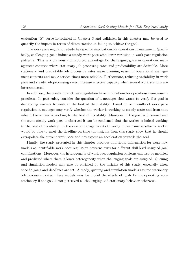evaluation "S" curve introduced in Chapter 3 and validated in this chapter may be used to quantify the impact in terms of dissatisfaction in failing to achieve the goal.

The work pace regulation study has specific implications for operations management. Specifically, challenging goals induce a steady work pace with lower variation in work pace regulation patterns. This is a previously unreported advantage for challenging goals in operations management contexts where stationary job processing rates and predictability are desirable. More stationary and predictable job processing rates make planning easier in operational management contexts and make service times more reliable. Furthermore, reducing variability in work pace and steady job processing rates, increase effective capacity when several work stations are interconnected.

In addition, the results in work pace regulation have implications for operations management practices. In particular, consider the question of a manager that wants to verify if a goal is demanding workers to work at the best of their ability. Based on our results of work pace regulation, a manager may verify whether the worker is working at steady state and from that infer if the worker is working to the best of his ability. Moreover, if the goal is increased and the same steady work pace is observed it can be confirmed that the worker is indeed working to the best of his ability. In the case a manager wants to verify in real time whether a worker would be able to meet the deadline on time the insights from this study show that he should extrapolate the current work pace and not expect an acceleration towards the goal.

Finally, the study presented in this chapter provides additional information for work flow models as identifiable work pace regulation patterns exist for different skill level assigned goal combinations. Moreover, the heterogeneity of work pace regulation patterns can also be modeled and predicted where there is lower heterogeneity when challenging goals are assigned. Queuing and simulation models may also be enriched by the insights of this study, especially when specific goals and deadlines are set. Already, queuing and simulation models assume stationary job processing rates, these models may be model the effects of goals by incorporating nonstationary if the goal is not perceived as challenging and stationary behavior otherwise.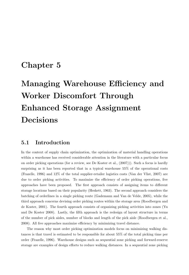## **Chapter 5**

# **Managing Warehouse Efficiency and Worker Discomfort Through Enhanced Storage Assignment Decisions**

#### **5.1 Introduction**

In the context of supply chain optimization, the optimization of material handling operations within a warehouse has received considerable attention in the literature with a particular focus on order picking operations (for a review, see De Koster et al., (2007))). Such a focus is hardly surprising as it has been reported that in a typical warehouse 55% of the operational costs (Frazelle, 1996) and 12% of the total supplier-retailer logistics costs (Van der Vlist, 2007) are due to order picking activities. To maximize the efficiency of order picking operations, five approaches have been proposed. The first approach consists of assigning items to different storage locations based on their popularity (Heskett, 1963). The second approach considers the batching of orderlines in a single picking route (Gademann and Van de Velde, 2005), while the third approach concerns devising order picking routes within the storage area (Roodbergen and de Koster, 2001). The fourth approach consists of organizing picking activities into zones (Yu and De Koster 2008). Lastly, the fifth approach is the redesign of layout structure in terms of the number of pick aisles, number of blocks and length of the pick aisle (Roodbergen et al., 2008). All five approaches maximize efficiency by minimizing travel distance.

The reason why most order picking optimization models focus on minimizing walking distances is that travel is estimated to be responsible for about 55% of the total picking time per order (Frazelle, 1996). Warehouse designs such as sequential zone picking and forward-reserve storage are examples of design efforts to reduce walking distances. In a sequential zone picking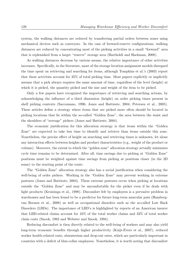system, the walking distances are reduced by transferring partial orders between zones using mechanical devices such as conveyors. In the case of forward-reserve configurations, walking distances are reduced by concentrating most of the picking activities in a small "forward" area that is replenished from a larger "reserve" storage area (Bartholdi and Hackman, 2008).

As walking distances decrease by various means, the relative importance of other activities increases. Specifically, in the literature, most of the storage location assignment models disregard the time spent on retrieving and searching for items, although Tompkins et al.'s (2003) report that these activities account for 35% of total picking time. Most papers explicitly or implicitly assume that a pick always requires the same amount of time, regardless of the level (height) at which it is picked, the quantity picked and the size and weight of the item to be picked.

Only a few papers have recognized the importance of retrieving and searching actions, by acknowledging the influence of a third dimension (height) on order picking times present in shelf picking contexts (Saccomano, 1996; Jones and Battieste, 2004; Petersen et al., 2005). These articles define a strategy where items that are picked more often should be located in picking locations that lie within the so-called "Golden Zone", the area between the waist and the shoulders of "average" pickers (Jones and Battieste, 2004).

The economic justification for this allocation strategy is that items within the "Golden Zone" are expected to take less time to identify and retrieve than items outside this zone. Nonetheless, the precise effect of height on searching and retrieving times is unknown, let alone any interaction effects between heights and product characteristics (e.g., weight of the product or volume). Moreover, the extent to which the "golden zone" allocation strategy actually minimizes cycle time remains to be determined. After all, time savings due to picking at "Golden Zone" positions must be weighted against time savings from picking at positions closer (in the 2D sense) to the starting point of the route.

The "Golden Zone" allocation strategy also has a social justification when considering the well-being of order pickers. Working in the "Golden Zone" may prevent working in extreme postures (Jones and Battieste, 2004). These extreme postures occur when picking at locations outside the "Golden Zone" and may be uncomfortable for the picker even if he deals with light products (Kruizinga et al., 1998). Discomfort felt by employees is a pervasive problem in warehouses and has been found to be a predictor for future long-term muscular pain (Hambergvan Reenen et al., 2008) as well as occupational disorders such as the so-called Low Back Disorders (LBDs). The importance of LBD's is highlighted by reports of an American insurer that LBD-related claims account for 16% of the total worker claims and 33% of total worker claim costs (Snook, 1982 and Webster and Snook, 1994).

Reducing discomfort is then directly related to the well-being of workers and may also yield long-term economic benefits through higher productivity (Kuijt-Evers et al., 2007), reduced worker health-related costs, absenteeism and drop-out rates, which are particularly important in countries with a deficit of blue-collar employees. Nonetheless, it is worth noting that discomfort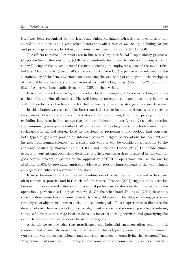itself has been recognized by the European Union Machinery Directive as a condition that should be minimized along with other factors that affect worker well-being, including fatigue and psychological stress, by taking ergonomic principles into account (ECD 2006).

The efforts to reduce discomfort are in-line with Corporate Social Responsibility practices. Corporate Social Responsibility (CSR) is an umbrella term used to address the concern with the well-being of the stakeholders of the firm, including its employees as one of the main stakeholders (Maignan and Ralston, 2008). In a context where CSR is perceived as relevant for the sustainability of the firm, any efforts for increasing the well-being of employees in the workplace at reasonable financial costs are well received. Already, Maignan & Raltson (2002) report that 53% of American firms explicitly mention CSR on their website.

Hence, we define the social goal of product location assignment for order picking activities as that of minimizing discomfort. The well being of an employee depends on other factors as well, but we focus on the human factor that is directly affected by storage allocation decisions.

In this chapter we seek to make better tactical storage location decisions with respect to two criteria: 1) a short-term economic criterion (i.e. minimizing total order picking time, but excluding long-term health savings that are more difficult to quantify) and 2) a social criterion (i.e. minimizing average discomfort). We propose a methodology to combine both economic and social goals in tactical storage location decisions; by proposing a methodology that considers both types of goals we provide an interface between insights of operations management and insights from human sciences. In a sense, this chapter can be considered a response to the challenge posited by Boudreau et al. (2003) and Gino and Pisano (2008) to include human aspects in conventional operations decisions. Further, our research as presented in this chapter goes beyond conceptual papers on the application of CSR in operations, such as the one by McAdam (2003), by providing empirical evidence for possible improvements of the well-being of employees via enhanced operational decisions.

It must be noted that the proposed combination of goals may be non-trivial as has been often claimed in practice and in the scientific literature. Peacock (2002) suggests that a tension between human centered criteria and operational performance criteria exists, in particular if the operational performance is only short-termed. On the other hand, Dul et al. (2004) show that social goals expressed in ergonomic standards may yield economic benefits, which suggests a certain degree of alignment between social and economic goals. This chapter aims to illustrate the debate between the existence of conflict or alignment in social and economic goals by considering the specific context of storage location decisions for order picking activities and quantifying the extent to which there is a trade-off between both goals.

Although we acknowledge that practitioners and industrial engineers often combine both economic and social criteria in their design criteria, this is typically done in an ad-hoc manner. Our results will inform practitioners and industrial engineers by quantifying the "economic" and "ergonomic" costs involved in pursuing an ergonomic or an economic-friendly solution. Further,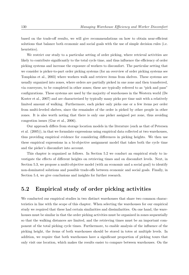based on the trade-off results, we will give recommendations on how to obtain near-efficient solutions that balance both economic and social goals with the use of simple decision rules (i.e. heuristics).

We restrict our study to a particular setting of order picking, where retrieval activities are likely to contribute significantly to the total cycle time, and thus influence the efficiency of order picking systems and increase the exposure of workers to discomfort. The particular setting that we consider is picker-to-part order picking systems (for an overview of order picking systems see Tompkins et al., 2003) where workers walk and retrieve items from shelves. These systems are usually organized into zones, where orders are partially picked in one zone and then transferred, via conveyors, to be completed in other zones; these are typically referred to as "pick and pass" configurations. These systems are used by the majority of warehouses in the Western world (De Koster et al., 2007) and are characterized by typically many picks per time unit with a relatively limited amount of walking. Furthermore, each picker only picks one or a few items per order from multi-leveled shelves, since the remainder of the order is picked by other people in other zones. It is also worth noting that there is only one picker assigned per zone, thus avoiding congestion issues (Gue et al., 2006).

Our approach differs from storage location models in the literature (such as that of Petersen et al. (2005)), in that we formulate expressions using empirical data collected at two warehouses, thus providing empirical evidence for considering differences in picking heights. We then use these empirical expressions in a bi-objective assignment model that takes both the cycle time and the picker's discomfort into account.

This chapter is organized as follows. In Section 5.2 we conduct an empirical study to investigate the effects of different heights on retrieving times and on discomfort levels. Next, in Section 5.3, we propose a multi-objective model (with an economic and a social goal) to identify non-dominated solutions and possible trade-offs between economic and social goals. Finally, in Section 5.4, we give conclusions and insights for further research.

#### **5.2 Empirical study of order picking activities**

We conducted our empirical studies in two distinct warehouses that share two common characteristics in line with the scope of this chapter. When selecting the warehouses for our empirical study we required that these had certain similarities and dissimilarities. On one hand, the warehouses must be similar in that the order picking activities must be organized in zones sequentially so that the walking distances are limited, and the retrieving times must be an important component of the total picking cycle times. Furthermore, to enable analysis of the influence of the picking height, the items of both warehouses should be stored in totes at multiple levels. In addition, we require that both warehouses have a significant proportion of picking tours that only visit one location, which makes the results easier to compare between warehouses. On the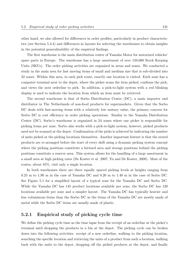other hand, we also allowed for differences in order profiles, particularly in product characteristics (see Section 5.3.4) and differences in layouts for selecting the warehouses to obtain insights in the potential generalizability of the empirical findings.

The first warehouse is the main distribution center of Yamaha Motor for motorized vehicles' spare parts in Europe. The warehouse has a large assortment of over 150,000 Stock Keeping Units (SKUs). The order picking activities are organized in areas and zones. We conducted a study in the main area for fast moving items of small and medium size that is sub-divided into 32 zones. Within this area, in each pick route, exactly one location is visited. Each zone has a computer terminal next to the depot, where the picker scans the item picked, confirms the pick, and views the next orderline to pick. In addition, a pick-to-light system with a red blinking display is used to indicate the location from which an item must be retrieved.

The second warehouse is that of Sorbo Distribution Center (DC), a main importer and distributor in The Netherlands of non-food products for supermarkets. Given that the Sorbo DC deals with fast-moving items with a relatively low unitary value, the primary concern for Sorbo DC is cost efficiency in order picking operations. Similar to the Yamaha Distribution Center (DC), Sorbo's warehouse is organized in 24 zones where one picker is responsible for picking items per zone. Sorbo also works with a pick-to-light system, however, picked products need not be scanned at the depot. Confirmation of the picks is achieved by indicating the number of units picked at the picking locations themselves. Another important feature is that the stored products are re-arranged before the start of every shift using a dynamic picking system concept where the picking positions constitute a forward area and storage positions behind the picking positions constitute a reserve area. This system allows for the handling of a large assortment in a small area at high picking rates (De Koster et al. 2007, Yu and De Koster, 2008). Most of the routes, about 85%, visit only a single location.

In both warehouses there are three equally spaced picking levels at heights ranging from 0.25 m to 1.90 m in the case of Yamaha DC and 0.20 m to 1.40 m in the case of Sorbo DC. See Figure 5.1 for a simplified layout of a typical zone for the Yamaha DC and Sorbo DC. While the Yamaha DC has 145 product locations available per zone, the Sorbo DC has 120 locations available per zone and a simpler layout. The Yamaha DC has typically heavier and less voluminous items than the Sorbo DC as the items of the Yamaha DC are mostly made of metal while the Sorbo DC items are usually made of plastic.

#### **5.2.1 Empirical study of picking cycle time**

We define the picking cycle time as the time lapse from the receipt of an orderline at the picker's terminal until dropping the products in a bin at the depot. The picking cycle can be broken down into the following activities: receipt of a new orderline, walking to the picking location, searching the specific location and retrieving the units of a product from such a location, walking back with the units to the depot, dropping off the picked products at the depot, and finally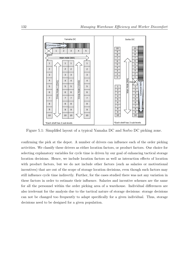

Figure 5.1: Simplified layout of a typical Yamaha DC and Sorbo DC picking zone.

confirming the pick at the depot. A number of drivers can influence each of the order picking activities. We classify these drivers as either location factors, or product factors. Our choice for selecting explanatory variables for cycle time is driven by our goal of enhancing tactical storage location decisions. Hence, we include location factors as well as interaction effects of location with product factors, but we do not include other factors (such as salaries or motivational incentives) that are out of the scope of storage location decisions, even though such factors may still influence cycle time indirectly. Further, for the cases studied there was not any variation in these factors in order to estimate their influence. Salaries and incentive schemes are the same for all the personnel within the order picking area of a warehouse. Individual differences are also irrelevant for the analysis due to the tactical nature of storage decisions: storage decisions can not be changed too frequently to adapt specifically for a given individual. Thus, storage decisions need to be designed for a given population.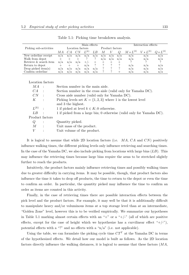|                        |                  | Main effects |     |                 |     |     |     | Interaction effects |               |             |             |
|------------------------|------------------|--------------|-----|-----------------|-----|-----|-----|---------------------|---------------|-------------|-------------|
| Picking sub-activities | Location factors |              |     | Product factors |     |     |     |                     |               |             |             |
|                        |                  |              |     | $L^{(k)}$       |     |     |     |                     | $M * L^{(k)}$ | $* L^{(k)}$ | $* L^{(k)}$ |
| New orderline receipt  | n/a              | n/a          | n/a | n/a             | n/a | n/a | n/a | n/a                 | n/a           | n/a         | n/a         |
| Walk from depot        |                  |              |     |                 |     | n/a | n/a | n/a                 | n/a           | n/a         | n/a         |
| Retrieve & search item | n/a              | n/a          | n/a |                 |     |     |     |                     |               |             |             |
| Return to depot        |                  |              |     | n/a             |     |     |     |                     | n/a           | n/a         | n/a         |
| Drop picked item $(s)$ | n/a              | n/a          | n/a | n/a             | n/a |     |     |                     | n/a           | n/a         | n/a         |
| Confirm orderline      | n/a              | n/a          | n/a | n/a             | n/a |     |     |                     | n/a           | n/a         | n/a         |

Table 5.1: Picking time breakdown analysis.

| Location factors |                |                                                                       |
|------------------|----------------|-----------------------------------------------------------------------|
| M A              | $\mathbf{r}$   | Section number in the main aisle.                                     |
| CA               | $\cdot$ :      | Section number in the cross aisle (valid only for Yamaha DC).         |
| CN               | $\sim$ :       | Cross aisle number (valid only for Yamaha DC).                        |
| K<br>$\sim$ 1.   |                | Picking levels set $K = \{1, 2, 3\}$ where 1 is the lowest level      |
|                  |                | and 3 the highest.                                                    |
| $L^{(k)}$        | $\cdot$        | 1 if picked at level $k \in K$ ; 0 otherwise.                         |
| LB               | $\sim$         | 1 if picked from a large bin; 0 otherwise (valid only for Yamaha DC). |
| Product factors  |                |                                                                       |
| Q                | $\ddot{\cdot}$ | Quantity picked.                                                      |
| М                | $\cdot$ :      | Unit mass of the product.                                             |
| V                | $\ddot{\cdot}$ | Unit volume of the product.                                           |

It is logical to assume that while 2D location factors (i.e.  $MA$ ,  $CA$  and  $CN$ ) positively influence walking times, the different picking levels only influence retrieving and searching times. In the case of the Yamaha DC, we also include picking from locations with large bins  $(LB)$ . This may influence the retrieving times because large bins require the arms to be stretched slightly further to reach the products.

Intuitively, the product factors mainly influence retrieving times and possibly walking times due to greater difficulty in carrying items. It may be possible, though, that product factors also influence the time it takes to drop off products, the time to return to the depot or even the time to confirm an order. In particular, the quantity picked may influence the time to confirm an order as items are counted in this activity.

Finally, in the case of retrieving times there are possible interaction effects between the pick level and the product factors. For example, it may well be that it is additionally difficult to manipulate heavy and/or voluminous items at a top storage level than at an intermediate, "Golden Zone" level, however this is to be verified empirically. We summarize our hypotheses in Table 5.1 marking almost certain effects with an "+" or a "+/-" (all of which are positive effects, except for the case of height which we hypothesize has a curvilinear effect " $+/-$ "), potential effects with a "?" and no effects with a "n/a" (i.e. not applicable).

Using the table, we can formulate the picking cycle time  $CT<sup>Y</sup>$  at the Yamaha DC in terms of the hypothesized effects. We detail how our model is built as follows. As the 2D location factors directly influence the walking distances, it is logical to assume that these factors  $(MA,$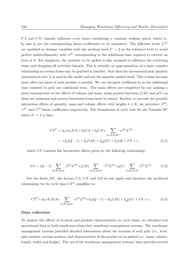CA and CN) linearly influence cycle times considering a constant walking speed, where  $b_1$ ,  $b_2$  and  $b_3$  are the corresponding linear coefficients to be estimated. The different levels  $L^{(k)}$ are modeled as dummy variables with the medium level  $k^* = 2$  as the reference level to avoid perfect multicollinearity with  $\alpha^{(k)}$  corresponding to the additional time required to retrieve an item at  $k$ . For simplicity, the quantity to be picked is also assumed to influence the retrieving times and dropping-off activities linearly. This is actually an approximation of a more complex relationship as certain items may be grabbed in batches. Note that the incremental pick quantity (incremental over 1) is used in the model and not the quantity picked itself. This is done because most often one piece of each product is needed. We can interpret coefficient  $b_4$  as the additional time required to pick one additional item. The main effects are completed by not making a priori assumptions on the effects of volume and mass, using general functions  $f(M)$  and  $g(V)$  as these are unknown and several functional forms must be tested. Further, to account for possible interaction effects of quantity, mass and volume effects with heights  $k \in K$ , we introduce  $\beta^{(k)}$ ,  $\gamma^{(k)}$  and  $\lambda^{(k)}$  linear coefficients respectively. The formulation of cycle time for the Yamaha DC where  $k^* = 2$  is thus:

$$
CT^{Y} = b_{0} + b_{1}MA + b_{2}CA + b_{3}CN + \sum_{k \in K, k \neq k^{*}} \alpha^{(k)} L^{(k)}
$$
  
= +b<sub>4</sub>(Q - 1) + b<sub>5</sub>f(M) + b<sub>6</sub>g(V) + b<sub>7</sub>LB + IN +  $\varepsilon$ , (5.1)

where  $IN$  contains the interaction effects given by the following relationship:

$$
IN = (Q-1) \sum_{k \in K, k \neq k^*} \beta^{(k)} L^{(k)} + f(M) \sum_{k \in K, k \neq k^*} \gamma^{(k)} L^{(k)} + g(V) \sum_{k \in K, k \neq k^*} \lambda^{(k)} L^{(k)} \tag{5.2}
$$

For the Sorbo DC, the factors  $CA$ ,  $CN$  and  $LB$  do not apply and therefore the predicted relationship for its cycle time  $CT^S$  simplifies to:

$$
CT^{S} = b_0 + b_1 MA + \sum_{k \in K, k \neq k^*} \alpha^{(k)} L^{(k)} + b_4 (Q - 1) + b_5 f(M) + b_6 g(V) + IN + \varepsilon.
$$
 (5.3)

#### **Data collection**

To analyze the effects of location and product characteristics on cycle times, we obtained real operational data at both warehouses from their warehouse management systems. The warehouse management systems provided detailed information about the location of each pick (i.e. level, aisle number, section number) and characteristics of the product to be picked (i.e. mass, volume, length, width and height). The use of the warehouse management systems' data provides several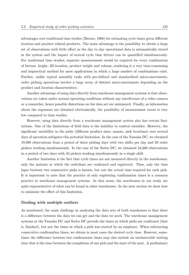advantages over traditional time studies (Barnes, 1968) for estimating cycle times given different location and product related products. The main advantage is the possibility to obtain a large set of observations with little effort as the day to day operational data is automatically stored in the system and the impact of several cycle time drivers can be quantified simultaneously. For traditional time studies, separate measurements would be required for every combination of factors: height, 2D location, product weight and volume, rendering it a very time-consuming and impractical method for most applications in which a large number of combinations exist. Further, unlike typical assembly tasks with pre-defined and standardized micro-movements, order picking operations involve a large array of distinct micro-movements depending on the product and location characteristics.

Another advantage of using data directly from warehouse management systems is that observations are taken under normal operating conditions without any interference of a video camera or a researcher, hence possible distortions on the data set are minimized. Finally, as information about the regressors are obtained electronically, the possibility of measurement errors is very low compared to time studies.

However, using data directly from a warehouse management system also has certain limitations. One of the limitations of field data is the inability to control variables. However, the significant variability in the picks (different product sizes, masses, pick locations) over several days of operation mitigates this potential limitation. In the case of the Yamaha DC, we obtained 19,380 observations from a period of three picking days with two shifts per day and 20 order pickers working simultaneously. In the case of the Sorbo DC, we obtained 24,260 observations in a period of two days with 24 pickers working simultaneously in a single shift.

Another limitation is the fact that cycle times are not measured directly in the warehouses; only the instants at which the orderlines are confirmed and registered. Thus, only the time lapse between two consecutive picks is known, but not the *actual* time required for each pick. It is important to note that the practice of only registering confirmation times is a common practice in warehouse management systems. In that sense, the warehouses in our study are quite representative of what can be found in other warehouses. In the next section we show how to minimize the effect of this limitation.

#### **Dealing with multiple outliers**

As mentioned, the main challenge in analyzing the data sets of both warehouses is that there is a difference between the data we can get and the data we need. The warehouse management systems at the Yamaha DC and Sorbo DC provide the times at which picks are confirmed (that is, finished), but not the times at which a pick was started by an employee. When subtracting consecutive confirmation times, we obtain in most cases the desired cycle time. However, sometimes the difference between two confirmation times may also include an unobservable waiting time that is the time between the completion of one pick and the start of the next. A preliminary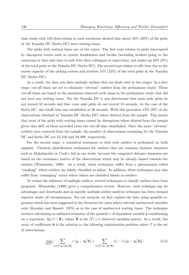time study with 150 observations in each warehouse showed that about 25% (20%) of the picks at the Yamaha DC (Sorbo DC) have waiting times.

The picks with waiting times are of two types. The first type relates to picks interrupted by disruption events such as system breakdowns and breaks (including workers going to the restrooms or that take time to talk with their colleagues or supervisor) and makes up  $10\%$  (8%) of the total picks at the Yamaha DC (Sorbo DC). The second type relates to idle time due to the excess capacity of the picking system and involves 15% (12%) of the total picks at the Yamaha DC (Sorbo DC).

As a result, the data sets have multiple outliers that are dealt with in two stages. In a first stage, cut-off times are set to eliminate "obvious" outliers from the preliminary study. These cut-off times are based on the maximum observed cycle times in the preliminary study that did not have any waiting times. For the Yamaha DC it was determined that main aisle picks do not exceed 52 seconds and that cross aisle picks do not exceed 55 seconds. In the case of the Sorbo DC, the cutoff time was established at 26 seconds. With this procedure 13% (9%) of the observations obtained at Yamaha DC (Sorbo DC) where deleted from the sample. This meant that most of the picks with waiting times caused by disruptions where deleted from the sample given that 80% of these exceeded twice the cut-off time established. Once the more "obvious" outliers were removed from the sample, the number of observations remaining for the Yamaha DC and Sorbo DC are  $13, 216$  and  $19, 898$ , respectively.

For the second stage, a statistical treatment to deal with outliers is performed on both samples. Classical identification techniques for outliers that use common distance measures such as Mahalanobis or Cook's fail in our study because the computed distance measures are based on the covariance matrix of the observations which may be already biased towards the outliers (Wisnowsky, 1999). As a result, these techniques suffer from a phenomenon called "masking" where outliers are falsely classified as inliers. In addition, these techniques may also suffer from "swamping" errors where inliers are classified falsely as outliers.

To reduce the influence of multiple outliers, several techniques to classify outliers have been proposed. Wisnowsky (1999) gives a comprehensive review. However, each technique has its advantages and drawbacks and no specific multiple-outlier analysis technique has been deemed superior under all circumstances. For our analysis, we first explore the data using quantile regression which has been suggested in the literature for cases where relevant unobserved variables exist (Koenker and Bassett, 1978) as in the case of unobserved waiting times. The technique involves calculating an unbiased estimator of the quantile  $\tau$  of dependent variable **y** conditioning on n regressors:  $Q_Y(\tau | \mathbf{X})$ , where **X** is the  $|T| \times n$  observed variables matrix. As a result, the array of coefficients **b** is the solution to the following minimization problem where  $T$  is the set of observations:

$$
\min_{b \in \mathbb{R}^n} \left[ \sum_{t \in \{T: y_t \ge \mathbf{x_t}^t \mathbf{b}\}} \tau \left| y_t - \mathbf{x_t}^t \mathbf{b} \right| + \sum_{t \in \{T: y_t < \mathbf{x_t}^t \mathbf{b}\}} (1 - \tau) \left| y_t - \mathbf{x_t}^t \mathbf{b} \right| \right]. \tag{5.4}
$$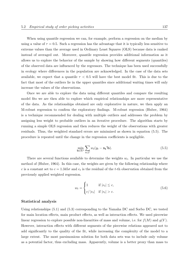When using quantile regression we can, for example, perform a regression on the median by using a value of  $\tau = 0.5$ . Such a regression has the advantage that it is typically less sensitive to extreme values than the average used in Ordinary Least Squares (OLS) because data is ranked instead of averaged out. Moreover, quantile regression provides additional information as it allows us to explore the behavior of the sample by showing how different segments (quantiles) of the observed data are influenced by the regressors. The technique has been used successfully in ecology where differences in the population are acknowledged. In the case of the data sets available, we expect that a quantile  $\tau < 0.5$  will have the best model fit. This is due to the fact that most of the outliers lie in the upper quantiles since additional waiting times will only increase the values of the observations.

Once we are able to explore the data using different quantiles and compare the resulting model fits we are then able to explore which empirical relationships are more representative of the data. As the relationships obtained are only explorative in nature, we then apply an M-robust regression to confirm the exploratory findings. M-robust regression (Huber, 1964) is a technique recommended for dealing with multiple outliers and addresses the problem by assigning less weight to probable outliers in an iterative procedure. The algorithm starts by running a simple OLS regression and then reduces the weight of the observations with greater residuals. Thus, the weighted standard errors are minimized as shown in equation (5.5). The procedure is repeated until the change in the regression coefficients is negligible.

$$
\min_{\mathbf{b}\in\mathbb{R}^n} \sum_{t\in T} w_t(y_t - \mathbf{x_t}'\mathbf{b}).\tag{5.5}
$$

There are several functions available to determine the weights  $w_t$ . In particular we use the method of (Huber, 1964). In this case, the weights are given by the following relationship where c is a constant set to  $c = 1.345\sigma$  and  $e_t$  is the residual of the t-th observation obtained from the previously applied weighted regression.

$$
w_t = \begin{cases} 1 & \text{if } |e_t| \le c, \\ c/|e_t| & \text{if } |e_t| > c. \end{cases} \tag{5.6}
$$

#### **Statistical analysis**

Using relationships (5.1) and (5.3) corresponding to the Yamaha DC and Sorbo DC, we tested for main location effects, main product effects, as well as interaction effects. We used piecewise linear regression to explore possible non-linearities of mass and volume, i.e. for  $f(M)$  and  $g(V)$ . However, interaction effects with different segments of the piecewise relations appeared not to add significantly to the quality of the fit, while increasing the complexity of the model to a large extent. The most parsimonious solution for both data sets was to include only volume as a potential factor, thus excluding mass. Apparently, volume is a better proxy than mass to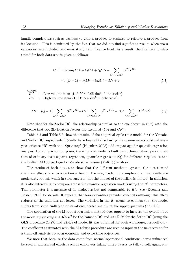handle complexities such as easiness to grab a product or easiness to retrieve a product from its location. This is confirmed by the fact that we did not find significant results when mass categories were included, not even at a 0.1 significance level. As a result, the final relationship tested for both data sets is given as follows:

$$
CT^{Y} = b_0 + b_1 MA + b_2 CA + b_3 CN + \sum_{k \in K, k \neq k^{*}} \alpha^{(k)} L^{(k)}
$$

$$
+ b_4 (Q - 1) + b_5 LV + b_6 HV + IN + \varepsilon,
$$
(5.7)

where:<br> $\frac{L}{L}$ 

 $L^2$  : Low volume item (1 if  $V \le 0.05$  dm<sup>3</sup>; 0 otherwise)<br> $HV$  : High volume item (1 if  $V > 5$  dm<sup>3</sup>; 0 otherwise)

: High volume item  $(1 \text{ if } V > 5 \text{ dm}^3; 0 \text{ otherwise})$ 

$$
IN = (Q-1)\sum_{k \in K, k \neq k^*} \beta^{(k)} L^{(k)} + LV \sum_{k \in K, k \neq k^*} \gamma^{(k)} L^{(K)} + HV \sum_{k \in K, k \neq k^*} \lambda^{(k)} L^{(k)} \tag{5.8}
$$

Note that for the Sorbo DC, the relationship is similar to the one shown in (5.7) with the difference that two 2D location factors are excluded  $(CA \text{ and } CN)$ .

Table 5.2 and Table 5.3 show the results of the empirical cycle time model for the Yamaha and Sorbo DC respectively. Results have been obtained using the open-source statistical analysis software "R" with the "Quantreg" (Koenker, 2008) add-on package for quantile regression analysis. For comparison purposes, the empirical model is built using three distinct procedures: that of ordinary least squares regression, quantile regression (Q) for different  $\tau$  quantiles and the built-in MASS package for M-robust regression (M-R.R.) analysis.

The results of both data sets show that the different methods agree in the direction of the main effects, and to a certain extent in the magnitude. This implies that the results are moderately robust, which in turn suggests that the impact of the outliers is limited. In addition, it is also interesting to compare across the quantile regression models using the  $R<sup>1</sup>$  parameters. This parameter is a measure of fit analogous but not comparable to  $R<sup>2</sup>$ . See (Koenker and Basset, 1999) for details. It appears that lower quantiles provide better fits although this effect reduces as the quantiles get lower. The variation in the  $R<sup>1</sup>$  seems to confirm that the model suffers from some "inflated" observations located mainly at the upper quantiles ( $\tau > 0.9$ ).

The application of the M-robust regression method does appear to increase the overall fit of the model by yielding a 30.6%  $R^2$  for the Yamaha DC and 40.4%  $R^2$  for the Sorbo DC (using the OLS procedure 20.2% and 22.4% of model fit was obtained for each warehouse, respectively). The coefficients estimated with the M-robust procedure are used as input in the next section for a trade-off analysis between economic and cycle time objectives.

We note that because the data came from normal operational conditions it was influenced by several unobserved effects, such as employees taking micro-pauses to talk to colleagues, em-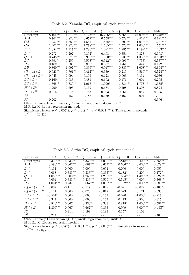| Variables         | $_{\rm OLS}$ | $Q \tau = 0.2$ | $Q \tau = 0.4$ | Q $\tau = 0.5$ | $Q \tau = 0.6$ | $Q \tau = 0.8$ | $M-R.R.$    |
|-------------------|--------------|----------------|----------------|----------------|----------------|----------------|-------------|
| (Intercept)       | $18.105***$  | $11.873***$    | $15.123***$    | $16.706***$    | 18.564         | $24.095***$    | $17.378***$ |
| MA                | $0.762***$   | $0.820***$     | $0.652***$     | $0.558***$     | $0.528***$     | $0.419***$     | $0.621***$  |
| CA                | $1.257***$   | $1.583***$     | 1.541          | $1.478***$     | $1.393***$     | $1.013***$     | $1.381***$  |
| CN                | $1.401***$   | $1.823***$     | 1.778***       | $1.665***$     | $1.520***$     | $1.000***$     | $1.551***$  |
| $L^{(1)}$         | $1.084***$   | $1.117***$     | $1.286***$     | $1.091***$     | $1.285***$     | $1.199***$     | $1.203***$  |
| $L^{(3)}$         | 0.272        | 0.207          | $0.392*$       | 0.403          | 0.354          | 0.323          | $0.303*$    |
| $Q-1$             | $0.748***$   | $0.573***$     | $0.955***$     | $1.080***$     | $1.238***$     | $1.359***$     | $0.963***$  |
| LV                | $-0.391*$    | $-0.259$       | $-0.568***$    | $-0.542**$     | $-0.696**$     | $-0.753*$      | $-0.537***$ |
| HV                | 0.182        | 0.380          | $0.880*$       | 0.627          | 0.761          | 0.444          | 0.522       |
| LВ                | $0.860***$   | $1.007***$     | $0.839***$     | $0.947***$     | $0.885***$     | $1.008***$     | $0.894***$  |
| $(Q-1) * L^{(1)}$ | $0.623**$    | $0.761**$      | $0.412**$      | 0.339          | 0.215          | $0.566***$     | $0.524***$  |
| $(Q-1) * L^{(3)}$ | 0.045        | 0.094          | 0.106          | 0.128          | $-0.003$       | 0.134          | 0.036       |
| $LV*L^{(1)}$      | 0.169        | 0.083          | 0.481          | 0.602          | 0.471          | $-0.004$       | 0.265       |
| $LV*L^{(3)}$      | $1.368***$   | $0.839**$      | $1.018***$     | $1.090***$     | $1.384***$     | $1.773***$     | $1.335***$  |
| $HV * L^{(1)}$    | 1.299        | 0.593          | 0.169          | 0.684          | 0.798          | $1.308*$       | 0.824       |
| $HV * L^{(3)}$    | $-0.016$     | $-0.044$       | $-0.753$       | $-0.023$       | $-0.061$       | $-0.047$       | $-0.105$    |
| $R^1$             | $-1 -$       | 0.182          | 0.188          | 0.179          | 0.162          | 0.097          | $- -$       |
| $R^2$             | 0.202        | $-1 -$         | $-1 -$         | $-1 -$         | $-1 -$         | $-1 -$         | 0.306       |

Table 5.2: Yamaha DC, empirical cycle time model.

OLS: Ordinary Least Squares, Q  $\tau$  quantile regression at quantile  $\tau$ 

M-R.R.: M-Robust regression method.

Significance levels:  $p \le 0.05$ <sup>(\*)</sup>,  $p \le 0.01$ <sup>(\*\*)</sup>,  $p \le 0.001$ <sup>(\*\*\*</sup>). Time given in seconds.  $n^{CTY} = 13,316$ 

Table 5.3: Sorbo DC, empirical cycle time model.

| Variables                                                                                  | $_{\rm OLS}$             | Q $\tau = 0.2$     | $Q \tau = 0.4$                        | $Q \tau = 0.5$ | $Q \tau = 0.6$                | $Q \tau = 0.8$ | $M-R.R.$              |
|--------------------------------------------------------------------------------------------|--------------------------|--------------------|---------------------------------------|----------------|-------------------------------|----------------|-----------------------|
| (Intercept)                                                                                | $8.\overline{310^{***}}$ | $5.333***$         | $6.\overline{333^{***}}$              | $7.000***$     | $7.818***$                    | $10.400***$    | $7.\overline{556***}$ |
| MА                                                                                         | $0.590***$               | $0.667***$         | $0.667***$                            | $0.667***$     | $0.636***$                    | $0.600***$     | $0.629***$            |
| $L^{(1)}$                                                                                  | $-0.131$                 | 0.000              | 0.000                                 | 0.094          | 0.000                         | 0.000          | 0.055                 |
| $L^{(3)}$                                                                                  | 0.068                    | $0.333***$         | $0.333***$                            | $0.333***$     | $0.182*$                      | $-0.200$       | $0.172*$              |
| $Q-1$                                                                                      | $1.083***$               | $1.000***$         | $1.250***$                            | $1.250***$     | $1.364***$                    | $1.429***$     | $1.222***$            |
| LV                                                                                         | $-0.094$                 | $-0.333***$        | $-0.333***$                           | $-0.500***$    | $-0.545**$                    | 0.000          | $-0.368**$            |
| HV                                                                                         | $1.031***$               | 0.237              | $0.667***$                            | $1.000***$     | $1.182***$                    | $2.000***$     | $0.880***$            |
| $(Q-1) * L^{(1)}$                                                                          | 0.007                    | $-0.111$           | $-0.117$                              | $-0.028$       | $-0.091$                      | $-0.079$       | $-0.103*$             |
| $(Q-1) * L^{(3)}$                                                                          | 0.121                    | 0.000              | $-0.028$                              | $-0.012$       | $-0.023$                      | 0.171          | 0.033                 |
| $LV*L^{(1)}$                                                                               | $-0.501*$                | 0.000              | 0.000                                 | $-0.167$       | $-0.090$                      | $-1.000*$      | $-0.217$              |
| $LV * L^{(3)}$                                                                             | 0.347                    | 0.000              | 0.000                                 | 0.167          | 0.273                         | 0.800          | 0.315                 |
| $HV * L^{(1)}$                                                                             | $0.820***$               | 0.667              | $0.333*$                              | 0.333          | $0.818*$                      | $1.600***$     | $0.581***$            |
| $HV * L^{(3)}$                                                                             | $1.305***$               | 0.667              | $0.667**$                             | 0.333          | 0.909                         | $3.000***$     | $0.993***$            |
| $R^1$                                                                                      | $-1 -$                   | 0.214              | 0.198                                 | 0.181          | 0.157                         | 0.102          | $-1 -$                |
| $\,R^2$<br>$\overline{\wedge}$ $\overline{\wedge}$ $\overline{\wedge}$ $\overline{\cdots}$ | 0.224                    | $-1$<br>$\sqrt{2}$ | $-1 -$<br>$\cdot$ . $\cdot$ . $\cdot$ | $-1$           | $-1 -$<br>$\overline{\cdots}$ | $-1 -$         | 0.404                 |

OLS: Ordinary Least Squares,  $Q \tau$  quantile regression at quantile  $\tau$ 

M-R.R.: M-Robust regression method.

Significance levels:  $p \le 0.05$ <sup>(\*)</sup>,  $p \le 0.01$ <sup>(\*\*)</sup>,  $p \le 0.001$ <sup>(\*\*\*</sup>). Time given in seconds.  $n^{CTS} = 19,898$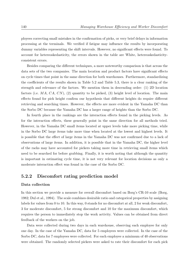ployees correcting small mistakes in the confirmation of picks, or very brief delays in information processing at the terminals. We verified if fatigue may influence the results by incorporating dummy variables representing the shift intervals. However, no significant effects were found. To account for hetereoskedasticity, the errors shown in the table are White, hetereoskedasticityconsistent errors.

Besides comparing the different techniques, a more noteworthy comparison is that across the data sets of the two companies. The main location and product factors have significant effects on cycle times that point in the same direction for both warehouses. Furthermore, standardizing the coefficients of the results shown in Table 5.2 and Table 5.3, there is a clear ranking of the strength and relevance of the factors. We mention them in descending order: (1) 2D location factors (i.e. MA,  $CA, CN$ ), (2) quantity to be picked, (3) height level of location. The main effects found for pick height confirm our hypothesis that different heights do require different retrieving and searching times. However, the effects are more evident in the Yamaha DC than the Sorbo DC because the Yamaha DC has a larger range of heights than the Sorbo DC.

In fourth place in the rankings are the interaction effects found in the picking levels. As for the interaction effects, these generally point in the same direction for all methods tried. However, in the Yamaha DC small items located at upper levels take more picking time, while in the Sorbo DC large items take more time when located at the lowest and highest levels. It is possible that the effect of large items in the Yamaha DC was not confirmed due to a lack of observations of large items. In addition, it is possible that in the Yamaha DC, the higher level of the racks may have accounted for pickers taking more time in retrieving small items which need to be searched for before grabbing. Finally, it is worth noting that although the quantity is important in estimating cycle time, it is not very relevant for location decisions as only a moderate interaction effect was found in the case of the Sorbo DC.

#### **5.2.2 Discomfort rating prediction model**

#### **Data collection**

In this section we provide a measure for overall discomfort based on Borg's CR-10 scale (Borg, 1982; Dul et al., 1994). The scale combines desirable ratio and categorical properties by assigning labels for values from 0 to 10. In this way, 0 stands for no discomfort at all, 2 for weak discomfort, 3 for moderate discomfort, 5 for strong discomfort and 10 for the maximum discomfort, which requires the person to immediately stop the work activity. Values can be obtained from direct feedback of the workers on the job.

Data were collected during two days in each warehouse, observing each employee for only one day. In the case of the Yamaha DC, data for 5 employees were collected. In the case of the Sorbo DC, data for 7 employees were collected. For each employee a minimum of 40 observations were obtained. The randomly selected pickers were asked to rate their discomfort for each pick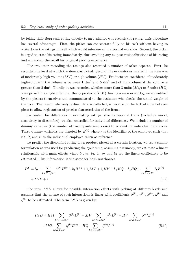by telling their Borg scale rating directly to an evaluator who records the rating. This procedure has several advantages. First, the picker can concentrate fully on his task without having to write down the ratings himself which would interfere with a normal workflow. Second, the picker is urged to state his rating immediately, thus avoiding any ex-post rationalizations of his rating and enhancing the recall his physical picking experience.

The evaluator recording the ratings also recorded a number of other aspects. First, he recorded the level at which the item was picked. Second, the evaluator estimated if the item was of moderately high-volume  $(MV)$  or high-volume  $(HV)$ . Products are considered of moderately high-volume if the volume is between 1 dm<sup>3</sup> and 5 dm<sup>3</sup> and of high-volume if the volume is greater than 5 dm<sup>3</sup>. Thirdly, it was recorded whether more than 3 units  $(MQ)$  or 7 units  $(HQ)$ were picked in a single orderline. Heavy products  $(HM)$ , having a mass over 3 kg, were identified by the pickers themselves and communicated to the evaluator who checks the actual weight of the pick. The reason why only ordinal data is collected, is because of the lack of time between picks to allow registration of precise characteristics of the items.

To control for differences in evaluating ratings, due to personal traits (including mood, sensitivity to discomfort), we also controlled for individual differences. We included a number of dummy variables (the number of participants minus one) to account for individual differences. These dummy variables are denoted by  $E^{(r)}$  where r is the identifier of the employee such that  $r \in R$ , and  $r^*$  is the individual employee taken as reference.

To predict the discomfort rating for a product picked at a certain location, we use a similar formulation as was used for predicting the cycle time, assuming parsimony, we estimate a linear relationship with main effects where  $b_1$ ,  $b_2$ ,  $b_3$ ,  $b_4$ ,  $b_5$  and  $b_6$  are the linear coefficients to be estimated. This information is the same for both warehouses.

$$
D^{Y} = b_{0} + \sum_{k \in K, k \neq k^{*}} \alpha^{(k)} L^{(k)} + b_{1} HM + b_{2} MV + b_{3} HV + b_{4} MQ + b_{5} HQ + \sum_{r \in R, r \neq R^{*}} b_{6} E^{(r)} + IND + \varepsilon
$$
\n(5.9)

The term IND allows for possible interaction effects with picking at different levels and assumes that the nature of such interactions is linear with coefficients  $\beta^{(k)}$ ,  $\gamma^{(k)}$ ,  $\lambda^{(k)}$ ,  $\eta^{(k)}$  and  $\zeta^{(k)}$  to be estimated. The term IND is given by:

$$
IND = HM \sum_{k \in K, k \neq k^*} \beta^{(k)} L^{(k)} + MV \sum_{k \in K, k \neq k^*} \gamma^{(k)} L^{(k)} + HV \sum_{k \in K, k \neq k^*} \lambda^{(k)} L^{(k)} +MQ \sum_{k \in K, k \neq k^*} \eta^{(k)} L^{(k)} + HQ \sum_{k \in K, k \neq k^*} \zeta^{(k)} L^{(k)}
$$
(5.10)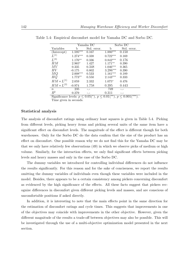|                                      |                             | Yamaha DC                                 |                        | Sorbo DC      |
|--------------------------------------|-----------------------------|-------------------------------------------|------------------------|---------------|
| Variables                            | h                           | Std. error.                               | b                      | Std. error.   |
| (Intercept)                          | $1.595***$                  | 0.167                                     | $1.880***$             | $0.150\,$     |
| $L^{(1)}$                            | $1.274^{\ast\ast\ast}$      | 0.338                                     | $0.722***$             | 0.169         |
| $L^{(3)}$                            | $1.176**$                   | 0.336                                     | $0.842***$             | 0.176         |
| HМ                                   | $2.965*$                    | 1.427                                     | $1.171**$              | 0.390         |
| MV                                   | 0.335                       | 0.348                                     | $1.046***$             | 0.365         |
| НV                                   | $-0.175$                    | 0.802                                     | $3.286***$             | 0.390         |
| МQ                                   | $2.008***$                  | 0.533                                     | $1.161***$             | 0.189         |
| НQ                                   | $1.773**$                   | 0.550                                     | $2.143***$             | 0.333         |
| $HM * L^{(1)}$                       | 2.059                       | 2.332                                     | $1.075*$               | 0.476         |
| $HM * L^{(3)}$                       | $-0.974$                    | 1.758                                     | 0.395                  | 0.443         |
| $\boldsymbol{n}$                     | 235                         | -.-                                       | 749                    | -.-           |
| $\,R^2$<br>$\sim$<br>$\cdot$ $\circ$ | 0.279<br>$\mathbf{r}$<br>п. | $\sim$ $\sim$ $\sim$ $\sim$ $\sim$ $\sim$ | 0.311<br>$2001$ $(x*)$ | $2001$ $(***$ |

Table 5.4: Empirical discomfort model for Yamaha DC and Sorbo DC.

Significance levels:  $p \leq 0.05$ <sup>\*</sup>),  $p \leq 0.01$ <sup>\*\*</sup>),  $p \leq 0.001$ <sup>\*\*\*</sup>). Time given in seconds.

**Statistical analysis**

The analysis of discomfort ratings using ordinary least squares is given in Table 5.4. Picking from different levels, picking heavy items and picking several units of the same item have a significant effect on discomfort levels. The magnitude of the effect is different though for both warehouses. Only for the Sorbo DC do the data confirm that the size of the product has an effect on discomfort. One possible reason why we do not find this for the Yamaha DC may be that we only have relatively few observations (49) in which we observe picks of medium or high volume. Similarly, for the interaction effects, we only find significant effects between picking levels and heavy masses and only in the case of the Sorbo DC.

The dummy variables we introduced for controlling individual differences do not influence the results significantly. For this reason and for the sake of conciseness, we report the results omitting the dummy variables of individuals even though these variables were included in the model. Besides, there appears to be a certain consistency among pickers concerning discomfort as evidenced by the high significance of the effects. All these facts suggest that pickers recognize differences in discomfort given different picking levels and masses, and are conscious of uncomfortable positions if asked directly.

In addition, it is interesting to note that the main effects point in the same direction for the estimation of discomfort ratings and cycle times. This suggests that improvements in one of the objectives may coincide with improvements in the other objective. However, given the different magnitude of the results a trade-off between objectives may also be possible. This will be investigated through the use of a multi-objective optimization model presented in the next section.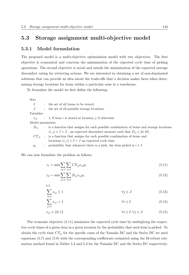#### **5.3 Storage assignment multi-objective model**

#### **5.3.1 Model formulation**

The proposed model is a multi-objective optimization model with two objectives. The first objective is economical and concerns the minimization of the expected cycle time of picking operations. The second objective is social and entails the minimization of the expected average discomfort rating for retrieving actions. We are interested in obtaining a set of non-dominated solutions that can provide an idea about the trade-offs that a decision maker faces when determining storage locations for items within a particular zone in a warehouse.

To formulate the model we first define the following:

Sets

| I                | : the set of all items to be stored.                          |
|------------------|---------------------------------------------------------------|
|                  | $J$ : the set of all possible storage locations.              |
| Variables        |                                                               |
|                  | $x_{ii}$ : 1, if item i is stored at location j; 0 otherwise. |
| Model parameters |                                                               |

 $D_{ij}$  : is a function that assigns for each possible combination of items and storage locations  $(i, j) \in I \times J$ , an expected discomfort measure such that  $D_{ij} \in [0, 10]$ .

 $CT_{ii}$ : is a function that assigns for each possible combination of items and

locations  $(i, j) \in I \times J$  an expected cycle time.

 $p_i$  : probability that whenever there is a pick, the item picked is  $i \in I$ .

We can now formulate the problem as follows:

$$
z_1 = \min \sum_{j \in J} \sum_{i \in I} CT_{ij} x_{ij} p_i \tag{5.11}
$$

$$
z_2 = \min \sum_{j \in J} \sum_{i \in I} D_{ij} x_{ij} p_i \tag{5.12}
$$

s.t.

$$
\sum_{i \in I} x_{ij} \le 1 \qquad \qquad \forall j \in J \tag{5.13}
$$

$$
\sum_{j \in J} x_{ij} = 1 \qquad \qquad \forall i \in I \tag{5.14}
$$

$$
x_{ij} \in \{0, 1\} \qquad \qquad \forall i \in I, \forall j \in J \tag{5.15}
$$

The economic objective (5.11) minimizes the expected cycle time by multiplying the respective cycle times of a given item in a given location by the probability that such item is picked. To obtain the cycle time  $CT_{ij}$  for the specific cases of the Yamaha DC and the Sorbo DC we used equations (5.7) and (5.9) with the corresponding coefficients estimated using the M-robust estimation method found in Tables 5.2 and 5.3 for the Yamaha DC and the Sorbo DC respectively.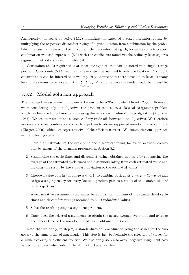Analogously, the social objective (5.12) minimizes the expected average discomfort rating by multiplying the respective discomfort rating of a given location-item combination by the probability that such an item is picked. To obtain the discomfort rating  $D_{ij}$  for each product-location combination we used expression (5.9) with the coefficients found via the ordinary least-squares regression method displayed in Table 5.4.

Constraints (5.13) require that at most one type of item can be stored in a single storage position. Constraints (5.14) require that every item be assigned to only one location. From both constraints it can be inferred that we implicitly assume that there must be at least as many locations as items to be located,  $|I| = \sum_{j \in J}$ Σ  $\sum_{i\in I} x_{ij} \leq |J|$ , otherwise the model would be infeasible.

#### **5.3.2 Model solution approach**

The bi-objective assignment problem is known to be  $\mathcal{NP}$ -complete (Ehrgott 2000). However, when considering only one objective, the problem reduces to a classical assignment problem which can be solved in polynomial time using the well-known Kuhn-Munkres algorithm (Munkres 1957). We are interested in the existence of any trade-offs between both objectives. We therefore use several convex combinations of both objectives to obtain supported non-dominated solutions (Ehrgott 2000), which are representative of the efficient frontier. We summarize our approach in the following steps.

- 1. Obtain an estimate for the cycle time and discomfort rating for every location-product pair by means of the formulas presented in Section 5.2.
- 2. Standardize the cycle times and discomfort ratings obtained in step 1 by subtracting the average of the estimated cycle times and discomfort rating from each estimated value and dividing this result by the standard deviation of the estimated values.
- 3. Choose a value of  $\alpha$  in the range  $\alpha \in [0,1]$  to combine both goals  $z = \alpha z_1 + (1 \alpha)z_2$  and assign a single penalty for every location-product pair as a result of the combination of both objectives.
- 4. Avoid negative assignment cost values by adding the minimum of the standardized cycle times and discomfort ratings obtained to all standardized values.
- 5. Solve the resulting single-assignment problem.
- 6. Track back the selected assignments to obtain the actual average cycle time and average discomfort time of the non-dominated result obtained in Step 5.

Note that we apply, in step 2, a standardization procedure to bring the scales for the two goals to the same order of magnitude. This step is just to facilitate the selection of values for  $\alpha$  while exploring the efficient frontier. We also apply step 4 to avoid negative assignment cost values not allowed when solving the Kuhn-Murkes algorithm.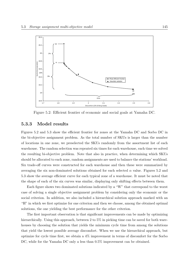

Figure 5.2: Efficient frontier of economic and social goals at Yamaha DC.

#### **5.3.3 Model results**

Figures 5.2 and 5.3 show the efficient frontier for zones at the Yamaha DC and Sorbo DC in the bi-objective assignment problem. As the total number of SKUs is larger than the number of locations in one zone, we preselected the SKUs randomly from the assortment list of each warehouse. The random selection was repeated six times for each warehouse, each time we solved the resulting bi-objective problem. Note that also in practice, when determining which SKUs should be allocated to each zone, random assignments are used to balance the stations' workload. Six trade-off curves were constructed for each warehouse and then these were summarized by averaging the six non-dominated solutions obtained for each selected  $\alpha$  value. Figures 5.2 and 5.3 show the average efficient curve for each typical zone of a warehouse. It must be noted that the shape of each of the six curves was similar, displaying only shifting effects between them.

Each figure shows two dominated solutions indicated by a "W" that correspond to the worst case of solving a single objective assignment problem by considering only the economic or the social criterion. In addition, we also included a hierarchical solution approach marked with an "H" in which we first optimize for one criterion and then we choose, among the obtained optimal solutions, the one yielding the best performance for the other criterion.

The first important observation is that significant improvements can be made by optimizing hierarchically. Using this approach, between 2 to 5% in picking time can be saved for both warehouses by choosing the solution that yields the minimum cycle time from among the solutions that yield the lowest possible average discomfort. When we use the hierarchical approach, but optimize for cycle time first, we obtain a 4% improvement in terms of discomfort for the Sorbo DC, while for the Yamaha DC only a less than 0.5% improvement can be obtained.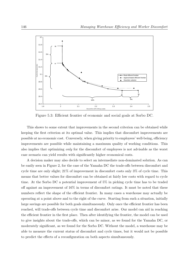

Figure 5.3: Efficient frontier of economic and social goals at Sorbo DC.

This shows to some extent that improvements in the second criterion can be obtained while keeping the first criterion at its optimal value. This implies that discomfort improvements are possible at no economic cost. Conversely, when giving priority to employees' well-being, efficiency improvements are possible while maintaining a maximum quality of working conditions. This also implies that optimizing *only* for the discomfort of employees is not advisable as the worst case scenario can yield results with significantly higher economical costs.

A decision maker may also decide to select an intermediate non-dominated solution. As can be easily seen in Figure 2, for the case of the Yamaha DC the trade-offs between discomfort and cycle time are only slight; 21% of improvement in discomfort costs only 3% of cycle time. This means that better values for discomfort can be obtained at fairly low costs with regard to cycle time. At the Sorbo DC a potential improvement of 5% in picking cycle time has to be traded off against an improvement of 16% in terms of discomfort ratings. It must be noted that these numbers reflect the shape of the efficient frontier. In many cases a warehouse may actually be operating at a point above and to the right of the curve. Starting from such a situation, initially large savings are possible for both goals simultaneously. Only once the efficient frontier has been reached, will trade-offs between cycle time and discomfort arise. Our model can aid in reaching the efficient frontier in the first place. Then after identifying the frontier, the model can be used to give insights about the trade-offs, which can be minor, as we found for the Yamaha DC, or moderately significant, as we found for the Sorbo DC. Without the model, a warehouse may be able to measure the current status of discomfort and cycle times, but it would not be possible to predict the effects of a reconfiguration on both aspects simultaneously.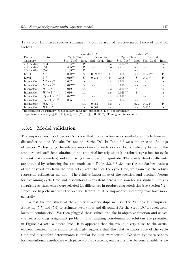|             |                                                                                | Yamaha DC  |      |            |      | Sorbo DC   |      |            |      |
|-------------|--------------------------------------------------------------------------------|------------|------|------------|------|------------|------|------------|------|
| Factor      | Factor                                                                         | Cycle Time |      | Discomfort |      | Cycle Time |      | Discomfort |      |
| Category    |                                                                                | Std. Coef. | Imp. | Std. Coef. | Imp. | Std. Coef. | Imp. | Std. Coef. | Imp. |
| 2D location | MА                                                                             | $0.134***$ | Ρ    | $-1$       | n.a. | $0.423***$ | P    | $-1$       | n.a. |
| 2D location | CА                                                                             | $0.435***$ | Ρ    | $-1$       | n.a. | $-1$       | n.a. | $-1$       | n.a. |
| 2D location | CN                                                                             | $0.198***$ | Ρ    | $-1$       | n.a. | -.-        | n.a. | $-1$       | n.a. |
| Level       | $L^{(1)}$                                                                      | $0.058***$ | S    | $0.225***$ | P    | 0.006      | n.s. | $0.176***$ | P    |
| Level       | $L^{(3)}$                                                                      | $0.019***$ | S    | $0.211**$  | P    | $0.008*$   | S    | $0.197***$ | P    |
| Interaction | $LV*L^{(1)}$                                                                   | 0.007      | n.s. | -.-        | n.s. | $-0.008$   | n.s. | $-1$       | n.s. |
| Interaction | $LV*L^{(3)}$                                                                   | $0.072***$ | S    | -.-        | n.s. | 0.013      | n.s. | $-1$       | n.s. |
| Interaction | $HV * L^{(1)}$                                                                 | 0.012      | n.s. | $-1 -$     | n.s. | $0.029***$ | S    | $-1$       | n.s. |
| Interaction | $HV * L^{(3)}$                                                                 | $-0.016$   | n.s. | $-1 -$     | n.s. | $0.028***$ | S    | $-1$       | n.s. |
| Interaction | $(Q-1) * L^{(1)}$                                                              | $0.022***$ |      | -.-        | n.s. | $-0.019*$  | S    | $-1$       | n.s. |
| Interaction | $(Q-1) * L^{(3)}$                                                              | 0.005      | n.s. | $-1 -$     | n.s. | 0.004      | n.s. | $-1$       | n.s. |
| Interaction | $HM * L^{(1)}$                                                                 | $-1 -$     | n.s. | 0.061      | n.s. | $-1$       | n.s. | $0.123*$   | P    |
| Interaction | $HM * L^{(3)}$                                                                 | $-1$       | n.s. | $-0.064$   | n.s. | $-1$       | n.s. | 0.037      | n.s. |
|             | Importance. D. Drimowy C. Cocondowy n.o., not epplicable n.c., not gignificant |            |      |            |      |            |      |            |      |

Table 5.5: Empirical studies summary: a comparison of relative importance of location factors.

Importance: P: Primary, S: Secondary, n.a.: not applicable. n.s.: not significant<br>Significance levels:  $p \le 0.05$ <sup>\*</sup>,  $p \le 0.01$ <sup>\*\*</sup>),  $p \le 0.001$ <sup>\*\*\*</sup>). Time given in seconds.

### **5.3.4 Model validation**

The empirical results of Section 5.2 show that many factors work similarly for cycle time and discomfort at both Yamaha DC and the Sorbo DC. In Table 5.5 we summarize the findings of Section 2 classifying the relative importance of each location factor category by using the standardized coefficients obtained in the empirical investigations (the robust regressions for cycle time estimation models) and comparing their order of magnitude. The standardized coefficients are obtained by estimating the same model as in Tables 5.2, 5.3, 5.4 over the standardized values of the observations from the data sets. Note that for the cycle time, we again use the robust regression estimation method. The relative importance of the location and product factors for explaining cycle time and discomfort is consistent across the warehouses studied. This is surprising as these cases were selected for differences in product characteristics (see Section 5.2). Hence, we hypothesize that the location factors' relative importance hierarchy may hold more generally.

To test the robustness of the empirical relationships we used the Yamaha DC empirical Equation (5.7) and (5.9) to estimate cycle times and discomfort for the Sorbo DC for each itemlocation combination. We then plugged these values into the bi-objective function and solved the corresponding assignment problem. The resulting non-dominated solutions are presented in Figure 5.3 with a dotted line. It is apparent that the result is very close to the actual efficient frontier. This similarity strongly suggests that the relative importance of the cycle time and discomfort determinants is similar for both warehouses. We then hypothesize that for conventional warehouses with picker-to-part systems, our results may be generalizable as we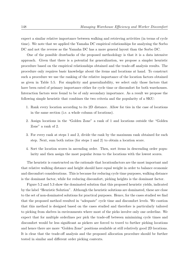expect a similar relative importance between walking and retrieving activities (in terms of cycle time). We note that we applied the Yamaha DC empirical relationships for analyzing the Sorbo DC and not the reverse as the Yamaha DC has a more general layout than the Sorbo DC.

One of the possible drawbacks of the proposed methodology is that it is a data intensive approach. Given that there is a potential for generalization, we propose a simpler heuristic procedure based on the empirical relationships obtained and the trade-off analysis results. The procedure only requires basic knowledge about the items and locations at hand. To construct such a procedure we use the ranking of the relative importance of the location factors obtained as given in Table 5.5. For simplicity and generalizability, we select only those factors that have been rated of primary importance either for cycle time or discomfort for both warehouses. Interaction factors were found to be of only secondary importance. As a result we propose the following simple heuristic that combines the two criteria and the popularity of a SKU:

- 1. Rank every location according to its 2D distance. Allow for ties in the case of locations in the same section (i.e. a whole column of locations).
- 2. Assign locations in the "Golden Zone" a rank of 1 and locations outside the "Golden Zone" a rank of 2.
- 3. For every rank at steps 1 and 2, divide the rank by the maximum rank obtained for each step. Next, sum both ratios (for steps 1 and 2) to obtain a location score.
- 4. Sort the location scores in ascending order. Then, sort items in descending order popularity and then assign the most popular items to the locations with the lowest scores.

The heuristic is constructed on the rationale that locationfactors are the most important and that relative walking distance and height should have equal weight in order to balance economic and discomfort considerations. This is because for reducing cycle time purposes, walking distance is the dominant factor, while for reducing discomfort, picking heights is the dominant factor.

Figure 5.2 and 5.3 show the dominated solution that this proposed heuristic yields, indicated by the label "Heuristic Solution". Although the heuristic solutions are dominated, these are close to the set of non-dominated solutions for practical purposes. Hence, for the cases studied we find that the proposed method resulted in "adequate" cycle time and discomfort levels. We caution that this method is designed based on the cases studied and therefore is particularly tailored to picking from shelves in environments where most of the picks involve only one orderline. We expect that for multiple orderlines per pick the trade-off between minimizing cycle times and discomfort would be less significant as pickers are forced to travel to further picking locations and hence there are more "Golden Zone" positions available at still relatively good 2D locations. It is clear that the trade-off analysis and the proposed allocation procedure should be further tested in similar and different order picking contexts.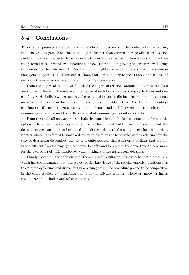#### **5.4 Conclusions**

This chapter presents a method for storage allocation decisions in the context of order picking from shelves. In particular, this method goes further than current storage allocation decision models in two main respects. First, we explicitly model the effect of location factors on cycle time using actual data. Second, we introduce the new criterion of improving the workers' well-being by minimizing their discomfort. Our method highlights the value of data stored in warehouse management systems. Furthermore, it shows that direct inquiry to pickers about their level of discomfort is an effective way of determining their preferences.

From the empirical studies, we find that the empirical relations obtained in both warehouses are similar in terms of the relative importance of each factor in predicting cycle times and discomfort. Such similarity, suggests that the relationships for predicting cycle time and discomfort are robust. Moreover, we find a certain degree of commonality between the determinants of cycle time and discomfort. As a result, only moderate trade-offs between the economic goal of minimizing cycle time and the well-being goal of minimizing discomfort were found.

From the trade-off analysis we conclude that optimizing only for discomfort may be a costly option in terms of increased cycle time and is thus not advisable. We also observe that the decision maker can improve both goals simultaneously until the solution reaches the efficient frontier where he is forced to make a decision whether or not to sacrifice some cycle time for the sake of decreasing discomfort. Hence, it is quite possible that a majority of firms that are not in the efficient frontier may gain economic benefits and be able at the same time to care more for the well-being of their employees when making storage assignment decisions.

Finally, based on the robustness of the empirical results we propose a heuristic procedure which has the advantage that it does not require knowledge of the specific empirical relationships to estimate cycle time and discomfort in a picking area. The procedure proved to be competitive in the cases studied by identifying points in the efficient frontier. However, more testing is recommended in similar and other contexts.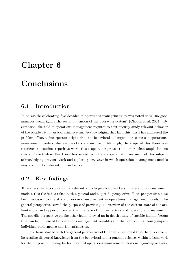## **Chapter 6**

## **Conclusions**

#### **6.1 Introduction**

In an article celebrating five decades of operations management, it was noted that "no good manager would ignore the social dimension of the operating system" (Chopra et al, 2004). By extension, the field of operations management requires to continuously study relevant behavior of the people within an operating system. Acknowledging that fact, this thesis has addressed the problem of how to incorporate insights from the behavioral and ergonomic sciences in operational management models whenever workers are involved. Although, the scope of this thesis was restricted to routine, repetitive work, this scope alone proved to be more than ample for one thesis. Nevertheless, this thesis has served to initiate a systematic treatment of this subject, acknowledging previous work and exploring new ways in which operations management models may account for relevant human factors.

#### **6.2 Key findings**

To address the incorporation of relevant knowledge about workers in operations management models, this thesis has taken both a general and a specific perspective. Both perspectives have been necessary to the study of workers' involvement in operations management models. The general perspective served the purpose of providing an overview of the current state of the art, limitations and opportunities at the interface of human factors and operations management. The specific perspective on the other hand, allowed an in-depth study of specific human factors that can be influenced by operations management variables and that can simultaneously impact individual performance and job satisfaction.

This thesis started with the general perspective of Chapter 2, we found that there is value in integrating dispersed knowledge from the behavioral and ergonomic sciences within a framework for the purpose of making better informed operations management decisions regarding workers.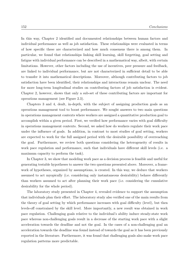In this way, Chapter 2 identified and documented relationships between human factors and individual performance as well as job satisfaction. These relationships were evaluated in terms of how specific these are characterized and how much consensus there is among them. In particular, we found that relationships linking skill learning, skill forgetting, goal setting and fatigue with individual performance can be described in a mathematical way, albeit, with certain limitations. However, other factors including the use of incentives, peer pressure and feedback, are linked to individual performance, but are not characterized in sufficient detail to be able to transfer it into mathematical descriptions. Moreover, although contributing factors to job satisfaction have been identified, their relationships and interactions remain unclear. The need for more long-term longitudinal studies on contributing factors of job satisfaction is evident. Chapter 2, however, shows that only a sub-set of these contributing factors are important for operations management (see Figure 2.3).

Chapters 3 and 4, dealt, in-depth, with the subject of assigning production goals as an operations management tool to boost performance. We sought answers to two main questions in operations management contexts where workers are assigned a quantitative production goal to accomplish within a given period. First, we verified how performance varies with goal difficulty in operations management contexts. Second, we asked how do workers regulate their work pace under the influence of goals. In addition, in contrast to most studies of goal setting, workers are expected to work for the full assigned period with the desirable possibility of overreaching the goal. Furthermore, we review both questions considering the heterogeneity of results in work pace regulation and performance, such that individuals have different skill levels (i.e. a maximum capacity to perform the task).

In Chapter 3, we show that modeling work pace as a decision process is feasible and useful for generating testable hypotheses to answer the two questions presented above. Moreover, a framework of hypotheses, organized by assumptions, is created. In this way, we deduce that workers assumed to act myopically (i.e. considering only instantaneous desirability) behave differently than workers assumed to act after planning their work pace (i.e. considering the cumulative desirability for the whole period).

The laboratory study presented in Chapter 4, revealed evidence to support the assumption that individuals plan their effort. The laboratory study also verified one of the main results from the theory of goal setting by which performance increases with goal difficulty (level), but then levels-off constrained by the skill level. More importantly, a new result was obtained in work pace regulation. Challenging goals relative to the individual's ability induce steady-state work pace whereas non-challenging goals result in a decrease of the starting work pace with a slight acceleration towards the deadline and not the goal. In the cases of a non-challenging goal an acceleration towards the deadline was found instead of towards the goal as it has been previously reported in the literature. Furthermore, it was found that challenging goals also make work pace regulation patterns more predictable.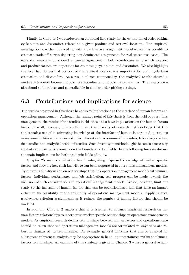Finally, in Chapter 5 we conducted an empirical field study for the estimation of order picking cycle times and discomfort related to a given product and retrieval location. The empirical investigation was then followed up with a bi-objective assignment model where it is possible to estimate trade-off curves depicting non-dominated assignments for real warehouse cases. The empirical investigation showed a general agreement in both warehouses as to which location and product factors are important for estimating cycle times and discomfort. We also highlight the fact that the vertical position of the retrieval location was important for both, cycle time estimation and discomfort. As a result of such commonality, the analytical results showed a moderate trade-off between improving discomfort and improving cycle times. The results were also found to be robust and generalizable in similar order picking settings.

#### **6.3 Contributions and implications for science**

The studies presented in this thesis have direct implications at the interface of human factors and operations management. Although the vantage point of this thesis is from the field of operations management, the results of the studies in this thesis also have implications on the human factors fields. Overall, however, it is worth noting the diversity of research methodologies that this thesis makes use of in advancing knowledge at the interface of human factors and operations management: literature reviews studies, theoretical decision-making studies, laboratory studies, field studies and analytical trade-off studies. Such diversity in methodologies becomes a necessity to study complex of phenomena on the boundary of two fields. In the following lines we discuss the main implications for both academic fields of study.

Chapter 2's main contribution lies in integrating dispersed knowledge of worker specific factors and showing how such knowledge can be incorporated in operations management models. By centering the discussion on relationships that link operation management models with human factors, individual performance and job satisfaction, real progress can be made towards the inclusion of such considerations in operations management models. We do, however, limit our study to the inclusion of human factors that can be operationalized and that have an impact either on the feasibility or the optimality of operations management models. Applying such a relevance criterion is significant as it reduces the number of human factors that should be modeled.

In addition, Chapter 2 suggests that it is essential to advance empirical research on human factors relationships to incorporate worker specific relationships in operations management models. As empirical research defines relationships between human factors and operations, care should be taken that the operations management models are formulated in ways that are robust in changes of the relationships. For example, general functions that can be adapted for subsequent robustness analysis may be appropriate in handling uncertainties within the human factors relationships. An example of this strategy is given in Chapter 3 where a general assign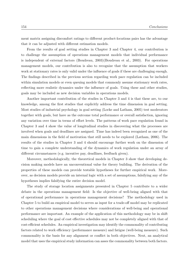ment matrix assigning discomfort ratings to different product-locations pairs has the advantage that it can be adjusted with different estimation models.

From the results of goal setting studies in Chapter 3 and Chapter 4, our contribution is to challenge the assumption of operations management models that individual performance is independent of external factors (Boudreau, 2003)(Boudreau et al., 2003). For operations management models, our contribution is also to recognize that the assumption that workers work at stationary rates is only valid under the influence of goals if these are challenging enough. The findings described in the previous section regarding work pace regulation can be included within simulation models or even queuing models that commonly assume stationary work rates, reflecting more realistic dynamics under the influence of goals. Using these and other studies, goals may be included as new decision variables in operations models.

Another important contribution of the studies in Chapter 3 and 4 is that these are, to our knowledge, among the first studies that explicitly address the time dimension in goal setting. Most studies of industrial psychology in goal setting (Locke and Latham, 2005) test moderators together with goals, but have as the outcome total performance or overall satisfaction, ignoring any variation over time in terms of effort levels. The patterns of work pace regulation found in Chapter 3 and 4 show the value of longitudinal studies in discovering what the processes are involved when goals and deadlines are assigned. Time has indeed been recognized as one of the main dimensions in the field of motivation that still needs to be explored (Latham, 2006). The results of the studies in Chapter 3 and 4 should encourage further work on the dimension of time to gain a complete understanding of the dynamics of work regulation under an array of different circumstances (e.g. incentive pay, deadlines, feedback given).

Moreover, methodologically, the theoretical models in Chapter 3 show that developing decision making models have an unconventional value for theory building. The derivation of the properties of these models can provide testable hypotheses for further empirical work. Moreover, as decision models provide an internal logic with a set of assumptions, falsifying any of the hypotheses implies falsifying the entire decision model.

The study of storage location assignments presented in Chapter 5 contribute to a wider debate in the operations management field: Is the objective of well-being aligned with that of operational performance in operations management decisions? The methodology used in Chapter 5 to build an empirical model to serves as input for a trade-off model may be replicated to other operations management decisions where considerations of well-being and operational performance are important. An example of the application of this methodology may be in shift scheduling where the goal of cost effective schedules may not be completely aligned with that of cost-efficient schedules. An empirical investigation may identify the commonality of contributing factors related to work efficiency (performance measure) and fatigue (well-being measure). Such commonality is the basis for any alignment or conflict in both objectives. Next, an analytical model that uses the empirical study information can asses the commonality between both factors.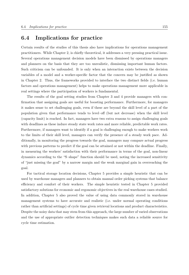#### **6.4 Implications for practice**

Certain results of the studies of this thesis also have implications for operations management practitioners. While Chapter 2, is chiefly theoretical, it addresses a very pressing practical issue. Several operations management decision models have been dismissed by operations managers and planners on the basis that they are too unrealistic, dismissing important human factors. Such criticism can be unfounded. It is only when an interaction exists between the decision variables of a model and a worker-specific factor that the concern may be justified as shown in Chapter 2. Thus, the frameworks provided to interface the two distinct fields (i.e. human factors and operations management) helps to make operations management more applicable in real settings where the participation of workers is fundamental.

The results of the goal setting studies from Chapter 3 and 4 provide managers with confirmation that assigning goals are useful for boosting performance. Furthermore, for managers it makes sense to set challenging goals, even if these are beyond the skill level of a part of the population given that performance tends to level–off (but not decrease) when the skill level (capacity limit) is reached. In fact, managers have two extra reasons to assign challenging goals with deadlines as these induce steady state work rates and more reliable, predictable work rates. Furthermore, if managers want to identify if a goal is challenging enough to make workers work to the limits of their skill level, managers can verify the presence of a steady work pace. Additionally, in monitoring the progress towards the goal, managers may compare actual progress with previous patterns to predict if the goal can be attained or not within the deadline. Finally, in measuring the workers' satisfaction with their performance in terms of the goal, non-linear dynamics according to the "S–shape" function should be used, noting the increased sensitivity of "just missing the goal" by a narrow margin and the weak marginal gain in overreaching the goal.

For tactical storage location decisions, Chapter 5 provides a simple heuristic that can be used by warehouse managers and planners to obtain manual order picking systems that balance efficiency and comfort of their workers. The simple heuristic tested in Chapter 5 provided satisfactory solutions for economic and ergonomic objectives in the real warehouse cases studied. In addition, Chapter 5 also proved the value of using data commonly stored in warehouse management systems to have accurate and realistic (i.e. under normal operating conditions rather than artificial settings) of cycle time given retrieval locations and product characteristics. Despite the noisy data that may stem from this approach, the large number of varied observations and the use of appropriate outlier detection techniques makes such data a reliable source for cycle time estimation.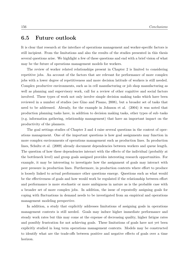#### **6.5 Future outlook**

It is clear that research at the interface of operations management and worker-specific factors is still incipient. From the limitations and also the results of the studies presented in this thesis several questions arise. We highlight a few of these questions and end with a brief vision of what may be the future of operations management models for workers.

The review of worker related relationships present in Chapter 2 is limited to considering repetitive jobs. An account of the factors that are relevant for performance of more complex jobs with a lower degree of repetitiveness and more decision latitude of workers is still needed. Complex productive environments, such as in cell manufacturing or job shop manufacturing as well as planning and supervisory work, call for a review of other cognitive and social factors involved. These types of work not only involve simple decision making tasks which have been reviewed in a number of studies (see Gino and Pisano, 2008), but a broader set of tasks that need to be addressed. Already, for the example in Johnson et al. (2004) it was noted that production planning tasks have, in addition to decision making tasks, other types of sub–tasks (e.g. information gathering, relationship management) that have an important impact on the productivity of the planners.

The goal settings studies of Chapter 3 and 4 raise several questions in the context of operations management. One of the important questions is how goal assignments may function in more complex environments of operations management such as production lines. In production lines, Schultz et al. (2009) already document dependencies between workers and queue length. The question of how these dependencies interact with the effects of the individual (probably at the bottleneck level) and group goals assigned provides interesting research opportunities. For example, it may be interesting to investigate how the assignment of goals may interact with peer pressure in production lines. Furthermore, in production contexts where effort to produce is loosely linked to actual performance other questions emerge. Questions such as what would be the effectiveness of goals and how would work be regulated if the relationship between effort and performance is more stochastic or more ambiguous in nature as is the probable case with a broader set of more complex jobs. In addition, the issue of repeatedly assigning goals for coping with fluctuations in demand needs to be investigated from an empirical and operations management modeling perspective.

In addition, a study that explicitly addresses limitations of assigning goals in operations management contexts is still needed. Goals may induce higher immediate performance and steady work rates but this may come at the expense of decreasing quality, higher fatigue rates and possibly frustration for not achieving goals. These limitations of goals have not yet been explicitly studied in long term operations management contexts. Models may be constructed to identify what are the trade-offs between positive and negative effects of goals over a time horizon.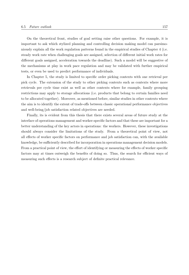On the theoretical front, studies of goal setting raise other questions. For example, it is important to ask which stylized planning and controlling decision making model can parsimoniously explain all the work regulation patterns found in the empirical studies of Chapter 4 (i.e. steady work rate when challenging goals are assigned, selection of different initial work rates for different goals assigned, acceleration towards the deadline). Such a model will be suggestive of the mechanisms at play in work pace regulation and may be validated with further empirical tests, or even be used to predict performance of individuals.

In Chapter 5, the study is limited to specific order picking contexts with one retrieval per pick cycle. The extension of the study to other picking contexts such as contexts where more retrievals per cycle time exist as well as other contexts where for example, family grouping restrictions may apply to storage allocations (i.e. products that belong to certain families need to be allocated together). Moreover, as mentioned before, similar studies in other contexts where the aim is to identify the extent of trade-offs between classic operational performance objectives and well-being/job satisfaction related objectives are needed.

Finally, its is evident from this thesis that there exists several areas of future study at the interface of operations management and worker-specific factors and that these are important for a better understanding of the key actors in operations: the workers. However, these investigations should always consider the limitations of the study. From a theoretical point of view, not all effects of worker specific factors on performance and job satisfaction can, with the available knowledge, be sufficiently described for incorporation in operations management decision models. From a practical point of view, the effort of identifying or measuring the effects of worker specific factors may at times outweigh the benefits of doing so. Thus, the search for efficient ways of measuring such effects is a research subject of definite practical relevance.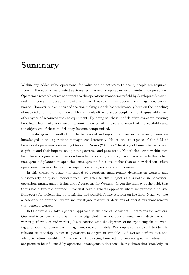### **Summary**

Within any added-value operations, for value adding activities to occur, people are required. Even in the case of automated systems, people act as operators and maintenance personnel. Operations research serves as support to the operations management field by developing decisionmaking models that assist in the choice of variables to optimize operations management performance. However, the emphasis of decision making models has traditionally been on the modeling of material and information flows. These models often consider people as indistinguishable from other types of resources such as equipment. By doing so, these models often disregard existing knowledge from behavioral and ergonomic sciences with the consequence that the feasibility and the objectives of these models may become compromised.

This disregard of results from the behavioral and ergonomic sciences has already been acknowledged in the operations management literature. Hence, the emergence of the field of behavioral operations; defined by Gino and Pisano (2008) as "the study of human behavior and cognition and their impacts on operating systems and processes". Nonetheless, even within such field there is a greater emphasis on bounded rationality and cognitive biases aspects that affect managers and planners in operations management functions, rather than on how decisions affect operational workers that in turn impact operating systems and processes.

In this thesis, we study the impact of operations management decisions on workers and subsequently on system performance. We refer to this subject as a sub-field in behavioral operations management: Behavioral Operations for Workers. Given the infancy of the field, this thesis has a two-fold approach. We first take a general approach where we propose a holistic framework for articulating both existing and possible future research on the field. Next, we take a case-specific approach where we investigate particular decisions of operations management that concern workers.

In Chapter 2, we take a general approach to the field of Behavioral Operations for Workers. Our goal is to review the existing knowledge that links operations management decisions with worker performance and worker job satisfaction with the objective of incorporating this in existing and potential operations management decision models. We propose a framework to identify relevant relationships between operations management variables and worker performance and job satisfaction variables. A review of the existing knowledge of worker specific factors that are prone to be influenced by operations management decisions clearly shows that knowledge is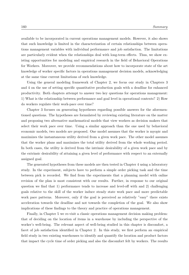available to be incorporated in current operations management models. However, it also shows that such knowledge is limited in the characterization of certain relationships between operations management variables with individual performance and job satisfaction. The limitations are particularly evident when the relationships deal with long-term effects. Thus, we show existing opportunities for modeling and empirical research in the field of Behavioral Operations for Workers. Moreover, we provide recommendations about how to incorporate state of the art knowledge of worker specific factors in operations management decision models, acknowledging at the same time current limitations of such knowledge.

Using the general modeling framework of Chapter 2, we focus our study in Chapters 3 and 4 on the use of setting specific quantitative production goals with a deadline for enhanced productivity. Both chapters attempt to answer two key questions for operations management: 1) What is the relationship between performance and goal level in operational contexts? 2) How do workers regulate their work-pace over time?

Chapter 3 focuses on generating hypotheses regarding possible answers for the aforementioned questions. The hypotheses are formulated by reviewing existing literature on the matter and proposing two alternative mathematical models that view workers as decision makers that select their work pace over time. Using a similar approach than the one used by behavioral economic models, two models are proposed. One model assumes that the worker is myopic and maximizes the instantaneous utility derived from a given work pace. The other model assumes that the worker plans and maximizes the total utility derived from the whole working period. In both cases, the utility is derived from the intrinsic desirability of a given work pace and by the extrinsic desirability of attaining a given level of performance with respect to an externally assigned goal.

The generated hypotheses from these models are then tested in Chapter 4 using a laboratory study. In the experiment, subjects have to perform a simple order picking task and the time between pick is recorded. We find from the experiments that a planning model with online revision of the plan is most consistent with our results. Further, in response to our original question we find that 1) performance tends to increase and level-off with and 2) challenging goals relative to the skill of the worker induce steady state work pace and more predictable work pace patterns. Moreover, only if the goal is perceived as relatively "easy" there exists acceleration towards the deadline and not towards the completion of the goal. We also show implications of these findings to the theory and practice of operations management.

Finally, in Chapter 5 we re-visit a classic operations management decision making problem: that of deciding on the location of items in a warehouse by including the perspective of the worker's well-being. The relevant aspect of well-being studied in this chapter is discomfort, a facet of job satisfaction identified in Chapter 2. In this study, we first perform an empirical field study in two existing warehouses to identify and quantify the location and product factors that impact the cycle time of order picking and also the discomfort felt by workers. The results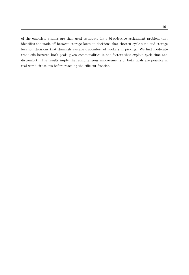of the empirical studies are then used as inputs for a bi-objective assignment problem that identifies the trade-off between storage location decisions that shorten cycle time and storage location decisions that diminish average discomfort of workers in picking. We find moderate trade-offs between both goals given commonalities in the factors that explain cycle-time and discomfort. The results imply that simultaneous improvements of both goals are possible in real-world situations before reaching the efficient frontier.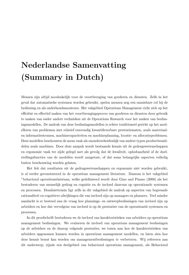# **Nederlandse Samenvatting (Summary in Dutch)**

Mensen zijn altijd noodzakelijk voor de voortbrenging van goederen en diensten. Zelfs in het geval dat automatische systemen worden gebruikt, spelen mensen nog een onmisbare rol bij de bediening en als onderhoudsmonteurs. Het vakgebied Operations Management richt zich op het efficiënt en effectief maken van het voortbrengingsproces van goederen en diensten door gebruik te maken van onder andere technieken uit de Operations Research voor het maken van beslissingsmodellen. De nadruk van deze beslissingsmodellen is echter traditioneel gericht op het modelleren van problemen met relatief eenvoudig kwantificeerbare prestatiematen, zoals materiaalen informatiestromen, machinecapaciteiten en machineplanning, locatie- en allocatieproblemen. Deze modellen beschouwen de mens vaak als ononderscheidenlijk van andere typen productiemiddelen zoals machines. Door deze aanpak wordt bestaande kennis uit de gedragswetenschappen en ergonomie vaak ter zijde gelegd met als gevolg dat de kwaliteit, oplosbaarheid of de doelstellingsfuncties van de modellen wordt aangetast, of dat soms belangrijke aspecten volledig buiten beschouwing worden gelaten.

Het feit dat resultaten uit de gedragswetenschappen en ergonomie niet worden gebruikt, is al eerder geconstateerd in de operations management literatuur. Daarom is het vakgebied "behavioral operations¨ontstaan, welke gedefinieerd wordt door Gino and Pisano (2008) als het bestuderen van menselijk gedrag en cognitie en de invloed daarvan op operationele systemen en processen. Desalniettemin ligt zelfs in dit vakgebied de nadruk op aspecten van begrensde rationaliteit en cognitieve afwijkingen die van invloed zijn op managers en planners. Veel minder aandacht is er besteed aan de vraag hoe plannings- en ontwerpbeslissingen van invloed zijn op arbeiders en hoe dat vervolgens van invloed is op de prestaties van de operationele systemen en processen.

In dit proefschrift bestuderen we de invloed van karakteristieken van arbeiders op operations management beslissingen. We evalueren de invloed van operations management beslissingen op de arbeiders en de daarop volgende prestaties, we tonen aan hoe de karakteristieken van arbeiders opgenomen kunnen worden in operations management modellen, en laten zien hoe deze kennis benut kan worden om managementbeslissingen te verbeteren. Wij refereren aan dit onderwerp, zijnde een deelgebied van behavioral operations management, als Behavioral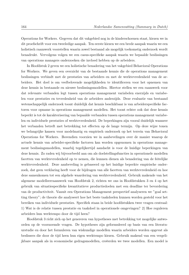Operations for Workers. Gegeven dat dit vakgebied nog in de kinderschoenen staat, kiezen we in dit proefschrift voor een tweeledige aanpak. Ten eerste kiezen we een brede aanpak waarin we een holistisch raamwerk voorstellen waarin zowel bestaand als mogelijk toekomstig onderzoek wordt benadrukt. Vervolgens volgen we een casus-specifieke aanpak waarin we bepaalde beslissingen van operations managers onderzoeken die invloed hebben op de arbeiders.

In Hoofdstuk 2 geven we een holistische benadering van het vakgebied Behavioral Operations for Workers. We geven een overzicht van de bestaande kennis die de operations management beslissingen verbindt met de prestaties van arbeiders en met de werktevredenheid van de arbeiders. Het doel is om veelbelovende mogelijkheden te identificeren voor het opnemen van deze kennis in bestaande en nieuwe beslissingsmodellen. Hiertoe stellen we een raamwerk voor dat relevante verbanden legt tussen operations management variabelen enerzijds en variabelen voor prestaties en tevredenheid van de arbeiders anderzijds. Deze evaluatie van bestaand wetenschappelijk onderzoek toont duidelijk dat kennis beschikbaar is van arbeiderspecifieke factoren voor opname in operations management modellen. Het toont echter ook dat deze kennis beperkt is tot de karakterisering van bepaalde verbanden tussen operations management variabelen en individuele prestaties of werktevredenheid. De beperkingen zijn vooral duidelijk wanneer het verbanden betreft met betrekking tot effecten op de lange termijn. Op deze wijze tonen we belangrijke kansen voor modelmatig en empirisch onderzoek op het terrein van Behavioral Operations for Workers. Bovendien voorzien we in aanbevelingen over de manier waarop de actuele kennis van arbeider-specifieke factoren kan worden opgenomen in operations management beslissingsmodellen, waarbij tegelijkertijd aandacht is voor de huidige beperkingen van deze kennis. Zo raden wij bijvoorbeeld aan om als doelstellingsfuncties in operationele modellen facetten van werktevredenheid op te nemen, die kunnen dienen als benadering van de feitelijke werktevredenheid. Deze aanbeveling is gebaseerd op het huidige beperkte empirische onderzoek, dat geen verklaring heeft voor de bijdragen van alle facetten van werktevredenheid en hoe deze samenkomen tot een algehele waardering van werktevredenheid. Gebruik makende van het algemene modelleerraamwerk van Hoofdstuk 2, richten we ons in Hoofdstukken 3 en 4 op het gebruik van situatiespecifieke kwantitatieve productiedoelen met een deadline ter bevordering van de productiviteit. Vanuit een Operations Management perspectief analyseren we "goal setting theory"; de theorie die analyseert hoe het beste taakdoelen kunnen worden gesteld voor het bereiken van individuele prestaties. Specifiek staan in beide hoofdstukken twee vragen centraal: 1) Wat is de relatie tussen prestatie en taakdoel in operationele omgevingen? 2) Hoe reguleren arbeiders hun werktempo door de tijd heen?

Hoofdstuk 3 richt zich op het genereren van hypotheses met betrekking tot mogelijke antwoorden op de voornoemde vragen. De hypotheses zijn geformuleerd op basis van een literatuurstudie en door het formuleren van wiskundige modellen waarin arbeiders worden opgevat als beslissers die door de tijd heen hun eigen werktempo kiezen. Gebruik makend van een vergelijkbare aanpak als in economische gedragsmodellen, creëerden we twee modellen. Een model is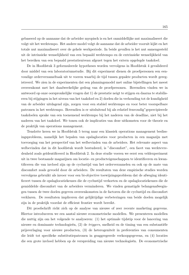gebaseerd op de aanname dat de arbeider myopisch is en het onmiddellijke nut maximaliseert die volgt uit het werktempo. Het andere model volgt de aanname dat de arbeider vooruit kijkt en het totale nut maximaliseert over de gehele werkperiode. In beide gevallen is het nut samengesteld uit de intrinsieke wenselijkheid van een bepaald werktempo en de extrinsieke wenselijkheid van het bereiken van een bepaald prestatieniveau afgezet tegen het extern opgelegde taakdoel.

De in Hoofdstuk 3 geformuleerde hypotheses worden vervolgens in Hoofdstuk 4 gevalideerd door middel van een laboratoriumstudie. Bij dit experiment dienen de proefpersonen een eenvoudige orderverzameltaak uit te voeren waarbij de tijd tussen gepakte producten wordt geregistreerd. We zien in de experimenten dat een planningsmodel met online bijstellingen het meest overeenkomt met het daadwerkelijke gedrag van de proefpersonen. Bovendien vinden we in antwoord op onze oorspronkelijke vragen dat 1) de prestatie neigt te stijgen en daarna te stabiliseren bij stijgingen in het niveau van het taakdoel en 2) doelen die in verhouding tot de kundigheid van de arbeider uitdagend zijn, zorgen voor een stabiel werktempo en voor beter voorspelbare patronen in het werktempo. Bovendien is er uitsluitend bij als relatief ëenvoudig" gepercipieerde taakdoelen sprake van een toenemend werktempo bij het naderen van de deadline, niet bij het naderen van het taakdoel. We tonen ook de implicaties van deze uitkomsten voor de theorie en de praktijk van operations management.

Tenslotte keren we in Hoofdstuk 5 terug naar een klassiek operations management beslissingsprobleem, namelijk het bepalen van opslaglocaties voor producten in een magazijn met toevoeging van het perspectief van het welbevinden van de arbeiders. Het relevante aspect van welbevinden dat in dit hoofdstuk wordt bestudeerd, is "discomfort", een facet van werktevredenheid zoals geïdentificeerd in Hoofdstuk 2. In deze studie voeren we eerst een veldexperiment uit in twee bestaande magazijnen om locatie- en producteigenschappen te identificeren en kwantificeren die van invloed zijn op de cyclustijd van het orderverzamelen en ook op de mate van discomfort zoals gevoeld door de arbeiders. De resultaten van deze empirische studies worden vervolgens gebruikt als invoer voor een bi-objective toewijzingsprobleem dat de afweging identificeert tussen de opslaglocatiekeuzes die de cyclustijd verkorten en de opslaglocatiekeuzes die de gemiddelde discomfort van de arbeiders verminderen. We vinden gematigde belangenafwegingen tussen de twee doelen gegeven overeenkomsten in de factoren die de cyclustijd en discomfort verklaren. De resultaten impliceren dat gelijktijdige verbeteringen van beide doelen mogelijk zijn in de praktijk voordat de efficient frontier wordt bereikt.

Dit proefschrift richt zich op de analyse van nieuwe of zeer recente marketing gegevens. Hiertoe introduceren we een aantal nieuwe econometrische modellen. We presenteren modellen die nuttig zijn om het volgende te analyseren: (1) het optimale tijdstip voor de lancering van nieuwe en dominante technologieën, (2) de *triggers*, snelheid en de timing van een substantiële prijsverlaging voor nieuwe producten, (3) de heterogeniteit in preferenties van consumenten die leidt tot specifieke substitutiepatronen in geaggregeerde verkoopgegevens, en (4) locaties die een grote invloed hebben op de verspreiding van nieuwe technologieën. De econometrische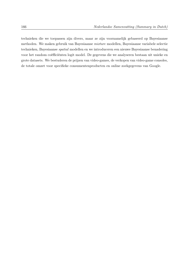technieken die we toepassen zijn divers, maar ze zijn voornamelijk gebaseerd op Bayesiaanse methoden. We maken gebruik van Bayesiaanse *mixture* modellen, Bayesiaanse variabele selectie technieken, Bayesiaanse *spatial* modellen en we introduceren een nieuwe Bayesiaanse benadering voor het random coëfficiënten logit model. De gegevens die we analyseren bestaan uit unieke en grote datasets. We bestuderen de prijzen van video-games, de verkopen van video-game consoles, de totale omzet voor specifieke consumentenproducten en online zoekgegevens van Google.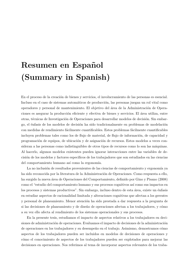# **Resumen en Espa˜nol (Summary in Spanish)**

En el proceso de la creación de bienes y servicios, el involucramiento de las personas es esencial. Incluso en el caso de sistemas automáticos de producción, las personas juegan un rol vital como operadores y personal de mantenimiento. El objetivo del área de la Administración de Operaciones es asegurar la producción eficiente y efectiva de bienes y servicios. El área utiliza, entre otras, técnicas de Investigación de Operaciones para desarrollar modelos de decisión. Sin embargo, el énfasis de los modelos de decisión ha sido tradicionalmente en problemas de modelación con medidas de rendimiento fácilmente cuantificables. Estos problemas fácilmente cuantificables incluyen problemas tales como los de flujo de material, de flujo de información, de capacidad y programación de equipos, de ubicación y de asignación de recursos. Estos modelos a veces consideran a las personas como indistinguibles de otros tipos de recursos como lo son las máquinas. Al hacerlo, algunos modelos existentes pueden ignorar interacciones entre las variables de decisión de los modelos y factores específicos de los trabajadores que son estudiados en las ciencias del comportamiento humano así como la ergonomía.

La no inclusión de resultados provenientes de las ciencias de comportamiento y ergonomía ya ha sido reconocida por la literatura de la Administración de Operaciones. Como respuesta a ello, ha surgido la nueva área de Operaciones del Comportamiento, definido por Gino y Pisano (2008) como el "estudio del comportamiento humano y sus procesos cognitivos así como sus impactos en los procesos y sistemas productivos". Sin embargo, incluso dentro de esta área, existe un énfasis en estudiar aspectos de racionalidad limitada y alteraciones cognitivas que afectan a los gerentes y personal de planeamiento. Menor atención ha sido prestada a dar respuesta a la pregunta de si las decisiones de planeamiento y de diseño de operaciones afectan a los trabajadores, y cómo a su vez ello afecta al rendimiento de los sistemas operacionales y sus procesos.

En la presente tesis, estudiamos el impacto de aspectos relativos a los trabajadores en decisiones de administración de operaciones. Evaluamos el impacto de decisiones de la administración de operaciones en los trabajadores y su desempeño en el trabajo. Asimismo, demostramos cómo aspectos de los trabajadores pueden ser incluidos en modelos de decisiones de operaciones y c´omo el conocimiento de aspectos de los trabajadores pueden ser explotados para mejorar las decisiones en operaciones. Nos referimos al tema de incorporar aspectos relevantes de los traba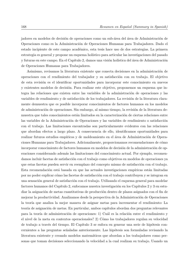jadores en modelos de decisión de operaciones como un sub-área del área de Administración de Operaciones como es la Administración de Operaciones Humanas para Trabajadores. Dado el estado incipiente de este campo académico, esta tesis hace uso de dos estrategias. La primera estrategia es general y propone un esquema holístico para articular las investigaciones del pasado y futuras en este campo. En el Capítulo 2, damos una visión holística del área de Administración de Operaciones Humanas para Trabajadores.

Asimismo, revisamos la literatura existente que conecta decisiones en la administración de operaciones con el rendimiento del trabajador y su satisfacción con su trabajo. El objetivo de esta revisi´on es el identificar oportunidades para incorporar este conocimiento en nuevos y existentes modelos de decisión. Para realizar este objetivo, proponemos un esquema que integra las relaciones que existen entre las variables de la administración de operaciones y las variables de rendimiento y de satisfacción de los trabajadores. La revisión de la literatura claramente demuestra que es posible incorporar conocimientos de factores humanos en los modelos de administración de operaciones. Sin embargo, al mismo tiempo, la revisión de la literatura demuestra que tales conocimientos están limitados en la caracterización de ciertas relaciones entre las variables de la Administración de Operaciones y las variables de rendimiento o satisfacción con el trabajo. Las limitaciones encontradas son particularmente evidentes con las relaciones que abordan efectos a largo plazo. A consecuencia de ello, identificamos oportunidades para realizar futuros estudios empíricos y de moldeamiento en el área de Administración de Operaciones Humanas para Trabajadores. Adicionalmente, proporcionamos recomendaciones de cómo incorporar conocimiento de factores humanos en modelos de decisión de la administración de operaciones considerando además las limitaciones del conocimiento actual. Por ejemplo, recomendamos incluir facetas de satisfacción con el trabajo como objetivos en modelos de operaciones ya que estas facetas pueden servir en reemplazo del concepto mismo de satisfacción con el trabajo. Esta recomendación está basada en que las actuales investigaciones empíricas están limitadas por no poder explicar cómo las facetas de satisfacción con el trabajo contribuyen y se integran en una sensación general de satisfacción con el trabajo. Utilizando el esquema general para modelar factores humanos del Capítulo 2, enfocamos nuestra investigación en los Capítulos 2 y 3 en estudiar la asignación de metas cuantitativas de producción dentro de plazos asignados con el fin de mejorar la productividad. Analizamos desde la perspectiva de la Administración de Operaciones la teoría que analiza la mejor manera de asignar metas para incrementar el rendimiento: La teoría de asignación de metas. En particular, ambos capítulos abordan dos preguntas relevantes para la teoría de administración de operaciones: 1) Cuál es la relación entre el rendimiento y el nivel de la meta en contextos operacionales? 2) Cómo los trabajadores regulan su velocidad de trabajo a través del tiempo. El Capítulo 3 se enfoca en generar una serie de hipótesis concernientes a las preguntas señaladas anteriormente. Las hipótesis son formuladas revisando la literatura existente y creando modelos matemáticos que abordan a los trabajadores como personas que toman decisiones seleccionando la velocidad a la cual realizan su trabajo. Usando un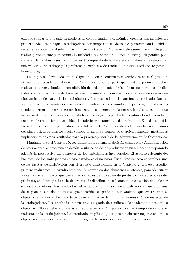enfoque similar al utilizado en modelos de comportamiento económico, creamos dos modelos. El primer modelo asume que los trabajadores son miopes en sus decisiones y maximizan la utilidad instant´anea obtenida al seleccionar un ritmo de trabajo. El otro modelo asume que el trabajador realiza planeamiento y maximiza la utilidad total obtenida de todo el tiempo disponible para trabajar. En ambos casos, la utilidad está compuesta de la preferencia intrínseca de seleccionar una velocidad de trabajo y la preferencia extrínseca de rendir a un cierto nivel con respecto a la meta asignada.

Las hipótesis formuladas en el Capítulo 3 son a continuación verificadas en el Capítulo 4 utilizando un estudio de laboratorio. En el laboratorio, los participantes del experimento deben realizar una tarea simple de consolidación de órdenes, típica de los almacenes y centros de distribución. Los resultados de los experimentos muestran consistencia con el modelo que asume planeamiento de parte de los trabajadores. Los resultados del experimento realizado dan respuesta a las interrogantes de investigación planteadas encontrando que: primero, el rendimiento tiende a incrementarse y luego nivelarse cuando se incrementa la meta asignada; y, segundo que las metas de producción que son percibidas como exigentes por los trabajadores tienden a inducir patrones de regulación de velocidad de trabajos constantes y más predecibles. Es más, solo si la meta de producción es percibida como relativamente "fácil", existe aceleración hacia el término del plazo asignado mas no hacia cuando la meta es completada. Adicionalmente, mostramos implicaciones de estos resultados para la práctica y teoría de la Administración de Operaciones.

Finalmente, en el Capítulo 5, revisamos un problema de decisión clásico en la Administración de Operaciones: el problema de decidir la ubicación de los productos en un almacén incorporando además la perspectiva del bienestar de los trabajadores involucrados. El aspecto relevante del bienestar de los trabajadores en este estudio es el malestar físico. Este aspecto es también una de las facetas de satisfacción con el trabajo identificadas en el Capítulo 2. En este estudio, primero realizamos un estudio emp´ırico de campo en dos almacenes existentes, para identificar y cuantificar el impacto que tienen las variables de ubicación de producto y características del producto, en el tiempo de ciclo de órdenes de distribución así como en la sensación de malestar en los trabajadores. Los resultados del estudio emp´ırico son luego utilizados en un problema de asignación con dos objetivos, que identifica el grado de alineamiento que existe entre el objetivo de minimizar tiempos de ciclo con el objetivo de minimizar la sensación de malestar de los trabajadores. Los resultados demuestran un grado de conflicto solo moderado entre ambos objetivos. Ello se debe a que existen factores en común que explican el tiempo de ciclo y el malestar de los trabajadores. Los resultados implican que es posible obtener mejoras en ambos objetivos en situaciones reales antes de llegar a la frontera eficiente de posibilidades.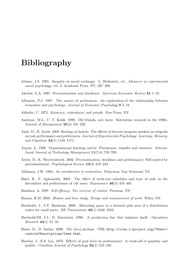## **Bibliography**

- Adams, J.S. 1965. Inequity in social exchange. L. Berkowitz, ed., *Advances in experimental social psychology*, vol. 2. Academic Press, NY, 267–299.
- Akerlof, G.A. 1991. Procrastination and obedience. *American Economic Review* **81** 1–19.
- Albanese, P.J. 1987. The nature of preferences: An exploration,of the relationship between economics and psychology. *Journal of Economic Psychology* **8** 3–18.
- Alderfer, C. 1972. *Existence, relatedness, and growth*. Free Press, NY.
- Ambrose, M.L., C. T. Kulik. 1999. Old friends, new faces: Motivation research in the 1990s. *Journal of Management* **25**(3) 231–292.
- Amir, O., D. Ariely. 2008. Resting on laurels: The effects of discrete progress markers as subgoals on task performance and preferences. *Journal of Experimental Psychology: Learning, Memory, and Cognition* **34**(5) 1158–1171.
- Argote, L. 1996. Organizational learning curves: Persistence, transfer and turnover. *International Journal of Technology Management* **11**(7-8) 759–769.
- Ariely, D., K. Weertenbroch. 2002. Procrastination, deadlines and performance: Self-control by precommitment. *Psychological Science* **13**(3) 219–224.
- Atkinson, J.W. 1964. *An introduction to motivation*. Princeton, Van Nostrand, NJ.
- Balci, R., F. Aghazadeh. 2003. The effect of work-rest schedules and type of task on the discomfort and performance of vdt users. *Ergonomics* **46**(5) 455–465.
- Bandura, A. 1997. *Self-efficacy: The exercise of control*. Freeman, NY.
- Barnes, R.M. 2008. *Motion and time study: Design and measurement of work*. Wiley, NY.
- Bartholdi, J., S.T. Hackman. 2008. Allocating space in a forward pick area of a distribution center for small parts. *IIE Transactions* **40**(1) 1046–1053.
- Bartholdi-III, J.J., D. Eisenstein. 1996. A production line that balances itself. *Operations Research* **44**(1) 21–34.
- Bates, D., D. Sarkar. 2006. *The lme4 package*. URL http://cran.r-project.org/740src/ contrib/Descriptions/lme4.html.
- Bavelas, J., E.S. Lee. 1978. Effects of goal level on performance: A trade-off of quantity and quality. *Canadian Journal of Psychology* **32**(4) 219–240.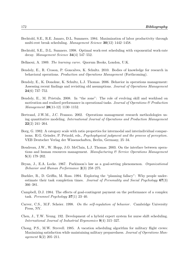- Bechtold, S.E., R.E. Janaro, D.L. Summers. 1984. Maximization of labor productivity through multi-rest break scheduling. *Management Science* **30**(12) 1442–1458.
- Bechtold, S.E., D.L. Sumners. 1998. Optimal work-rest scheduling with exponential work-rate decay. *Management Science* **34**(4) 547–552.
- Belkaoui, A. 1989. *The learning curve*. Quorum Books, London, U.K.
- Bendoly, E., R. Croson, P. Goncalves, K. Schultz. 2010. Bodies of knowledge for research in behavioral operations. *Production and Operations Management* (Forthcoming).
- Bendoly, E., K. Donohue, K. Schultz, L.J. Thomas. 2006. Behavior in operations management: Assessing recent findings and revisiting old assumptions. *Journal of Operations Management* **24**(6) 737–752.
- Bendoly, E., M. Prietula. 2008. In "the zone": The role of evolving skill and workload on motivation and realized performance in operational tasks. *Journal of Operations & Production Management* **28**(11-12) 1130–1152.
- Bertrand, J.W.M., J.C. Fransoo. 2002. Operations management research methodologies using quantitative modeling. *International Journal of Operations and Production Management* **22**(2) 241–264.
- Borg, G. 1982. A category scale with ratio properties for intermodal and interindividual comparisons. H.G. Geissler, P. Petzold, eds., *Psychophysical judgment and the process of perception*. VEB Deutscher Verlag der Wissenschaften, Berlin, Germany, 25–34.
- Boudreau, J.W., W. Hopp, J.O. McClain, L.J. Thomas. 2003. On the interface between operations and human resources management. *Manufacturing & Service Operations Management* **5**(3) 179–202.
- Bryan, J., E.A. Locke. 1967. Parkinson's law as a goal-setting phenomenon. *Organizational Behavior and Human Performance* **2**(3) 258–275.
- Buehler, R., D. Griffin, M. Ross. 1994. Exploring the "planning fallacy": Why people underestimate their task completion times. *Journal of Personality and Social Psychology* **67**(3) 366–381.
- Campbell, D.J. 1984. The effects of goal-contingent payment on the performance of a complex task. *Personnel Psychology* **37**(1) 23–40.
- Carver, C.S., M.F. Scheier. 1998. *On the self-regulation of behavior*. Cambridge University Press, NY.
- Chen, J., T.W. Yeung. 192. Development of a hybrid expert system for nurse shift scheduling. *International Journal of Industrial Ergonomics* **9**(4) 315–327.
- Chong, P.S., M.W. Strevell. 1985. A vacation scheduling algorithm for military flight crews: Maximizing satisfaction while maintaining military preparedness. *Journal of Operations Management* **5**(2) 205–211.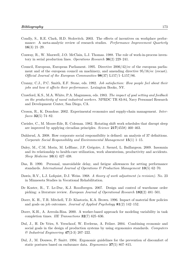- Condly, S., R.E. Clark, H.D. Stolovitch. 2003. The effects of incentives on workplace performance: A meta-analytic review of research studies. *Performance Improvement Quarterly* **16**(3) 21–29.
- Conway, R., W. Maxwell, J.O. McClain, L.J. Thomas. 1988. The role of work-in-process inventory in serial production lines. *Operations Research* **36**(2) 229–241.
- Council, European, European Parliament. 1995. Directive 2006/42/ec of the european parliament and of the european council on machinery, and amending directive 95/16/ec (recast). *Official Journal of the European Communities* **98**(37) L157/1–L157/86.
- Cranny, C.J., P.C. Smith, E.F. Stone, eds. 1992. *Job satisfaction: How people feel about their jobs and how it affects their performance*. Lexington Books, NY.
- Crawford, K.S., M.A. White, P.A. Magnusson, eds. 1983. *The impact of goal setting and feedback on the productivity of naval industrial workers*. NPRDC TR 83-84, Navy Personnel Research and Development Center, San Diego, CA.
- Croson, R., K. Donohue. 2002. Experimental economics and supply-chain management. *Interfaces* **32**(5) 74–82.
- Czeisler, C., M. Moore-Ede, R. Coleman. 1982. Rotating shift work schedules that disrupt sleep are improved by applying circadian principles. *Science* **217**(4558) 460–463.
- Dahlsrud, A. 2008. How corporate social responsibility is defined: an analysis of 37 definitions. *Corporate Social Responsibility and Environmental Management* **15**(1) 1–15.
- Daley, M., C.M. Morin, M. LeBlanc, J.P. Grégoire, J. Savard, L. Baillargeon. 2009. Insomnia and its relationship to health-care utilization, work absenteeism, productivity and accidents. *Sleep Medicine* **10**(4) 427–438.
- Das, B. 1990. Personal, unavoidable delay, and fatigue allowances for setting performance standards. *International Journal of Operations & Production Management* **10**(5) 62–70.
- Dawis, R.V., L.J. Lofquist, D.J. Weiss. 1968. *A theory of work adjustment (a revision)*. No. 23 in Minnesota Studies in Vocational Rehabilitation.
- De Koster, R., T. Le-Duc, K.J. Roodbergen. 2007. Design and control of warehouse order picking: a literature review. *European Journal of Operational Research* **182**(2) 481–501.
- Doerr, K. H., T.R. Mitchell, T.D. Klastorin, K.A. Brown. 1996. Impact of material flow policies and goals on job outcomes. *Journal of Applied Psychology* **81**(2) 142–152.
- Doerr, K.H., A. Arreola-Risa. 2000. A worker-based approach for modeling variability in task completion times. *IIE Transactions* **32**(7) 625–636.
- Dul, J., H. De Vries, S. Verschoof, W. Eveleens, A. Feilzer. 2004. Combining economic and social goals in the design of production systems by using ergonomics standards. *Computers & Industrial Engineering* **47**(2-3) 207–222.
- Dul, J., M. Douwes, P. Smitt. 1994. Ergonomic guidelines for the prevention of discomfort of static postures based on endurance data. *Ergonomics* **37**(5) 807–815.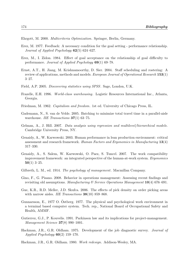Ehrgott, M. 2000. *Multicriteria Optimization*. Springer, Berlin, Germany.

- Erez, M. 1977. Feedback: A necessary condition for the goal setting performance relationship. *Journal of Applied Psychology* **62**(5) 624–627.
- Erez, M., I. Zidon. 1984. Effect of goal acceptance on the relationship of goal difficulty to performance. *Journal of Applied Psychology* **69**(1) 69–78.
- Ernst, A.T., H. Jiang, M. Krishnamoorthy, D. Sier. 2004. Staff scheduling and rostering: A review of applications, methods and models. *European Journal of Operational Research* **153**(1) 3–27.
- Field, A.P. 2005. *Discovering statistics using SPSS*. Sage, London, U.K.
- Frazelle, E.H. 1996. *World-class warehousing*. Logistic Resources International Inc., Atlanta, Georgia.
- Friedman, M. 1962. *Capitalism and freedom*. 1st ed. University of Chicago Press, IL.
- Gademann, N., S. van de Velde. 2005. Batching to minimize total travel time in a parallel-aisle warehouse. *IIE Transactions* **37**(1) 63–75.
- Gelman, A., J. Hill. 2007. *Data analysis using regression and multilevel/hierarchical models*. Cambridge University Press, NY.
- Genaidy, A., W. Karwowski. 2003. Human performance in lean production environment: critical assessment and research framework. *Human Factors and Ergonomics in Manufacturing* **13**(4) 317–330.
- Genaidy, A., S. Salem, W. Karwowski, O. Paez, S. Tuncel. 2007. The work compatibility improvement framework: an integrated perspective of the human-at-work system. *Ergonomics* **50**(1) 3–25.
- Gilbreth, L. M., ed. 1914. *The psychology of management*. Macmillan Company.
- Gino, F., G. Pisano. 2008. Behavior in operations management: Assessing recent findings and revisiting old assumptions. *Manufacturing & Service Operations Management* **10**(4) 676–691.
- Gue, K.R., R.D. Meller, J.D. Skufca. 2006. The effects of pick density on order picking areas with narrow aisles. *IIE Transactions* **38**(10) 859–868.
- Gunnarsson, E., 1977 O. Östberg. 1977. The physical and psychological work environment in a terminal based computer system. Tech. rep., National Board of Occupational Safety and Health, AMMF.
- Gutierrez, G.J., P. Kouvelis. 1991. Parkinson law and its implications for project-management. *Management Science* **37**(8) 990–1001.
- Hackman, J.R., G.R. Oldham. 1975. Development of the job diagnostic survey. *Journal of Applied Psychology* **60**(2) 159–170.
- Hackman, J.R., G.R. Oldham. 1980. *Work redesign*. Addison-Wesley, MA.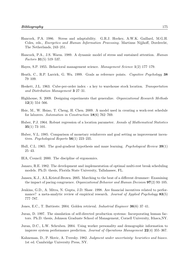- Hancock, P.A. 1986. Stress and adaptability. G.R.J. Hockey, A.W.K. Gaillard, M.G.H. Coles, eds., *Energetics and Human Information Processing*. Martinus Nijjhoff, Dordrecht, The Netherlands, 243–251.
- Hancock, P.A., J.S. Warm. 1989. A dynamic model of stress and sustained attention. *Human Factors* **31**(5) 519–537.
- Hayes, S.P. 1955. Behavioral management science. *Management Science* **1**(2) 177–179.
- Heath, C., R.P. Larrick, G. Wu. 1999. Goals as reference points. *Cognitive Psychology* **38** 79–109.
- Heskett, J.L. 1963. Cube-per-order index a key to warehouse stock location. *Transportation and Distribution Management* **3** 27–31.
- Highhouse, S. 2009. Designing experiments that generalize. *Organizational Research Methods* **12**(3) 554–566.
- Hsie, M., W. Hsiao, T. Cheng, H. Chen. 2009. A model used in creating a work-rest schedule for laborers. *Automation in Construction* **18**(6) 762–769.
- Huber, P.J. 1964. Robust regression of a location parameter. *Annals of Mathematical Statistics* **35**(1) 73–101.
- Huber, V.L. 1985. Comparison of monetary reinforcers and goal setting as improvement incentives. *Psychological Reports* **56**(1) 223–235.
- Hull, C.L. 1965. The goal-gradient hypothesis and maze learning. *Psychological Review* **39**(1) 25–43.
- IEA, Council. 2000. The discipline of ergonomics.
- Janaro, R.E. 1982. The development and implementation of optimal multi-rest break scheduling models. Ph.D. thesis, Florida State University, Tallahassee, FL.
- Jansen, K.J., A.L.Kristof-Brown. 2005. Marching to the beat of a different drummer: Examining the impact of pacing congruence. *Organizational Behavior and Human Decision* **97**(2) 93–105.
- Jenkins, G.D., A. Mitra, N. Gupta, J.D. Shaw. 1998. Are financial incentives related to performance? a meta-analytic review of empirical research. *Journal of Applied Psychology* **83**(5) 777–787.
- Jones, E.C., T. Battieste. 2004. Golden retrieval. *Industrial Engineer* **36**(6) 37–41.
- Juran, D. 1997. The simulation of self-directed production systems: Incorporating human factors. Ph.D. thesis, Johnson Graduate School of Management, Cornell University, Ithaca,NY.
- Juran, D.C., L.W. Schruben. 2004. Using worker personality and demographic information to improve system performance prediction. *Journal of Operations Management* **22**(4) 355–367.
- Kahneman, D., P. Slovic, A. Tversky. 1982. *Judgment under uncertainty: heuristics and biases*. 1st ed. Cambridge University Press, NY.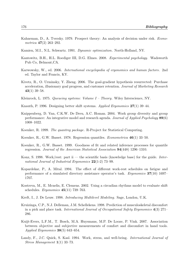- Kahneman, D., A. Tversky. 1979. Prospect theory: An analysis of decision under risk. *Econometrica* **47**(2) 263–292.
- Kamien, M.I., N.L. Schwartz. 1991. *Dynamic optimization*. North-Holland, NY.
- Kantowitz, B.H., H.L. Roediger III, D.G. Elmes. 2008. *Experimental psychology*. Wadsworth Pub Co, Belmont,CA.
- Karwowsky, W., ed. 2006. *International encyclopedia of ergonomics and human factors*. 2nd ed. Taylor and Francis, KY.
- Kivetz, R., O. Urminsky, Y. Zheng. 2006. The goal-gradient hypothesis resurrected: Purchase acceleration, illusionary goal progress, and customer retention. *Journal of Marketing Research* **43**(1) 39–58.
- Kleinrock, L. 1975. *Queueing systems: Volume I Theory*. Wiley Interscience, NY.
- Knauth, P. 1996. Designing better shift systems. *Applied Ergonomics* **27**(1) 39–44.
- Knippenberg, D. Van, C.K.W. De Dreu, A.C. Homan. 2004. Work group diversity and group performance: An integrative model and research agenda. *Journal of Applied Psychology* **89**(6) 1008–1022.
- Koenker, R. 1999. *The quantreg package*. R-Project for Statistical Computing.
- Koenker, R., G.W. Basset. 1978. Regression quantiles. *Econometrica* **46**(1) 33–50.
- Koenker, R., G.W. Basset. 1999. Goodness of fit and related inference processes for quantile regression. *Journal of the American Statistical Association* **94**(448) 1296–1310.
- Konz, S. 1998. Work/rest: part ii the scientific basis (knowledge base) for the guide. *International Journal of Industrial Ergonomics* **22**(1-2) 73–99.
- Kopardekar, P., A. Mital. 1994. The effect of different work-rest schedules on fatigue and performance of a simulated directory assistance operator's task. *Ergonomics* **37**(10) 1697– 1707.
- Kostreva, M., E. Mcnelis, E. Clemens. 2002. Using a circadian rhythms model to evaluate shift schedules. *Ergonomics* **45**(11) 739–763.
- Kreft, I., J. De Leuw. 1998. *Introducing Multilevel Modeling*. Sage, London, U.K.
- Kruizinga, C.P., N.J. Delleman, J.M. Schellekens. 1998. Prediction of musculoskeletal discomfort in a pick and place task. *International Journal of Occupational Safety Ergonomics* **4**(3) 271– 286.
- Kuijt-Evers, L.F.M., T. Bosch, M.A. Huysmans, M.P. De Looze, P. Vink. 2007. Association between objective and subjective measurements of comfort and discomfort in hand tools. *Applied Ergonomics* **38**(5) 643–654.
- Landy, F., J.C. Quick, S. Kasl. 1994. Work, stress, and well-being. *International Journal of Stress Management* **1**(1) 33–73.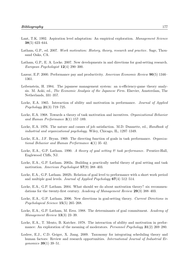- Lant, T.K. 1992. Aspiration level adaptation: An empirical exploration. *Management Science* **38**(5) 623–644.
- Latham, G.P., ed. 2007. *Work motivation: History, theory, research and practice*. Sage, Thousand Oaks, CA.
- Latham, G.P., E. A. Locke. 2007. New developments in and directions for goal-setting research. *European Psychologist* **12**(4) 290–300.
- Lazear, E.P. 2000. Performance pay and productivity. *American Economic Review* **90**(5) 1346– 1361.
- Leibenstein, H. 1984. The japanese management system: an x-efficiency-game theory analysis. M. Aoki, ed., *The Economic Analysis of the Japanese Firm*. Elsevier, Amsterdam, The Netherlands, 331–357.
- Locke, E.A. 1965. Interaction of ability and motivation in performance. *Journal of Applied Psychology* **21**(3) 719–725.
- Locke, E.A. 1968. Towards a theory of task motivation and incentives. *Organizational Behavior and Human Performance* **3**(1) 157–189.
- Locke, E.A. 1976. The nature and causes of job satisfaction. M.D. Dunnette, ed., *Handbook of industrial and organizational psychology*. Wiley, Chicago, IL, 1297–1349.
- Locke, E.A., J.F. Bryan. 1969. The directing function of goals in task performance. *Organizational Behavior and Human Performance* **4**(1) 35–42.
- Locke, E.A., G.P. Latham. 1990. *A theory of goal setting & task performance*. Prentice-Hall, Englewood Cliffs, NJ.
- Locke, E.A., G.P. Latham. 2002a. Building a practically useful theory of goal setting and task motivation. *American Psychologist* **57**(9) 388–403.
- Locke, E.A., G.P. Latham. 2002b. Relation of goal level to performance with a short work period and multiple goal levels. *Journal of Applied Psychology* **67**(4) 512–514.
- Locke, E.A., G.P. Latham. 2004. What should we do about motivation theory? six recommendations for the twenty-first century. *Academy of Management Review* **29**(3) 388–403.
- Locke, E.A., G.P. Latham. 2006. New directions in goal-setting theory. *Current Directions in Psychological Science* **15**(5) 265–268.
- Locke, E.A., G.P. Latham, M. Erez. 1988. The determinants of goal commitment. *Academy of Management Review* **13**(3) 23–39.
- Locke, E.A., T. Mento, B. Katcher. 1978. The interaction of ability and motivation in performance: An exploration of the meaning of moderators. *Personnel Psychology* **31**(2) 269–280.
- Lodree, E.J., C.D. Geiger, X. Jiang. 2009. Taxonomy for integrating scheduling theory and human factors: Review and research opportunities. *International Journal of Industrial Ergonomics* **39**(1) 39–51.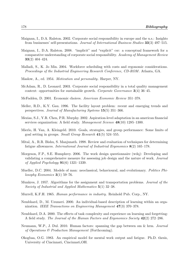- Maignan, I., D.A. Ralston. 2002. Corporate social responsibility in europe and the u.s.: Insights from businesses' self-presentations. *Journal of International Business Studies* **33**(3) 497–515.
- Maignan, I., D.A. Ralston. 2008. "implicit" and "explicit" csr: a conceptual framework for a comparative understanding of corporate social responsibility. *Academy of Management Review* **33**(2) 404–424.
- Malladi, S., K. Jo Min. 2004. Workforce scheduling with costs and ergonomic considerations. *Proceedings of the Industrial Engineering Research Conference, CD-ROM* . Atlanta, GA.
- Maslow, A., ed. 1954. *Motivation and personality*. Harper, NY.
- McAdam, R., D. Leonard. 2003. Corporate social responsibility in a total quality management context: opportunities for sustainable growth. *Corporate Governance* **3**(4) 36–45.
- McFadden, D. 2001. Economic choices. *American Economic Review* 351–378.
- Meller, R.D., K.Y. Gau. 1996. The facility layout problem: recent and emerging trends and perspectives. *Journal of Manufacturing Systems* **15**(5) 351–366.
- Mezias, S.J., Y.R. Chen, P.R. Murphy. 2002. Aspiration-level adaptation in an american financial services organization: A field study. *Management Science* **48**(10) 1285–1300.
- Mierlo, H. Van, A. Kleingeld. 2010. Goals, strategies, and group performance: Some limits of goal setting in groups. *Small Group Research* **41**(5) 524–555.
- Mital, A., R.R. Bishu, S. Manjunath. 1998. Review and evaluation of techniques for determining fatigue allowances. *International Journal of Industrial Ergonomics* **8**(2) 165–178.
- Morgeson, F.P., S.E. Humphrey. 2006. The work design questionnaire (wdq): Developing and validating a comprehensive measure for assessing job design and the nature of work. *Journal of Applied Psychology* **91**(6) 1321–1339.
- Mueller, D.C. 2004. Models of man: neoclassical, behavioural, and evolutionary. *Politics Philosophy Economics* **3**(1) 59–76.
- Munkres, J. 1957. Algorithms for the assignment and transportation problems. *Journal of the Society of Industrial and Applied Mathematics* **5**(1) 32–38.
- Murrell, K.F.H. 1965. *Human performance in industry*. Reinhold Pub. Corp., NY.
- Nembhard, D., M. Uzumeri. 2000. An individual-based description of learning within an organization. *IEEE Transactions on Engineering Management* **47**(3) 370–378.
- Nembhard, D.A. 2000. The effects of task complexity and experience on learning and forgetting: A field study. *The Journal of the Human Factors and Ergonomics Society* **42**(2) 272–286.
- Neumann, W.P., J. Dul. 2010. Human factors: spanning the gap between om & hrm. *Journal of Operations & Production Management* (Forthcoming).
- Okogbaa, O.G. 1983. An empirical model for mental work output and fatigue. Ph.D. thesis, University of Cincinnati, Cincinnati,OH.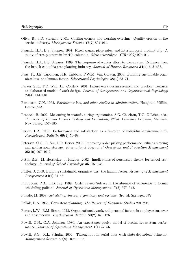- Oliva, R., J.D. Sterman. 2001. Cutting corners and working overtime: Quality erosion in the service industry. *Management Science* **47**(7) 894–914.
- Paarsch, H.J., B.S. Shearer. 1997. Fixed wages, piece rates, and intertemporal productivity: A study of tree planters in british columbia. *S´erie scientifique (CIRANO)* **97s-01**.
- Paarsch, H.J., B.S. Shearer. 1999. The response of worker effort to piece rates: Evidence from the british columbia tree-planting industry. *Journal of Human Resources* **34**(4) 643–667.
- Paas, F., J.E. Tuovinen, H.K. Tabbers, P.W.M. Van Gerven. 2003. Building sustainable organizations: the human factor. *Educational Psychologist* **38**(1) 63–71.
- Parker, S.K., T.D. Wall, J.L. Cordery. 2001. Future work design research and practice: Towards an elaborated model of work design. *Journal of Occupational and Organizational Psychology* **74**(4) 414–440.
- Parkinson, C.N. 1962. *Parkinson's law, and other studies in administration*. Houghton Mifflin, Boston,MA.
- Peacock, B. 2002. Measuring in manufacturing ergonomics. S.G. Charlton, T.G. O'Brien, eds., *Handbook of Human Factors Testing and Evaluation, 2*nd*ed*. Lawrence Erlbaum, Mahwah, New Jersey, 157–180.
- Pervin, L.A. 1968. Performance and satisfaction as a function of individual-environment fit. *Psychological Bulletin* **69**(1) 56–68.
- Petersen, C.G., C. Siu, D.R. Heiser. 2005. Improving order picking performance utilizing slotting and golden zone storage. *International Journal of Operations and Production Management* **25**(10) 997–1012.
- Petty, R.E., M. Heesacker, J. Hughes. 2002. Implications of persuasion theory for school psychology. *Journal of School Psychology* **35** 107–136.
- Pfeffer, J. 2009. Building sustainable organizations: the human factor. *Academy of Management Perspectives* **24**(1) 34–45.
- Philipoom, P.R., T.D. Fry. 1999. Order review/release in the absence of adherence to formal scheduling policies. *Journal of Operations Management* **17**(3) 327–342.
- Pinedo, M. 2008. *Scheduling: theory, algorithms, and systems*. 3rd ed. Springer, NY.
- Pollak, R.A. 1968. Consistent planning. *The Review of Economic Studies* 201–208.
- Porter, L.W., R.M. Steers. 1973. Organizational, work, and personal factors in employee turnover and absenteeism. *Psychological Bulletin* **80**(2) 151–176.
- Powell, G.N., G.A. Johnson. 1980. An expectancy-equity model of productive system performance. *Journal of Operations Management* **1**(1) 47–56.
- Powell, S.G., K.L. Schultz. 2004. Throughput in serial lines with state-dependent behavior. *Management Science* **50**(8) 1095–1105.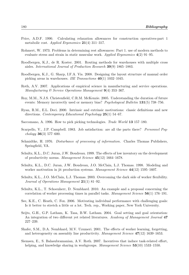- Price, A.D.F. 1990. Calculating relaxation allowances for construction operatives-part 1 metabolic cost. *Applied Ergonomics* **21**(4) 311–317.
- Rohmert, W. 1973. Problems in determining rest allowances: Part 1. use of modern methods to evaluate stress and strain in static muscular work. *Applied Ergonomics* **4**(2) 91–95.
- Roodbergen, K.J., de R. Koster. 2001. Routing methods for warehouses with multiple cross aisles. *International Journal of Production Research* **39**(9) 1865–1883.
- Roodbergen, K.J., G. Sharp, I.F.A. Vis. 2008. Designing the layout structure of manual order picking areas in warehouses. *IIE Transactions* **40**(1) 1032–1045.
- Roth, A.V. 2007. Applications of empirical science in manufacturing and service operations. *Manufacturing & Service Operations Management* **9**(4) 353–367.
- Roy, M.M., N.J.S. Christenfield, C.R.M. McKenzie. 2005. Understanding the duration of future events: Memory incorrectly used or memory bias? *Psychological Bulletin* **131**(5) 738–756.
- Ryan, R.M., E.L. Deci. 2000. Intrinsic and extrinsic motivations: classic definitions and new directions. *Contemporary Educational Psychology* **25**(1) 54–67.
- Saccomano, A. 1996. How to pick picking technologies. *Trade World* **13** 157–180.
- Scarpello, V., J.P. Campbell. 1983. Job satisfaction: are all the parts there? *Personnel Psychology* **36**(3) 577–600.
- Schmidtke, H. 1976. *Disturbance of processing of information*. Charles Thomas Publishers, Springfield, VA.
- Schultz, K.L., D.C. Juran, J.W. Boudreau. 1999. The effects of low inventory on the development of productivity norms. *Management Science* **45**(12) 1664–1678.
- Schultz, K.L., D.C. Juran, J.W. Boudreau, J.O. McClain, L.J. Thomas. 1998. Modeling and worker motivation in jit production systems. *Management Science* **44**(12) 1595–1607.
- Schultz, K.L., J.O. McClain, L.J. Thomas. 2003. Overcoming the dark side of worker flexibility. *Journal of Operations Management* **21**(1) 81–92.
- Schultz, K.L., T. Schoenherr, D. Nembhard. 2010. An example and a proposal concerning the correlation of worker processing times in parallel tasks. *Management Science* **56**(1) 176–191.
- See, K.E., C. Heath, C. Fox. 2006. Motivating individual performance with challenging goals: Is it better to stretch a little or a lot. Tech. rep., Working paper, New York University.
- Seijts, G.H., G.P. Latham, K. Tasa, B.W. Latham. 2004. Goal setting and goal orientation: An integration of two different yet related literatures. *Academy of Management Journal* **47** 227–239.
- Shafer, S.M., D.A. Nembhard, M.V. Uzumeri. 2001. The effects of worker learning, forgetting, and heterogeneity on assembly line productivity. *Management Science* **47**(12) 1639–1653.
- Siemsen, E., S. Balasubramanian, A.V. Roth. 2007. Incentives that induce task-related effort, helping, and knowledge sharing in workgroups. *Management Science* **53**(10) 1533–1550.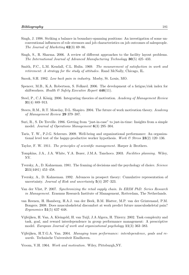- Singh, J. 1998. Striking a balance in boundary-spanning positions: An investigation of some unconventional influences of role stressors and job characteristics on job outcomes of salespeople. *The Journal of Marketing* **62**(3) 69–86.
- Singh, S., R. Sharma. 2006. A review of different approaches to the facility layout problems. *The International Journal of Advanced Manufacturing Technology* **30**(5) 425–433.
- Smith, P.C., L.M. Kendall, C.L. Hulin. 1969. *The measurement of satisfaction in work and retirement: A strategy for the study of attitudes*. Rand McNally, Chicago, IL.
- Snook, S.H. 1982. *Low back pain in industry*. Mosby, St. Louis, MO.
- Spencer, M.B., K.A. Robertson, S. Folkard. 2006. The development of a fatigue/risk index for shiftworkers. *Health & Safety Executive Report* **446**(11).
- Steel, P., C.J. König. 2006. Integrating theories of motivation. *Academy of Management Review* **31**(4) 889–913.
- Steers, R.M., R.T. Mowday, D.L. Shapiro. 2004. The future of work motivation theory. *Academy of Management Review* **29** 379–387.
- Suri, R., S. De Treville. 1986. Getting from "just-in-case" to just-in-time: Insights from a simple model. *Journal of Operations Management* **6**(3) 295–304.
- Taris, T. W., P.J.G. Schreurs. 2009. Well-being and organizational performance: An organizational level test of the happy-productive worker hypothesis. *Work & Stress* **23**(2) 120–136.
- Taylor, F. W. 1911. *The principles of scientific management*. Harper & Brothers.
- Tompkins, J.A., J.A. White, Y.A. Bozer, J.M.A. Tanchoco. 2003. *Facilities planning*. Wiley, NY.
- Tversky, A., D. Kahneman. 1981. The framing of decisions and the psychology of choice. *Science* **211**(4481) 453–458.
- Tversky, A., D. Kahneman. 1992. Advances in prospect theory: Cumulative representation of uncertainty. *Journal of Risk and uncertainty* **5**(4) 297–323.
- Van der Vlist, P. 2007. *Synchronizing the retail supply chain. In ERIM PhD. Series Research in Management*. Erasmus Research Institute of Management, Rotterdam, The Netherlands.
- van Reenen, H. Hamberg, H.A.J. van der Beek, B.M. Blatter, M.P. van der Grintenand, P.M. Bongers. 2008. Does musculoskeletal discomfort at work predict future musculoskeletal pain? *Ergonomics* **51**(5) 637–648.
- Vijfeijken, H. Van, A. Kleingeld, H. van Tuijl, J.A Algera, H. Thierry. 2002. Task complexity and task, goal, and reward interdependence in group performance management: A prescriptive model. *European Journal of work and organizational psychology* **11**(3) 363–383.
- Vijfeijken, H.T.G.A. Van. 2004. *Managing team performance: interdependence, goals and rewards*. Technische Universiteit Eindhoven.
- Vroom, V.H. 1964. *Work and motivation*. Wiley, Pittsburgh,NY.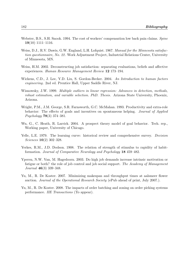- Webster, B.S., S.H. Snook. 1994. The cost of workers' compensation low back pain claims. *Spine* **19**(10) 1111–1116.
- Weiss, D.J., R.V. Dawis, G.W. England, L.H. Lofquist. 1967. *Manual for the Minnesota satisfaction questionnaire, No. 22* . Work Adjustment Project, Industrial Relations Center, University of Minnesota, MN.
- Weiss, H.M. 2002. Deconstructing job satisfaction: separating evaluations, beliefs and affective experiences. *Human Resource Management Review* **12** 173–194.
- Wickens, C.D., J. Lee, Y.D. Liu, S. Gordon-Becker. 2004. *An Introduction to human factors engineering*. 2nd ed. Prentice Hall, Upper Saddle River, NJ.
- Wisnowsky, J.W. 1999. *Multiple outliers in linear regression: Advances in detection, methods, robust estimation, and variable selection. PhD. Thesis*. Arizona State University, Phoenix, Arizona.
- Wright, P.M., J.M. George, S.R. Farnsworth, G.C. McMahan. 1993. Productivity and extra-role behavior: The effects of goals and incentives on spontaneous helping. *Journal of Applied Psychology* **78**(3) 374–381.
- Wu, G., C. Heath, R. Larrick. 2004. A prospect theory model of goal behavior. Tech. rep., Working paper, University of Chicago.
- Yelle, L.E. 1979. The learning curve: historical review and comprehensive survey. *Decision Sciences* **10**(2) 302–328.
- Yerkes, R.M., J.D. Dodson. 1908. The relation of strength of stimulus to rapidity of habitformation. *Journal of Comparative Neurology and Psychology* **18** 459–482.
- Yperen, N.W. Van, M. Hagedoorn. 2003. Do high job demands increase intrinsic motivation or fatigue or both? the role of job control and job social support. *The Academy of Management Journal* **46**(3) 339–348.
- Yu, M., R. De Koster. 2007. Minimizing makespan and throughput times at aalsmeer flower auction. *Journal of the Operational Research Society* (ePub ahead of print, July 2007.).
- Yu, M., R. De Koster. 2008. The impacts of order batching and zoning on order picking systems performance. *IIE Transactions* (To appear).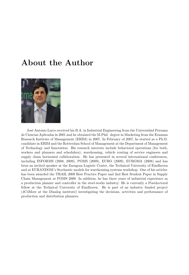## **About the Author**



José Antonio Larco received his B.A. in Industrial Engineering from the Universidad Peruana de Ciencias Aplicadas in 2001 and he obtained the M.Phil. degree in Marketing from the Erasmus Research Institute of Management (ERIM) in 2007. In February of 2007, he started as a Ph.D. candidate in ERIM and the Rotterdam School of Management at the Department of Management of Technology and Innovation. His research interests include behavioral operations (for both, workers and planners and schedulers), warehousing, vehicle routing of service engineers and supply chain horizontal collaboration. He has presented in several international conferences, including INFORMS (2008, 2009), POMS (2009), EURO (2009), EUROMA (2008) and has been an invited speaker at the Zaragoza Logistic Center, the Technical University of Eindhoven and at EURANDOM´s Stochastic models for warehousing systems workshop. One of his articles has been awarded the TRAIL 2009 Best Practice Paper and 2nd Best Student Paper in Supply Chain Management at POMS 2009. In addition, he has three years of industrial experience as a production planner and controller in the steel-works industry. He is currently a Postdoctoral fellow at the Technical University of Eindhoven. He is part of an industry funded project (4C4More at the Dinalog institute) investigating the decisions, activities and performance of production and distribution planners.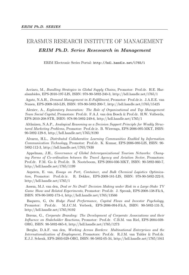## *ERIM Ph.D. Series Resesearch in Management* ERASMUS RESEARCH INSTITUTE OF MANAGEMENT

ERIM Electronic Series Portal: http://hdl.handle.net/1765/1

Acciaro, M., *Bundling Strategies in Global Supply Chains*, Promotor: Prof.dr. H.E. Haralambides, EPS-2010-197-LIS, ISBN: 978-90-5892-240-3, http://hdl.handle.net/1765/1

Agatz, N.A.H., *Demand Management in E-Fulfillment*, Promotor: Prof.dr.ir. J.A.E.E. van Nunen, EPS-2009-163-LIS, ISBN: 978-90-5892-200-7, http://hdl.handle.net/1765/15425

Alexiev, A., *Exploratory Innovation: The Role of Organizational and Top Management Team Social Capital*, Promotors: Prof.dr. F.A.J. van den Bosch & Prof.dr. H.W. Volberda, EPS-2010-208-STR, ISBN: 978-90-5892-249-6, http://hdl.handle.net/1765/1

Althuizen, N.A.P., *Analogical Reasoning as a Decision Support Principle for Weakly Structured Marketing Problems*, Promotor: Prof.dr.ir. B. Wierenga, EPS-2006-095-MKT, ISBN: 90-5892-129-8, http://hdl.handle.net/1765/8190

Alvarez, H.L., *Distributed Collaborative Learning Communities Enabled by Information Communication Technology*, Promotor: Prof.dr. K. Kumar, EPS-2006-080-LIS, ISBN: 90- 5892-112-3, http://hdl.handle.net/1765/7830

Appelman, J.H., *Governance of Global Interorganizational Tourism Networks: Changing Forms of Co-ordination between the Travel Agency and Aviation Sector*, Promotors: Prof.dr. F.M. Go & Prof.dr. B. Nooteboom, EPS-2004-036-MKT, ISBN: 90-5892-060-7, http://hdl.handle.net/1765/1199

Asperen, E. van, *Essays on Port, Container, and Bulk Chemical Logistics Optimization*, Promotor: Prof.dr.ir. R. Dekker, EPS-2009-181-LIS, ISBN: 978-90-5892-222-9, http://hdl.handle.net/1765/1

Assem, M.J. van den, *Deal or No Deal? Decision Making under Risk in a Large-Stake TV Game Show and Related Experiments*, Promotor: Prof.dr. J. Spronk, EPS-2008-138-F&A, ISBN: 978-90-5892-173-4, http://hdl.handle.net/1765/13566

Baquero, G, *On Hedge Fund Performance, Capital Flows and Investor Psychology*, Promotor: Prof.dr. M.J.C.M. Verbeek, EPS-2006-094-F&A, ISBN: 90-5892-131-X, http://hdl.handle.net/1765/8192

Berens, G., *Corporate Branding: The Development of Corporate Associations and their Influence on Stakeholder Reactions*, Promotor: Prof.dr. C.B.M. van Riel, EPS-2004-039- ORG, ISBN: 90-5892-065-8, http://hdl.handle.net/1765/1273

Berghe, D.A.F. van den, *Working Across Borders: Multinational Enterprises and the Internationalization of Employment*, Promotors: Prof.dr. R.J.M. van Tulder & Prof.dr. E.J.J. Schenk, EPS-2003-029-ORG, ISBN: 90-5892-05-34, http://hdl.handle.net/1765/1041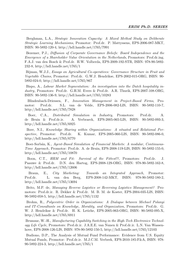Berghman, L.A., *Strategic Innovation Capacity: A Mixed Method Study on Deliberate Strategic Learning Mechanisms*, Promotor: Prof.dr. P. Mattyssens, EPS-2006-087-MKT, ISBN: 90-5892-120-4, http://hdl.handle.net/1765/7991

Bezemer, P.J., *Diffusion of Corporate Governance Beliefs: Board Independence and the Emergence of a Shareholder Value Orientation in the Netherlands*, Promotors: Prof.dr.ing. F.A.J. van den Bosch & Prof.dr. H.W. Volberda, EPS-2009-192-STR, ISBN: 978-90-5892- 232-8, http://hdl.handle.net/1765/1

Bijman, W.J.J., *Essays on Agricultural Co-operatives: Governance Structure in Fruit and Vegetable Chains*, Promotor: Prof.dr. G.W.J. Hendrikse, EPS-2002-015-ORG, ISBN: 90- 5892-024-0, http://hdl.handle.net/1765/867

Bispo, A., *Labour Market Segmentation: An investigation into the Dutch hospitality industry*, Promotors: Prof.dr. G.H.M. Evers & Prof.dr. A.R. Thurik, EPS-2007-108-ORG, ISBN: 90-5892-136-9, http://hdl.handle.net/1765/10283

Blindenbach-Driessen, F., *Innovation Management in Project-Based Firms*, Promotor: Prof.dr. S.L. van de Velde, EPS-2006-082-LIS, ISBN: 90-5892-110-7, http://hdl.handle.net/1765/7828

Boer, C.A., *Distributed Simulation in Industry,* Promotors: Prof.dr. A. de Bruin & Prof.dr.ir. A. Verbraeck, EPS-2005-065-LIS, ISBN: 90-5892-093-3, http://hdl.handle.net/1765/6925

Boer, N.I., *Knowledge Sharing within Organizations: A situated and Relational Perspective,* Promotor: Prof.dr. K. Kumar, EPS-2005-060-LIS, ISBN: 90-5892-086-0, http://hdl.handle.net/1765/6770

Boer-Sorb´an, K., *Agent-Based Simulation of Financial Markets: A modular, Continuous-Time Approach ,* Promotor: Prof.dr. A. de Bruin, EPS-2008-119-LIS, ISBN: 90-5892-155-0, http://hdl.handle.net/1765/10870

Boon, C.T., *HRM and Fit: Survival of the Fittest!?,* Promotors: Prof.dr. J. Paauwe & Prof.dr. D.N. den Hartog, EPS-2008-129-ORG, ISBN: 978-90-5892-162-8, http://hdl.handle.net/1765/12606

Braun, E., *City Marketing: Towards an Integrated Approach,* Promotor: Prof.dr. L. van den Berg, EPS-2008-142-MKT, ISBN: 978-90-5892-180-2, http://hdl.handle.net/1765/13694

Brito, M.P. de, *Managing Reverse Logistics or Reversing Logistics Management?* Promotors: Prof.dr.ir. R. Dekker & Prof.dr. M. B. M. de Koster, EPS-2004-035-LIS, ISBN: 90-5892-058-5, http://hdl.handle.net/1765/1132

Brohm, R., *Polycentric Order in Organizations: A Dialogue between Michael Polanyi and IT-Consultants on Knowledge, Morality, and Organization,* Promotors: Prof.dr. G. W. J. Hendrikse & Prof.dr. H. K. Letiche, EPS-2005-063-ORG, ISBN: 90-5892-095-X, http://hdl.handle.net/1765/6911

Brumme, W.-H., *Manufacturing Capability Switching in the High-Tech Electronics Technology Life Cycle,* Promotors: Prof.dr.ir. J.A.E.E. van Nunen & Prof.dr.ir. L.N. Van Wassenhove, EPS-2008-126-LIS, ISBN: 978-90-5892-150-5, http://hdl.handle.net/1765/12103

Budiono, D.P., The Analysis of Mutual Fund Performance: Evidence from U.S. Equity Mutual Funds*,* Promotor: Prof.dr.ir. M.J.C.M. Verbeek, EPS-2010-185-F&A, ISBN: 978- 90-5892-224-3, http://hdl.handle.net/1765/1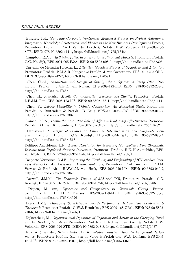### *ERIM Ph.D. SERIES*

Burgers, J.H., *Managing Corporate Venturing: Multilevel Studies on Project Autonomy, Integration, Knowledge Relatedness, and Phases in the New Business Development Process ,* Promotors: Prof.dr.ir. F.A.J. Van den Bosch & Prof.dr. H.W. Volberda, EPS-2008-136- STR, ISBN: 978-90-5892-174-1, http://hdl.handle.net/1765/13484

Campbell, R.A.J., *Rethinking Risk in International Financial Markets*, Promotor: Prof.dr. C.G. Koedijk, EPS-2001-005-F&A, ISBN: 90-5892-008-9, http://hdl.handle.net/1765/306

Carvalho de Mesquita Ferreira, L., *Attention Mosaics: Studies of Organizational Attention*, Promotors: Prof.dr. P.M.A.R. Heugens & Prof.dr. J. van Oosterhout, EPS-2010-205-ORG, ISBN: 978-90-5892-242-7, http://hdl.handle.net/1765/1

Chen, C.-M., *Evaluation and Design of Supply Chain Operations Using DEA*, Promotor: Prof.dr. J.A.E.E. van Nunen, EPS-2009-172-LIS, ISBN: 978-90-5892-209-0, http://hdl.handle.net/1765/1

Chen, H., *Individual Mobile Communication Services and Tariffs*, Promotor: Prof.dr. L.F.J.M. Pau, EPS-2008-123-LIS, ISBN: 90-5892-158-1, http://hdl.handle.net/1765/11141

Chen, Y., *Labour Flexibility in China's Companies: An Empirical Study*, Promotors: Prof.dr. A. Buitendam & Prof.dr. B. Krug, EPS-2001-006-ORG, ISBN: 90-5892-012-7, http://hdl.handle.net/1765/307

Damen, F.J.A., *Taking the Lead: The Role of Affect in Leadership Effectiveness*, Promotor: Prof.dr. D.L. van Knippenberg, EPS-2007-107-ORG, http://hdl.handle.net/1765/10282

Daniševská, P., *Empirical Studies on Financial Intermediation and Corporate Policies*, Promotor: Prof.dr. C.G. Koedijk, EPS-2004-044-F&A, ISBN: 90-5892-070-4, http://hdl.handle.net/1765/1518

Defilippi Angeldonis, E.F., *Access Regulation for Naturally Monopolistic Port Terminals: Lessons from Regulated Network Industries*, Promotor: Prof.dr. H.E. Haralambides, EPS-2010-204-LIS, ISBN: 978-90-5892-245-8, http://hdl.handle.net/1765/1

Delporte-Vermeiren, D.J.E., *Improving the Flexibility and Profitability of ICT-enabled Business Networks: An Assessment Method and Tool*, Promotors: Prof. mr. dr. P.H.M. Vervest & Prof.dr.ir. H.W.G.M. van Heck, EPS-2003-020-LIS, ISBN: 90-5892-040-2, http://hdl.handle.net/1765/359

Derwall, J.M.M., *The Economic Virtues of SRI and CSR*, Promotor: Prof.dr. C.G. Koedijk, EPS-2007-101-F&A, ISBN: 90-5892-132-8, http://hdl.handle.net/1765/8986

Diepen, M. van, *Dynamics and Competition in Charitable Giving*, Promotor: Prof.dr. Ph.H.B.F. Franses, EPS-2009-159-MKT, ISBN: 978-90-5892-188-8, http://hdl.handle.net/1765/14526

Dietz, H.M.S., *Managing (Sales)People towards Perfomance: HR Strategy, Leadership & Teamwork*, Promotor: Prof.dr. G.W.J. Hendrikse, EPS-2009-168-ORG, ISBN: 978-90-5892- 210-6, http://hdl.handle.net/1765/1

Dijksterhuis, M., *Organizational Dynamics of Cognition and Action in the Changing Dutch and US Banking Industries*, Promotors: Prof.dr.ir. F.A.J. van den Bosch & Prof.dr. H.W. Volberda, EPS-2003-026-STR, ISBN: 90-5892-048-8, http://hdl.handle.net/1765/1037

Eijk, A.R. van der, *Behind Networks: Knowledge Transfer, Favor Exchange and Performance*, Promotors: Prof.dr. S.L. van de Velde & Prof.dr.drs. W.A. Dolfsma, EPS-2009- 161-LIS, ISBN: 978-90-5892-190-1, http://hdl.handle.net/1765/14613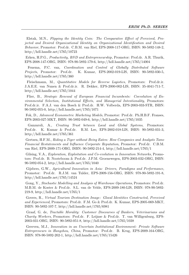Elstak, M.N., *Flipping the Identity Coin: The Comparative Effect of Perceived, Projected and Desired Organizational Identity on Organizational Identification and Desired Behavior*, Promotor: Prof.dr. C.B.M. van Riel, EPS-2008-117-ORG, ISBN: 90-5892-148-2, http://hdl.handle.net/1765/10723

Erken, H.P.G., *Productivity, R&D and Entrepreneurship*, Promotor: Prof.dr. A.R. Thurik, EPS-2008-147-ORG, ISBN: 978-90-5892-179-6, http://hdl.handle.net/1765/14004

Fenema, P.C. van, *Coordination and Control of Globally Distributed Software Projects*, Promotor: Prof.dr. K. Kumar, EPS-2002-019-LIS, ISBN: 90-5892-030-5, http://hdl.handle.net/1765/360

Fleischmann, M., *Quantitative Models for Reverse Logistics*, Promotors: Prof.dr.ir. J.A.E.E. van Nunen & Prof.dr.ir. R. Dekker, EPS-2000-002-LIS, ISBN: 35-4041-711-7, http://hdl.handle.net/1765/1044

Flier, B., *Strategic Renewal of European Financial Incumbents: Coevolution of Environmental Selection, Institutional Effects, and Managerial Intentionality*, Promotors: Prof.dr.ir. F.A.J. van den Bosch & Prof.dr. H.W. Volberda, EPS-2003-033-STR, ISBN: 90-5892-055-0, http://hdl.handle.net/1765/1071

Fok, D., *Advanced Econometric Marketing Models*, Promotor: Prof.dr. Ph.H.B.F. Franses, EPS-2003-027-MKT, ISBN: 90-5892-049-6, http://hdl.handle.net/1765/1035

Ganzaroli, A., *Creating Trust between Local and Global Systems*, Promotors: Prof.dr. K. Kumar & Prof.dr. R.M. Lee, EPS-2002-018-LIS, ISBN: 90-5892-031-3, http://hdl.handle.net/1765/361

Gertsen, H.F.M., *Riding a Tiger without Being Eaten: How Companies and Analysts Tame Financial Restatements and Influence Corporate Reputation*, Promotor: Prof.dr. C.B.M. van Riel, EPS-2009-171-ORG, ISBN: 90-5892-214-4, http://hdl.handle.net/1765/1

Gilsing, V.A., *Exploration, Exploitation and Co-evolution in Innovation Networks*, Promotors: Prof.dr. B. Nooteboom & Prof.dr. J.P.M. Groenewegen, EPS-2003-032-ORG, ISBN: 90-5892-054-2, http://hdl.handle.net/1765/1040

Gijsbers, G.W., *Agricultural Innovation in Asia: Drivers, Paradigms and Performance,* Promotor: Prof.dr. R.J.M. van Tulder, EPS-2009-156-ORG, ISBN: 978-90-5892-191-8, http://hdl.handle.net/1765/14524

Gong, Y., *Stochastic Modelling and Analysis of Warehouse Operations*, Promotors: Prof.dr. M.B.M. de Koster & Prof.dr. S.L. van de Velde, EPS-2009-180-LIS, ISBN: 978-90-5892- 219-9, http://hdl.handle.net/1765/1

Govers, R., *Virtual Tourism Destination Image: Glocal Identities Constructed, Perceived and Experienced*, Promotors: Prof.dr. F.M. Go & Prof.dr. K. Kumar, EPS-2005-069-MKT, ISBN: 90-5892-107-7, http://hdl.handle.net/1765/6981

Graaf, G. de, *Tractable Morality: Customer Discourses of Bankers, Veterinarians and Charity Workers*, Promotors: Prof.dr. F. Leijnse & Prof.dr. T. van Willigenburg, EPS-2003-031-ORG, ISBN: 90-5892-051-8, http://hdl.handle.net/1765/1038

Greeven, M.J., *Innovation in an Uncertain Institutional Environment: Private Software Entrepreneurs in Hangzhou, China*, Promotor: Prof.dr. B. Krug, EPS-2009-164-ORG, ISBN: 978-90-5892-202-1, http://hdl.handle.net/1765/15426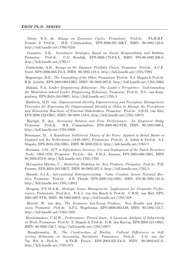Groot, E.A. de, *Essays on Economic Cycles*, Promotors: Prof.dr. Ph.H.B.F. Franses & Prof.dr. H.R. Commandeur, EPS-2006-091-MKT, ISBN: 90-5892-123-9, http://hdl.handle.net/1765/8216

Guenster, N.K., *Investment Strategies Based on Social Responsibility and Bubbles*, Promotor: Prof.dr. C.G. Koedijk, EPS-2008-175-F&A, ISBN: 978-90-5892-206-9, http://hdl.handle.net/1765/1

Gutkowska, A.B., *Essays on the Dynamic Portfolio Choice*, Promotor: Prof.dr. A.C.F. Vorst, EPS-2006-085-F&A, ISBN: 90-5892-118-2, http://hdl.handle.net/1765/7994

Hagemeijer, R.E., *The Unmasking of the Other*, Promotors: Prof.dr. S.J. Magala & Prof.dr. H.K. Letiche, EPS-2005-068-ORG, ISBN: 90-5892-097-6, http://hdl.handle.net/1765/6963

Hakimi, N.A, *Leader Empowering Behaviour: The Leader's Perspective: Understanding the Motivation behind Leader Empowering Behaviour*, Promotor: Prof.dr. D.L. van Knippenberg, EPS-2010-184-ORG, http://hdl.handle.net/1765/1

Halderen, M.D. van, *Organizational Identity Expressiveness and Perception Management: Principles for Expressing the Organizational Identity in Order to Manage the Perceptions and Behavioral Reactions of External Stakeholders*, Promotor: Prof.dr. S.B.M. van Riel, EPS-2008-122-ORG, ISBN: 90-5892-153-6, http://hdl.handle.net/1765/10872

Hartigh, E. den, *Increasing Returns and Firm Performance: An Empirical Study*, Promotor: Prof.dr. H.R. Commandeur, EPS-2005-067-STR, ISBN: 90-5892-098-4, http://hdl.handle.net/1765/6939

Hensmans, M., *A Republican Settlement Theory of the Firm: Applied to Retail Banks in England and the Netherlands (1830-2007)*, Promotors: Prof.dr. A. Jolink & Prof.dr. S.J. Magala, EPS-2010-193-ORG, ISBN 90-5892-235-9, http://hdl.handle.net/1765/1

Hermans. J.M., *ICT in Information Services; Use and Deployment of the Dutch Securities Trade, 1860-1970,* Promotor: Prof.dr. drs. F.H.A. Janszen, EPS-2004-046-ORG, ISBN 90-5892-072-0, http://hdl.handle.net/1765/1793

Hernandez Mireles, C., *Marketing Modeling for New Products*, Promotor: Prof.dr. P.H. Franses, EPS-2010-202-MKT, ISBN 90-5892-237-3, http://hdl.handle.net/1765/1

Hessels, S.J.A., *International Entrepreneurship: Value Creation Across National Borders*, Promotor: Prof.dr. A.R. Thurik, EPS-2008-144-ORG, ISBN: 978-90-5892-181-9, http://hdl.handle.net/1765/13942

Heugens, P.P.M.A.R., *Strategic Issues Management: Implications for Corporate Performance*, Promotors: Prof.dr.ir. F.A.J. van den Bosch & Prof.dr. C.B.M. van Riel, EPS-2001-007-STR, ISBN: 90-5892-009-9, http://hdl.handle.net/1765/358

Heuvel, W. van den, *The Economic Lot-Sizing Problem: New Results and Extensions*, Promotor: Prof.dr. A.P.L. Wagelmans, EPS-2006-093-LIS, ISBN: 90-5892-124-7, http://hdl.handle.net/1765/1805

Hoedemaekers, C.M.W., *Performance, Pinned down: A Lacanian Analysis of Subjectivity at Work*, Promotors: Prof.dr. S. Magala & Prof.dr. D.H. den Hartog, EPS-2008-121-ORG, ISBN: 90-5892-156-7, http://hdl.handle.net/1765/10871

Hooghiemstra, R., *The Construction of Reality: Cultural Differences in Selfserving Behaviour in Accounting Narratives*, Promotors: Prof.dr. L.G. van der Tas RA & Prof.dr. A.Th.H. Pruyn, EPS-2003-025-F&A, ISBN: 90-5892-047-X, http://hdl.handle.net/1765/871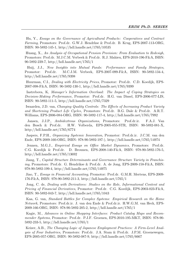Hu, Y., *Essays on the Governance of Agricultural Products : Cooperatives and Contract Farming*, Promotors: Prof.dr. G.W.J. Hendrkse & Prof.dr. B. Krug, EPS-2007-113-ORG, ISBN: 90-5892-145-1, http://hdl.handle.net/1765/10535

Huang, X., *An Analysis of Occupational Pension Provision: From Evaluation to Redesigh*, Promotors: Prof.dr. M.J.C.M. Verbeek & Prof.dr. R.J. Mahieu, EPS-2010-196-F&A, ISBN: 90-5892-239-7, http://hdl.handle.net/1765/1

Huij, J.J., *New Insights into Mutual Funds: Performance and Family Strategies*, Promotor: Prof.dr. M.C.J.M. Verbeek, EPS-2007-099-F&A, ISBN: 90-5892-134-4, http://hdl.handle.net/1765/9398

Huurman, C.I., *Dealing with Electricity Prices*, Promotor: Prof.dr. C.D. Koedijk, EPS-2007-098-F&A, ISBN: 90-5892-130-1, http://hdl.handle.net/1765/9399

Iastrebova, K, *Manager's Information Overload: The Impact of Coping Strategies on Decision-Making Performance*, Promotor: Prof.dr. H.G. van Dissel, EPS-2006-077-LIS, ISBN: 90-5892-111-5, http://hdl.handle.net/1765/7329

Iwaarden, J.D. van, *Changing Quality Controls: The Effects of Increasing Product Variety and Shortening Product Life Cycles ,* Promotors: Prof.dr. B.G. Dale & Prof.dr. A.R.T. Williams, EPS-2006-084-ORG, ISBN: 90-5892-117-4, http://hdl.handle.net/1765/7992

Jansen, J.J.P., *Ambidextrous Organizations*, Promotors: Prof.dr.ir. F.A.J. Van den Bosch & Prof.dr. H.W. Volberda, EPS-2005-055-STR, ISBN: 90-5892-081-X, http://hdl.handle.net/1765/6774

Jaspers, F.P.H., *Organizing Systemic Innovation*, Promotor: Prof.dr.ir. J.C.M. van den Ende, EPS-2009-160-ORG, ISBN: 978-90-5892-197-), http://hdl.handle.net/1765/14974

Jennen, M.G.J., *Empirical Essays on Office Market Dynamics*, Promotors: Prof.dr. C.G. Koedijk & Prof.dr. D. Brounen, EPS-2008-140-F&A, ISBN: 978-90-5892-176-5, http://hdl.handle.net/1765/13692

Jiang, T., *Capital Structure Determinants and Governance Structure Variety in Franchising*, Promotors: Prof.dr. G. Hendrikse & Prof.dr. A. de Jong, EPS-2009-158-F&A, ISBN: 978-90-5892-199-4, http://hdl.handle.net/1765/14975

Jiao, T., *Essays in Financial Accounting*, Promotor: Prof.dr. G.M.H. Mertens, EPS-2009- 176-F&A, ISBN: 978-90-5892-211-3, http://hdl.handle.net/1765/1

Jong, C. de, *Dealing with Derivatives: Studies on the Role, Informational Content and Pricing of Financial Derivatives*, Promotor: Prof.dr. C.G. Koedijk, EPS-2003-023-F&A, ISBN: 90-5892-043-7, http://hdl.handle.net/1765/1043

Kaa, G. van, *Standard Battles for Complex Systems: Empirical Research on the Home Network,* Promotors: Prof.dr.ir. J. van den Ende & Prof.dr.ir. H.W.G.M. van Heck, EPS-2009-166-ORG, ISBN: 978-90-5892-205-2, http://hdl.handle.net/1765/1

Kagie, M., *Advances in Online Shopping Interfaces: Product Catalog Maps and Recommender Systems*, Promotor: Prof.dr. P.J.F. Groenen, EPS-2010-195-MKT, ISBN: 978-90- 5892-233-5, http://hdl.handle.net/1765/1

Keizer, A.B., *The Changing Logic of Japanese Employment Practices: A Firm-Level Analysis of Four Industries,* Promotors: Prof.dr. J.A. Stam & Prof.dr. J.P.M. Groenewegen, EPS-2005-057-ORG, ISBN: 90-5892-087-9, http://hdl.handle.net/1765/6667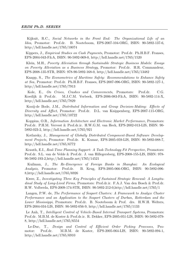### *ERIM Ph.D. SERIES*

Kijkuit, R.C., *Social Networks in the Front End: The Organizational Life of an Idea,* Promotor: Prof.dr. B. Nooteboom, EPS-2007-104-ORG, ISBN: 90-5892-137-6, http://hdl.handle.net/1765/10074

Kippers, J., *Empirical Studies on Cash Payments,* Promotor: Prof.dr. Ph.H.B.F. Franses, EPS-2004-043-F&A, ISBN: 90-5892-069-0, http://hdl.handle.net/1765/1520

Klein, M.H., *Poverty Alleviation through Sustainable Strategic Business Models: Essays on Poverty Alleviation as a Business Strategy,* Promotor: Prof.dr. H.R. Commandeur, EPS-2008-135-STR, ISBN: 978-90-5892-168-0, http://hdl.handle.net/1765/13482

Knapp, S., *The Econometrics of Maritime Safety: Recommendations to Enhance Safety at Sea*, Promotor: Prof.dr. Ph.H.B.F. Franses, EPS-2007-096-ORG, ISBN: 90-5892-127-1, http://hdl.handle.net/1765/7913

Kole, E., *On Crises, Crashes and Comovements*, Promotors: Prof.dr. C.G. Koedijk & Prof.dr. M.J.C.M. Verbeek, EPS-2006-083-F&A, ISBN: 90-5892-114-X, http://hdl.handle.net/1765/7829

Kooij-de Bode, J.M., *Distributed Information and Group Decision-Making: Effects of Diversity and Affect*, Promotor: Prof.dr. D.L. van Knippenberg, EPS-2007-115-ORG, http://hdl.handle.net/1765/10722

Koppius, O.R., *Information Architecture and Electronic Market Performance*, Promotors: Prof.dr. P.H.M. Vervest & Prof.dr.ir. H.W.G.M. van Heck, EPS-2002-013-LIS, ISBN: 90- 5892-023-2, http://hdl.handle.net/1765/921

Kotlarsky, J., *Management of Globally Distributed Component-Based Software Development Projects,* Promotor: Prof.dr. K. Kumar, EPS-2005-059-LIS, ISBN: 90-5892-088-7, http://hdl.handle.net/1765/6772

Krauth, E.I., *Real-Time Planning Support: A Task-Technology Fit Perspective,* Promotors: Prof.dr. S.L. van de Velde & Prof.dr. J. van Hillegersberg, EPS-2008-155-LIS, ISBN: 978- 90-5892-193-2,http://hdl.handle.net/1765/14521

Kuilman, J., *The Re-Emergence of Foreign Banks in Shanghai: An Ecological Analysis,* Promotor: Prof.dr. B. Krug, EPS-2005-066-ORG, ISBN: 90-5892-096- 8,http://hdl.handle.net/1765/6926

Kwee, Z., *Investigating Three Key Principles of Sustained Strategic Renewal: A Longitudinal Study of Long-Lived Firms,* Promotors: Prof.dr.ir. F.A.J. Van den Bosch & Prof.dr. H.W. Volberda, EPS-2009-174-STR, ISBN: 90-5892-212-0,http://hdl.handle.net/1765/1

Langen, P.W. de, *The Performance of Seaport Clusters: A Framework to Analyze Cluster Performance and an Application to the Seaport Clusters of Durban, Rotterdam and the Lower Mississippi*, Promotors: Prof.dr. B. Nooteboom & Prof. drs. H.W.H. Welters, EPS-2004-034-LIS, ISBN: 90-5892-056-9, http://hdl.handle.net/1765/1133

Le Anh, T., *Intelligent Control of Vehicle-Based Internal Transport Systems*, Promotors: Prof.dr. M.B.M. de Koster & Prof.dr.ir. R. Dekker, EPS-2005-051-LIS, ISBN: 90-5892-079- 8, http://hdl.handle.net/1765/6554

Le-Duc, T., *Design and Control of Efficient Order Picking Processes*, Promotor: Prof.dr. M.B.M. de Koster, EPS-2005-064-LIS, ISBN: 90-5892-094-1, http://hdl.handle.net/1765/6910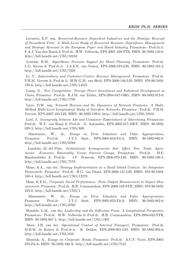Leeuwen, E.P. van, *Recovered-Resource Dependent Industries and the Strategic Renewal of Incumbent Firm: A Multi-Level Study of Recovered Resource Dependence Management and Strategic Renewal in the European Paper and Board Industry*, Promotors: Prof.dr.ir. F.A.J. Van den Bosch & Prof.dr. H.W. Volberda, EPS-2007-109-STR, ISBN: 90-5892-140-6, http://hdl.handle.net/1765/10183

Lentink, R.M., *Algorithmic Decision Support for Shunt Planning*, Promotors: Prof.dr. L.G. Kroon & Prof.dr.ir. J.A.E.E. van Nunen, EPS-2006-073-LIS, ISBN: 90-5892-104-2, http://hdl.handle.net/1765/7328

Li, T., *Informedness and Customer-Centric Revenue Management,* Promotors: Prof.dr. P.H.M. Vervest & Prof.dr.ir. H.W.G.M. van Heck, EPS-2009-146-LIS, ISBN: 978-90-5892- 195-6, http://hdl.handle.net/1765/14525

Liang, G., *New Competition: Foreign Direct Investment and Industrial Development in China,* Promotor: Prof.dr. R.J.M. van Tulder, EPS-2004-047-ORG, ISBN: 90-5892-073-9, http://hdl.handle.net/1765/1795

Liere, D.W. van, *Network Horizon and the Dynamics of Network Positions: A Multi-Method Multi-Level Longitudinal Study of Interfirm Networks,* Promotor: Prof.dr. P.H.M. Vervest, EPS-2007-105-LIS, ISBN: 90-5892-139-0, http://hdl.handle.net/1765/10181

Loef, J., *Incongruity between Ads and Consumer Expectations of Advertising*, Promotors: Prof.dr. W.F. van Raaij & Prof.dr. G. Antonides, EPS-2002-017-MKT, ISBN: 90-5892- 028-3, http://hdl.handle.net/1765/869

Maeseneire, W., de, *Essays on Firm Valuation and Value Appropriation,* Promotor: Prof.dr. J.T.J. Smit, EPS-2005-053-F&A, ISBN: 90-5892-082-8, http://hdl.handle.net/1765/6768

Londoño, M. del Pilar, *Institutional Arrangements that Affect Free Trade Agreements: Economic Rationality Versus Interest Groups*, Promotors: Prof.dr. H.E. Haralambides & Prof.dr. J.F. Francois, EPS-2006-078-LIS, ISBN: 90-5892-108-5, http://hdl.handle.net/1765/7578

Maas, A.A., van der, *Strategy Implementation in a Small Island Context: An Integrative Framework ,* Promotor: Prof.dr. H.G. van Dissel, EPS-2008-127-LIS, ISBN: 978-90-5892- 160-4, http://hdl.handle.net/1765/12278

Maas, K.E.G., *Corporate Social Performance: From Output Measurement to Impact Measurement ,* Promotor: Prof.dr. H.R. Commandeur, EPS-2009-182-STR, ISBN: 978-90-5892- 225-0, http://hdl.handle.net/1765/1

Maeseneire, W., de, *Essays on Firm Valuation and Value Appropriation,* Promotor: Prof.dr. J.T.J. Smit, EPS-2005-053-F&A, ISBN: 90-5892-082-8, http://hdl.handle.net/1765/6768

Mandele, L.M., van der, *Leadership and the Inflection Point: A Longitudinal Perspective*, Promotors: Prof.dr. H.W. Volberda & Prof.dr. H.R. Commandeur, EPS-2004-042-STR, ISBN: 90-5892-067-4, http://hdl.handle.net/1765/1302

Meer, J.R. van der, *Operational Control of Internal Transport*, Promotors: Prof.dr. M.B.M. de Koster & Prof.dr.ir. R. Dekker, EPS-2000-001-LIS, ISBN: 90-5892-004-6, http://hdl.handle.net/1765/859

Mentink, A., *Essays on Corporate Bonds*, Promotor: Prof.dr. A.C.F. Vorst, EPS-2005- 070-F&A, ISBN: 90-5892-100-X, http://hdl.handle.net/1765/7121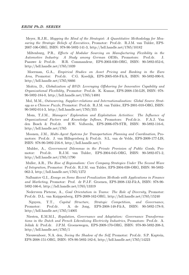Meyer, R.J.H., *Mapping the Mind of the Strategist: A Quantitative Methodology for Measuring the Strategic Beliefs of Executives*, Promotor: Prof.dr. R.J.M. van Tulder, EPS-2007-106-ORG, ISBN: 978-90-5892-141-3, http://hdl.handle.net/1765/10182

Miltenburg, P.R., *Effects of Modular Sourcing on Manufacturing Flexibility in the Automotive Industry: A Study among German OEMs*, Promotors: Prof.dr. J. Paauwe & Prof.dr. H.R. Commandeur, EPS-2003-030-ORG, ISBN: 90-5892-052-6, http://hdl.handle.net/1765/1039

Moerman, G.A., *Empirical Studies on Asset Pricing and Banking in the Euro Area,* Promotor: Prof.dr. C.G. Koedijk, EPS-2005-058-F&A, ISBN: 90-5892-090-9, http://hdl.handle.net/1765/6666

Moitra, D., *Globalization of R&D: Leveraging Offshoring for Innovative Capability and Organizational Flexibility ,* Promotor: Prof.dr. K. Kumar, EPS-2008-150-LIS, ISBN: 978- 90-5892-184-0, http://hdl.handle.net/1765/14081

Mol, M.M., *Outsourcing, Supplier-relations and Internationalisation: Global Source Strategy as a Chinese Puzzle*, Promotor: Prof.dr. R.J.M. van Tulder, EPS-2001-010-ORG, ISBN: 90-5892-014-3, http://hdl.handle.net/1765/355

Mom, T.J.M., *Managers' Exploration and Exploitation Activities: The Influence of Organizational Factors and Knowledge Inflows*, Promotors: Prof.dr.ir. F.A.J. Van den Bosch & Prof.dr. H.W. Volberda, EPS-2006-079-STR, ISBN: 90-5892-116-6, http://hdl.handle.net/1765

Moonen, J.M., *Multi-Agent Systems for Transportation Planning and Coordination*, Promotors: Prof.dr. J. van Hillegersberg & Prof.dr. S.L. van de Velde, EPS-2009-177-LIS, ISBN: 978-90-5892-216-8, http://hdl.handle.net/1

Mulder, A., *Government Dilemmas in the Private Provision of Public Goods*, Promotor: Prof.dr. R.J.M. van Tulder, EPS-2004-045-ORG, ISBN: 90-5892-071-2, http://hdl.handle.net/1765/1790

Muller, A.R., *The Rise of Regionalism: Core Company Strategies Under The Second Wave of Integration*, Promotor: Prof.dr. R.J.M. van Tulder, EPS-2004-038-ORG, ISBN: 90-5892- 062-3, http://hdl.handle.net/1765/1272

Nalbantov G.I., *Essays on Some Recent Penalization Methods with Applications in Finance and Marketing*, Promotor: Prof. dr P.J.F. Groenen, EPS-2008-132-F&A, ISBN: 978-90- 5892-166-6, http://hdl.handle.net/1765/13319

Nederveen Pieterse, A., *Goal Orientation in Teams: The Role of Diversity*, Promotor: Prof.dr. D.L. van Knippenberg, EPS-2009-162-ORG, http://hdl.handle.net/1765/15240

Nguyen, T.T., *Capital Structure, Strategic Competition, and Governance*, Promotor: Prof.dr. A. de Jong, EPS-2008-148-F&A, ISBN: 90-5892-178-9, http://hdl.handle.net/1765/14005

Niesten, E.M.M.I., *Regulation, Governance and Adaptation: Governance Transformations in the Dutch and French Liberalizing Electricity Industries*, Promotors: Prof.dr. A. Jolink & Prof.dr. J.P.M. Groenewegen, EPS-2009-170-ORG, ISBN: 978-90-5892-208-3, http://hdl.handle.net/1765/1

Nieuwenboer, N.A. den, *Seeing the Shadow of the Self*, Promotor: Prof.dr. S.P. Kaptein, EPS-2008-151-ORG, ISBN: 978-90-5892-182-6, http://hdl.handle.net/1765/14223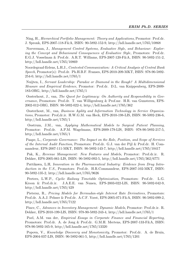Ning, H., *Hierarchical Portfolio Management: Theory and Applications*, Promotor: Prof.dr. J. Spronk, EPS-2007-118-F&A, ISBN: 90-5892-152-9, http://hdl.handle.net/1765/10868

Noeverman, J., *Management Control Systems, Evaluative Style, and Behaviour: Exploring the Concept and Behavioural Consequences of Evaluative Style*, Promotors: Prof.dr. E.G.J. Vosselman & Prof.dr. A.R.T. Williams, EPS-2007-120-F&A, ISBN: 90-5892-151-2, http://hdl.handle.net/1765/10869

Noordegraaf-Eelens, L.H.J., *Contested Communication: A Critical Analysis of Central Bank Speech*, Promotor(s): Prof.dr. Ph.H.B.F. Franses, EPS-2010-209-MKT, ISBN: 978-90-5892- 254-0, http://hdl.handle.net/1765/1

Nuijten, I., *Servant Leadership: Paradox or Diamond in the Rough? A Multidimensional Measure and Empirical Evidence*, Promotor: Prof.dr. D.L. van Knippenberg, EPS-2009- 183-ORG, http://hdl.handle.net/1765/1

Oosterhout, J., van, *The Quest for Legitimacy: On Authority and Responsibility in Governance*, Promotors: Prof.dr. T. van Willigenburg & Prof.mr. H.R. van Gunsteren, EPS-2002-012-ORG, ISBN: 90-5892-022-4, http://hdl.handle.net/1765/362

Oosterhout, M., van, *Business Agility and Information Technology in Service Organizations*, Promotor: Prof,dr.ir. H.W.G.M. van Heck, EPS-2010-198-LIS, ISBN: 90-5092-236-6, http://hdl.handle.net/1765/1

Oostrum, J.M., van, *Applying Mathematical Models to Surgical Patient Planning*, Promotor: Prof.dr. A.P.M. Wagelmans, EPS-2009-179-LIS, ISBN: 978-90-5892-217-5, http://hdl.handle.net/1765/1

Paape, L., *Corporate Governance: The Impact on the Role, Position, and Scope of Services of the Internal Audit Function*, Promotors: Prof.dr. G.J. van der Pijl & Prof.dr. H. Commandeur, EPS-2007-111-MKT, ISBN: 90-5892-143-7, http://hdl.handle.net/1765/10417

Pak, K., *Revenue Management: New Features and Models*, Promotor: Prof.dr.ir. R. Dekker, EPS-2005-061-LIS, ISBN: 90-5892-092-5, http://hdl.handle.net/1765/362/6771

Pattikawa, L.H, *Innovation in the Pharmaceutical Industry: Evidence from Drug Introduction in the U.S.*, Promotors: Prof.dr. H.R.Commandeur, EPS-2007-102-MKT, ISBN: 90-5892-135-2, http://hdl.handle.net/1765/9626

Peeters, L.W.P., *Cyclic Railway Timetable Optimization*, Promotors: Prof.dr. L.G. Kroon & Prof.dr.ir. J.A.E.E. van Nunen, EPS-2003-022-LIS, ISBN: 90-5892-042-9, http://hdl.handle.net/1765/429

Pietersz, R., *Pricing Models for Bermudan-style Interest Rate Derivatives*, Promotors: Prof.dr. A.A.J. Pelsser & Prof.dr. A.C.F. Vorst, EPS-2005-071-F&A, ISBN: 90-5892-099-2, http://hdl.handle.net/1765/7122

Pince, C., *Advances in Inventory Management: Dynamic Models*, Promotor: Prof.dr.ir. R. Dekker, EPS-2010-199-LIS, ISBN: 978-90-5892-243-4, http://hdl.handle.net/1765/1

Poel, A.M. van der, *Empirical Essays in Corporate Finance and Financial Reporting*, Promotors: Prof.dr. A. de Jong & Prof.dr. G.M.H. Mertens, EPS-2007-133-F&A, ISBN: 978-90-5892-165-9, http://hdl.handle.net/1765/13320

Popova, V., *Knowledge Discovery and Monotonicity*, Promotor: Prof.dr. A. de Bruin, EPS-2004-037-LIS, ISBN: 90-5892-061-5, http://hdl.handle.net/1765/1201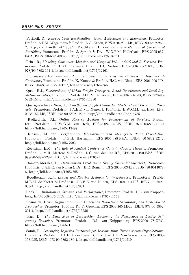### *ERIM Ph.D. SERIES*

Potthoff, D., *Railway Crew Rescheduling: Novel Approaches and Extensions*, Promotos: Prof.dr. A.P.M. Wagelmans & Prof.dr. L.G. Kroon, EPS-2010-210-LIS, ISBN: 90-5892-250- 2, http://hdl.handle.net/1765/1 Pouchkarev, I., *Performance Evaluation of Constrained Portfolios*, Promotors: Prof.dr. J. Spronk & Dr. W.G.P.M. Hallerbach, EPS-2005-052- F&A, ISBN: 90-5892-083-6, http://hdl.handle.net/1765/6731

Prins, R., *Modeling Consumer Adoption and Usage of Value-Added Mobile Services*, Promotors: Prof.dr. Ph.H.B.F. Franses & Prof.dr. P.C. Verhoef, EPS-2008-128-MKT, ISBN: 978/90-5892-161-1, http://hdl.handle.net/1765/12461

Puvanasvari Ratnasingam, P., *Interorganizational Trust in Business to Business E-Commerce*, Promotors: Prof.dr. K. Kumar & Prof.dr. H.G. van Dissel, EPS-2001-009-LIS, ISBN: 90-5892-017-8, http://hdl.handle.net/1765/356

Quak, H.J., *Sustainability of Urban Freight Transport: Retail Distribution and Local Regulation in Cities*, Promotor: Prof.dr. M.B.M. de Koster, EPS-2008-124-LIS, ISBN: 978-90- 5892-154-3, http://hdl.handle.net/1765/11990

Quariguasi Frota Neto, J., *Eco-efficient Supply Chains for Electrical and Electronic Products*, Promotors: Prof.dr.ir. J.A.E.E. van Nunen & Prof.dr.ir. H.W.G.M. van Heck, EPS-2008-152-LIS, ISBN: 978-90-5892-192-5, http://hdl.handle.net/1765/14785

Radkevitch, U.L, *Online Reverse Auction for Procurement of Services*, Promotor: Prof.dr.ir. H.W.G.M. van Heck, EPS-2008-137-LIS, ISBN: 978-90-5892-171-0, http://hdl.handle.net/1765/13497

Rinsum, M. van, *Performance Measurement and Managerial Time Orientation*, Promotor: Prof.dr. F.G.H. Hartmann, EPS-2006-088-F&A, ISBN: 90-5892-121-2, http://hdl.handle.net/1765/7993

Roelofsen, E.M., *The Role of Analyst Conference Calls in Capital Markets*, Promotors: Prof.dr. G.M.H. Mertens & Prof.dr. L.G. van der Tas RA, EPS-2010-190-F&A, ISBN: 978-90-5892-228-1, http://hdl.handle.net/1765/1

Romero Morales, D., *Optimization Problems in Supply Chain Management*, Promotors: Prof.dr.ir. J.A.E.E. van Nunen & Dr. H.E. Romeijn, EPS-2000-003-LIS, ISBN: 90-9014078- 6, http://hdl.handle.net/1765/865

Roodbergen, K.J., *Layout and Routing Methods for Warehouses*, Promotors: Prof.dr. M.B.M. de Koster & Prof.dr.ir. J.A.E.E. van Nunen, EPS-2001-004-LIS, ISBN: 90-5892- 005-4, http://hdl.handle.net/1765/861

Rook, L., *Imitation in Creative Task Performance*, Promotor: Prof.dr. D.L. van Knippenberg, EPS-2008-125-ORG, http://hdl.handle.net/1765/11555

Rosmalen, J. van, *Segmentation and Dimension Reduction: Exploratory and Model-Based Approaches*, Promotor: Prof.dr. P.J.F. Groenen, EPS-2009-165-MKT, ISBN: 978-90-5892- 201-4, http://hdl.handle.net/1765/15536

Rus, D., *The Dark Side of Leadership: Exploring the Psychology of Leader Selfserving Behavior*, Promotor: Prof.dr. D.L. van Knippenberg, EPS-2009-178-ORG, http://hdl.handle.net/1765/1

Samii, R., *Leveraging Logistics Partnerships: Lessons from Humanitarian Organizations ,* Promotors: Prof.dr.ir. J.A.E.E. van Nunen & Prof.dr.ir. L.N. Van Wassenhove, EPS-2008- 153-LIS, ISBN: 978-90-5892-186-4, http://hdl.handle.net/1765/14519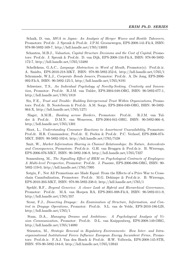Schaik, D. van, *M&A in Japan: An Analysis of Merger Waves and Hostile Takeovers,* Promotors: Prof.dr. J. Spronk & Prof.dr. J.P.M. Groenewegen, EPS-2008-141-F&A, ISBN: 978-90-5892-169-7, http://hdl.handle.net/1765/13693

Schauten, M.B.J., *Valuation, Capital Structure Decisions and the Cost of Capital,* Promotors: Prof.dr. J. Spronk & Prof.dr. D. van Dijk, EPS-2008-134-F&A, ISBN: 978-90-5892- 172-7, http://hdl.handle.net/1765/13480

Schellekens, G.A.C., *Language Abstraction in Word of Mouth*, Promotor(s): Prof.dr.ir. A. Smidts, EPS-2010-218-MKT, ISBN: 978-90-5892-252-6, http://hdl.handle.net/1765/1 Schramade, W.L.J., *Corporate Bonds Issuers,* Promotor: Prof.dr. A. De Jong, EPS-2006- 092-F&A, ISBN: 90-5892-125-5, http://hdl.handle.net/1765/8191

Schweizer, T.S., *An Individual Psychology of Novelty-Seeking, Creativity and Innovation,* Promotor: Prof.dr. R.J.M. van Tulder, EPS-2004-048-ORG, ISBN: 90-5892-077-1, http://hdl.handle.net/1765/1818

Six, F.E., *Trust and Trouble: Building Interpersonal Trust Within Organizations*, Promotors: Prof.dr. B. Nooteboom & Prof.dr. A.M. Sorge, EPS-2004-040-ORG, ISBN: 90-5892- 064-X, http://hdl.handle.net/1765/1271

Slager, A.M.H., *Banking across Borders*, Promotors: Prof.dr. R.J.M. van Tulder & Prof.dr. D.M.N. van Wensveen, EPS-2004-041-ORG, ISBN: 90-5892-066–6, http://hdl.handle.net/1765/1301

Sloot, L., *Understanding Consumer Reactions to Assortment Unavailability*, Promotors: Prof.dr. H.R. Commandeur, Prof.dr. E. Peelen & Prof.dr. P.C. Verhoef, EPS-2006-074- MKT, ISBN: 90-5892-102-6, http://hdl.handle.net/1765/7438

Smit, W., *Market Information Sharing in Channel Relationships: Its Nature, Antecedents and Consequences*, Promotors: Prof.dr.ir. G.H. van Bruggen & Prof.dr.ir. B. Wierenga, EPS-2006-076-MKT, ISBN: 90-5892-106-9, http://hdl.handle.net/1765/7327

Sonnenberg, M., *The Signalling Effect of HRM on Psychological Contracts of Employees: A Multi-level Perspective*, Promotor: Prof.dr. J. Paauwe, EPS-2006-086-ORG, ISBN: 90- 5892-119-0, http://hdl.handle.net/1765/7995

Sotgiu, F., Not All Promotions are Made Equal: From the Effects of a Price War to Crosschain Cannibalization, Promotors: Prof.dr. M.G. Dekimpe & Prof.dr.ir. B. Wierenga, EPS-2010-203-MKT, ISBN: 978-90-5892-238-0, http://hdl.handle.net/1765/1

Speklé, R.F., *Beyond Generics: A closer Look at Hybrid and Hierarchical Governance*, Promotor: Prof.dr. M.A. van Hoepen RA, EPS-2001-008-F&A, ISBN: 90-5892-011-9, http://hdl.handle.net/1765/357

Srour, F.J., *Dissecting Drayage: An Examination of Structure, Information, and Control in Drayage Operations*, Promotor: Prof.dr. S.L. van de Velde, EPS-2010-186-LIS, http://hdl.handle.net/1765/1

Stam, D.A., *Managing Dreams and Ambitions : A Psychological Analysis of Vision Communication*, Promotor: Prof.dr. D.L. van Knippenberg, EPS-2008-149-ORG, http://hdl.handle.net/1765/14080

Stienstra, M., *Strategic Renewal in Regulatory Environments : How Inter- and Intraorganisational Institutional Forces Influence European Energy Incumbent Firms ,* Promotors: Prof.dr.ir. F.A.J. Van den Bosch & Prof.dr. H.W. Volberda, EPS-2008-145-STR, ISBN: 978-90-5892-184-0, http://hdl.handle.net/1765/13943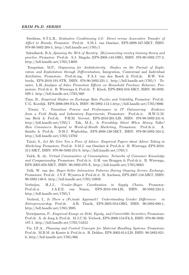Sweldens, S.T.L.R., *Evaluative Conditioning 2.0: Direct versus Associative Transfer of Affect to Brands,* Promotor: Prof.dr. S.M.J. van Osselaer, EPS-2009-167-MKT, ISBN: 978-90-5892-204-5, http://hdl.handle.net/1765/1

Szkudlarek, B.A.,*Spinning the Web of Reentry: [Re]connecting reentry training theory and practice*, Promotor: Prof.dr. S.J. Magala, EPS-2008-143-ORG, ISBN: 978-90-5892-177-2, http://hdl.handle.net/1765/13695

Tempelaar, M.P., *Organizing for Ambidexterity: Studies on the Pursuit of Exploration and Exploitation through Differentiation*, Integration, Contextual and Individual Attributes, Promotors: Prof.dr.ing. F.A.J. van den Bosch & Prof.dr. H.W. Volberda, EPS-2010-191-STR, ISBN: 978-90-5892-231-1, http://hdl.handle.net/1765/1 Teunter, L.H.,*Analysis of Sales Promotion Effects on Household Purchase Behavior*, Promotors: Prof.dr.ir. B. Wierenga & Prof.dr. T. Kloek, EPS-2002-016-MKT, ISBN: 90-5892- 029-1, http://hdl.handle.net/1765/868

Tims, B., *Empirical Studies on Exchange Rate Puzzles and Volatility*, Promotor: Prof.dr. C.G. Koedijk, EPS-2006-089-F&A, ISBN: 90-5892-113-1,http://hdl.handle.net/1765/8066

Tiwari, V., *Transition Process and Performance in IT Outsourcing: Evidence from a Field Study and Laboratory Experiments*, Promotors: Prof.dr.ir. H.W.G.M. van Heck & Prof.dr. P.H.M. Vervest, EPS-2010-201-LIS, ISBN: 978-90-5892-241-0, http://hdl.handle.net/1765/1 Tuk, M.A., *Is Friendship Silent When Money Talks? How Consumers Respond to Word-of-Mouth Marketing*, Promotors: Prof.dr.ir. A. Smidts & Prof.dr. D.H.J. Wigboldus, EPS-2008-130-MKT, ISBN: 978-90-5892-164-2, http://hdl.handle.net/1765/12702

Tzioti, S., *Let Me Give You a Piece of Advice: Empirical Papers about Advice Taking in Marketing*, Promoters: Prof.dr. S.M.J. van Osselaer & Prof.dr.ir. B. Wierenga, EPS-2010- 211-MKT, ISBN: 978-90-5892-251-9, http://hdl.handle.net/1765/1

Valck, K. de, *Virtual Communities of Consumption: Networks of Consumer Knowledge and Companionship*, Promotors: Prof.dr.ir. G.H. van Bruggen & Prof.dr.ir. B. Wierenga, EPS-2005-050-MKT, ISBN: 90-5892-078-X, http://hdl.handle.net/1765/6663

Valk, W. van der, *Buyer-Seller Interaction Patterns During Ongoing Service Exchange*, Promotors: Prof.dr. J.Y.F. Wynstra & Prof.dr.ir. B. Axelsson, EPS-2007-116-MKT, ISBN: 90-5892-146-8, http://hdl.handle.net/1765/10856

Verheijen, H.J.J., *Vendor-Buyer Coordination in Supply Chains*, Promotor: Prof.dr.ir. J.A.E.E. van Nunen, EPS-2010-194-LIS, ISBN: 90-5892-234-2, http://hdl.handle.net/1765/1

Verheul, I., *Is There a (Fe)male Approach? Understanding Gender Differences in Entrepreneurship*, Prof.dr. A.R. Thurik, EPS-2005-054-ORG, ISBN: 90-5892-080-1, http://hdl.handle.net/1765/2005

Verwijmeren, P., *Empirical Essays on Debt, Equity, and Convertible Securities*, Promotors: Prof.dr. A. de Jong & Prof.dr. M.J.C.M. Verbeek, EPS-2009-154-F&A, ISBN: 978-90-5892- 187-1, http://hdl.handle.net/1765/14312

Vis, I.F.A., *Planning and Control Concepts for Material Handling Systems*, Promotors: Prof.dr. M.B.M. de Koster & Prof.dr.ir. R. Dekker, EPS-2002-014-LIS, ISBN: 90-5892-021- 6, http://hdl.handle.net/1765/866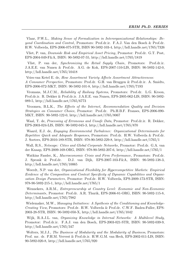Vlaar, P.W.L., *Making Sense of Formalization in Interorganizational Relationships: Beyond Coordination and Control ,* Promotors: Prof.dr.ir. F.A.J. Van den Bosch & Prof.dr. H.W. Volberda, EPS-2006-075-STR, ISBN 90-5892-103-4, http://hdl.handle.net/1765/7326

Vliet, P. van, *Downside Risk and Empirical Asset Pricing*, Promotor: Prof.dr. G.T. Post, EPS-2004-049-F&A, ISBN: 90-5892-07-55, http://hdl.handle.net/1765/1819

Vlist, P. van der, *Synchronizing the Retail Supply Chain*, Promotors: Prof.dr.ir. J.A.E.E. van Nunen & Prof.dr. A.G. de Kok, EPS-2007-110-LIS, ISBN: 90-5892-142-0, http://hdl.handle.net/1765/10418

Vries-van Ketel E. de, *How Assortment Variety Affects Assortment Attractiveness: A Consumer Perspective*, Promotors: Prof.dr. G.H. van Bruggen & Prof.dr.ir. A. Smidts, EPS-2006-072-MKT, ISBN: 90-5892-101-8, http://hdl.handle.net/1765/7193

Vromans, M.J.C.M., *Reliability of Railway Systems*, Promotors: Prof.dr. L.G. Kroon, Prof.dr.ir. R. Dekker & Prof.dr.ir. J.A.E.E. van Nunen, EPS-2005-062-LIS, ISBN: 90-5892- 089-5, http://hdl.handle.net/1765/6773

Vroomen, B.L.K., *The Effects of the Internet, Recommendation Quality and Decision Strategies on Consumer Choice*, Promotor: Prof.dr. Ph.H.B.F. Franses, EPS-2006-090- MKT, ISBN: 90-5892-122-0, http://hdl.handle.net/1765/8067

Waal, T. de, *Processing of Erroneous and Unsafe Data*, Promotor: Prof.dr.ir. R. Dekker, EPS-2003-024-LIS, ISBN: 90-5892-045-3, http://hdl.handle.net/1765/870

Waard, E.J. de, *Engaging Environmental Turbulence: Organizational Determinants for Repetitive Quick and Adequate Responses*, Promotors: Prof.dr. H.W. Volberda & Prof.dr. J. Soeters, EPS-2010-189-STR, ISBN: 978-90-5892-229-8, http://hdl.handle.net/1765/1

Wall, R.S., *Netscape: Cities and Global Corporate Networks ,* Promotor: Prof.dr. G.A. van der Knaap, EPS-2009-169-ORG, ISBN: 978-90-5892-207-6, http://hdl.handle.net/1765/1

Watkins Fassler, K., *Macroeconomic Crisis and Firm Performance,* Promotors: Prof.dr. J. Spronk & Prof.dr. D.J. van Dijk, EPS-2007-103-F&A, ISBN: 90-5892-138-3, http://hdl.handle.net/1765/10065

Weerdt, N.P. van der, *Organizational Flexibility for Hypercompetitive Markets: Empirical Evidence of the Composition and Context Specificity of Dynamic Capabilities and Organization Design Parameters ,* Promotor: Prof.dr. H.W. Volberda, EPS-2009-173-STR, ISBN: 978-90-5892-215-1, http://hdl.handle.net/1765/1

Wennekers, A.R.M., *Entrepreneurship at Country Level: Economic and Non-Economic Determinants ,* Promotor: Prof.dr. A.R. Thurik, EPS-2006-81-ORG, ISBN: 90-5892-115-8, http://hdl.handle.net/1765/7982

Wielemaker, M.W., *Managing Initiatives: A Synthesis of the Conditioning and Knowledge-Creating View*, Promotors: Prof.dr. H.W. Volberda & Prof.dr. C.W.F. Baden-Fuller, EPS-2003-28-STR, ISBN: 90-5892-050-X, http://hdl.handle.net/1765/1042

Wijk, R.A.J.L. van, *Organizing Knowledge in Internal Networks: A Multilevel Study*, Promotor: Prof.dr.ir. F.A.J. van den Bosch, EPS-2003-021-STR, ISBN: 90-5892-039-9, http://hdl.handle.net/1765/347

Wolters, M.J.J., *The Business of Modularity and the Modularity of Business*, Promotors: Prof. mr. dr. P.H.M. Vervest & Prof.dr.ir. H.W.G.M. van Heck, EPS-2002-011-LIS, ISBN: 90-5892-020-8, http://hdl.handle.net/1765/920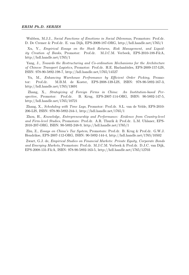Wubben, M.J.J., *Social Functions of Emotions in Social Dilemmas*, Promotors: Prof.dr. D. De Cremer & Prof.dr. E. van Dijk, EPS-2009-187-ORG, http://hdl.handle.net/1765/1

Xu, Y., *Empirical Essays on the Stock Returns, Risk Management, and Liquidity Creation of Banks*, Promotor: Prof.dr. M.J.C.M. Verbeek, EPS-2010-188-F&A, http://hdl.handle.net/1765/1

Yang, J., *Towards the Restructuring and Co-ordination Mechanisms for the Architecture of Chinese Transport Logistics*, Promotor: Prof.dr. H.E. Harlambides, EPS-2009-157-LIS, ISBN: 978-90-5892-198-7, http://hdl.handle.net/1765/14527

Yu, M., *Enhancing Warehouse Perfromance by Efficient Order Picking*, Promotor: Prof.dr. M.B.M. de Koster, EPS-2008-139-LIS, ISBN: 978-90-5892-167-3, http://hdl.handle.net/1765/13691

Zhang, X., *Strategizing of Foreign Firms in China: An Institution-based Perspective*, Promotor: Prof.dr. B. Krug, EPS-2007-114-ORG, ISBN: 90-5892-147-5, http://hdl.handle.net/1765/10721

Zhang, X., *Scheduling with Time Lags*, Promotor: Prof.dr. S.L. van de Velde, EPS-2010- 206-LIS, ISBN: 978-90-5892-244-1, http://hdl.handle.net/1765/1

Zhou, H., *Knowledge, Entrepreneurship and Performance: Evidence from Country-level and Firm-level Studies*, Promotors: Prof.dr. A.R. Thurik & Prof.dr. L.M. Uhlaner, EPS-2010-207-ORG, ISBN: 90-5892-248-9, http://hdl.handle.net/1765/1

Zhu, Z., *Essays on China's Tax System*, Promotors: Prof.dr. B. Krug & Prof.dr. G.W.J. Hendrikse, EPS-2007-112-ORG, ISBN: 90-5892-144-4, http://hdl.handle.net/1765/10502

Zwart, G.J. de, *Empirical Studies on Financial Markets: Private Equity, Corporate Bonds and Emerging Markets*, Promotors: Prof.dr. M.J.C.M. Verbeek & Prof.dr. D.J.C. van Dijk, EPS-2008-131-F&A, ISBN: 978-90-5892-163-5, http://hdl.handle.net/1765/12703